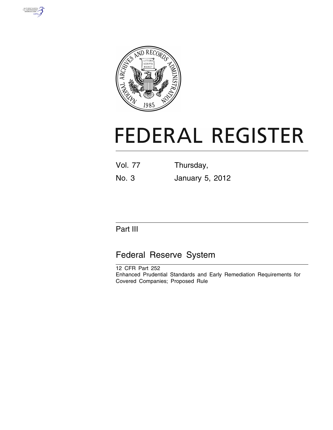



# **FEDERAL REGISTER**

Vol. 77 Thursday,

No. 3 January 5, 2012

# Part III

# Federal Reserve System

12 CFR Part 252 Enhanced Prudential Standards and Early Remediation Requirements for Covered Companies; Proposed Rule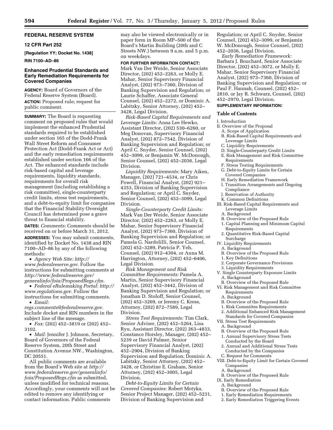# **FEDERAL RESERVE SYSTEM**

# **12 CFR Part 252**

**[Regulation YY; Docket No. 1438]** 

#### **RIN 7100–AD–86**

# **Enhanced Prudential Standards and Early Remediation Requirements for Covered Companies**

**AGENCY:** Board of Governors of the Federal Reserve System (Board).

**ACTION:** Proposed rule; request for public comment.

**SUMMARY:** The Board is requesting comment on proposed rules that would implement the enhanced Prudential standards required to be established under section 165 of the Dodd-Frank Wall Street Reform and Consumer Protection Act (Dodd-Frank Act or Act) and the early remediation requirements established under section 166 of the Act. The enhanced standards include risk-based capital and leverage requirements, liquidity standards, requirements for overall risk management (including establishing a risk committee), single-counterparty credit limits, stress test requirements, and a debt-to-equity limit for companies that the Financial Stability Oversight Council has determined pose a grave threat to financial stability.

**DATES:** *Comments:* Comments should be received on or before March 31, 2012.

**ADDRESSES:** You may submit comments, identified by Docket No. 1438 and RIN 7100–AD–86 by any of the following methods:

• *Agency Web Site: [http://](http://www.federalreserve.gov)  [www.federalreserve.gov.](http://www.federalreserve.gov)* Follow the instructions for submitting comments at *[http://www.federalreserve.gov/](http://www.federalreserve.gov/generalinfo/foia/ProposedRegs.cfm)  [generalinfo/foia/ProposedRegs.cfm.](http://www.federalreserve.gov/generalinfo/foia/ProposedRegs.cfm)* 

• *Federal eRulemaking Portal: [http://](http://www.regulations.gov)  [www.regulations.gov.](http://www.regulations.gov)* Follow the instructions for submitting comments.

• *Email: [regs.comments@federalreserve.gov.](mailto:regs.comments@federalreserve.gov)* 

Include docket and RIN numbers in the subject line of the message.

• *Fax:* (202) 452–3819 or (202) 452– 3102.

• *Mail:* Jennifer J. Johnson, Secretary, Board of Governors of the Federal Reserve System, 20th Street and Constitution Avenue NW., Washington, DC 20551.

All public comments are available from the Board's Web site at *[http://](http://www.federalreserve.gov/generalinfo/foia/ProposedRegs.cfm) [www.federalreserve.gov/generalinfo/](http://www.federalreserve.gov/generalinfo/foia/ProposedRegs.cfm) [foia/ProposedRegs.cfm](http://www.federalreserve.gov/generalinfo/foia/ProposedRegs.cfm)* as submitted, unless modified for technical reasons. Accordingly, your comments will not be edited to remove any identifying or contact information. Public comments

may also be viewed electronically or in paper form in Room MP–500 of the Board's Martin Building (20th and C Streets NW.) between 9 a.m. and 5 p.m. on weekdays.

# **FOR FURTHER INFORMATION CONTACT:**

Mark Van Der Weide, Senior Associate Director, (202) 452–2263, or Molly E. Mahar, Senior Supervisory Financial Analyst, (202) 973–7360, Division of Banking Supervision and Regulation; or Laurie Schaffer, Associate General Counsel, (202) 452–2272, or Dominic A. Labitzky, Senior Attorney, (202) 452– 3428, Legal Division.

*Risk-Based Capital Requirements and Leverage Limits:* Anna Lee Hewko, Assistant Director, (202) 530–6260, or Meg Donovan, Supervisory Financial Analyst, (202) 872–7542, Division of Banking Supervision and Regulation; or April C. Snyder, Senior Counsel, (202) 452–3099, or Benjamin W. McDonough, Senior Counsel, (202) 452–2036, Legal Division.

*Liquidity Requirements:* Mary Aiken, Manager, (202) 721–4534, or Chris Powell, Financial Analyst, (202) 921– 4353, Division of Banking Supervision and Regulation; or April C. Snyder, Senior Counsel, (202) 452–3099, Legal Division.

*Single-Counterparty Credit Limits:*  Mark Van Der Weide, Senior Associate Director, (202) 452–2263, or Molly E. Mahar, Senior Supervisory Financial Analyst, (202) 973–7360, Division of Banking Supervision and Regulation; or Pamela G. Nardolilli, Senior Counsel, (202) 452–3289, Patricia P. Yeh, Counsel, (202) 912–4304, or Anna M. Harrington, Attorney, (202) 452–6406, Legal Division.

*Risk Management and Risk Committee Requirements:* Pamela A. Martin, Senior Supervisory Financial Analyst, (202) 452–3442, Division of Banking Supervision and Regulation; or Jonathan D. Stoloff, Senior Counsel, (202) 452–3269, or Jeremy C. Kress, Attorney, (202) 872–7589, Legal Division.

*Stress Test Requirements:* Tim Clark, Senior Adviser, (202) 452–5264, Lisa Ryu, Assistant Director, (202) 263–4833, Constance Horsley, Manager, (202) 452– 5239 or David Palmer, Senior Supervisory Financial Analyst, (202) 452–2904, Division of Banking Supervision and Regulation; Dominic A. Labitzky, Senior Attorney, (202) 452– 3428, or Christine E. Graham, Senior Attorney, (202) 452–3005, Legal Division.

*Debt-to-Equity Limits for Certain Covered Companies:* Robert Motyka, Senior Project Manager, (202) 452–5231, Division of Banking Supervision and

Regulation; or April C. Snyder, Senior Counsel, (202) 452–3099, or Benjamin W. McDonough, Senior Counsel, (202) 452–2036, Legal Division.

*Early Remediation Framework:*  Barbara J. Bouchard, Senior Associate Director, (202) 452–3072, or Molly E. Mahar, Senior Supervisory Financial Analyst, (202) 973–7360, Division of Banking Supervision and Regulation; or Paul F. Hannah, Counsel, (202) 452– 2810, or Jay R. Schwarz, Counsel, (202) 452–2970, Legal Division.

# **SUPPLEMENTARY INFORMATION:**

# **Table of Contents**

I. Introduction

- II. Overview of the Proposal
- A. Scope of Application
- B. Risk-Based Capital Requirements and Leverage Limits
- C. Liquidity Requirements
- D. Single-Counterparty Credit Limits
- E. Risk Management and Risk Committee Requirements
- F. Stress Testing Requirements
- G. Debt-to-Equity Limits for Certain Covered Companies
- H. Early Remediation Framework
- I. Transition Arrangements and Ongoing Compliance
- J. Reservation of Authority
- K. Common Definitions
- III. Risk-Based Capital Requirements and Leverage Limits
- A. Background
- B. Overview of the Proposed Rule
- 1. Capital Planning and Minimum Capital Requirements
- 2. Quantitative Risk-Based Capital Surcharge
- IV. Liquidity Requirements
	- A. Background
	- B. Overview of the Proposed Rule
- 1. Key Definitions
- 2. Corporate Governance Provisions
- 3. Liquidity Requirements
- V. Single Counterparty Exposure Limits A. Background
- B. Overview of the Proposed Rule
- VI. Risk Management and Risk Committee Requirements
	- A. Background
	- B. Overview of the Proposed Rule
- 1. Risk Committee Requirements
- 2. Additional Enhanced Risk Management Standards for Covered Companies
- VII. Stress Test Requirements
- A. Background
- B. Overview of the Proposed Rule
- 1. Annual Supervisory Stress Tests
- Conducted by the Board
- 2. Annual and Additional Stress Tests Conducted by the Companies
- C. Request for Comments
- VIII. Debt-to-Equity Limit for Certain Covered Companies
	- A. Background
- B. Overview of the Proposed Rule
- IX. Early Remediation
- A. Background
- B. Overview of the Proposed Rule
- 1. Early Remediation Requirements
- 2. Early Remediation Triggering Events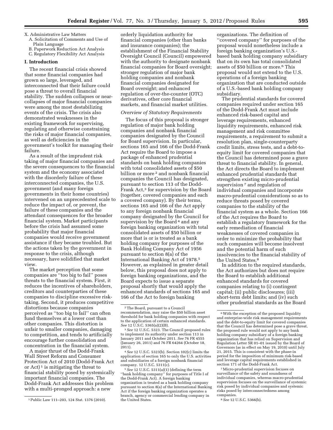# X. Administrative Law Matters

- A. Solicitation of Comments and Use of Plain Language
- B. Paperwork Reduction Act Analysis
- C. Regulatory Flexibility Act Analysis

# **I. Introduction**

The recent financial crisis showed that some financial companies had grown so large, leveraged, and interconnected that their failure could pose a threat to overall financial stability. The sudden collapses or nearcollapses of major financial companies were among the most destabilizing events of the crisis. The crisis also demonstrated weaknesses in the existing framework for supervising, regulating and otherwise constraining the risks of major financial companies, as well as deficiencies in the government's toolkit for managing their failure.

As a result of the imprudent risk taking of major financial companies and the severe consequences to the financial system and the economy associated with the disorderly failure of these interconnected companies, the U.S. government (and many foreign governments in their home countries) intervened on an unprecedented scale to reduce the impact of, or prevent, the failure of these companies and the attendant consequences for the broader financial system. Market participants before the crisis had assumed some probability that major financial companies would receive government assistance if they became troubled. But the actions taken by the government in response to the crisis, although necessary, have solidified that market view.

The market perception that some companies are ''too big to fail'' poses threats to the financial system. First, it reduces the incentives of shareholders, creditors and counterparties of these companies to discipline excessive risktaking. Second, it produces competitive distortions because companies perceived as ''too big to fail'' can often fund themselves at a lower cost than other companies. This distortion is unfair to smaller companies, damaging to competition, and tends to artificially encourage further consolidation and concentration in the financial system.

A major thrust of the Dodd-Frank Wall Street Reform and Consumer Protection Act of 2010 (Dodd-Frank Act or Act)<sup>1</sup> is mitigating the threat to financial stability posed by systemically important financial companies. The Dodd-Frank Act addresses this problem with a multi-pronged approach: a new

orderly liquidation authority for financial companies (other than banks and insurance companies); the establishment of the Financial Stability Oversight Council (Council) empowered with the authority to designate nonbank financial companies for Board oversight; stronger regulation of major bank holding companies and nonbank financial companies designated for Board oversight; and enhanced regulation of over-the-counter (OTC) derivatives, other core financial markets, and financial market utilities.

#### *Overview of Statutory Requirements*

The focus of this proposal is stronger regulation of major bank holding companies and nonbank financial companies designated by the Council for Board supervision. In particular, sections 165 and 166 of the Dodd-Frank Act require the Board to impose a package of enhanced prudential standards on bank holding companies with total consolidated assets of \$50 billion or more<sup>2</sup> and nonbank financial companies the Council has designated, pursuant to section 113 of the Dodd-Frank Act,<sup>3</sup> for supervision by the Board (together, covered companies and each a covered company). By their terms, sections 165 and 166 of the Act apply to any foreign nonbank financial company designated by the Council for supervision by the Board<sup>4</sup> and any foreign banking organization with total consolidated assets of \$50 billion or more that is or is treated as a bank holding company for purposes of the Bank Holding Company Act of 1956 pursuant to section 8(a) of the International Banking Act of 1978.5 However, as explained in greater detail below, this proposal does not apply to foreign banking organizations, and the Board expects to issue a separate proposal shortly that would apply the enhanced standards of sections 165 and 166 of the Act to foreign banking

organizations. The definition of ''covered company'' for purposes of the proposal would nonetheless include a foreign banking organization's U.S. based bank holding company subsidiary that on its own has total consolidated assets of \$50 billion or more.6 This proposal would not extend to the U.S. operations of a foreign banking organization that are conducted outside of a U.S.-based bank holding company subsidiary.

The prudential standards for covered companies required under section 165 of the Dodd-Frank Act must include enhanced risk-based capital and leverage requirements, enhanced liquidity requirements, enhanced risk management and risk committee requirements, a requirement to submit a resolution plan, single-counterparty credit limits, stress tests, and a debt-toequity limit for covered companies that the Council has determined pose a grave threat to financial stability. In general, the Act directs the Board to implement enhanced prudential standards that strengthen existing micro-prudential supervision<sup>7</sup> and regulation of individual companies and incorporate macro-prudential considerations so as to reduce threats posed by covered companies to the stability of the financial system as a whole. Section 166 of the Act requires the Board to establish a regulatory framework for the early remediation of financial weaknesses of covered companies in order to minimize the probability that such companies will become insolvent and the potential harm of such insolvencies to the financial stability of the United States.<sup>8</sup>

In addition to the required standards, the Act authorizes but does not require the Board to establish additional enhanced standards for covered companies relating to (i) contingent capital; (ii) public disclosures; (iii) short-term debt limits; and (iv) such other prudential standards as the Board

7Micro-prudential supervision focuses on surveillance of the safety and soundness of individual companies, whereas macro-prudential supervision focuses on the surveillance of systemic risk posed by individual companies and systemic risks posed by interconnectedness among companies.

8*See* 12 U.S.C. 5366(b).

<sup>1</sup>Public Law 111–203, 124 Stat. 1376 (2010).

<sup>2</sup>The Board, pursuant to a Council recommendation, may raise the \$50 billion asset threshold for bank holding companies with respect to the application of certain enhanced standards. *See* 12 U.S.C. 5365(a)(2)(B).

<sup>3</sup>*See* 12 U.S.C. 5323. The Council proposed rules to implement its authority under section 113 in January 2011 and October 2011. *See* 76 FR 4555 (January 26, 2011) and 76 FR 64264 (October 18, 2011).

<sup>4</sup>*See* 12 U.S.C. 5323(b). Section 102(c) limits the application of section 165 to only the U.S. activities and subsidiaries of a foreign nonbank financial company. 12 U.S.C. 5311(c).

<sup>5</sup>*See* 12 U.S.C. 5311(a)(1) (defining the term ''bank holding company'' for purposes of Title I of the Dodd-Frank Act). A foreign banking organization is treated as a bank holding company pursuant to section 8(a) of the International Banking Act if the foreign banking organization operates a branch, agency or commercial lending company in the United States.

<sup>6</sup>With the exception of the proposed liquidity and enterprise-wide risk management requirements and the debt-to-equity limit for covered companies that the Council has determined pose a grave threat, the proposed rule would not apply to any bank holding company subsidiary of a foreign banking organization that has relied on Supervision and Regulation Letter SR 01–01 issued by the Board of Governors (as in effect on May 19, 2010) until July 21, 2015. This is consistent with the phase-in period for the imposition of minimum risk-based and leverage capital requirements established in section 171 of the Dodd-Frank Act.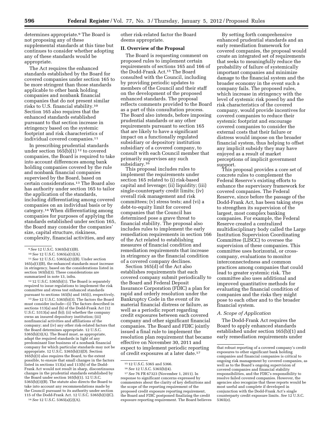determines appropriate.9 The Board is not proposing any of these supplemental standards at this time but continues to consider whether adopting any of these standards would be appropriate.

The Act requires the enhanced standards established by the Board for covered companies under section 165 to be more stringent than those standards applicable to other bank holding companies and nonbank financial companies that do not present similar risks to U.S. financial stability.10 Section 165 also requires that the enhanced standards established pursuant to that section increase in stringency based on the systemic footprint and risk characteristics of individual covered companies.<sup>11</sup>

In prescribing prudential standards under section  $165(b)(1)^{12}$  to covered companies, the Board is required to take into account differences among bank holding companies covered by the rule and nonbank financial companies supervised by the Board, based on certain considerations.13 The Board also has authority under section 165 to tailor the application of the standards, including differentiating among covered companies on an individual basis or by category.14 When differentiating among companies for purposes of applying the standards established under section 165, the Board may consider the companies' size, capital structure, riskiness, complexity, financial activities, and any

11*See* 12 U.S.C. 5365(a)(1)(B). Under section 165(a)(1)(B), the enhanced standards must increase in stringency, based on the considerations listed in section 165(b)(3). These considerations are summarized in note 13, infra.

 $12$  12 U.S.C. 5365(b)(1). The Board is separately required to issue regulations to implement the risk committee and stress test enhanced standards pursuant to sections 165(h) and 165(i), respectively.

13*See* 12 U.S.C. 5365(b)(3). The factors the Board must consider include—(i) The factors described in sections 113(a) and (b) of the Dodd-Frank Act (12 U.S.C. 5313(a) and (b)); (ii) whether the company owns an insured depository institution; (iii) nonfinancial activities and affiliations of the company; and (iv) any other risk-related factors that the Board determines appropriate. 12 U.S.C. 5365(b)(3)(A). The Board must, as appropriate, adapt the required standards in light of any predominant line business of a nonbank financial company for which particular standards may not be appropriate. 12 U.S.C. 5365(b)(3)(D). Section 165(b)(3) also requires the Board, to the extent possible, to ensure that small changes in the factors listed in sections 113(a) and 113(b) of the Dodd-Frank Act would not result in sharp, discontinuous changes in the prudential standards established by the Board under section 165(b)(1). 12 U.S.C. 5365(b)(3)(B). The statute also directs the Board to take into account any recommendations made by the Council pursuant to its authority under section 115 of the Dodd-Frank Act. 12 U.S.C. 5365(b)(3)(C).

14*See* 12 U.S.C. 5365(a)(2)(A).

other risk-related factor the Board deems appropriate.

# **II. Overview of the Proposal**

The Board is requesting comment on proposed rules to implement certain requirements of sections 165 and 166 of the Dodd-Frank Act.15 The Board consulted with the Council, including by providing periodic updates to members of the Council and their staff on the development of the proposed enhanced standards. The proposal reflects comments provided to the Board as a part of this consultation process. The Board also intends, before imposing prudential standards or any other requirements pursuant to section 165 that are likely to have a significant impact on a functionally regulated subsidiary or depository institution subsidiary of a covered company, to consult with each Council member that primarily supervises any such subsidiary.<sup>16</sup>

This proposal includes rules to implement the requirements under section 165 related to (i) risk-based capital and leverage; (ii) liquidity; (iii) single-counterparty credit limits; (iv) overall risk management and risk committees; (v) stress tests; and (vi) a debt-to-equity limit for covered companies that the Council has determined pose a grave threat to financial stability. The proposal also includes rules to implement the early remediation requirements in section 166 of the Act related to establishing measures of financial condition and remediation requirements that increase in stringency as the financial condition of a covered company declines.

Section 165(d) of the Act also establishes requirements that each covered company submit periodically to the Board and Federal Deposit Insurance Corporation (FDIC) a plan for rapid and orderly resolution under the Bankruptcy Code in the event of its material financial distress or failure, as well as a periodic report regarding credit exposures between each covered company and other significant financial companies. The Board and FDIC jointly issued a final rule to implement the resolution plan requirement that became effective on November 30, 2011 and expect to implement periodic reporting of credit exposures at a later date.17

17*See* 76 FR 67323 (November 1, 2011). In response to significant concerns expressed by commenters about the clarity of key definitions and the scope of the reporting requirement of the proposed credit exposure reporting requirement, the Board and FDIC postponed finalizing the credit exposure reporting requirement. The Board believes

By setting forth comprehensive enhanced prudential standards and an early remediation framework for covered companies, the proposal would create an integrated set of requirements that seeks to meaningfully reduce the probability of failure of systemically important companies and minimize damage to the financial system and the broader economy in the event such a company fails. The proposed rules, which increase in stringency with the level of systemic risk posed by and the risk characteristics of the covered company, would provide incentives for covered companies to reduce their systemic footprint and encourage covered companies to consider the external costs that their failure or distress would impose on the broader financial system, thus helping to offset any implicit subsidy they may have enjoyed as a result of market perceptions of implicit government support.

This proposal provides a core set of concrete rules to complement the Federal Reserve's existing efforts to enhance the supervisory framework for covered companies. The Federal Reserve, since before the passage of the Dodd-Frank Act, has been taking steps to strengthen its supervision of the largest, most complex banking companies. For example, the Federal Reserve created a centralized multidisciplinary body called the Large Institution Supervision Coordinating Committee (LISCC) to oversee the supervision of these companies. This committee uses horizontal, or crosscompany, evaluations to monitor interconnectedness and common practices among companies that could lead to greater systemic risk. The committee also uses additional and improved quantitative methods for evaluating the financial condition of companies and the risks they might pose to each other and to the broader financial system.

# *A. Scope of Application*

The Dodd-Frank Act requires the Board to apply enhanced standards established under section 165(b)(1) and early remediation requirements under

<sup>9</sup>*See* 12 U.S.C. 5365(b)(1)(B).

<sup>10</sup>*See* 12 U.S.C. 5365(a)(1)(A).

<sup>15</sup> 12 U.S.C. 5365 and 5366.

<sup>16</sup>*See* 12 U.S.C. 5365(b)(4).

that robust reporting of a covered company's credit exposures to other significant bank holding companies and financial companies is critical to ongoing risk management by covered companies, as well as to the Board's ongoing supervision of covered companies and financial stability responsibilities, and the FDIC's responsibility to resolve failed covered companies. However, the agencies also recognize that these reports would be most useful and complete if developed in conjunction with the Dodd-Frank Act's single counterparty credit exposure limits. *See* 12 U.S.C. 5365(e).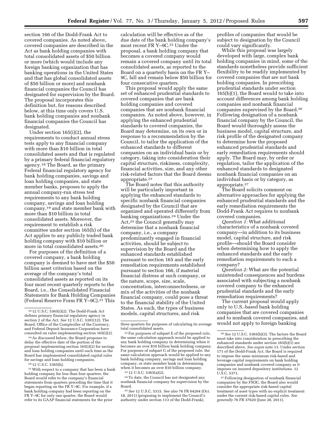section 166 of the Dodd-Frank Act to covered companies. As noted above, covered companies are described in the Act as bank holding companies with total consolidated assets of \$50 billion or more (which would include any foreign banking organization that has banking operations in the United States and that has global consolidated assets of \$50 billion or more) and nonbank financial companies the Council has designated for supervision by the Board. The proposal incorporates this definition but, for reasons described below, at this time only covers U.S. bank holding companies and nonbank financial companies the Council has designated.

Under section 165(i)(2), the requirements to conduct annual stress tests apply to any financial company with more than \$10 billion in total consolidated assets and that is regulated by a primary federal financial regulatory agency.18 The Board, as the primary Federal financial regulatory agency for bank holding companies, savings and loan holding companies, and state member banks, proposes to apply the annual company-run stress test requirements to any bank holding company, savings and loan holding company,19 and state member bank with more than \$10 billion in total consolidated assets. Moreover, the requirement to establish a risk committee under section 165(h) of the Act applies to any publicly traded bank holding company with \$10 billion or more in total consolidated assets.20

For purposes of the definition of a covered company, a bank holding company is deemed to have met the \$50 billion asset criterion based on the average of the company's total consolidated assets as reported on its four most recent quarterly reports to the Board, i.e., the Consolidated Financial Statements for Bank Holding Companies (Federal Reserve Form FR Y–9C).21 This

19As discussed below, the Board proposes to delay the effective date of the portion of the proposal implementing section 165(i)(2) for savings and loan holding companies until such time as the Board has implemented consolidated capital rules for savings and loan holding companies.

 $^{\rm 20}\,12$  U.S.C. 5365(h).

21With respect to a company that has been a bank holding company for less than four quarters, the Board would refer to the company's financial statements from quarters preceding the time that it began reporting on the FR Y–9C. For example, if a bank holding company had been reporting on the FR Y–9C for only one quarter, the Board would refer to its GAAP financial statements for the prior

calculation will be effective as of the due date of the bank holding company's most recent FR Y–9C.22 Under the proposal, a bank holding company that becomes a covered company would remain a covered company until its total consolidated assets, as reported to the Board on a quarterly basis on the FR Y– 9C, fall and remain below \$50 billion for four consecutive quarters.

This proposal would apply the same set of enhanced prudential standards to covered companies that are bank holding companies and covered companies that are nonbank financial companies. As noted above, however, in applying the enhanced prudential standards to covered companies, the Board may determine, on its own or in response to a recommendation by the Council, to tailor the application of the enhanced standards to different companies on an individual basis or by category, taking into consideration their capital structure, riskiness, complexity, financial activities, size, and any other risk-related factors that the Board deems appropriate.23

The Board notes that this authority will be particularly important in applying the enhanced standards to specific nonbank financial companies designated by the Council that are organized and operated differently from banking organizations.24 Under the Act,25 the Council generally may determine that a nonbank financial company, i.e., a company predominantly engaged in financial activities, should be subject to supervision by the Board and the enhanced standards established pursuant to section 165 and the early remediation requirements established pursuant to section 166, if material financial distress at such company, or the nature, scope, size, scale, concentration, interconnectedness, or mix of the activities of the nonbank financial company, could pose a threat to the financial stability of the United States. As such, the types of business models, capital structures, and risk

24To date, the Council has not designated any nonbank financial company for supervision by the Board.

25*See* 12 U.S.C. 5315. *See also* 76 FR 64264 (Oct. 18, 2011) (proposing to implement the Council's authority under section 113 of the Dodd-Frank).

profiles of companies that would be subject to designation by the Council could vary significantly.

While this proposal was largely developed with large, complex bank holding companies in mind, some of the standards nonetheless provide sufficient flexibility to be readily implemented by covered companies that are not bank holding companies. In prescribing prudential standards under section 165(b)(1), the Board would to take into account differences among bank holding companies and nonbank financial companies supervised by the Board.26 Following designation of a nonbank financial company by the Council, the Board would thoroughly assess the business model, capital structure, and risk profile of the designated company to determine how the proposed enhanced prudential standards and early remediation requirements should apply. The Board may, by order or regulation, tailor the application of the enhanced standards to designated nonbank financial companies on an individual basis or by category, as appropriate.27

The Board solicits comment on alternative approaches for applying the enhanced prudential standards and the early remediation requirements the Dodd-Frank Act requires to nonbank covered companies.

*Question 1:* What additional characteristics of a nonbank covered company—in addition to its business model, capital structure, and risk profile—should the Board consider when determining how to apply the enhanced standards and the early remediation requirements to such a company?

*Question 2:* What are the potential unintended consequences and burdens associated with subjecting a nonbank covered company to the enhanced prudential standards and the early remediation requirements?

The current proposal would apply only to U.S.-based bank holding companies that are covered companies and to nonbank covered companies, and would not apply to foreign banking

<sup>18</sup> 12 U.S.C. 5365(i)(2). The Dodd-Frank Act defines primary financial regulatory agency in section 2 of the Act. *See* 12 U.S.C. 5301(12). The Board, Office of the Comptroller of the Currency, and Federal Deposit Insurance Corporation have consulted on rules implementing section 165(i)(2).

three quarters for purposes of calculating its average total consolidated assets.

<sup>22</sup>For purposes of subpart E of the proposed rule, the same calculation approach would be applied to any bank holding company in determining when it becomes an over \$10 billion bank holding company. For purposes of subpart G of the proposed rule, the same calculation approach would be applied to any bank holding company, savings and loan holding company, or state member bank in determining when it becomes an over \$10 billion company.

<sup>23</sup> 12 U.S.C. 5365(a)(2).

<sup>26</sup>*See* 12 U.S.C. 5365(b)(3). The factors the Board must take into consideration in prescribing the enhanced standards under section  $165(b)(1)$  are described above. *See supra* note 13. Under section 171 of the Dodd-Frank Act, the Board is required to impose the same minimum risk-based and leverage capital requirements on bank holding companies and nonbank covered company as it imposes on insured depository institutions. 12 U.S.C. 5371.

<sup>27</sup>Following designation of nonbank financial companies by the FSOC, the Board also would consider the appropriate risk-based capital treatment of asset types with no explicit treatment under the current risk-based capital rules. *See generally* 76 FR 37620 (June 28, 2011).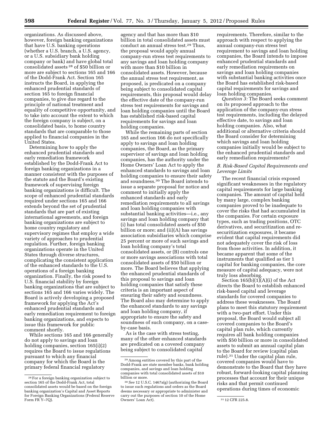organizations. As discussed above, however, foreign banking organizations that have U.S. banking operations (whether a U.S. branch, a U.S. agency, or a U.S. subsidiary bank holding company or bank) and have global total consolidated assets 28 of \$50 billion or more are subject to sections 165 and 166 of the Dodd-Frank Act. Section 165 instructs the Board, in applying the enhanced prudential standards of section 165 to foreign financial companies, to give due regard to the principle of national treatment and equality of competitive opportunity, and to take into account the extent to which the foreign company is subject, on a consolidated basis, to home country standards that are comparable to those applied to financial companies in the United States.

Determining how to apply the enhanced prudential standards and early remediation framework established by the Dodd-Frank Act to foreign banking organizations in a manner consistent with the purposes of the statute and the Board's existing framework of supervising foreign banking organizations is difficult. The scope of enhanced prudential standards required under sections 165 and 166 extends beyond the set of prudential standards that are part of existing international agreements, and foreign banking organizations are subject to home country regulatory and supervisory regimes that employ a wide variety of approaches to prudential regulation. Further, foreign banking organizations operate in the United States through diverse structures, complicating the consistent application of the enhanced standards to the U.S. operations of a foreign banking organization. Finally, the risk posed to U.S. financial stability by foreign banking organizations that are subject to sections 165 and 166 varies widely. The Board is actively developing a proposed framework for applying the Act's enhanced prudential standards and early remediation requirement to foreign banking organizations, and expects to issue this framework for public comment shortly.

While sections 165 and 166 generally do not apply to savings and loan holding companies, section 165(i)(2) requires the Board to issue regulations pursuant to which any financial company for which the Board is the primary federal financial regulatory

agency and that has more than \$10 billion in total consolidated assets must conduct an annual stress test.29 Thus, the proposal would apply annual company-run stress test requirements to any savings and loan holding company with more than \$10 billion in consolidated assets. However, because the annual stress test requirement, as proposed, is predicated on a company being subject to consolidated capital requirements, this proposal would delay the effective date of the company-run stress test requirements for savings and loan holding companies until the Board has established risk-based capital requirements for savings and loan holding companies.

While the remaining parts of section 165 and section 166 do not specifically apply to savings and loan holding companies, the Board, as the primary supervisor of savings and loan holding companies, has the authority under the Home Owners' Loan Act to apply the enhanced standards to savings and loan holding companies to ensure their safety and soundness.30 The Board intends to issue a separate proposal for notice and comment to initially apply the enhanced standards and early remediation requirements to all savings and loan holding companies with substantial banking activities—i.e., any savings and loan holding company that (i) has total consolidated assets of \$50 billion or more; and (ii)(A) has savings association subsidiaries which comprise 25 percent or more of such savings and loan holding company's total consolidated assets, or (B) controls one or more savings associations with total consolidated assets of \$50 billion or more. The Board believes that applying the enhanced prudential standards of this proposal to savings and loan holding companies that satisfy these criteria is an important aspect of ensuring their safety and soundness. The Board also may determine to apply the enhanced standards to any savings and loan holding company, if appropriate to ensure the safety and soundness of such company, on a caseby-case basis.

As is the case with stress testing, many of the other enhanced standards are predicated on a covered company being subject to consolidated capital

requirements. Therefore, similar to the approach with respect to applying the annual company-run stress test requirement to savings and loan holding companies, the Board intends to impose enhanced prudential standards and early remediation requirements on savings and loan holding companies with substantial banking activities once the Board has established risk-based capital requirements for savings and loan holding companies.

*Question 3:* The Board seeks comment on its proposed approach to the application of the company-run stress test requirements, including the delayed effective date, to savings and loan holding companies. Also, what additional or alternative criteria should the Board consider for determining which savings and loan holding companies initially would be subject to the enhanced prudential standards and early remediation requirements?

# *B. Risk-Based Capital Requirements and Leverage Limits*

The recent financial crisis exposed significant weaknesses in the regulatory capital requirements for large banking companies. The amount of capital held by many large, complex banking companies proved to be inadequate to cover the risks that had accumulated in the companies. For certain exposure types, such as trading positions, OTC derivatives, and securitization and resecuritization exposures, it became evident that capital requirements did not adequately cover the risk of loss from those activities. In addition, it became apparent that some of the instruments that qualified as tier 1 capital for banking companies, the core measure of capital adequacy, were not truly loss absorbing.

Section  $165(b)(1)(A)(i)$  of the Act directs the Board to establish enhanced risk-based capital and leverage standards for covered companies to address these weaknesses. The Board plans to meet this statutory requirement with a two-part effort. Under this proposal, the Board would subject all covered companies to the Board's capital plan rule, which currently requires all bank holding companies with \$50 billion or more in consolidated assets to submit an annual capital plan to the Board for review (capital plan rule).31 Under the capital plan rule, covered companies would have to demonstrate to the Board that they have robust, forward-looking capital planning processes that account for their unique risks and that permit continued operations during times of economic

<sup>28</sup>For a foreign banking organization subject to section 165 of the Dodd-Frank Act, total consolidated assets would be based on the foreign banking organization's Capital and Asset Reports for Foreign Banking Organizations (Federal Reserve Form FR Y-7Q).

<sup>29</sup>Among entities covered by this part of the Dodd-Frank are state member banks, bank holding companies, and savings and loan holding companies with total consolidated assets of \$10 billion or more.

<sup>30</sup>*See* 12 U.S.C. 1467a(g) (authorizing the Board to issue such regulations and orders as the Board deems necessary or appropriate to administer and carry out the purposes of section 10 of the Home Owners' Loan Act). 31 12 CFR 225.8.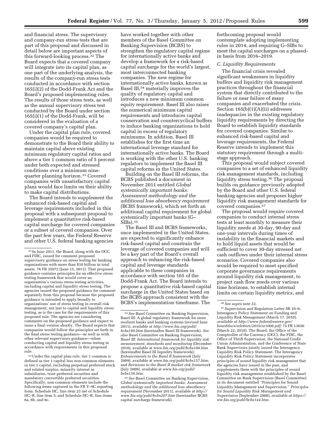and financial stress. The supervisory and company-run stress tests that are part of this proposal and discussed in detail below are important aspects of this forward-looking process.32 The Board expects that a covered company will integrate into its capital plan, as one part of the underlying analysis, the results of the company-run stress tests conducted in accordance with section 165(i)(2) of the Dodd-Frank Act and the Board's proposed implementing rules. The results of those stress tests, as well as the annual supervisory stress test conducted by the Board under section 165(i)(1) of the Dodd-Frank, will be considered in the evaluation of a covered company's capital plan.

Under the capital plan rule, covered companies would be required to demonstrate to the Board their ability to maintain capital above existing minimum regulatory capital ratios and above a tier 1 common ratio of 5 percent under both expected and stressed conditions over a minimum ninequarter planning horizon.33 Covered companies with unsatisfactory capital plans would face limits on their ability to make capital distributions.

The Board intends to supplement the enhanced risk-based capital and leverage requirements included in this proposal with a subsequent proposal to implement a quantitative risk-based capital surcharge for covered companies or a subset of covered companies. Over the past few years, the Federal Reserve and other U.S. federal banking agencies

33Under the capital plan rule, tier 1 common is defined as tier 1 capital less non-common elements in tier 1 capital, including perpetual preferred stock and related surplus, minority interest in subsidiaries, trust preferred securities and mandatory convertible preferred securities. Specifically, non-common elements include the following items captured in the FR Y–9C reporting form: Schedule HC, line item 23 net of Schedule HC–R, line item 5; and Schedule HC–R, line items 6a, 6b, and 6c.

have worked together with other members of the Basel Committee on Banking Supervision (BCBS) to strengthen the regulatory capital regime for internationally active banks and develop a framework for a risk-based capital surcharge for the world's largest, most interconnected banking companies. The new regime for internationally active banks, known as Basel III,34 materially improves the quality of regulatory capital and introduces a new minimum common equity requirement. Basel III also raises the numerical minimum capital requirements and introduces capital conservation and countercyclical buffers to induce banking organizations to hold capital in excess of regulatory minimums. In addition, Basel III establishes for the first time an international leverage standard for internationally active banks. The Board is working with the other U.S. banking regulators to implement the Basel III capital reforms in the United States.

Building on the Basel III reforms, the BCBS published a document in November 2011 entitled *Global systemically important banks: Assessment methodology and the additional loss absorbency requirement*  (BCBS framework), which set forth an additional capital requirement for global systemically important banks (G–  $SIBs$ ). $35$ 

The Basel III and BCBS frameworks, once implemented in the United States, are expected to significantly enhance risk-based capital and constrain the leverage of covered companies and will be a key part of the Board's overall approach to enhancing the risk-based capital and leverage standards applicable to these companies in accordance with section 165 of the Dodd-Frank Act. The Board intends to propose a quantitative risk-based capital surcharge in the United States based on the BCBS approach consistent with the BCBS's implementation timeframe. The

35*See* Basel Committee on Banking Supervision, *Global systemically important banks: Assessment methodology and the additional loss absorbency requirement* (November 2011), available at *[http://](http://www.bis.org/publ/bcbs207.htm) [www.bis.org/publ/bcbs207.htm](http://www.bis.org/publ/bcbs207.htm)* (hereinafter BCBS capital surcharge framework).

forthcoming proposal would contemplate adopting implementing rules in 2014, and requiring G–SIBs to meet the capital surcharges on a phasedin basis from 2016–2019.

# *C. Liquidity Requirements*

The financial crisis revealed significant weaknesses in liquidity buffers and liquidity risk management practices throughout the financial system that directly contributed to the failure or near failure of many companies and exacerbated the crisis. Section 165(b)(1)(A)(ii) addresses inadequacies in the existing regulatory liquidity requirements by directing the Board to establish liquidity standards for covered companies. Similar to enhanced risk-based capital and leverage requirements, the Federal Reserve intends to implement this statutory requirement through a multistage approach.

This proposal would subject covered companies to a set of enhanced liquidity risk management standards, including liquidity stress testing.36 The proposal builds on guidance previously adopted by the Board and other U.S. federal banking agencies and proposes higher liquidity risk management standards for covered companies.37

The proposal would require covered companies to conduct internal stress tests at least monthly to measure their liquidity needs at 30-day, 90-day and one-year intervals during times of instability in the financial markets and to hold liquid assets that would be sufficient to cover 30-day stressed net cash outflows under their internal stress scenarios. Covered companies also would be required to meet specified corporate governance requirements around liquidity risk management, to project cash flow needs over various time horizons, to establish internal limits on certain liquidity metrics, and

<sup>32</sup> In June 2011, the Board, along with the OCC and FDIC, issued for comment proposed supervisory guidance on stress testing for banking organizations with more than \$10 billion in total assets. 76 FR 35072 (June 15, 2011). That proposed guidance contains principles for an effective stress testing framework that would cover an organization's various stress testing activities, including capital and liquidity stress testing. The agencies issued the proposed guidance for comment separately from this proposal because the proposed guidance is intended to apply broadly to organizations' use of stress testing in overall risk management, not just to capital and liquidity stress testing, as is the case for the requirements of this proposed rule. The agencies are considering comments on the proposed guidance and expect to issue a final version shortly. The Board expects that companies would follow the principles set forth in the final stress testing guidance—as well as with other relevant supervisory guidance—when conducting capital and liquidity stress testing in accordance with requirements in this proposed rule.

<sup>34</sup>*See* Basel Committee on Banking Supervision, Basel III: A global regulatory framework for more resilient banks and banking systems (revised June 2011), available at *[http://www.bis.org/publ/](http://www.bis.org/publ/bcbs189.htm) [bcbs189.htm](http://www.bis.org/publ/bcbs189.htm)* (hereinafter Basel III framework). *See also* Basel Committee on Banking Supervision, *Basel III: International framework for liquidity risk measurement, standards and monitoring* (December 2010), available at *[www.bis.org/publ/bcbs188.htm](http://www.bis.org/publ/bcbs188.htm)*  (hereinafter Basel III liquidity framework); *Enhancements to the Basel II framework* (July 2009), available at *[www.bis.org/publ/bcbs157.htm;](http://www.bis.org/publ/bcbs157.htm)*  and *Revisions to the Basel II market risk framework*  (July 2009), available at *[www.bis.org/publ/](http://www.bis.org/publ/bcbs158.htm)  [bcbs158.htm.](http://www.bis.org/publ/bcbs158.htm)* 

<sup>36</sup>*See supra* note 32.

<sup>37</sup>Supervision and Regulation Letter SR 10–6, Interagency Policy Statement on Funding and Liquidity Risk Management (March 17, 2010), *available at [http://www.federalreserve.gov/](http://www.federalreserve.gov/boarddocs/srletters/2010/sr1006.pdf)  [boarddocs/srletters/2010/sr1006.pdf;](http://www.federalreserve.gov/boarddocs/srletters/2010/sr1006.pdf)* 75 FR 13656 (March 22, 2010). The Board, the Office of the Comptroller of the Currency (OCC), the FDIC, the Office of Thrift Supervision, the National Credit Union Administration, and the Conference of State Bank Supervisors jointly issued the Interagency Liquidity Risk Policy Statement. The Interagency Liquidity Risk Policy Statement incorporates principles of sound liquidity risk management that the agencies have issued in the past, and supplements them with the principles of sound liquidity risk management established by the Basel Committee on Bank Supervision (Basel Committee) in its document entitled ''Principles for Sound Liquidity Management and Supervision.'' *Principles for Sound Liquidity Risk Management and Supervision* (September 2008), *available at [https://](https://ww.bis.org/publ/bcbs144.htm)  [ww.bis.org/publ/bcbs144.htm.](https://ww.bis.org/publ/bcbs144.htm)*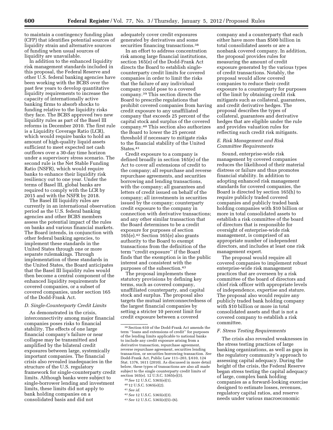to maintain a contingency funding plan (CFP) that identifies potential sources of liquidity strain and alternative sources of funding when usual sources of liquidity are unavailable.

In addition to the enhanced liquidity risk management standards included in this proposal, the Federal Reserve and other U.S. federal banking agencies have been working with the BCBS over the past few years to develop quantitative liquidity requirements to increase the capacity of internationally active banking firms to absorb shocks to funding relative to the liquidity risks they face. The BCBS approved two new liquidity rules as part of the Basel III reforms in December 2010. The first rule is a Liquidity Coverage Ratio (LCR), which would require banks to hold an amount of high-quality liquid assets sufficient to meet expected net cash outflows over a 30-day time horizon under a supervisory stress scenario. The second rule is the Net Stable Funding Ratio (NSFR), which would require banks to enhance their liquidity risk resiliency out to one year. Under the terms of Basel III, global banks are required to comply with the LCR by 2015 and with the NSFR by 2018.

The Basel III liquidity rules are currently in an international observation period as the U.S. federal banking agencies and other BCBS members assess the potential impact of the rules on banks and various financial markets. The Board intends, in conjunction with other federal banking agencies, to implement these standards in the United States through one or more separate rulemakings. Through implementation of these standards in the United States, the Board anticipates that the Basel III liquidity rules would then become a central component of the enhanced liquidity requirements for covered companies, or a subset of covered companies, under section 165 of the Dodd-Frank Act.

# *D. Single-Counterparty Credit Limits*

As demonstrated in the crisis, interconnectivity among major financial companies poses risks to financial stability. The effects of one large financial company's failure or near collapse may be transmitted and amplified by the bilateral credit exposures between large, systemically important companies. The financial crisis also revealed inadequacies in the structure of the U.S. regulatory framework for single-counterparty credit limits. Although banks were subject to single-borrower lending and investment limits, these limits did not apply to bank holding companies on a consolidated basis and did not

adequately cover credit exposures generated by derivatives and some securities financing transactions.<sup>38</sup>

In an effort to address concentration risk among large financial institutions, section 165(e) of the Dodd-Frank Act directs the Board to establish singlecounterparty credit limits for covered companies in order to limit the risks that the failure of any individual company could pose to a covered company.39 This section directs the Board to prescribe regulations that prohibit covered companies from having credit exposure to any unaffiliated company that exceeds 25 percent of the capital stock and surplus of the covered company.40 This section also authorizes the Board to lower the 25 percent threshold if necessary to mitigate risks to the financial stability of the United States.<sup>41</sup>

Credit exposure to a company is defined broadly in section 165(e) of the Act to cover all extensions of credit to the company; all repurchase and reverse repurchase agreements, and securities borrowing and lending transactions, with the company; all guarantees and letters of credit issued on behalf of the company; all investments in securities issued by the company; counterparty credit exposure to the company in connection with derivative transactions; and any other similar transaction that the Board determines to be a credit exposure for purposes of section 165(e).42 Section 165(e) also grants authority to the Board to exempt transactions from the definition of the term ''credit exposure'' if the Board finds that the exemption is in the public interest and consistent with the purposes of the subsection.43

The proposal implements these statutory provisions by defining key terms, such as covered company, unaffiliated counterparty, and capital stock and surplus. The proposal also targets the mutual interconnectedness of the largest financial companies by setting a stricter 10 percent limit for credit exposure between a covered

company and a counterparty that each either have more than \$500 billion in total consolidated assets or are a nonbank covered company. In addition, the proposal provides rules for measuring the amount of credit exposure generated by the various types of credit transactions. Notably, the proposal would allow covered companies to reduce their credit exposure to a counterparty for purposes of the limit by obtaining credit risk mitigants such as collateral, guarantees, and credit derivative hedges. The proposal describes the types of collateral, guarantees and derivative hedges that are eligible under the rule and provides valuation rules for reflecting such credit risk mitigants.

# *E. Risk Management and Risk Committee Requirements*

Sound, enterprise-wide risk management by covered companies reduces the likelihood of their material distress or failure and thus promotes financial stability. In addition to adopting enhanced risk management standards for covered companies, the Board is directed by section 165(h) to require publicly traded covered companies and publicly traded bank holding companies with \$10 billion or more in total consolidated assets to establish a risk committee of the board of directors that is responsible for oversight of enterprise-wide risk management, is comprised of an appropriate number of independent directors, and includes at least one risk management expert.

The proposal would require all covered companies to implement robust enterprise-wide risk management practices that are overseen by a risk committee of the board of directors and chief risk officer with appropriate levels of independence, expertise and stature. The proposal also would require any publicly traded bank holding company with \$10 billion or more in total consolidated assets and that is not a covered company to establish a risk committee.

### *F. Stress Testing Requirements*

The crisis also revealed weaknesses in the stress testing practices of large banking organizations, as well as gaps in the regulatory community's approach to assessing capital adequacy. During the height of the crisis, the Federal Reserve began stress testing the capital adequacy of large, complex bank holding companies as a forward-looking exercise designed to estimate losses, revenues, regulatory capital ratios, and reserve needs under various macroeconomic

<sup>38</sup>Section 610 of the Dodd-Frank Act amends the term ''loans and extensions of credit'' for purposes of the lending limits applicable to national banks to include any credit exposure arising from a derivative transaction, repurchase agreement, reverse repurchase agreement, securities lending transaction, or securities borrowing transaction. *See*  Dodd-Frank Act, Public Law 111–203, § 610, 124 Stat. 1376, 1611 (2010). As discussed in more detail below, these types of transactions are also all made subject to the single counterparty credit limits of section 165(e). 12 U.S.C. 5365(e)(3).

<sup>39</sup>*See* 12 U.S.C. 5365(e)(1).

<sup>40</sup> 12 U.S.C. 5365(e)(2).

<sup>41</sup>*See id.* 

<sup>42</sup>*See* 12 U.S.C. 5365(e)(3).

<sup>43</sup>*See* 12 U.S.C. 5365(e)(5)–(6).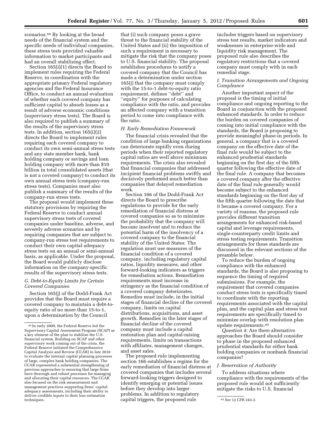scenarios.44 By looking at the broad needs of the financial system and the specific needs of individual companies, these stress tests provided valuable information to market participants and had an overall stabilizing effect.

Section 165(i)(1) directs the Board to implement rules requiring the Federal Reserve, in coordination with the appropriate primary Federal regulatory agencies and the Federal Insurance Office, to conduct an annual evaluation of whether each covered company has sufficient capital to absorb losses as a result of adverse economic conditions (supervisory stress tests). The Board is also required to publish a summary of the results of the supervisory stress tests. In addition, section 165(i)(2) directs the Board to implement rules requiring each covered company to conduct its own semi-annual stress tests and any state member bank, bank holding company or savings and loan holding company with more than \$10 billion in total consolidated assets (that is not a covered company) to conduct its own annual stress tests (company-run stress tests). Companies must also publish a summary of the results of the company-run stress tests.

The proposal would implement these statutory provisions by requiring the Federal Reserve to conduct annual supervisory stress tests of covered companies under baseline, adverse, and severely adverse scenarios and by requiring companies that are subject to company-run stress test requirements to conduct their own capital adequacy stress tests on an annual or semi-annual basis, as applicable. Under the proposal, the Board would publicly disclose information on the company-specific results of the supervisory stress tests.

# *G. Debt-to-Equity Limits for Certain Covered Companies*

Section 165(j) of the Dodd-Frank Act provides that the Board must require a covered company to maintain a debt-toequity ratio of no more than 15-to-1, upon a determination by the Council

that (i) such company poses a grave threat to the financial stability of the United States and (ii) the imposition of such a requirement is necessary to mitigate the risk that the company poses to U.S. financial stability. The proposal establishes procedures to notify a covered company that the Council has made a determination under section 165(j) that the company must comply with the 15-to-1 debt-to-equity ratio requirement, defines ''debt'' and ''equity'' for purposes of calculating compliance with the ratio, and provides an affected company with a transition period to come into compliance with the ratio.

# *H. Early Remediation Framework*

The financial crisis revealed that the condition of large banking organizations can deteriorate rapidly even during periods when their reported regulatory capital ratios are well above minimum requirements. The crisis also revealed that financial companies that addressed incipient financial problems swiftly and decisively performed much better than companies that delayed remediation work.

Section 166 of the Dodd-Frank Act directs the Board to prescribe regulations to provide for the early remediation of financial distress at covered companies so as to minimize the probability that the company will become insolvent and to reduce the potential harm of the insolvency of a covered company to the financial stability of the United States. The regulation must use measures of the financial condition of a covered company, including regulatory capital ratios, liquidity measures, and other forward-looking indicators as triggers for remediation actions. Remediation requirements must increase in stringency as the financial condition of a covered company deteriorates. Remedies must include, in the initial stages of financial decline of the covered company, limits on capital distributions, acquisitions, and asset growth. Remedies in the later stages of financial decline of the covered company must include a capital restoration plan and capital-raising requirements, limits on transactions with affiliates, management changes, and asset sales.

The proposed rule implementing section 166 establishes a regime for the early remediation of financial distress at covered companies that includes several forward-looking triggers designed to identify emerging or potential issues before they develop into larger problems. In addition to regulatory

includes triggers based on supervisory stress test results, market indicators and weaknesses in enterprise-wide and liquidity risk management. The proposed rule also describes the regulatory restrictions that a covered company must comply with in each remedial stage.

# *I. Transition Arrangements and Ongoing Compliance*

Another important aspect of the proposal is the timing of initial compliance and ongoing reporting to the Board in conjunction with the proposed enhanced standards. In order to reduce the burden on covered companies of coming into initial compliance with the standards, the Board is proposing to provide meaningful phase-in periods. In general, a company that is a covered company on the effective date of the final rule would be subject to the enhanced prudential standards beginning on the first day of the fifth quarter following the effective date of the final rule. A company that becomes a covered company after the effective date of the final rule generally would become subject to the enhanced standards beginning on the first day of the fifth quarter following the date that it became a covered company. For a variety of reasons, the proposed rule provides different transition arrangements for enhanced risk-based capital and leverage requirements, single-counterparty credit limits and stress testing requirements. Transition arrangements for these standards are discussed in the relevant sections of the preamble below.

To reduce the burden of ongoing compliance with the enhanced standards, the Board is also proposing to sequence the timing of required submissions. For example, the requirement that covered companies conduct stress tests is specifically timed to coordinate with the reporting requirements associated with the capital plan, and the capital plan and stress test requirements are specifically timed to minimize overlap with resolution plan update requirements.45

*Question 4:* Are there alternative approaches the Board should consider to phase in the proposed enhanced prudential standards for either bank holding companies or nonbank financial companies?

# *J. Reservation of Authority*

To address situations where compliance with the requirements of the proposed rule would not sufficiently mitigate the risks to U.S. financial

<sup>44</sup> In early 2009, the Federal Reserve led the Supervisory Capital Assessment Program (SCAP) as a key element of the plan to stabilize the U.S. financial system. Building on SCAP and other supervisory work coming out of the crisis, the Federal Reserve initiated the Comprehensive Capital Analysis and Review (CCAR) in late 2010 to evaluate the internal capital planning processes of large, complex bank holding companies. The CCAR represented a substantial strengthening of previous approaches to ensuring that large firms have thorough and robust processes for managing and allocating their capital resources. The CCAR also focused on the risk measurement and management practices supporting firms' capital adequacy assessments, including their ability to deliver credible inputs to their loss estimation techniques. 45*See* 12 CFR 243.3. capital triggers, the proposed rule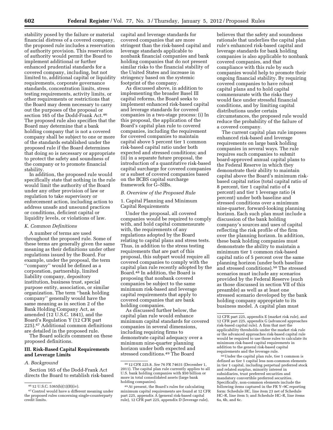stability posed by the failure or material financial distress of a covered company, the proposed rule includes a reservation of authority provision. This reservation of authority would permit the Board to implement additional or further enhanced prudential standards for a covered company, including, but not limited to, additional capital or liquidity requirements, corporate governance standards, concentration limits, stress testing requirements, activity limits, or other requirements or restrictions that the Board may deem necessary to carry out the purposes of the proposal or section 165 of the Dodd-Frank Act.46 The proposed rule also specifies that the Board may determine that a bank holding company that is not a covered company shall be subject to one or more of the standards established under the proposed rule if the Board determines that doing so is necessary or appropriate to protect the safety and soundness of the company or to promote financial stability.

In addition, the proposed rule would specifically state that nothing in the rule would limit the authority of the Board under any other provision of law or regulation to take supervisory or enforcement action, including action to address unsafe and unsound practices or conditions, deficient capital or liquidity levels, or violations of law.

# *K. Common Definitions*

A number of terms are used throughout the proposed rule. Some of these terms are generally given the same meaning as their definitions under other regulations issued by the Board. For example, under the proposal, the term ''company'' would be defined as a corporation, partnership, limited liability company, depository institution, business trust, special purpose entity, association, or similar organization. The term ''bank holding company'' generally would have the same meaning as in section 2 of the Bank Holding Company Act, as amended (12 U.S.C. 1841), and the Board's Regulation Y (12 CFR part 225).47 Additional common definitions are detailed in the proposed rule.

The Board solicits comment on these proposed definitions.

# **III. Risk-Based Capital Requirements and Leverage Limits**

#### *A. Background*

Section 165 of the Dodd-Frank Act directs the Board to establish risk-based capital and leverage standards for covered companies that are more stringent than the risk-based capital and leverage standards applicable to nonbank financial companies and bank holding companies that do not present similar risks to the financial stability of the United States and increase in stringency based on the systemic footprint of the company.

As discussed above, in addition to implementing the broader Basel III capital reforms, the Board seeks to implement enhanced risk-based capital and leverage standards for covered companies in a two-stage process: (i) In this proposal, the application of the Board's capital plan rule to covered companies, including the requirement for covered companies to maintain capital above 5 percent tier 1 common risk-based capital ratio under both expected and stressed conditions; and (ii) in a separate future proposal, the introduction of a quantitative risk-based capital surcharge for covered companies or a subset of covered companies based on the BCBS capital surcharge framework for G–SIBs.

#### *B. Overview of the Proposed Rule*

1. Capital Planning and Minimum Capital Requirements

Under the proposal, all covered companies would be required to comply with, and hold capital commensurate with, the requirements of any regulations adopted by the Board relating to capital plans and stress tests. Thus, in addition to the stress testing requirements that are part of this proposal, this subpart would require all covered companies to comply with the capital plan rule recently adopted by the Board.48 In addition, the Board is proposing that nonbank covered companies be subject to the same minimum risk-based and leverage capital requirements that apply to covered companies that are bank holding companies.

As discussed further below, the capital plan rule would enhance minimum capital standards for covered companies in several dimensions, including requiring firms to demonstrate capital adequacy over a minimum nine-quarter planning horizon under both expected and stressed conditions.49 The Board

believes that the safety and soundness rationale that underlies the capital plan rule's enhanced risk-based capital and leverage standards for bank holding companies is also applicable to nonbank covered companies, and that compliance with this rule by such companies would help to promote their ongoing financial stability. By requiring covered companies to have robust capital plans and to hold capital commensurate with the risks they would face under stressful financial conditions, and by limiting capital distributions under certain circumstances, the proposed rule would reduce the probability of the failure of a covered company.

The current capital plan rule imposes enhanced risk-based and leverage requirements on large bank holding companies in several ways. The rule requires such companies to submit board-approved annual capital plans to the Federal Reserve in which they demonstrate their ability to maintain capital above the Board's minimum riskbased capital ratios (total capital ratio of 8 percent, tier 1 capital ratio of 4 percent) and tier 1 leverage ratio (4 percent) under both baseline and stressed conditions over a minimum nine-quarter, forward-looking planning horizon. Each such plan must include a discussion of the bank holding company's sources and uses of capital reflecting the risk profile of the firm over the planning horizon. In addition, these bank holding companies must demonstrate the ability to maintain a minimum tier 1 common risk-based capital ratio of 5 percent over the same planning horizon (under both baseline and stressed conditions).50 The stressed scenarios must include any scenarios provided by the Federal Reserve (such as those discussed in section VII of this preamble) as well as at least one stressed scenario developed by the bank holding company appropriate to its business model. A capital plan must

50Under the capital plan rule, tier 1 common is defined as tier 1 capital less non-common elements in tier 1 capital, including perpetual preferred stock and related surplus, minority interest in subsidiaries, trust preferred securities and mandatory convertible preferred securities. Specifically, non-common elements include the following items captured in the FR Y–9C reporting form: Schedule HC, line item 23 net of Schedule HC–R, line item 5; and Schedule HC–R, line items 6a, 6b, and 6c.

<sup>46</sup> 12 U.S.C. 5365(b)(1)(B)(iv).

<sup>47</sup>Control would have a different meaning under the proposed rules concerning single-counterparty credit limits.

<sup>48</sup> 12 CFR 225.8. *See* 76 FR 74631 (December 1, 2011). The capital plan rule currently applies to all U.S. bank holding companies with \$50 billion or more in total consolidated assets (large bank holding companies).

<sup>49</sup>At present, the Board's rules for calculating minimum capital requirements are found at 12 CFR part 225, appendix A (general risk-based capital rule), 12 CFR part 225, appendix D (leverage rule),

<sup>12</sup> CFR part 225, appendix E (market risk rule), and 12 CFR part 225, appendix G (advanced approaches risk-based capital rule). A firm that met the applicability thresholds under the market risk rule or the advanced approaches risk-based capital rule would be required to use those rules to calculate its minimum risk-based capital requirements in addition to the general risk-based capital requirements and the leverage rule.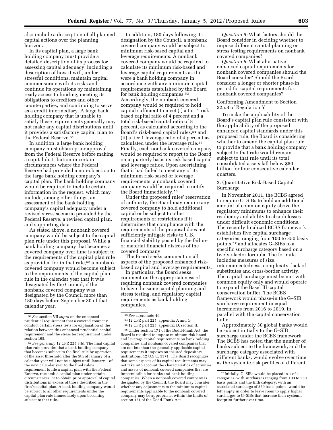also include a description of all planned capital actions over the planning horizon.

In its capital plan, a large bank holding company must provide a detailed description of its process for assessing capital adequacy, including a description of how it will, under stressful conditions, maintain capital commensurate with its risks and continue its operations by maintaining ready access to funding, meeting its obligations to creditors and other counterparties, and continuing to serve as a credit intermediary. A large bank holding company that is unable to satisfy these requirements generally may not make any capital distributions until it provides a satisfactory capital plan to the Federal Reserve.51

In addition, a large bank holding company must obtain prior approval from the Federal Reserve before making a capital distribution in certain circumstances where the Federal Reserve had provided a non-objection to the large bank holding company's capital plan. The bank holding company would be required to include certain information in the request, which may include, among other things, an assessment of the bank holding company's capital adequacy under a revised stress scenario provided by the Federal Reserve, a revised capital plan, and supporting data.

As stated above, a nonbank covered company would be subject to the capital plan rule under this proposal. While a bank holding company that becomes a covered company over time is subject to the requirements of the capital plan rule as provided for in that rule,<sup>52</sup> a nonbank covered company would become subject to the requirements of the capital plan rule in the calendar year that it was designated by the Council, if the nonbank covered company was designated by the Council more than 180 days before September 30 of that calendar year.

In addition, 180 days following its designation by the Council, a nonbank covered company would be subject to minimum risk-based capital and leverage requirements. A nonbank covered company would be required to calculate its minimum risk-based and leverage capital requirements as if it were a bank holding company in accordance with any minimum capital requirements established by the Board for bank holding companies.53 Accordingly, the nonbank covered company would be required to hold capital sufficient to meet (i) a tier 1 risk based capital ratio of 4 percent and a total risk-based capital ratio of 8 percent, as calculated according to the Board's risk-based capital rules,54 and (ii) a tier 1 leverage ratio of 4 percent as calculated under the leverage rule.55 Finally, each nonbank covered company would be required to report to the Board on a quarterly basis its risk-based capital and leverage ratios. Upon ascertaining that it had failed to meet any of its minimum risk-based or leverage requirements, a nonbank covered company would be required to notify the Board immediately.56

Under the proposed rules' reservation of authority, the Board may require any covered company to hold additional capital or be subject to other requirements or restrictions if it determines that compliance with the requirements of the proposal does not sufficiently mitigate risks to U.S. financial stability posted by the failure or material financial distress of the covered company.

The Board seeks comment on all aspects of the proposed enhanced riskbased capital and leverage requirements.

In particular, the Board seeks comment on the appropriateness of requiring nonbank covered companies to have the same capital planning and stress testing, and regulatory capital requirements as bank holding companies.

- 54 12 CFR part 225, appendix A and G.
- 55 12 CFR part 225, appendix D, section II.

56Under section 171 of the Dodd-Frank Act, the Board is required to impose minimum risk-based and leverage capital requirements on bank holding companies and nonbank covered companies that are not less than the generally applicable capital requirements it imposes on insured depository institutions. 12 U.S.C. 5371. The Board recognizes that some aspects of its capital requirements may not take into account the characteristics of activities and assets of nonbank covered companies that are impermissible for banks and bank holding companies. When a nonbank covered company is designated by the Council, the Board may consider whether any adjustments to the minimum capital requirements applicable to the nonbank covered company may be appropriate, within the limits of section 171 of the Dodd-Frank Act.

*Question 5:* What factors should the Board consider in deciding whether to impose different capital planning or stress testing requirements on nonbank covered companies?

*Question 6:* What alternative enhanced capital requirements for nonbank covered companies should the Board consider? Should the Board consider a longer or shorter phase-in period for capital requirements for nonbank covered companies?

# Conforming Amendment to Section 225.8 of Regulation Y

To make the applicability of the Board's capital plan rule consistent with the applicability of the proposed enhanced capital standards under this proposed rule, the Board is considering whether to amend the capital plan rule to provide that a bank holding company subject to that rule would remain subject to that rule until its total consolidated assets fall below \$50 billion for four consecutive calendar quarters.

2. Quantitative Risk-Based Capital Surcharge

In November 2011, the BCBS agreed to require G–SIBs to hold an additional amount of common equity above the regulatory minimums to enhance their resiliency and ability to absorb losses under difficult economic conditions. The recently finalized BCBS framework establishes five capital surcharge categories, ranging from 100 to 350 basis points,57 and allocates G–SIBs to a specific surcharge category based on a twelve-factor formula. The formula includes measures of size, interconnectedness, complexity, lack of substitutes and cross-border activity. The capital surcharge must be met with common equity only and would operate to expand the Basel III capital conservation buffer. The BCBS framework would phase-in the G–SIB surcharge requirement in equal increments from 2016 to 2019, in parallel with the capital conservation buffer.

Approximately 30 global banks would be subject initially to the G–SIB surcharge under the BCBS framework. The BCBS has noted that the number of banks subject to the framework, and the surcharge category associated with different banks, would evolve over time as the systemic risk profiles of different

<sup>51</sup>*See* section VII *supra* on the enhanced prudential requirement that a covered company conduct certain stress tests for explanation of the relation between this enhanced prudential capital requirement and the stress test requirement under section 165.

<sup>52</sup>*See generally* 12 CFR 225.8(b). The final capital plan rule provides that a bank holding company that becomes subject to the final rule by operation of the asset threshold after the 5th of January of a calendar year will not be subject until January 1 of the next calendar year to the final rule's requirement to file a capital plan with the Federal Reserve, resubmit a capital plan under certain circumstances, or to obtain prior approval of capital distributions in excess of those described in the firm's capital plan. A bank holding company would be subject to all other requirements under the capital plan rule immediately upon becoming subject to that rule.

<sup>53</sup>*See supra* note 49.

<sup>57</sup> Initially, G–SIBs would be placed in 1 of 4 categories, with surcharges ranging from 100 to 250 basis points and the fifth category, with an associated surcharge of 350 basis points, would be left empty in order to leave room to apply higher surcharges to G–SIBs that increase their systemic footprint further over time.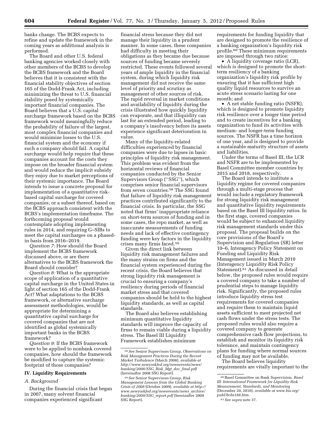banks change. The BCBS expects to refine and update the framework in the coming years as additional analysis is performed.

The Board and other U.S. federal banking agencies worked closely with other members of the BCBS to develop the BCBS framework and the Board believes that it is consistent with the financial stability objectives of section 165 of the Dodd-Frank Act, including minimizing the threat to U.S. financial stability posed by systemically important financial companies. The Board believes that a U.S. capital surcharge framework based on the BCBS framework would meaningfully reduce the probability of failure of the largest, most complex financial companies and would minimize losses to the U.S. financial system and the economy if such a company should fail. A capital surcharge would help require that these companies account for the costs they impose on the broader financial system and would reduce the implicit subsidy they enjoy due to market perceptions of their systemic importance. The Board intends to issue a concrete proposal for implementation of a quantitative riskbased capital surcharge for covered companies, or a subset thereof, based on the BCBS approach consistent with the BCBS's implementation timeframe. The forthcoming proposal would contemplate adopting implementing rules in 2014, and requiring G–SIBs to meet the capital surcharges on a phasedin basis from 2016–2019.

*Question 7:* How should the Board implement the BCBS framework discussed above, or are there alternatives to the BCBS framework the Board should consider?

*Question 8:* What is the appropriate scope of application of a quantitative capital surcharge in the United States in light of section 165 of the Dodd-Frank Act? What adaptations to the BCBS framework, or alternative surcharge assessment methodologies, would be appropriate for determining a quantitative capital surcharge for covered companies that are not identified as global systemically important banks in the BCBS framework?

*Question 9:* If the BCBS framework were to be applied to nonbank covered companies, how should the framework be modified to capture the systemic footprint of those companies?

# **IV. Liquidity Requirements**

# *A. Background*

During the financial crisis that began in 2007, many solvent financial companies experienced significant

financial stress because they did not manage their liquidity in a prudent manner. In some cases, these companies had difficulty in meeting their obligations as they became due because sources of funding became severely restricted. These events followed several years of ample liquidity in the financial system, during which liquidity risk management did not receive the same level of priority and scrutiny as management of other sources of risk. The rapid reversal in market conditions and availability of liquidity during the crisis illustrated how quickly liquidity can evaporate, and that illiquidity can last for an extended period, leading to a company's insolvency before its assets experience significant deterioration in value.

Many of the liquidity-related difficulties experienced by financial companies were due to lapses in basic principles of liquidity risk management. This problem was evident from the horizontal reviews of financial companies conducted by the Senior Supervisors Group (''SSG''), which comprises senior financial supervisors from seven countries.58 The SSG found that failure of liquidity risk management practices contributed significantly to the financial crisis. In particular, the SSG noted that firms' inappropriate reliance on short-term sources of funding and in some cases, the repo market, as well as inaccurate measurements of funding needs and lack of effective contingency funding were key factors in the liquidity crises many firms faced.59

Given the direct link between liquidity risk management failures and the many strains on firms and the financial system experienced during the recent crisis, the Board believes that strong liquidity risk management is crucial to ensuring a company's resiliency during periods of financial market stress and that covered companies should be held to the highest liquidity standards, as well as capital standards.

The Board also believes establishing minimum quantitative liquidity standards will improve the capacity of firms to remain viable during a liquidity stress. The Basel III Liquidity Framework establishes minimum

requirements for funding liquidity that are designed to promote the resilience of a banking organization's liquidity risk profile.60 These minimum requirements are imposed through two ratios:

• A liquidity coverage ratio (LCR), which is designed to promote the shortterm resiliency of a banking organization's liquidity risk profile by ensuring that it has sufficient high quality liquid resources to survive an acute stress scenario lasting for one month; and

• A net stable funding ratio (NSFR), which is designed to promote liquidity risk resilience over a longer time period and to create incentives for a banking organization to fund its activities with medium- and longer-term funding sources. The NSFR has a time horizon of one year, and is designed to provide a sustainable maturity structure of assets and liabilities.

Under the terms of Basel III, the LCR and NSFR are to be implemented by Basel Committee member countries by 2015 and 2018, respectively.

The Board intends to institute a liquidity regime for covered companies through a multi-stage process that would include a regulatory framework for strong liquidity risk management and quantitative liquidity requirements based on the Basel III liquidity ratios. In the first stage, covered companies would be subject to enhanced liquidity risk management standards under this proposal. The proposal builds on the core provisions of the Board's Supervision and Regulation (SR) letter 10–6, Interagency Policy Statement on Funding and Liquidity Risk Management issued in March 2010 (Interagency Liquidity Risk Policy Statement).61 As discussed in detail below, the proposed rules would require a covered company to take a number of prudential steps to manage liquidity risk. Significantly, the proposed rules introduce liquidity stress test requirements for covered companies and require them to maintain liquid assets sufficient to meet projected net cash flows under the stress tests. The proposed rules would also require a covered company to generate comprehensive cash flow projections, to establish and monitor its liquidity risk tolerance, and maintain contingency plans for funding where normal sources of funding may not be available.

The Board believes liquidity requirements are vitally important to the

<sup>58</sup>*See* Senior Supervisors Group, *Observations on Risk Management Practices During the Recent Market Turbulence* (March 2008), *available at [http://www.newyorkfed.org/newsevents/news/](http://www.newyorkfed.org/newsevents/news/banking/2008/SSG_Risk_Mgt_doc_final.pdf) [banking/2008/SSG](http://www.newyorkfed.org/newsevents/news/banking/2008/SSG_Risk_Mgt_doc_final.pdf)*\_*Risk*\_*Mgt*\_*doc*\_*final.pdf*  (hereinafter 2008 SSG Report).

<sup>59</sup>*See* Senior Supervisors Group, *Risk Management Lessons from the Global Banking Crisis of 2008* (October 2009), *available at [http://](http://www.newyorkfed.org/newsevents/news_archive/banking/2009/SSG_report.pdf) [www.newyorkfed.org/newsevents/news](http://www.newyorkfed.org/newsevents/news_archive/banking/2009/SSG_report.pdf)*\_*archive/ [banking/2009/SSG](http://www.newyorkfed.org/newsevents/news_archive/banking/2009/SSG_report.pdf)*\_*report.pdf* (hereinafter 2009 SSG Report).

<sup>60</sup>Basel Committee on Bank Supervision, *Basel III: International Framework for Liquidity Risk Measurement, Standards, and Monitoring*  (December 20, 2010), *available at [www.bis.org/](http://www.bis.org/publ/bcbs188.htm)  [publ/bcbs188.htm.](http://www.bis.org/publ/bcbs188.htm)* 

<sup>61</sup>*See supra* note 37.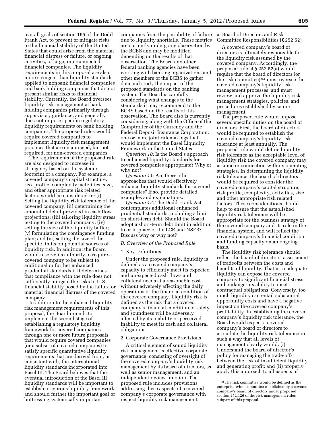overall goals of section 165 of the Dodd-Frank Act, to prevent or mitigate risks to the financial stability of the United States that could arise from the material financial distress or failure, or ongoing activities, of large, interconnected financial companies. The liquidity requirements in this proposal are also more stringent than liquidity standards applied to nonbank financial companies and bank holding companies that do not present similar risks to financial stability. Currently, the Board oversees liquidity risk management at bank holding companies primarily through supervisory guidance, and generally does not impose specific regulatory liquidity requirements on bank holding companies. The proposed rules would require covered companies to implement liquidity risk management practices that are encouraged, but not required, for non-covered companies.

The requirements of the proposed rule are also designed to increase in stringency based on the systemic footprint of a company. For example, a covered company's capital structure, risk profile, complexity, activities, size, and other appropriate risk related factors would be considered in: (i) Setting the liquidity risk tolerance of the covered company; (ii) determining the amount of detail provided in cash flow projections; (iii) tailoring liquidity stress testing to the covered company; (iv) setting the size of the liquidity buffer; (v) formulating the contingency funding plan; and (vi) setting the size of the specific limits on potential sources of liquidity risk. In addition, the Board would reserve its authority to require a covered company to be subject to additional or further enhanced prudential standards if it determines that compliance with the rule does not sufficiently mitigate the risks to U.S. financial stability posed by the failure or material financial distress of the covered company.

In addition to the enhanced liquidity risk management requirements of this proposal, the Board intends to implement the second stage of establishing a regulatory liquidity framework for covered companies through one or more future proposals that would require covered companies (or a subset of covered companies) to satisfy specific quantitative liquidity requirements that are derived from, or consistent with, the international liquidity standards incorporated into Basel III. The Board believes that the eventual introduction of the Basel III liquidity standards will be important to establish a rigorous liquidity framework and should further the important goal of buttressing systemically important

companies from the possibility of failure due to liquidity shortfalls. These metrics are currently undergoing observation by the BCBS and may be modified depending on the results of that observation. The Board and other federal banking agencies have been working with banking organizations and other members of the BCBS to gather data and study the impact of the proposed standards on the banking system. The Board is carefully considering what changes to the standards it may recommend to the BCBS based on the results of this observation. The Board also is currently considering, along with the Office of the Comptroller of the Currency and the Federal Deposit Insurance Corporation, one or more joint rulemakings that would implement the Basel Liquidity Framework in the United States.

*Question 10:* Is the Board's approach to enhanced liquidity standards for covered companies appropriate? Why or why not?

*Question 11:* Are there other approaches that would effectively enhance liquidity standards for covered companies? If so, provide detailed examples and explanations.

*Question 12:* The Dodd-Frank Act contemplates additional enhanced prudential standards, including a limit on short-term debt. Should the Board adopt a short-term debt limit in addition to or in place of the LCR and NSFR? Discuss why or why not?

# *B. Overview of the Proposed Rule*

#### 1. Key Definitions

Under the proposed rule, liquidity is defined as a covered company's capacity to efficiently meet its expected and unexpected cash flows and collateral needs at a reasonable cost without adversely affecting the daily operations or the financial condition of the covered company. Liquidity risk is defined as the risk that a covered company's financial condition or safety and soundness will be adversely affected by its inability or perceived inability to meet its cash and collateral obligations.

# 2. Corporate Governance Provisions

A critical element of sound liquidity risk management is effective corporate governance, consisting of oversight of the covered company's liquidity risk management by its board of directors, as well as senior management, and an independent review function. The proposed rule includes provisions addressing these aspects of a covered company's corporate governance with respect liquidity risk management.

a. Board of Directors and Risk Committee Responsibilities (§ 252.52)

A covered company's board of directors is ultimately responsible for the liquidity risk assumed by the covered company. Accordingly, the proposed rule at § 252.52(a) would require that the board of directors (or the risk committee) 62 must oversee the covered company's liquidity risk management processes, and must review and approve the liquidity risk management strategies, policies, and procedures established by senior management.

The proposed rule would impose several specific duties on the board of directors. First, the board of directors would be required to establish the covered company's liquidity risk tolerance at least annually. The proposed rule would define liquidity risk tolerance as the acceptable level of liquidity risk the covered company may assume in connection with its operating strategies. In determining the liquidity risk tolerance, the board of directors would be required to consider the covered company's capital structure, risk profile, complexity, activities, size, and other appropriate risk related factors. These considerations should help to ensure that the established liquidity risk tolerance will be appropriate for the business strategy of the covered company and its role in the financial system, and will reflect the covered company's financial condition and funding capacity on an ongoing basis.

The liquidity risk tolerance should reflect the board of directors' assessment of tradeoffs between the costs and benefits of liquidity. That is, inadequate liquidity can expose the covered company to significant financial stress and endanger its ability to meet contractual obligations. Conversely, too much liquidity can entail substantial opportunity costs and have a negative impact on the covered company's profitability. In establishing the covered company's liquidity risk tolerance, the Board would expect a covered company's board of directors to articulate the liquidity risk tolerance in such a way that all levels of management clearly would: (i) Understand the board of director's policy for managing the trade-offs between the risk of insufficient liquidity and generating profit; and (ii) properly apply this approach to all aspects of

<sup>62</sup>The risk committee would be defined as the enterprise-wide committee established by a covered company's board of directors under proposed section 252.126 of the risk management rules subpart of this proposal.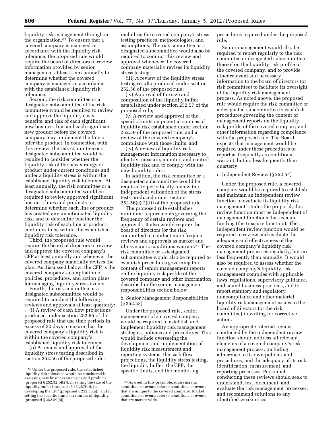liquidity risk management throughout the organization.63 To ensure that a covered company is managed in accordance with the liquidity risk tolerance, the proposed rule would require the board of directors to review information provided by senior management at least semi-annually to determine whether the covered company is managed in accordance with the established liquidity risk tolerance.

Second, the risk committee or a designated subcommittee of the risk committee would be required to review and approve the liquidity costs, benefits, and risk of each significant new business line and each significant new product before the covered company may implement the line or offer the product. In connection with this review, the risk committee or a designated subcommittee would be required to consider whether the liquidity risk of the new strategy or product under current conditions and under a liquidity stress is within the established liquidity risk tolerance. At least annually, the risk committee or a designated subcommittee would be required to review approved significant business lines and products to determine whether each line or product has created any unanticipated liquidity risk, and to determine whether the liquidity risk of each line or product continues to be within the established liquidity risk tolerance.

Third, the proposed rule would require the board of directors to review and approve the covered company's CFP at least annually and whenever the covered company materially revises the plan. As discussed below, the CFP is the covered company's compilation of policies, procedures, and action plans for managing liquidity stress events.

Fourth, the risk committee or a designated subcommittee would be required to conduct the following reviews and approvals at least quarterly:

(i) A review of cash flow projections produced under section 252.55 of the proposed rule that use time periods in excess of 30 days to ensure that the covered company's liquidity risk is within the covered company's established liquidity risk tolerance;

(ii) A review and approval of the liquidity stress testing described in section 252.56 of the proposed rule, including the covered company's stress testing practices, methodologies, and assumptions. The risk committee or a designated subcommittee would also be required to conduct this review and approval whenever the covered company materially revises its liquidity stress testing;

(iii) A review of the liquidity stress testing results produced under section 252.56 of the proposed rule;

(iv) Approval of the size and composition of the liquidity buffer established under section 252.57 of the proposed rule;

(v) A review and approval of the specific limits on potential sources of liquidity risk established under section 252.59 of the proposed rule, and a review of the covered company's compliance with those limits; and

(iv) A review of liquidity risk management information necessary to identify, measure, monitor, and control liquidity risk and to comply with the new liquidity rules.

In addition, the risk committee or a designated subcommittee would be required to periodically review the independent validation of the stress tests produced under section  $252.56(c)(2)(ii)$  of the proposed rule.

The proposed rule establishes minimum requirements governing the frequency of certain reviews and approvals. It also would require the board of directors (or the risk committee) to conduct more frequent reviews and approvals as market and idiosyncratic conditions warrant.64 The risk committee or a designated subcommittee would also be required to establish procedures governing the content of senior management reports on the liquidity risk profile of the covered company and other information described in the senior management responsibilities section below.

b. Senior Management Responsibilities (§ 252.53)

Under the proposed rule, senior management of a covered company would be required to establish and implement liquidity risk management strategies, policies and procedures. This would include overseeing the development and implementation of liquidity risk measurement and reporting systems, the cash flow projections, the liquidity stress testing, the liquidity buffer, the CFP, the specific limits, and the monitoring

procedures required under the proposed rule.

Senior management would also be required to report regularly to the risk committee or designated subcommittee thereof on the liquidity risk profile of the covered company, and to provide other relevant and necessary information to the board of directors (or risk committee) to facilitate its oversight of the liquidity risk management process. As noted above, the proposed rule would require the risk committee or a designated subcommittee to establish procedures governing the content of management reports on the liquidity risk profile of the covered company and other information regarding compliance with the proposed rule. The Board expects that management would be required under these procedures to report as frequently as conditions warrant, but no less frequently than quarterly.

c. Independent Review (§ 252.54)

Under the proposed rule, a covered company would be required to establish and maintain an independent review function to evaluate its liquidity risk management. Under the proposal, this review function must be independent of management functions that execute funding (the treasury function). The independent review function would be required to review and evaluate the adequacy and effectiveness of the covered company's liquidity risk management processes regularly, but no less frequently than annually. It would also be required to assess whether the covered company's liquidity risk management complies with applicable laws, regulations, supervisory guidance, and sound business practices, and to report statutory and regulatory noncompliance and other material liquidity risk management issues to the board of directors (or the risk committee) in writing for corrective action.

An appropriate internal review conducted by the independent review function should address all relevant elements of a covered company's risk management process, including adherence to its own policies and procedures, and the adequacy of its risk identification, measurement, and reporting processes. Personnel conducting these reviews should seek to understand, test, document, and evaluate the risk management processes, and recommend solutions to any identified weaknesses.

<sup>63</sup>Under the proposed rule, the established liquidity risk tolerance would be considered in assessing new business strategies and products (proposed § 252.52(b)(2)), in setting the size of the liquidity buffer (proposed § 252.57(b)), in developing the CFP (proposed § 252.58(a)), and in setting the specific limits on sources of liquidity (proposed § 252.59(b)).

<sup>64</sup>As used in this preamble, idiosyncratic conditions or events refer to conditions or events that are unique to the covered company. Market conditions or events refer to conditions or events that are market-wide.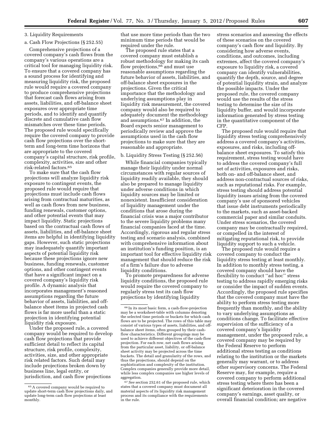#### 3. Liquidity Requirements

# a. Cash Flow Projections (§ 252.55)

Comprehensive projections of a covered company's cash flows from the company's various operations are a critical tool for managing liquidity risk. To ensure that a covered company has a sound process for identifying and measuring liquidity risk, the proposed rule would require a covered company to produce comprehensive projections that forecast cash flows arising from assets, liabilities, and off-balance sheet exposures over appropriate time periods, and to identify and quantify discrete and cumulative cash flow mismatches over these time periods. The proposed rule would specifically require the covered company to provide cash flow projections over the shortterm and long-term time horizons that are appropriate to the covered company's capital structure, risk profile, complexity, activities, size and other risk-related factors.65

To make sure that the cash flow projections will analyze liquidity risk exposure to contingent events, the proposed rule would require that projections must include cash flows arising from contractual maturities, as well as cash flows from new business, funding renewals, customer options, and other potential events that may impact liquidity. Static projections based on the contractual cash flows of assets, liabilities, and off-balance sheet items are helpful in identifying liquidity gaps. However, such static projections may inadequately quantify important aspects of potential liquidity risk because these projections ignore new business, funding renewals, customer options, and other contingent events that have a significant impact on a covered company's liquidity risk profile. A dynamic analysis that incorporates management's reasoned assumptions regarding the future behavior of assets, liabilities, and offbalance sheet items in projected cash flows is far more useful than a static projection in identifying potential liquidity risk exposure.

Under the proposed rule, a covered company would be required to develop cash flow projections that provide sufficient detail to reflect its capital structure, risk profile, complexity, activities, size, and other appropriate risk related factors. Such detail may include projections broken down by business line, legal entity, or jurisdiction, and cash flow projections

that use more time periods than the two minimum time periods that would be required under the rule.

The proposed rule states that a covered company must establish a robust methodology for making its cash flow projections,  $66$  and must use reasonable assumptions regarding the future behavior of assets, liabilities, and off-balance sheet exposures in the projections. Given the critical importance that the methodology and underlying assumptions play in liquidity risk measurement, the covered company would also be required to adequately document the methodology and assumptions.67 In addition, the Board expects senior management to periodically review and approve the assumptions used in the cash flow projections to make sure that they are reasonable and appropriate.

#### b. Liquidity Stress Testing (§ 252.56)

While financial companies typically manage their liquidity under normal circumstances with regular sources of liquidity readily available, they should also be prepared to manage liquidity under adverse conditions in which liquidity sources may be limited or nonexistent. Insufficient consideration of liquidity management under the conditions that arose during the financial crisis was a major contributor to the severe liquidity problems many financial companies faced at the time. Accordingly, rigorous and regular stress testing and scenario analysis, combined with comprehensive information about an institution's funding position, is an important tool for effective liquidity risk management that should reduce the risk of a firm's failure due to adverse liquidity conditions.

To promote preparedness for adverse liquidity conditions, the proposed rule would require the covered company to regularly stress test its cash flow projections by identifying liquidity

stress scenarios and assessing the effects of these scenarios on the covered company's cash flow and liquidity. By considering how adverse events, conditions, and outcomes, including extremes, affect the covered company's exposure to liquidity risk, a covered company can identify vulnerabilities, quantify the depth, source, and degree of potential liquidity strain, and analyze the possible impacts. Under the proposed rule, the covered company would use the results of the stress testing to determine the size of its liquidity buffer, and would incorporate information generated by stress testing in the quantitative component of the CFP.

The proposed rule would require that liquidity stress testing comprehensively address a covered company's activities, exposures, and risks, including offbalance sheet exposures. To satisfy this requirement, stress testing would have to address the covered company's full set of activities, exposures and risks, both on- and off-balance sheet, and address non-contractual sources of risks, such as reputational risks. For example, stress testing should address potential liquidity issues arising from the covered company's use of sponsored vehicles that issue debt instruments periodically to the markets, such as asset-backed commercial paper and similar conduits. Under stress scenarios, the covered company may be contractually required, or compelled in the interest of mitigating reputational risk, to provide liquidity support to such a vehicle.

The proposed rule would require a covered company to conduct the liquidity stress testing at least monthly. In addition to monthly stress testing, a covered company should have the flexibility to conduct ''ad hoc'' stress testing to address rapidly emerging risks or consider the impact of sudden events. Accordingly, the proposed rule specifies that the covered company must have the ability to perform stress testing more frequently than monthly, and the ability to vary underlying assumptions as conditions change. To facilitate effective supervision of the sufficiency of a covered company's liquidity management, under the proposed rule, a covered company may be required by the Federal Reserve to perform additional stress testing as conditions relating to the institution or the markets generally may warrant, or to address other supervisory concerns. The Federal Reserve may, for example, require a covered company to perform additional stress testing where there has been a significant deterioration in the covered company's earnings, asset quality, or overall financial condition; are negative

<sup>65</sup>A covered company would be required to update short-term cash flow projections daily, and update long-term cash flow projections at least monthly.

<sup>66</sup> In its most basic form, a cash-flow-projection may be a worksheet-table with columns denoting the selected time periods or buckets for which cash flows are to be projected. The rows of this table may consist of various types of assets, liabilities, and offbalance sheet items, often grouped by their cashflow characteristics. Different groupings may be used to achieve different objectives of the cash-flow projection. For each row, net cash flows arising from the particular asset, liability, or off-balance sheet activity may be projected across the time buckets. The detail and granularity of the rows, and thus the projections, should depend on the sophistication and complexity of the institution. Complex companies generally provide more detail, while less complex companies use higher levels of aggregation.

<sup>67</sup>*See* section 252.61 of the proposed rule, which states that a covered company must document all material aspects of its liquidity risk management process and its compliance with the requirements in the rule.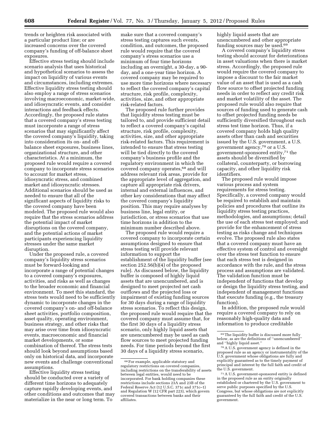trends or heighten risk associated with a particular product line; or are increased concerns over the covered company's funding of off-balance sheet exposures.

Effective stress testing should include scenario analysis that uses historical and hypothetical scenarios to assess the impact on liquidity of various events and circumstances, including extremes. Effective liquidity stress testing should also employ a range of stress scenarios involving macroeconomic, market-wide, and idiosyncratic events, and consider interactions and feedback effects. Accordingly, the proposed rule states that a covered company's stress testing must incorporate a range of stress scenarios that may significantly affect the covered company's liquidity, taking into consideration its on- and offbalance sheet exposures, business lines, organizational structure, and other characteristics. At a minimum, the proposed rule would require a covered company to incorporate stress scenarios to account for market stress, idiosyncratic stress, and combined market and idiosyncratic stresses. Additional scenarios should be used as needed to ensure that all of the significant aspects of liquidity risks to the covered company have been modeled. The proposed rule would also require that the stress scenarios address the potential impact of market disruptions on the covered company, and the potential actions of market participants experiencing liquidity stresses under the same market disruption.

Under the proposed rule, a covered company's liquidity stress scenarios must be forward-looking and incorporate a range of potential changes to a covered company's exposures, activities, and risks as well as changes to the broader economic and financial environment. To meet this standard, the stress tests would need to be sufficiently dynamic to incorporate changes in the covered company's on- and off-balance sheet activities, portfolio composition, asset quality, operating environment, business strategy, and other risks that may arise over time from idiosyncratic events, macroeconomic and financial market developments, or some combination of thereof. The stress tests should look beyond assumptions based only on historical data, and incorporate new events and challenge conventional assumptions.

Effective liquidity stress testing should be conducted over a variety of different time horizons to adequately capture rapidly developing events, and other conditions and outcomes that may materialize in the near or long term. To

make sure that a covered company's stress testing captures such events, condition, and outcomes, the proposed rule would require that the covered company's stress scenarios use a minimum of four time horizons including an overnight, a 30-day, a 90 day, and a one-year time horizon. A covered company may be required to use more time horizons where necessary to reflect the covered company's capital structure, risk profile, complexity, activities, size, and other appropriate risk-related factors.

The proposed rule further provides that liquidity stress testing must be tailored to, and provide sufficient detail to reflect a covered company's capital structure, risk profile, complexity, activities, size, and other appropriate risk-related factors. This requirement is intended to ensure that stress testing will be tied directly to the covered company's business profile and the regulatory environment in which the covered company operates,<sup>68</sup> and will address relevant risk areas, provide for the appropriate level of aggregation, and capture all appropriate risk drivers, internal and external influences, and other key considerations that may affect the covered company's liquidity position. This may require analyses by business line, legal entity, or jurisdiction, or stress scenarios that use time horizons in addition to the minimum number described above.

The proposed rule would require a covered company to incorporate certain assumptions designed to ensure that stress testing will provide relevant information to support the establishment of the liquidity buffer (see section 252.56(b)(4) of the proposed rule). As discussed below, the liquidity buffer is composed of highly liquid assets that are unencumbered, and is designed to meet projected net cash outflows and the projected loss or impairment of existing funding sources for 30 days during a range of liquidity stress scenarios. To reflect this design, the proposed rule would require that the covered company must assume that, for the first 30 days of a liquidity stress scenario, only highly liquid assets that are unencumbered may be used as cash flow sources to meet projected funding needs. For time periods beyond the first 30 days of a liquidity stress scenario,

highly liquid assets that are unencumbered and other appropriate funding sources may be used.69

A covered company's liquidity stress testing should account for deteriorations in asset valuations when there is market stress. Accordingly, the proposed rule would require the covered company to impose a discount to the fair market value of an asset that is used as a cash flow source to offset projected funding needs in order to reflect any credit risk and market volatility of the asset. The proposed rule would also require that sources of funding used to generate cash to offset projected funding needs be sufficiently diversified throughout each stress test time horizon. Thus, if a covered company holds high quality assets other than cash and securities issued by the U.S. government, a U.S. government agency,70 or a U.S. government-sponsored entity,71 the assets should be diversified by collateral, counterparty, or borrowing capacity, and other liquidity risk identifiers.

The proposed rule would impose various process and system requirements for stress testing. Specifically, a covered company would be required to establish and maintain policies and procedures that outline its liquidity stress testing practices, methodologies, and assumptions; detail the use of each stress test employed; and provide for the enhancement of stress testing as risks change and techniques evolve. The proposed rule also states that a covered company must have an effective system of control and oversight over the stress test function to ensure that each stress test is designed in accordance with the rule, and the stress process and assumptions are validated. The validation function must be independent of functions that develop or design the liquidity stress testing, and independent of management functions that execute funding (e.g., the treasury function).

In addition, the proposed rule would require a covered company to rely on reasonably high-quality data and information to produce creditable

<sup>68</sup>For example, applicable statutory and regulatory restrictions on covered companies, including restrictions on the transferability of assets between legal entities, would need to be incorporated. For bank holding companies these restrictions include sections 23A and 23B of the Federal Reserve Act (12 U.S.C. 371c and 371c–1) and Regulation W (12 CFR part 223), which govern covered transactions between banks and their affiliates.

<sup>69</sup>The liquidity buffer is discussed more fully below, as are the definitions of ''unencumbered''

<sup>&</sup>lt;sup>70</sup> A U.S. government agency is defined in the proposed rule as an agency or instrumentality of the U.S. government whose obligations are fully and explicitly guaranteed as to the timely payment of principal and interest by the full faith and credit of the U.S. government.

<sup>71</sup>A U.S. government-sponsored entity is defined in the proposed rule as an entity originally established or chartered by the U.S. government to serve public purposes specified by the U.S. Congress, but whose obligations are not explicitly guaranteed by the full faith and credit of the U.S. government.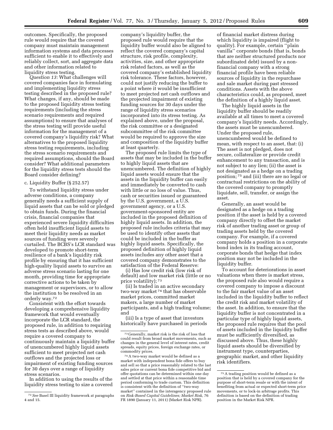outcomes. Specifically, the proposed rule would require that the covered company must maintain management information systems and data processes sufficient to enable it to effectively and reliably collect, sort, and aggregate data and other information related to liquidity stress testing.

*Question 13:* What challenges will covered companies face in formulating and implementing liquidity stress testing described in the proposed rule? What changes, if any, should be made to the proposed liquidity stress testing requirements (including the stress scenario requirements and required assumptions) to ensure that analyses of the stress testing will provide useful information for the management of a covered company's liquidity risk? What alternatives to the proposed liquidity stress testing requirements, including the stress scenario requirements and required assumptions, should the Board consider? What additional parameters for the liquidity stress tests should the Board consider defining?

### c. Liquidity Buffer (§ 252.57)

To withstand liquidity stress under adverse conditions, a company generally needs a sufficient supply of liquid assets that can be sold or pledged to obtain funds. During the financial crisis, financial companies that experienced severe liquidity difficulties often held insufficient liquid assets to meet their liquidity needs as market sources of funding were severely curtailed. The BCBS's LCR standard was developed to promote short-term resilience of a bank's liquidity risk profile by ensuring that it has sufficient high-quality liquid assets to survive an adverse stress scenario lasting for one month, providing time for appropriate corrective actions to be taken by management or supervisors, or to allow the institution to be resolved in an orderly way.72

Consistent with the effort towards developing a comprehensive liquidity framework that would eventually incorporate the LCR standard, the proposed rule, in addition to requiring stress tests as described above, would require a covered company to continuously maintain a liquidity buffer of unencumbered highly liquid assets sufficient to meet projected net cash outflows and the projected loss or impairment of existing funding sources for 30 days over a range of liquidity stress scenarios.

In addition to using the results of the liquidity stress testing to size a covered

company's liquidity buffer, the proposed rule would require that the liquidity buffer would also be aligned to reflect the covered company's capital structure, risk profile, complexity, activities, size, and other appropriate risk related factors, as well as the covered company's established liquidity risk tolerance. These factors, however, could not justify reducing the buffer to a point where it would be insufficient to meet projected net cash outflows and the projected impairment of existing funding sources for 30 days under the range of liquidity stress scenarios incorporated into its stress testing. As explained above, under the proposal, the risk committee or a designated subcommittee of the risk committee would be required to approve the size and composition of the liquidity buffer at least quarterly.

The proposed rule limits the type of assets that may be included in the buffer to highly liquid assets that are unencumbered. The definition of highly liquid assets would ensure that the assets in the liquidity buffer can easily and immediately be converted to cash with little or no loss of value. Thus, cash or securities issued or guaranteed by the U.S. government, a U.S. government agency, or a U.S. government-sponsored entity are included in the proposed definition of highly liquid assets. In addition, the proposed rule includes criteria that may be used to identify other assets that could be included in the buffer as highly liquid assets. Specifically, the proposed definition of highly liquid assets includes any other asset that a covered company demonstrates to the satisfaction of the Federal Reserve:

(i) Has low credit risk (low risk of default) and low market risk (little or no price volatility); 73

(ii) Is traded in an active secondary two-way market 74 that has observable market prices, committed market makers, a large number of market participants, and a high trading volume; and

(iii) Is a type of asset that investors historically have purchased in periods

of financial market distress during which liquidity is impaired (flight to quality). For example, certain ''plain vanilla'' corporate bonds (that is, bonds that are neither structured products nor subordinated debt) issued by a nonfinancial company with a strong financial profile have been reliable sources of liquidity in the repurchase and sale market during past stressed conditions. Assets with the above characteristics could, as proposed, meet the definition of a highly liquid asset.

The highly liquid assets in the liquidity buffer should be readily available at all times to meet a covered company's liquidity needs. Accordingly, the assets must be unencumbered. Under the proposed rule, unencumbered would be defined to mean, with respect to an asset, that: (i) The asset is not pledged, does not secure, collateralize or provide credit enhancement to any transaction, and is not subject to any lien; (ii) the asset is not designated as a hedge on a trading position; 75 and (iii) there are no legal or contractual restrictions on the ability of the covered company to promptly liquidate, sell, transfer, or assign the asset.

Generally, an asset would be designated as a hedge on a trading position if the asset is held by a covered company directly to offset the market risk of another trading asset or group of trading assets held by the covered company. For example, if a covered company holds a position in a corporate bond index in its trading account, corporate bonds that hedge that index position may not be included in the liquidity buffer.

To account for deteriorations in asset valuations when there is market stress, the proposed rule also would require a covered company to impose a discount to the fair market value of an asset included in the liquidity buffer to reflect the credit risk and market volatility of the asset. In addition, to ensure that the liquidity buffer is not concentrated in a particular type of highly liquid assets, the proposed rule requires that the pool of assets included in the liquidity buffer must be sufficiently diversified, as discussed above. Thus, these highly liquid assets should be diversified by instrument type, counterparties, geographic market, and other liquidity risk identifiers.

<sup>72</sup>*See* Basel III liquidity framework at paragraphs 4 and 15.

<sup>73</sup> Generally, market risk is the risk of loss that could result from broad market movements, such as changes in the general level of interest rates, credit spreads, equity prices, foreign exchange rates, or commodity prices.

<sup>74</sup>A two-way market would be defined as a market with independent bona fide offers to buy and sell so that a price reasonably related to the last sales price or current bona fide competitive bid and offer quotations can be determined within one day and settled at that price within a reasonable time period conforming to trade custom. This definition is consistent with the definition of ''two-way market'' contained in the interagency proposed rule on *Risk-Based Capital Guidelines; Market Risk,* 76 FR 1890 (January 11, 2011) (Market Risk NPR).

<sup>75</sup>A trading position would be defined as a position that is held by a covered company for the purpose of short-term resale or with the intent of benefiting from actual or expected short-term price movements, or to lock-in arbitrage profits. This definition is based on the definition of trading position in the Market Risk NPR.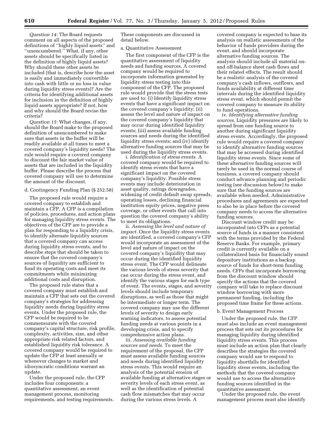*Question 14:* The Board requests comment on all aspects of the proposed definitions of ''highly liquid assets'' and ''unencumbered.'' What, if any, other assets should be specifically listed in the definition of highly liquid assets? Why should these other assets be included (that is, describe how the asset is easily and immediately convertible into cash with little or no loss in value during liquidity stress events)? Are the criteria for identifying additional assets for inclusion in the definition of highly liquid assets appropriate? If not, how and why should the Board revise the criteria?

*Question 15:* What changes, if any, should the Board make to the proposed definition of unencumbered to make sure that assets in the buffer will be readily available at all times to meet a covered company's liquidity needs? The rule would require a covered company to discount the fair market value of assets that are included in the liquidity buffer. Please describe the process that covered company will use to determine the amount of the discount.

#### d. Contingency Funding Plan (§ 252.58)

The proposed rule would require a covered company to establish and maintain a CFP. A CFP is a compilation of policies, procedures, and action plans for managing liquidity stress events. The objectives of the CFP are to provide a plan for responding to a liquidity crisis, to identify alternate liquidity sources that a covered company can access during liquidity stress events, and to describe steps that should be taken to ensure that the covered company's sources of liquidity are sufficient to fund its operating costs and meet its commitments while minimizing additional costs and disruption.

The proposed rule states that a covered company must establish and maintain a CFP that sets out the covered company's strategies for addressing liquidity needs during liquidity stress events. Under the proposed rule, the CFP would be required to be commensurate with the covered company's capital structure, risk profile, complexity, activities, size, and other appropriate risk related factors, and established liquidity risk tolerance. A covered company would be required to update the CFP at least annually or whenever changes to market and idiosyncratic conditions warrant an update.

Under the proposed rule, the CFP includes four components: a quantitative assessment, an event management process, monitoring requirements, and testing requirements. These components are discussed in detail below.

#### a. Quantitative Assessment

The first component of the CFP is the quantitative assessment of liquidity needs and funding sources. A covered company would be required to incorporate information generated by liquidity stress testing into this component of the CFP. The proposed rule would provide that the stress tests are used to: (i) Identify liquidity stress events that have a significant impact on the covered company's liquidity; (ii) assess the level and nature of impact on the covered company's liquidity that may occur during identified liquidity events; (iii) assess available funding sources and needs during the identified liquidity stress events; and (iv) identify alternative funding sources that may be used during the liquidity stress events.

i. *Identification of stress events.* A covered company would be required to identify stress events that have a significant impact on the covered company's liquidity. Possible stress events may include deterioration in asset quality, ratings downgrades, widening of credit default swap spreads, operating losses, declining financial institution equity prices, negative press coverage, or other events that call into question the covered company's ability to meet its obligations.

ii. *Assessing the level and nature of impact.* Once the liquidity stress events are identified, a covered company's CFP would incorporate an assessment of the level and nature of impact on the covered company's liquidity that may occur during the identified liquidity stress event. The CFP would delineate the various levels of stress severity that can occur during the stress event, and identify the various stages for each type of event. The events, stages, and severity levels should include temporary disruptions, as well as those that might be intermediate or longer term. The covered company may use the different levels of severity to design early warning indicators, to assess potential funding needs at various points in a developing crisis, and to specify comprehensive action plans.

iii. *Assessing available funding sources and needs.* To meet the requirement of the proposal, the CFP must assess available funding sources and needs during identified liquidity stress events. This would require an analysis of the potential erosion of available funding at alternative stages or severity levels of each stress event, as well as the identification of potential cash flow mismatches that may occur during the various stress levels. A

covered company is expected to base its analysis on realistic assessments of the behavior of funds providers during the event, and should incorporate alternative funding sources. The analysis should include all material onand off-balance sheet cash flows and their related effects. The result should be a realistic analysis of the covered company's cash inflows, outflows, and funds availability at different time intervals during the identified liquidity stress event, which should permit the covered company to measure its ability to fund operations.

iv. *Identifying alternative funding sources.* Liquidity pressures are likely to spread from one funding source to another during significant liquidity stress events. Accordingly, the proposed rule would require a covered company to identify alternative funding sources that may be accessed during identified liquidity stress events. Since some of these alternative funding sources will rarely be used in the normal course of business, a covered company should conduct advance planning and periodic testing (see discussion below) to make sure that the funding sources are available when needed. Administrative procedures and agreements are expected to also be in place before the covered company needs to access the alternative funding sources.

Discount window credit may be incorporated into CFPs as a potential source of funds in a manner consistent with the terms provided by the Federal Reserve Banks. For example, primary credit is currently available on a collateralized basis for financially sound depository institutions as a backup source of funds for short-term funding needs. CFPs that incorporate borrowing from the discount window should specify the actions that the covered company will take to replace discount window borrowing with more permanent funding, including the proposed time frame for these actions.

#### b. Event Management Process

Under the proposed rule, the CFP must also include an event management process that sets out its procedures for managing liquidity during identified liquidity stress events. This process must include an action plan that clearly describes the strategies the covered company would use to respond to liquidity shortfalls for identified liquidity stress events, including the methods that the covered company would use to access the alternative funding sources identified in the quantitative assessment.

Under the proposed rule, the event management process must also identify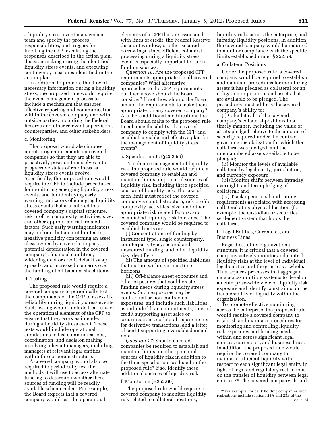a liquidity stress event management team and specify the process, responsibilities, and triggers for invoking the CFP, escalating the responses described in the action plan, decision-making during the identified liquidity stress events, and executing contingency measures identified in the action plan.

In addition, to promote the flow of necessary information during a liquidity stress, the proposed rule would require the event management process to include a mechanism that ensures effective reporting and communication within the covered company and with outside parties, including the Federal Reserve and other relevant supervisors, counterparties, and other stakeholders.

# c. Monitoring

The proposal would also impose monitoring requirements on covered companies so that they are able to proactively position themselves into progressive states of readiness as liquidity stress events evolve. Specifically, the proposed rule would require the CFP to include procedures for monitoring emerging liquidity stress events, and for identifying early warning indicators of emerging liquidity stress events that are tailored to a covered company's capital structure, risk profile, complexity, activities, size, and other appropriate risk-related factors. Such early warning indicators may include, but are not limited to, negative publicity concerning an asset class owned by covered company, potential deterioration in the covered company's financial condition, widening debt or credit default swap spreads, and increased concerns over the funding of off-balance-sheet items.

#### d. Testing

The proposed rule would require a covered company to periodically test the components of the CFP to assess its reliability during liquidity stress events. Such testing would include trial runs of the operational elements of the CFP to ensure that they work as intended during a liquidity stress event. These tests would include operational simulations to test communications, coordination, and decision making involving relevant managers, including managers at relevant legal entities within the corporate structure.

A covered company would also be required to periodically test the methods it will use to access alternate funding to determine whether these sources of funding will be readily available when needed. For example, the Board expects that a covered company would test the operational

elements of a CFP that are associated with lines of credit, the Federal Reserve discount window, or other secured borrowings, since efficient collateral processing during a liquidity stress event is especially important for such funding sources.

*Question 16:* Are the proposed CFP requirements appropriate for all covered companies? What alternative approaches to the CFP requirements outlined above should the Board consider? If not, how should the Board amend the requirements to make them appropriate for any covered company? Are there additional modifications the Board should make to the proposed rule to enhance the ability of a covered company to comply with the CFP and establish a viable and effective plan for the management of liquidity stress events?

# e. Specific Limits (§ 252.59)

To enhance management of liquidity risk, the proposed rule would require a covered company to establish and maintain limits on potential sources of liquidity risk, including three specified sources of liquidity risk. The size of each limit must reflect the covered company's capital structure, risk profile, complexity, activities, size, and other appropriate risk related factors, and established liquidity risk tolerance. The covered company would be required to establish limits on:

(i) Concentrations of funding by instrument type, single counterparty, counterparty type, secured and unsecured funding, and other liquidity risk identifiers.

(ii) The amount of specified liabilities that mature within various time horizons.

(iii) Off-balance sheet exposures and other exposures that could create funding needs during liquidity stress events. Such exposures may be contractual or non-contractual exposures, and include such liabilities as unfunded loan commitments, lines of credit supporting asset sales or securitizations, collateral requirements for derivative transactions, and a letter of credit supporting a variable demand note.

*Question 17:* Should covered companies be required to establish and maintain limits on other potential sources of liquidity risk in addition to the three specific sources listed in the proposed rule? If so, identify these additional sources of liquidity risk.

#### f. Monitoring (§ 252.60)

The proposed rule would require a covered company to monitor liquidity risk related to collateral positions,

liquidity risks across the enterprise, and intraday liquidity positions. In addition, the covered company would be required to monitor compliance with the specific limits established under § 252.59.

# a. Collateral Positions

Under the proposed rule, a covered company would be required to establish and maintain procedures for monitoring assets it has pledged as collateral for an obligation or position, and assets that are available to be pledged. The procedures must address the covered company's ability to:

(i) Calculate all of the covered company's collateral positions in a timely manner, including the value of assets pledged relative to the amount of security required under the contract governing the obligation for which the collateral was pledged, and the unencumbered assets available to be pledged;

(ii) Monitor the levels of available collateral by legal entity, jurisdiction, and currency exposure;

(iii) Monitor shifts between intraday, overnight, and term pledging of collateral; and

(iv) Track operational and timing requirements associated with accessing collateral at its physical location (for example, the custodian or securities settlement system that holds the collateral).

b. Legal Entities, Currencies, and Business Lines

Regardless of its organizational structure, it is critical that a covered company actively monitor and control liquidity risks at the level of individual legal entities and the group as a whole. This requires processes that aggregate data across multiple systems to develop an enterprise-wide view of liquidity risk exposure and identify constraints on the transferability of liquidity within the organization.

To promote effective monitoring across the enterprise, the proposed rule would require a covered company to establish and maintain procedures for monitoring and controlling liquidity risk exposures and funding needs within and across significant legal entities, currencies, and business lines. In addition, the proposed rule would require the covered company to maintain sufficient liquidity with respect to each significant legal entity in light of legal and regulatory restrictions on the transfer of liquidity between legal entities.76 The covered company should

<sup>76</sup>For example, for bank holding companies such restrictions include sections 23A and 23B of the Continued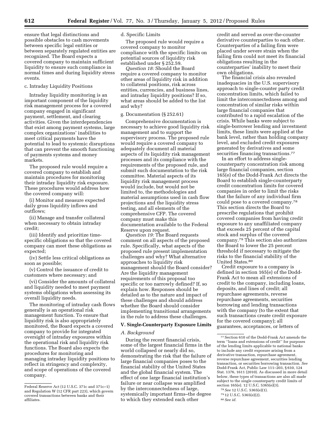ensure that legal distinctions and possible obstacles to cash movements between specific legal entities or between separately regulated entities are recognized. The Board expects a covered company to maintain sufficient liquidity to ensure such compliance in normal times and during liquidity stress events.

# c. Intraday Liquidity Positions

Intraday liquidity monitoring is an important component of the liquidity risk management process for a covered company engaged in significant payment, settlement, and clearing activities. Given the interdependencies that exist among payment systems, large complex organizations' inabilities to meet critical payments have the potential to lead to systemic disruptions that can prevent the smooth functioning of payments systems and money markets.

The proposed rule would require a covered company to establish and maintain procedures for monitoring their intraday liquidity risk exposure. These procedures would address how the covered company will:

(i) Monitor and measure expected daily gross liquidity inflows and outflows;

(ii) Manage and transfer collateral when necessary to obtain intraday credit;

(iii) Identify and prioritize timespecific obligations so that the covered company can meet these obligations as expected;

(iv) Settle less critical obligations as soon as possible;

(v) Control the issuance of credit to customers where necessary; and

(vi) Consider the amounts of collateral and liquidity needed to meet payment systems obligations when assessing its overall liquidity needs.

The monitoring of intraday cash flows generally is an operational risk management function. To ensure that liquidity risk is also appropriately monitored, the Board expects a covered company to provide for integrated oversight of intraday exposures within the operational risk and liquidity risk functions. The Board also expects the procedures for monitoring and managing intraday liquidity positions to reflect in stringency and complexity, and scope of operations of the covered company.

# d. Specific Limits

The proposed rule would require a covered company to monitor compliance with the specific limits on potential sources of liquidity risk established under § 252.59.

*Question 18:* Should the Board require a covered company to monitor other areas of liquidity risk in addition to collateral positions, risk across entities, currencies, and business lines, and intraday liquidity positions? If so, what areas should be added to the list and why?

# g. Documentation (§ 252.61)

Comprehensive documentation is necessary to achieve good liquidity risk management and to support the supervisory process. The proposed rule would require a covered company to adequately document all material aspects of its liquidity risk management processes and its compliance with the requirements of the proposed rule, and submit such documentation to the risk committee. Material aspects of its liquidity risk management process would include, but would not be limited to, the methodologies and material assumptions used in cash flow projections and the liquidity stress testing, and all elements of the comprehensive CFP. The covered company must make this documentation available to the Federal Reserve upon request.

*Question 19:* The Board requests comment on all aspects of the proposed rule. Specifically, what aspects of the proposed rule present implementation challenges and why? What alternative approaches to liquidity risk management should the Board consider? Are the liquidity management requirements of this proposal too specific or too narrowly defined? If, so explain how. Responses should be detailed as to the nature and impact of these challenges and should address whether the Board should consider implementing transitional arrangements in the rule to address these challenges.

#### **V. Single-Counterparty Exposure Limits**

#### *A. Background*

During the recent financial crisis, some of the largest financial firms in the world collapsed or nearly did so, demonstrating the risk that the failure of large financial companies poses to the financial stability of the United States and the global financial system. The effect of one large financial institution's failure or near collapse was amplified by the interconnectedness of large, systemically important firms–the degree to which they extended each other

credit and served as over-the-counter derivative counterparties to each other. Counterparties of a failing firm were placed under severe strain when the failing firm could not meet its financial obligations resulting in the counterparties' inability to meet their own obligations.

The financial crisis also revealed inadequacies in the U.S. supervisory approach to single-counter party credit concentration limits, which failed to limit the interconnectedness among and concentration of similar risks within large financial companies that contributed to a rapid escalation of the crisis. While banks were subject to single-borrower lending and investment limits, these limits were applied at the bank level, rather than holding company level, and excluded credit exposures generated by derivatives and some securities financing transactions.<sup>77</sup>

In an effort to address singlecounterparty concentration risk among large financial companies, section 165(e) of the Dodd-Frank Act directs the Board to establish single-counterparty credit concentration limits for covered companies in order to limit the risks that the failure of any individual firm could pose to a covered company.78 This section directs the Board to prescribe regulations that prohibit covered companies from having credit exposure to any unaffiliated company that exceeds 25 percent of the capital stock and surplus of the covered company.79 This section also authorizes the Board to lower the 25 percent threshold if necessary to mitigate the risks to the financial stability of the United States.80

Credit exposure to a company is defined in section 165(e) of the Dodd-Frank Act to mean all extensions of credit to the company, including loans, deposits, and lines of credit; all repurchase agreements, reverse repurchase agreements, securities borrowing and lending transactions with the company (to the extent that such transactions create credit exposure for the covered company); all guarantees, acceptances, or letters of

Federal Reserve Act (12 U.S.C. 371c and 371c–1) and Regulation W (12 CFR part 223), which govern covered transactions between banks and their affiliates.

<sup>77</sup>Section 610 of the Dodd-Frank Act amends the term ''loans and extensions of credit'' for purposes of the lending limits applicable to national banks to include any credit exposure arising from a derivative transaction, repurchase agreement, reverse repurchase agreement, securities lending transaction, or securities borrowing transaction. *See*  Dodd-Frank Act, Public Law 111–203, § 610, 124 Stat. 1376, 1611 (2010). As discussed in more detail below, these types of transactions are also all made subject to the single counterparty credit limits of section 165(e). 12 U.S.C. 5365(e)(3).

<sup>78</sup>*See* 12 U.S.C. 5365(e)(1).

<sup>79</sup> 12 U.S.C. 5365(e)(2).

<sup>80</sup>*See id.*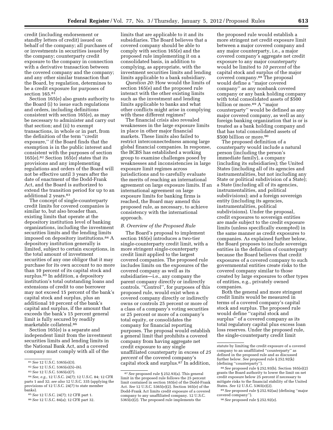credit (including endorsement or standby letters of credit) issued on behalf of the company; all purchases of or investments in securities issued by the company; counterparty credit exposure to the company in connection with a derivative transaction between the covered company and the company; and any other similar transaction that the Board, by regulation, determines to be a credit exposure for purposes of section 165.81

Section 165(e) also grants authority to the Board (i) to issue such regulations and orders, including definitions consistent with section 165(e), as may be necessary to administer and carry out that section; and (ii) to exempt transactions, in whole or in part, from the definition of the term ''credit exposure,'' if the Board finds that the exemption is in the public interest and consistent with the purposes of section 165(e).82 Section 165(e) states that its provisions and any implementing regulations and orders of the Board will not be effective until 3 years after the date of enactment of the Dodd-Frank Act, and the Board is authorized to extend the transition period for up to an additional 2 years.83

The concept of single-counterparty credit limits for covered companies is similar to, but also broader than, existing limits that operate at the depository institution level of banking organizations, including the investment securities limits and the lending limits imposed on depository institutions.84 A depository institution generally is limited, subject to certain exceptions, in the total amount of investment securities of any one obligor that it may purchase for its own account to no more than 10 percent of its capital stock and surplus.85 In addition, a depository institution's total outstanding loans and extensions of credit to one borrower may not exceed 15 percent of the bank's capital stock and surplus, plus an additional 10 percent of the bank's capital and surplus, if the amount that exceeds the bank's 15 percent general limit is fully secured by readily marketable collateral.86

Section 165(e) is a separate and independent limit from the investment securities limits and lending limits in the National Bank Act, and a covered company must comply with all of the

limits that are applicable to it and its subsidiaries. The Board believes that a covered company should be able to comply with section 165(e) and the proposed rule implementing it on a consolidated basis, in addition to complying, as appropriate, with the investment securities limits and lending limits applicable to a bank subsidiary.

*Question 20:* How would the limits of section 165(e) and the proposed rule interact with the other existing limits such as the investment and lending limits applicable to banks and what other conflicts might arise in complying with these different regimes?

The financial crisis also revealed weaknesses in the large exposure limits in place in other major financial markets. These limits also failed to restrict interconnectedness among large global financial companies. In response, the BCBS has established a working group to examine challenges posed by weaknesses and inconsistencies in large exposure limit regimes across jurisdictions and to carefully evaluate the merits of reaching an international agreement on large exposure limits. If an international agreement on large exposure limits for banking firms is reached, the Board may amend this proposed rule, as necessary, to achieve consistency with the international approach.

#### *B. Overview of the Proposed Rule*

The Board's proposal to implement section 165(e) introduces a two-tier single-counterparty credit limit, with a more stringent single-counterparty credit limit applied to the largest covered companies. The proposed rule includes limits on the exposures of the covered company as well as its subsidiaries—i.e., any company the parent company directly or indirectly controls. ''Control'', for purposes of this proposed rule, would exist when a covered company directly or indirectly owns or controls 25 percent or more of a class of a company's voting securities or 25 percent or more of a company's total equity, or consolidates the company for financial reporting purposes. The proposal would establish a general limit that prohibits a covered company from having aggregate net credit exposure to any single unaffiliated counterparty in excess of *25 percent* of the covered company's capital stock and surplus.87 In addition,

the proposed rule would establish a more stringent net credit exposure limit between a major covered company and any major counterparty, i.e., a major covered company's aggregate net credit exposure to any major counterparty would be limited to *10 percent* of the capital stock and surplus of the major covered company.88 The proposal would define a ''major covered company'' as any nonbank covered company or any bank holding company with total consolidated assets of \$500 billion or more.<sup>89</sup> A "major counterparty'' would be defined as any major covered company, as well as any foreign banking organization that is or is treated as a bank holding company and that has total consolidated assets of \$500 billion or more.<sup>90</sup>

The proposed definition of a counterparty would include a natural person (including the person's immediate family), a company (including its subsidiaries); the United States (including all of its agencies and instrumentalities, but not including any State or political subdivision of a State); a State (including all of its agencies, instrumentalities, and political subdivisions); and a foreign sovereign entity (including its agencies, instrumentalities, political subdivisions). Under the proposal, credit exposures to sovereign entities are made subject to the credit exposure limits (unless specifically exempted) in the same manner as credit exposures to companies. As explained further below, the Board proposes to include sovereign entities in the definition of counterparty because the Board believes that credit exposures of a covered company to such governmental entities create risks to the covered company similar to those created by large exposures to other types of entities, e.g., privately owned companies.

Both the general and more stringent credit limits would be measured in terms of a covered company's capital stock and surplus. The proposed rule would define ''capital stock and surplus'' of a covered company as its total regulatory capital plus excess loan loss reserves. Under the proposed rule, the single-counterparty credit limit

<sup>81</sup>*See* 12 U.S.C. 5365(e)(3).

<sup>82</sup>*See* 12 U.S.C. 5365(e)(5)–(6).

<sup>83</sup>*See* 12 U.S.C. 5365(e)(7).

<sup>84</sup>*See, e.g.,* 12 U.S.C. 24(7); 12 U.S.C. 84; 12 CFR parts 1 and 32; *see also* 12 U.S.C. 335 (applying the provisions of 12 U.S.C. 24(7) to state member banks).

<sup>85</sup>*See* 12 U.S.C. 24(7); 12 CFR part 1.

<sup>86</sup>*See* 12 U.S.C. 84(a); 12 CFR part 32.

<sup>87</sup>*See* proposed rule § 252.93(a). This general limit in the proposed rule follows the 25 percent limit contained in section 165(e) of the Dodd-Frank Act. *See* 12 U.S.C. 5365(e)(2). Section 165(e) of the Dodd-Frank Act limits credit exposure of a covered company to any unaffiliated company. 12 U.S.C. 5365(e)(2). The proposed rule implements the

statute by limiting the credit exposure of a covered company to an unaffiliated ''counterparty'' as defined in the proposed rule and as discussed further below. *See* proposed rule § 252.92(k) (defining ''counterparty'').

<sup>88</sup>*See* proposed rule § 252.93(b). Section 165(e)(2) grants the Board authority to lower the limit on net credit exposure below 25 percent if necessary to mitigate risks to the financial stability of the United States. *See* 12 U.S.C. 5365(e)(2).

<sup>89</sup>*See* proposed rule § 252.92(aa) (defining ''major covered company'').

<sup>90</sup>*See* proposed rule § 252.92(z).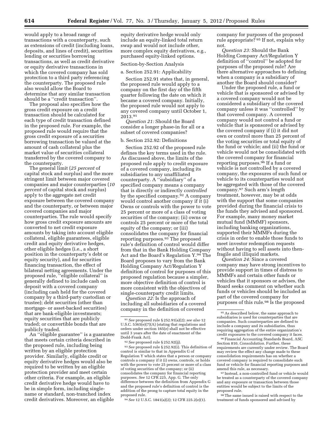would apply to a broad range of transactions with a counterparty, such as extensions of credit (including loans, deposits, and lines of credit), securities lending or securities borrowing transactions, as well as credit derivative or equity derivative transactions in which the covered company has sold protection to a third party referencing the counterparty. The proposed rule also would allow the Board to determine that any similar transaction should be a ''credit transaction''.

The proposal also specifies how the gross credit exposure on a credit transaction should be calculated for each type of credit transaction defined in the proposed rule. For example, the proposed rule would require that the gross credit exposure of a securities borrowing transaction be valued at the amount of cash collateral plus the market value of securities collateral transferred by the covered company to the counterparty.

The general limit (*25 percent* of capital stock and surplus) and the more stringent limit between major covered companies and major counterparties (*10 percent* of capital stock and surplus) apply to the aggregate net credit exposure between the covered company and the counterparty, or between major covered companies and major counterparties. The rule would specify how gross credit exposure amounts are converted to net credit exposure amounts by taking into account eligible collateral, eligible guarantees, eligible credit and equity derivative hedges, other eligible hedges (i.e., a short position in the counterparty's debt or equity security), and for securities financing transaction, the effect of bilateral netting agreements. Under the proposed rule, ''eligible collateral'' is generally defined to include cash on deposit with a covered company (including cash held for the covered company by a third-party custodian or trustee); debt securities (other than mortgage- or asset-backed securities) that are bank-eligible investments; equity securities that are publicly traded; or convertible bonds that are publicly traded.

An ''eligible guarantee'' is a guarantee that meets certain criteria described in the proposed rule, including being written by an eligible protection provider. Similarly, eligible credit or equity derivative hedges would also be required to be written by an eligible protection provider and meet certain other criteria. For example, an eligible credit derivative hedge would have to be in simple form, including singlename or standard, non-tranched index credit derivatives. Moreover, an eligible

equity derivative hedge would only include an equity-linked total return swap and would not include other, more complex equity derivatives, e.g., purchased equity-linked options.

# Section-by-Section Analysis

a. Section 252.91: Applicability

Section 252.91 states that, in general, the proposed rule would apply to a company on the first day of the fifth quarter following the date on which it became a covered company. Initially, the proposed rule would not apply to any covered company until October 1, 2013.91

*Question 21:* Should the Board consider a longer phase-in for all or a subset of covered companies?

# b. Section 252.92: Definitions

Section 252.92 of the proposed rule defines the key terms used in the rule. As discussed above, the limits of the proposed rule apply to credit exposure of a covered company, including its subsidiaries to any unaffiliated counterparty. A ''subsidiary'' of a specified company means a company that is directly or indirectly *controlled*  by the specified company.92 A company would control another company if it (i) Owns or controls with the power to vote 25 percent or more of a class of voting securities of the company; (ii) owns or controls 25 percent or more of the total equity of the company; or (iii) consolidates the company for financial reporting purposes.93 The proposed rule's definition of control would differ from that in the Bank Holding Company Act and the Board's Regulation Y.94 The Board proposes to vary from the Bank Holding Company Act/Regulation Y definition of control for purposes of this proposed regulation because a simpler, more objective definition of control is more consistent with the objectives of single-counterparty credit limits.

*Question 22:* Is the approach of including all subsidiaries of a covered company in the definition of covered

93*See* proposed rule § 252.92(i). This definition of control is similar to that in Appendix G of Regulation Y which states that a person or company controls a company if it (i) owns, controls, or holds with the power to vote 25 percent or more of a class of voting securities of the company; or (ii) consolidates the company for financial reporting purposes. *See* 12 CFR 225, App. G. The only difference between the definition from Appendix G and the proposed rule's definition of control is the addition of the prong to capture total equity in the proposed rule.

94*See* 12 U.S.C. 1841(a)(2); 12 CFR 225.2(e)(1).

company for purposes of the proposed rule appropriate? 95 If not, explain why not.

*Question 23:* Should the Bank Holding Company Act/Regulation Y definition of ''control'' be adopted for purposes of the proposed rule? Are there alternative approaches to defining when a company is a subsidiary of another the Board should consider?

Under the proposed rule, a fund or vehicle that is sponsored or advised by a covered company would not be considered a subsidiary of the covered company unless it was ''controlled'' by that covered company. A covered company would not control a fund or vehicle that is sponsored or advised by the covered company if (i) it did not own or control more than 25 percent of the voting securities or total equity of the fund or vehicle; and (ii) the fund or vehicle would not be consolidated with the covered company for financial reporting purposes.96 If a fund or vehicle is not controlled by a covered company, the exposures of such fund or vehicle to its counterparties would not be aggregated with those of the covered company.97 Such arm's length treatment, however, may be at odds with the support that some companies provided during the financial crisis to the funds they advised and sponsored. For example, many money market mutual fund (MMMF) sponsors, including banking organizations, supported their MMMFs during the crisis in order to enable those funds to meet investor redemption requests without having to sell assets into thenfragile and illiquid markets.

*Question 24:* Since a covered company may have strong incentives to provide support in times of distress to MMMFs and certain other funds or vehicles that it sponsors or advises, the Board seeks comment on whether such funds or vehicles should be included as part of the covered company for purposes of this rule.98 Is the proposed

98The same issued is raised with respect to the treatment of funds sponsored and advised by

<sup>91</sup>*See* proposed rule § 252.91(a)(2); *see also* 12 U.S.C. 5365(e)(7)(A) (stating that regulations and orders under section 165(e) shall not be effective until 3 years after the date of enactment of the Dodd-Frank Act).

<sup>92</sup>*See* proposed rule § 252.92(jj).

<sup>95</sup>As described below, the same approach to subsidiaries is used for counterparties that are companies. Such counterparties are defined to include a company and its subsidiaries, thus requiring aggregation of the entire organization's credit exposures to the covered company it faces.

<sup>96</sup>Financial Accounting Standards Board, ASC Section 810, *Consolidation.* Further, these requirements are currently under review. The Board may review the effect any change made to these consolidation requirements has on whether a covered company is required to consolidate such fund or vehicle for financial reporting purposes and amend this rule, as necessary.

<sup>97</sup> Instead, a non-controlled fund or vehicle would be treated as a counterparty of the covered company and any exposure or transaction between those entities would be subject to the limits of the proposed rule.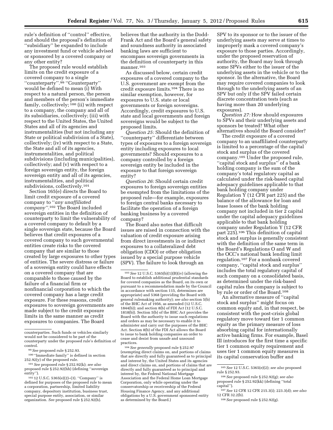rule's definition of ''control'' effective, and should the proposal's definition of ''subsidiary'' be expanded to include any investment fund or vehicle advised or sponsored by a covered company or any other entity?

The proposed rule would establish limits on the credit exposure of a covered company to a single ''counterparty''.99 ''Counterparty'' would be defined to mean (i) With respect to a natural person, the person and members of the person's immediate family, collectively; <sup>100</sup> (ii) with respect to a company, the company and all of its subsidiaries, collectively; (iii) with respect to the United States, the United States and all of its agencies and instrumentalities (but not including any State or political subdivision of a State), collectively; (iv) with respect to a State, the State and all of its agencies, instrumentalities, and political subdivisions (including municipalities), collectively; and (v) with respect to a foreign sovereign entity, the foreign sovereign entity and all of its agencies, instrumentalities, and political subdivisions, collectively.101

Section 165(e) directs the Board to limit credit exposure of a covered company to ''*any unaffiliated company''.*102 The Board included sovereign entities in the definition of counterparty to limit the vulnerability of a covered company to default by a single sovereign state, because the Board believes that credit exposures of a covered company to such governmental entities create risks to the covered company that are similar to those created by large exposures to other types of entities. The severe distress or failure of a sovereign entity could have effects on a covered company that are comparable to those caused by the failure of a financial firm or nonfinancial corporation to which the covered company has a large credit exposure. For these reasons, credit exposures to sovereign governments are made subject to the credit exposure limits in the same manner as credit exposures to companies. The Board

believes that the authority in the Dodd-Frank Act and the Board's general safety and soundness authority in associated banking laws are sufficient to encompass sovereign governments in the definition of counterparty in this manner.<sup>103</sup>

As discussed below, certain credit exposures of a covered company to the U.S. government are exempt from the credit exposure limits.104 There is no similar exemption, however, for exposures to U.S. state or local governments or foreign sovereigns. Accordingly, credit exposures to U.S. state and local governments and foreign sovereigns would be subject to the proposed limits.

*Question 25:* Should the definition of ''counterparty'' differentiate between types of exposures to a foreign sovereign entity including exposures to local governments? Should exposures to a company controlled by a foreign sovereign entity be included in the exposure to that foreign sovereign entity?

*Question 26:* Should certain credit exposures to foreign sovereign entities be exempted from the limitations of the proposed rule—for example, exposures to foreign central banks necessary to facilitate the operation of a foreign banking business by a covered company?

The Board also notes that difficult issues are raised in connection with the valuation of credit exposure arising from direct investments in or indirect exposures to a collateralized debt obligation (CDO) or other obligation issued by a special purpose vehicle (SPV). The failure to look through an

104*See generally* proposed rule § 252.97 (exempting direct claims on, and portions of claims that are directly and fully guaranteed as to principal and interest by, the United States and its agencies and direct claims on, and portions of claims that are directly and fully guaranteed as to principal and interest by, the Federal National Mortgage Association and the Federal Home Loan Mortgage Corporation, only while operating under the conservatorship or receivership of the Federal Housing Finance Agency, and any additional obligations by a U.S. government sponsored entity as determined by the Board.)

SPV to its sponsor or to the issuer of the underlying assets may serve at times to improperly mask a covered company's exposure to those parties. Accordingly, under the proposed reservation of authority, the Board may look through some SPVs either to the issuer of the underlying assets in the vehicle or to the sponsor. In the alternative, the Board may require covered companies to look through to the underlying assets of an SPV but only if the SPV failed certain discrete concentration tests (such as having more than 20 underlying exposures).

*Question 27:* How should exposures to SPVs and their underlying assets and sponsors be treated? What other alternatives should the Board consider?

The credit exposure of a covered company to an unaffiliated counterparty is limited to a percentage of the capital stock and surplus of the covered company.105 Under the proposed rule, ''capital stock and surplus'' of a bank holding company is the sum of the company's total regulatory capital as calculated under the risk-based capital adequacy guidelines applicable to that bank holding company under Regulation  $\check{Y}$  (12 CFR part 225) and the balance of the allowance for loan and lease losses of the bank holding company not included in tier 2 capital under the capital adequacy guidelines applicable to that bank holding company under Regulation Y (12 CFR part 225).106 This definition of capital stock and surplus is generally consistent with the definition of the same term in the Board's Regulations O and W and the OCC's national bank lending limit regulation.107 For a nonbank covered company, ''capital stock and surplus'' includes the total regulatory capital of such company on a consolidated basis, as determined under the risk-based capital rules the company is subject to by rule or order of the Board.108

An alternative measure of ''capital stock and surplus'' might focus on common equity and, in that respect, be consistent with the post-crisis global regulatory move toward tier 1 common equity as the primary measure of loss absorbing capital for internationally active banking firms. For example, Basel III introduces for the first time a specific tier 1 common equity requirement and uses tier 1 common equity measures in its capital conservation buffer and

counterparties. Such funds or vehicles similarly would not be considered to be part of the counterparty under the proposed rule's definition of control.

<sup>99</sup>*See* proposed rule § 252.93.

<sup>100</sup> ''Immediate family'' is defined in section 252.92(y) of the proposed rule.

<sup>101</sup>*See* proposed rule § 252.92(k); *see also*  proposed rule § 252.92(hh) (defining ''sovereign entity'').

<sup>102</sup> 12 U.S.C. 5365(e)(2)–(3). ''Company'' is defined for purposes of the proposed rule to mean a corporation, partnership, limited liability company, depository institution, business trust, special purpose entity, association, or similar organization. *See* proposed rule § 252.92(h).

<sup>103</sup>*See* 12 U.S.C. 5365(b)(1)(B)(iv) (allowing the Board to establish additional prudential standards for covered companies as the Board, on its own or pursuant to a recommendation made by the Council in accordance with section 115, determines are appropriate) and 5368 (providing the Board with general rulemaking authority); *see also* section 5(b) of the BHC Act of 1956, as amended (12 U.S.C. 1844(b)); and section 8(b) of FDI Act (12 U.S.C. 1818(b)). Section 5(b) of the BHC Act provides the Board with the authority to issue such regulations and orders as may be necessary to enable it to administer and carry out the purposes of the BHC Act. Section 8(b) of the FDI Act allows the Board to issue to bank holding companies an order to cease and desist from unsafe and unsound practices.

<sup>105</sup>*See* 12 U.S.C. 5365(e)(2); *see also* proposed rule § 252.93.

<sup>106</sup>*See* proposed rule § 252.92(g); *see also*  proposed rule § 252.92(kk) (defining ''total capital'').

<sup>107</sup>*See* 12 CFR 12 CFR 215.3(i); 223.3(d); *see also*  12 CFR 32.2(b).

<sup>108</sup>*See* proposed rule § 252.92(g).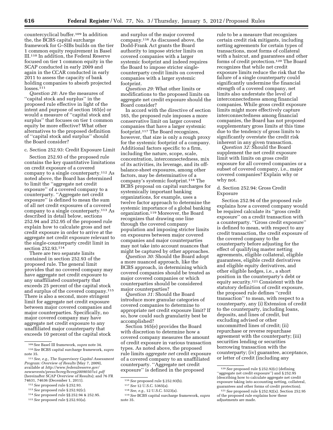countercyclical buffer.109 In addition the, the BCBS capital surcharge framework for G–SIBs builds on the tier 1 common equity requirement in Basel III.110 In addition, the Federal Reserve focused on tier 1 common equity in the SCAP conducted in early 2009 and again in the CCAR conducted in early 2011 to assess the capacity of bank holding companies to absorb projected losses.<sup>111</sup>

*Question 28:* Are the measures of ''capital stock and surplus'' in the proposed rule effective in light of the intent and purpose of section 165(e) or would a measure of ''capital stock and surplus'' that focuses on tier 1 common equity be more effective? What other alternatives to the proposed definition of ''capital stock and surplus'' should the Board consider?

c. Section 252.93: Credit Exposure Limit

Section 252.93 of the proposed rule contains the key quantitative limitations on credit exposure of a covered company to a single counterparty.112 As noted above, the Board has determined to limit the ''aggregate net credit exposure'' of a covered company to a counterparty. ''Aggregate net credit exposure'' is defined to mean the sum of all net credit exposures of a covered company to a single counterparty.113 As described in detail below, sections 252.94 and 252.95 of the proposed rule explain how to calculate gross and net credit exposure in order to arrive at the aggregate net credit exposure relevant to the single-counterparty credit limit in section 252.93.114

There are two separate limits contained in section 252.93 of the proposed rule. The general limit provides that no covered company may have aggregate net credit exposure to any unaffiliated counterparty that exceeds 25 percent of the capital stock and surplus of the covered company.115 There is also a second, more stringent limit for aggregate net credit exposure between major covered companies and major counterparties. Specifically, no major covered company may have aggregate net credit exposure to any unaffiliated major counterparty that exceeds 10 percent of the capital stock

and surplus of the major covered company.116 As discussed above, the Dodd-Frank Act grants the Board authority to impose stricter limits on covered companies with a larger systemic footprint and indeed requires the Board to impose stricter singlecounterparty credit limits on covered companies with a larger systemic footprint.

*Question 29:* What other limits or modifications to the proposed limits on aggregate net credit exposure should the Board consider?

In accord with the directive of section 165, the proposed rule imposes a more conservative limit on larger covered companies that have a larger systemic footprint.117 The Board recognizes, however, that size is only a rough proxy for the systemic footprint of a company. Additional factors specific to a firm, including the nature, scope, scale, concentration, interconnectedness, mix of its activities, its leverage, and its offbalance-sheet exposures, among other factors, may be determinative of a company's systemic footprint.118 The BCBS proposal on capital surcharges for systemically important banking organizations, for example, uses a twelve factor approach to determine the systemic importance of a global banking organization.119 Moreover, the Board recognizes that drawing one line through the covered company population and imposing stricter limits on exposures between major covered companies and major counterparties may not take into account nuances that might be captured by other approaches.

*Question 30:* Should the Board adopt a more nuanced approach, like the BCBS approach, in determining which covered companies should be treated as major covered companies or which counterparties should be considered major counterparties?

*Question 31:* Should the Board introduce more granular categories of covered companies to determine to appropriate net credit exposure limit? If so, how could such granularity best be accomplished?

Section 165(e) provides the Board with discretion to determine how a covered company measures the amount of credit exposure in various transaction types. As noted above, the proposed rule limits *aggregate net* credit exposure of a covered company to an unaffiliated counterparty. ''Aggregate net credit exposure'' is defined in the proposed

rule to be a measure that recognizes certain credit risk mitigants, including netting agreements for certain types of transactions, most forms of collateral with a haircut, and guarantees and other forms of credit protection.120 The Board recognizes that while net credit exposure limits reduce the risk that the failure of a single counterparty could significantly undermine the financial strength of a covered company, net limits also understate the level of interconnectedness among financial companies. While gross credit exposure limits might more effectively capture interconnectedness among financial companies, the Board has not proposed supplementary gross limits at this time due to the tendency of gross limits to significantly overstate the credit risk inherent in any given transaction.

*Question 32:* Should the Board supplement the net credit exposure limit with limits on gross credit exposure for all covered companies or a subset of covered company, i.e., major covered companies? Explain why or why not.

# d. Section 252.94: Gross Credit Exposure

Section 252.94 of the proposed rule explains how a covered company would be required calculate its ''gross credit exposure'' on a credit transaction with a counterparty. ''Gross credit exposure'' is defined to mean, with respect to any credit transaction, the credit exposure of the covered company to the counterparty before adjusting for the effect of qualifying master netting agreements, eligible collateral, eligible guarantees, eligible credit derivatives and eligible equity derivatives, and other eligible hedges, i.e., a short position in the counterparty's debt or equity security.121 Consistent with the statutory definition of credit exposure, the proposed rule defines ''credit transaction'' to mean, with respect to a counterparty, any (i) Extension of credit to the counterparty, including loans, deposits, and lines of credit, but excluding advised or other uncommitted lines of credit; (ii) repurchase or reverse repurchase agreement with the counterparty; (iii) securities lending or securities borrowing transaction with the counterparty; (iv) guarantee, acceptance, or letter of credit (including any

<sup>109</sup>See Basel III framework, *supra* note 34. 110*See* BCBS capital surcharge framework, *supra*  note 35.

<sup>111</sup>*See, e.g., The Supervisory Capital Assessment Program: Overview of Results* (May 7, 2009), available at *[http://www.federalreserve.gov/](http://www.federalreserve.gov/newsevents/press/bcreg/bcreg20090507a1.pdf)  [newsevents/press/bcreg/bcreg20090507a1.pdf](http://www.federalreserve.gov/newsevents/press/bcreg/bcreg20090507a1.pdf)*  (hereinafter SCAP Overview of Results); and 76 FR 74631, 74636 (December 1, 2011).

<sup>112</sup>*See* proposed rule § 252.93.

<sup>113</sup>*See* proposed rule § 252.92(c).

<sup>114</sup>*See* proposed rule §§ 252.94 & 252.95.

<sup>115</sup>*See* proposed rule § 252.93(a).

<sup>116</sup>*See* proposed rule § 252.93(b).

<sup>117</sup>*See* 12 U.S.C. 5365(a).

<sup>118</sup>*See, e.g.,* 12 U.S.C. 5323(a).

<sup>119</sup>*See* BCBS capital surcharge framework, *supra*  note 35.

<sup>120</sup>*See* proposed rule § 252.92(c) (defining ''aggregate net credit exposure'') and § 252.95 (describing how to calculate aggregate net credit exposure taking into accounting netting, collateral, guarantees and other forms of credit protection).

<sup>121</sup>*See* proposed rule § 252.92(x). Section 252.95 of the proposed rule explains how these adjustments are made.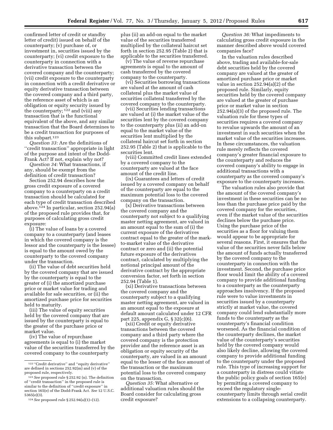confirmed letter of credit or standby letter of credit) issued on behalf of the counterparty; (v) purchase of, or investment in, securities issued by the counterparty; (vi) credit exposure to the counterparty in connection with a derivative transaction between the covered company and the counterparty; (vii) credit exposure to the counterparty in connection with a credit derivative or equity derivative transaction between the covered company and a third party, the reference asset of which is an obligation or equity security issued by the counterparty; 122 and (viii) any transaction that is the functional equivalent of the above, and any similar transaction that the Board determines to be a credit transaction for purposes of this subpart.123

*Question 33:* Are the definitions of ''credit transaction'' appropriate in light of the purpose and intent of the Dodd-Frank Act? If not, explain why not?

*Question 34:* What transactions, if any, should be exempt from the definition of credit transaction?

Section 252.94 describes how the gross credit exposure of a covered company to a counterparty on a credit transaction should be calculated for each type of credit transaction described above.124 In particular, section 252.94(a) of the proposed rule provides that, for purposes of calculating gross credit exposure:

(i) The value of loans by a covered company to a counterparty (and leases in which the covered company is the lessor and the counterparty is the lessee) is equal to the amount owed by the counterparty to the covered company under the transaction.

(ii) The value of debt securities held by the covered company that are issued by the counterparty is equal to the greater of (i) the amortized purchase price or market value for trading and available for sale securities, or (ii) the amortized purchase price for securities held to maturity.

(iii) The value of equity securities held by the covered company that are issued by the counterparty is equal to the greater of the purchase price or market value.

(iv) The value of repurchase agreements is equal to (i) the market value of the securities transferred by the covered company to the counterparty

plus (ii) an add-on equal to the market value of the securities transferred multiplied by the collateral haircut set forth in section 252.95 (Table 2) that is applicable to the securities transferred.

(v) The value of reverse repurchase agreements is equal to the amount of cash transferred by the covered company to the counterparty.

(vi) Securities borrowing transactions are valued at the amount of cash collateral plus the market value of securities collateral transferred by the covered company to the counterparty.

(vii) Securities lending transactions are valued at (i) the market value of the securities lent by the covered company to the counterparty plus (ii) an add-on equal to the market value of the securities lent multiplied by the collateral haircut set forth in section 252.95 (Table 2) that is applicable to the securities lent.

(viii) Committed credit lines extended by a covered company to the counterparty are valued at the face amount of the credit line.

(ix) Guarantees and letters of credit issued by a covered company on behalf of the counterparty are equal to the maximum potential loss to the covered company on the transaction.

(x) Derivative transactions between the covered company and the counterparty not subject to a qualifying master netting agreement, are valued in an amount equal to the sum of (i) the current exposure of the derivatives contract equal to the greater of the markto-market value of the derivative contract or zero and (ii) the potential future exposure of the derivatives contract, calculated by multiplying the notional principal amount of the derivative contract by the appropriate conversion factor, set forth in section 252.94 (Table 1).

(xi) Derivative transactions between the covered company and the counterparty subject to a qualifying master netting agreement, are valued in an amount equal to the exposure at default amount calculated under 12 CFR part 225, appendix G, § 32(c)(6).

(xii) Credit or equity derivative transactions between the covered company and a third party where the covered company is the protection provider and the reference asset is an obligation or equity security of the counterparty, are valued in an amount equal to the lesser of the face amount of the transaction or the maximum potential loss to the covered company on the transaction.

*Question 35:* What alternative or additional valuation rules should the Board consider for calculating gross credit exposure?

*Question 36:* What impediments to calculating gross credit exposure in the manner described above would covered companies face?

In the valuation rules described above, trading and available-for-sale debt securities held by the covered company are valued at the greater of amortized purchase price or market value in section 252.94(a)(2) of the proposed rule. Similarly, equity securities held by the covered company are valued at the greater of purchase price or market value in section 252.94(a)(3) of the proposed rule. The valuation rule for these types of securities requires a covered company to revalue upwards the amount of an investment in such securities when the market value of the securities increases. In these circumstances, the valuation rule merely reflects the covered company's greater financial exposure to the counterparty and reduces the covered company's ability to engage in additional transactions with a counterparty as the covered company's exposure to the counterparty increases.

The valuation rules also provide that the amount of the covered company's investment in these securities can be no less than the purchase price paid by the covered company for the securities, even if the market value of the securities declines below the purchase price. Using the purchase price of the securities as a floor for valuing them would appear to be appropriate for several reasons. First, it ensures that the value of the securities never falls below the amount of funds actually transferred by the covered company to the counterparty in connection with the investment. Second, the purchase price floor would limit the ability of a covered company to provide additional funding to a counterparty as the counterparty approaches insolvency. If the proposed rule were to value investments in securities issued by a counterparty strictly at market value, the covered company could lend substantially more funds to the counterparty as the counterparty's financial condition worsened. As the financial condition of the counterparty declines, the market value of the counterparty's securities held by the covered company would also likely decline, allowing the covered company to provide additional funding to the counterparty under the proposed rule. This type of increasing support for a counterparty in distress could vitiate the public policy goals of section 165(e) by permitting a covered company to exceed the regulatory singlecounterparty limits through serial credit extensions to a collapsing counterparty.

<sup>122</sup> ''Credit derivative'' and ''equity derivative'' are defined in sections 252.92(m) and (v) of the proposed rule, respectively.

<sup>123</sup>*See* proposed rule § 252.92 (n). The definition of ''credit transaction'' in the proposed rule is similar to the definition of ''credit exposure'' in section 165(e) of the Dodd-Frank Act. *See* 12 U.S.C. 5365(e)(3).

<sup>124</sup>*See* proposed rule § 252.94(a)(1)–(12).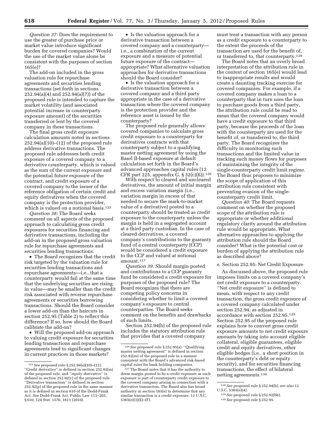*Question 37:* Does the requirement to use the greater of purchase price or market value introduce significant burden for covered companies? Would the use of the market value alone be consistent with the purposes of section 165(e)?

The add-on included in the gross valuation rule for repurchase agreements and securities lending transactions (set forth in sections 252.94(a)(4) and 252.94(a)(7)) of the proposed rule is intended to capture the market volatility (and associated potential increase in counterparty exposure amount) of the securities transferred or lent by the covered company in these transactions.

The final gross credit exposure calculation amounts noted in sections  $252.94(a)(10)–(12)$  of the proposed rule address derivative transactions. The proposed rule addresses both credit exposure of a covered company to a derivative counterparty, which is valued as the sum of the current exposure and the potential future exposure of the contract, and credit exposure of a covered company to the issuer of the reference obligation of certain credit and equity derivatives when the covered company is the protection provider, which is valued on a notional basis.125

*Question 38:* The Board seeks comment on all aspects of the proposed approach to calculating gross credit exposures for securities financing and derivative transactions, including the add-on in the proposed gross valuation rule for repurchase agreements and securities lending transactions.

• The Board recognizes that the credit risk targeted by the valuation rule for securities lending transactions and repurchase agreements—i.e., that a counterparty would fail at the same time that the underlying securities are rising in value—may be smaller than the credit risk associated with reverse repurchase agreements or securities borrowing transactions. Should the Board consider a lower add-on than the haircuts in section 252.95 (Table 2) to reflect this difference? If so, how should the Board calibrate the add-on?

• Will the proposed add-on approach to valuing credit exposure for securities lending transactions and repurchase agreements lead to significant changes in current practices in those markets?

• Is the valuation approach for a derivative transaction between a covered company and a counterparty i.e., a combination of the current exposure and a measure of potential future exposure of the contract appropriate? What alternative valuation approaches for derivative transactions should the Board consider?

• Is the valuation approach for a derivative transaction between a covered company and a third party appropriate in the case of a derivative transaction where the covered company is the protection provider and the reference asset is issued by the counterparty?

The proposed rule generally allows covered companies to calculate gross credit exposure to a counterparty for derivatives contracts with that counterparty subject to a qualifying master netting agreement by using the Basel II-based exposure at default calculation set forth in the Board's advanced approaches capital rules (12 CFR part 225, appendix  $G$ , § 32(c)(6)).<sup>126</sup>

With respect to cleared and uncleared derivatives, the amount of initial margin and excess variation margin (i.e., variation margin in excess of that needed to secure the mark-to-market value of a derivative) posted to a counterparty should be treated as credit exposure to the counterparty unless the margin is held in a segregated account at a third party custodian. In the case of cleared derivatives, a covered company's contributions to the guaranty fund of a central counterparty (CCP) would be considered a credit exposure to the CCP and valued at notional amount.127

*Question 39:* Should margin posted and contributions to a CCP guaranty fund be considered a credit exposure for purposes of the proposed rule? The Board recognizes that there are competing policy concerns in considering whether to limit a covered company's exposure to central counterparties. The Board seeks comment on the benefits and drawbacks of such limits.

Section 252.94(b) of the proposed rule includes the statutory attribution rule that provides that a covered company

must treat a transaction with any person as a credit exposure to a counterparty to the extent the proceeds of the transaction are used for the benefit of, or transferred to, that counterparty.128

The Board notes that an overly broad interpretation of the attribution rule in the context of section 165(e) would lead to inappropriate results and would create a daunting tracking exercise for covered companies. For example, if a covered company makes a loan to a counterparty that in turn uses the loan to purchase goods from a third party, the attribution rule could be read to mean that the covered company would have a credit exposure to that third party, because the proceeds of the loan with the counterparty are used for the benefit of, or transferred to, the third party. The Board recognizes the difficulty in monitoring such transactions and the limited value in tracking such money flows for purposes of maintaining the integrity of the single-counterparty credit limit regime. The Board thus proposes to minimize the scope of application of this attribution rule consistent with preventing evasion of the singlecounterparty credit limit.

*Question 40:* The Board requests comment on whether the proposed scope of the attribution rule is appropriate or whether additional regulatory clarity around the attribution rule would be appropriate. What alternative approaches to applying the attribution rule should the Board consider? What is the potential cost or burden of applying the attribution rule as described above?

# e. Section 252.95: Net Credit Exposure

As discussed above, the proposed rule imposes limits on a covered company's net credit exposure to a counterparty. ''Net credit exposure'' is defined to mean, with respect to any credit transaction, the gross credit exposure of a covered company calculated under section 252.94, as adjusted in accordance with section 252.95.129 Section 252.95 of the proposed rule explains how to convert gross credit exposure amounts to net credit exposure amounts by taking into account eligible collateral, eligible guarantees, eligible credit and equity derivatives, other eligible hedges (i.e., a short position in the counterparty's debt or equity security), and for securities financing transactions, the effect of bilateral netting agreements.130

<sup>125</sup>*See* proposed rule § 252.94(a)(10)–(12). ''Credit derivative'' is defined in section 252.92(m) of the proposed rule, and ''equity derivative'' is defined in section 252.92(v) of the proposed rule. ''Derivative transaction'' is defined in section 252.92(p) of the proposed rule in the same manner as it is defined in section 610 of the Dodd-Frank Act. *See* Dodd-Frank Act, Public Law 111–203, § 610, 124 Stat. 1376, 1611 (2010).

<sup>126</sup>*See* proposed rule § 252.95(a). ''Qualifying master netting agreement'' is defined in section 252.92(ee) of the proposed rule in a manner consistent with the Board's advanced risk-based capital rules for bank holding companies.

<sup>127</sup>The Board notes that it has the authority to deem margin posted to be a credit exposure as such exposure is part of counterparty credit exposure to the covered company arising in connection with a derivative transaction. The Board also has broad authority in section 165(e) to determine that any similar transaction is a credit exposure. 12 U.S.C. 5365(e)(3)(E)–(F).

<sup>128</sup>*See* proposed rule § 252.94(b); *see also* 12 U.S.C. 5365(e)(4).

<sup>129</sup>*See* proposed rule § 252.92(bb). 130*See* proposed rule § 252.95.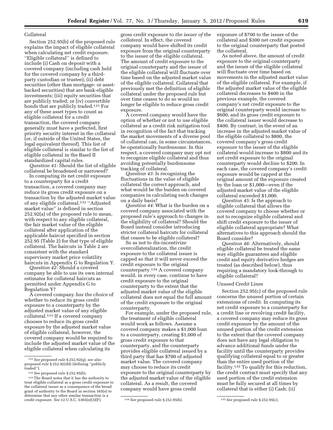# Collateral

Section 252.95(b) of the proposed rule explains the impact of eligible collateral when calculating net credit exposure. ''Eligible collateral'' is defined to include (i) Cash on deposit with a covered company (including cash held for the covered company by a thirdparty custodian or trustee); (ii) debt securities (other than mortgage- or assetbacked securities) that are bank-eligible investments; (iii) equity securities that are publicly traded; or (iv) convertible bonds that are publicly traded.131 For any of these asset types to count as eligible collateral for a credit transaction, the covered company generally must have a perfected, first priority security interest in the collateral (or, if outside of the United States, the legal equivalent thereof). This list of eligible collateral is similar to the list of eligible collateral in the Basel II standardized capital rules.

*Question 41:* Should the list of eligible collateral be broadened or narrowed?

In computing its net credit exposure to a counterparty for a credit transaction, a covered company may reduce its gross credit exposure on a transaction by the adjusted market value of any eligible collateral.132 ''Adjusted market value'' is defined in section 252.92(a) of the proposed rule to mean, with respect to any eligible collateral, the fair market value of the eligible collateral after application of the applicable haircut specified in section 252.95 (Table 2) for that type of eligible collateral. The haircuts in Table 2 are consistent with the standard supervisory market price volatility haircuts in Appendix G to Regulation Y.

*Question 42:* Should a covered company be able to use its own internal estimates for collateral haircuts as permitted under Appendix G to Regulation Y?

A covered company *has the choice* of whether to reduce its gross credit exposure to a counterparty by the adjusted market value of any eligible collateral.133 If a covered company chooses to reduce its gross credit exposure by the adjusted market value of eligible collateral, however, the covered company would be required to include the adjusted market value of the eligible collateral when calculating its

gross credit exposure to *the issuer of the collateral.* In effect, the covered company would have shifted its credit exposure from the original counterparty to the issuer of the eligible collateral. The amount of credit exposure to the original counterparty and the issuer of the eligible collateral will fluctuate over time based on the adjusted market value of the eligible collateral. Collateral that previously met the definition of eligible collateral under the proposed rule but over time ceases to do so would no longer be eligible to reduce gross credit exposure.

A covered company would have the option of whether or not to use eligible collateral as a credit risk mitigation tool in recognition of the fact that tracking the market movements of a diverse pool of collateral can, in some circumstances, be operationally burdensome. In this respect, a covered company may opt not to recognize eligible collateral and thus avoiding potentially burdensome tracking of collateral.

*Question 43:* Is recognizing the fluctuations in the value of eligible collateral the correct approach, and what would be the burden on covered companies in calculating such changes on a daily basis?

*Question 44:* What is the burden on a covered company associated with the proposed rule's approach to changes in the eligibility of collateral? Should the Board instead consider introducing stricter collateral haircuts for collateral that ceases to be eligible collateral?

So as not to dis-incentivize overcollateralization, the credit exposure to the collateral issuer is capped so that it will never exceed the credit exposure to the original counterparty.134 A covered company would, in every case, continue to have credit exposure to the original counterparty to the extent that the adjusted market value of the eligible collateral does not equal the full amount of the credit exposure to the original counterparty.

For example, under the proposed rule, the treatment of eligible collateral would work as follows. Assume a covered company makes a \$1,000 loan to a counterparty, creating \$1,000 of gross credit exposure to that counterparty, and the counterparty provides eligible collateral issued by a third party that has \$700 of adjusted market value. The covered company may choose to reduce its credit exposure to the original counterparty by the adjusted market value of the eligible collateral. As a result, the covered company would have gross credit

exposure of \$700 to the issuer of the collateral and \$300 net credit exposure to the original counterparty that posted the collateral.

As noted above, the amount of credit exposure to the original counterparty and the issuer of the eligible collateral will fluctuate over time based on movements in the adjusted market value of the eligible collateral. For example, if the adjusted market value of the eligible collateral decreases to \$400 in the previous example, the covered company's net credit exposure to the original counterparty would increase to \$600, and its gross credit exposure to the collateral issuer would decrease to \$400. By contrast, in the event of an increase in the adjusted market value of the eligible collateral to \$800, the covered company's gross credit exposure to the issuer of the eligible collateral would increase to \$800 and its net credit exposure to the original counterparty would decline to \$200. In each case, the covered company's credit exposure would be capped at the original amount of the exposure created by the loan or \$1,000—even if the adjusted market value of the eligible collateral exceeded \$1,000.

*Question 45:* Is the approach to eligible collateral that allows the covered company to choose whether or not to recognize eligible collateral and shift credit exposure to the issuer of eligible collateral appropriate? What alternatives to this approach should the Board consider?

*Question 46:* Alternatively, should eligible collateral be treated the same way eligible guarantees and eligible credit and equity derivative hedges are treated (as described below), thus requiring a mandatory look-through to eligible collateral?

# Unused Credit Lines

Section 252.95(c) of the proposed rule concerns the unused portion of certain extensions of credit. In computing its net credit exposure to a counterparty for a credit line or revolving credit facility, a covered company may reduce its gross credit exposure by the amount of the unused portion of the credit extension to the extent that the covered company does not have any legal obligation to advance additional funds under the facility until the counterparty provides qualifying collateral equal to or greater than the entire used portion of the facility.135 To qualify for this reduction, the credit contract must specify that any used portion of the credit extension must be fully secured at all times by collateral that is either (i) Cash; (ii)

<sup>131</sup>*See* proposed rule § 252.92(q); *see also*  proposed rule § 252.92(dd) (defining ''publicly traded'').

<sup>132</sup>*See* proposed rule § 252.95(b).

<sup>133</sup>The Board notes that it has the authority to treat eligible collateral as a gross credit exposure to the collateral issuer as a consequence of the broad grant of authority to the Board in section 165(e) to determine that any other similar transaction is a credit exposure. *See* 12 U.S.C. 5365(e)(3)(F). 134*See* proposed rule § 252.95(b). 135*See* proposed rule § 252.95(c).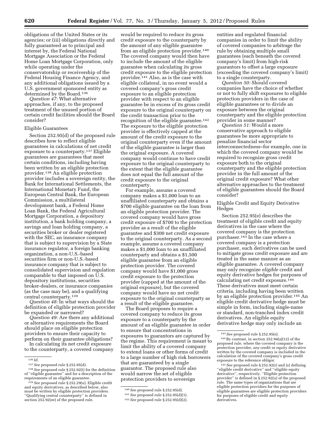obligations of the United States or its agencies; or (iii) obligations directly and fully guaranteed as to principal and interest by, the Federal National Mortgage Association or the Federal Home Loan Mortgage Corporation, only while operating under the conservatorship or receivership of the Federal Housing Finance Agency, and any additional obligations issued by a U.S. government sponsored entity as determined by the Board.136

*Question 47:* What alternative approaches, if any, to the proposed treatment of the unused portion of certain credit facilities should the Board consider?

#### Eligible Guarantees

Section 252.95(d) of the proposed rule describes how to reflect eligible guarantees in calculations of net credit exposure to a counterparty.137 Eligible guarantees are guarantees that meet certain conditions, including having been written by an eligible protection provider.138 An eligible protection provider includes a sovereign entity, the Bank for International Settlements, the International Monetary Fund, the European Central Bank, the European Commission, a multilateral development bank, a Federal Home Loan Bank, the Federal Agricultural Mortgage Corporation, a depository institution, a bank holding company, a savings and loan holding company, a securities broker or dealer registered with the SEC, an insurance company that is subject to supervision by a State insurance regulator, a foreign banking organization, a non-U.S.-based securities firm or non-U.S.-based insurance company that is subject to consolidated supervision and regulation comparable to that imposed on U.S. depository institutions, securities broker-dealers, or insurance companies (as the case may be), and a qualifying central counterparty.139

*Question 48:* In what ways should the definition of eligible protection provider be expanded or narrowed?

*Question 49:* Are there any additional or alternative requirements the Board should place on eligible protection providers to ensure their capacity to perform on their guarantee obligations?

In calculating its net credit exposure to the counterparty, a covered company

would be required to reduce its gross credit exposure to the counterparty by the amount of any eligible guarantee from an eligible protection provider.140 The covered company would then have to include the amount of the eligible guarantee when calculating its gross credit exposure to the eligible protection provider.141 Also, as is the case with eligible collateral, in no event would a covered company's gross credit exposure to an eligible protection provider with respect to an eligible guarantee be in excess of its gross credit exposure to the original counterparty on the credit transaction prior to the recognition of the eligible guarantee.142 The exposure to the eligible protection provider is effectively capped at the amount of the credit exposure to the original counterparty even if the amount of the eligible guarantee is larger than the original exposure. A covered company would continue to have credit exposure to the original counterparty to the extent that the eligible guarantee does not equal the full amount of the credit exposure to the original counterparty.

For example, assume a covered company makes a \$1,000 loan to an unaffiliated counterparty and obtains a \$700 eligible guarantee on the loan from an eligible protection provider. The covered company would have gross credit exposure of \$700 to the protection provider as a result of the eligible guarantee and \$300 net credit exposure to the original counterparty. As a second example, assume a covered company makes a \$1,000 loan to an unaffiliated counterparty and obtains a \$1,500 eligible guarantee from an eligible protection provider. The covered company would have \$1,000 gross credit exposure to the protection provider (capped at the amount of the original exposure), but the covered company would have no net credit exposure to the original counterparty as a result of the eligible guarantee.

The Board proposes to require a covered company to reduce its gross exposure to a counterparty by the amount of an eligible guarantee in order to ensure that concentrations in exposures to guarantors are captured by the regime. This requirement is meant to limit the ability of a covered company to extend loans or other forms of credit to a large number of high risk borrowers that are guaranteed by a single guarantor. The proposed rule also would narrow the set of eligible protection providers to sovereign

entities and regulated financial companies in order to limit the ability of covered companies to arbitrage the rule by obtaining multiple small guarantees (each beneath the covered company's limit) from high-risk guarantors to offset a large exposure (exceeding the covered company's limit) to a single counterparty.

*Question 50:* Should covered companies have the choice of whether or not to fully shift exposures to eligible protection providers in the case of eligible guarantees or to divide an exposure between the original counterparty and the eligible protection provider in some manner?

*Question 51:* Would a more conservative approach to eligible guarantees be more appropriate to penalize financial sector interconnectedness–for example, one in which the covered company would be required to recognize gross credit exposure both to the original counterparty and the eligible protection provider in the full amount of the original credit exposure? What other alternative approaches to the treatment of eligible guarantees should the Board consider?

# Eligible Credit and Equity Derivative Hedges

Section 252.95(e) describes the treatment of eligible credit and equity derivatives in the case where the covered company is the protection purchaser.143 In the case where a covered company is a protection purchaser, such derivatives can be used to mitigate gross credit exposure and are treated in the same manner as an eligible guarantee. A covered company may only recognize *eligible* credit and equity derivative hedges for purposes of calculating net credit exposure.144 These derivatives must meet certain criteria, including having been written by an eligible protection provider.145 An eligible credit derivative hedge must be simple in form, including single-name or standard, non-tranched index credit derivatives. An eligible equity derivative hedge may only include an

<sup>136</sup> *Id.* 

<sup>137</sup>*See* proposed rule § 252.95(d). 138*See* proposed rule § 252.92(t) for the definition of ''eligible guarantee'' and for a description of the

<sup>&</sup>lt;sup>139</sup> See proposed rule § 252.29(u). Eligible credit and equity derivatives, as described below, also must be written by eligible protection providers. ''Qualifying central counterparty'' is defined in section 252.92(ee) of the proposed rule.

<sup>140</sup>*See* proposed rule § 252.95(d).

<sup>141</sup>*See* proposed rule § 252.95(d)(1).

<sup>142</sup>*See* proposed rule § 252.95(d)(2).

<sup>143</sup>*See* proposed rule § 252.95(e).

<sup>144</sup>By contrast, in section 252.94(a)(12) of the proposed rule, where the covered company is the protection provider, *any* credit or equity derivative written by the covered company is included in the calculation of the covered company's gross credit exposure to the reference obligor.

<sup>145</sup>*See* proposed rule § 252.92(r) and (s) defining ''eligible credit derivative'' and ''eligible equity derivative'', respectively. ''Eligible protection provider" is defined in § 252.92(u) of the proposed rule. The same types of organizations that are eligible protection providers for the purposes of eligible guarantees are eligible protection providers for purposes of eligible credit and equity derivatives.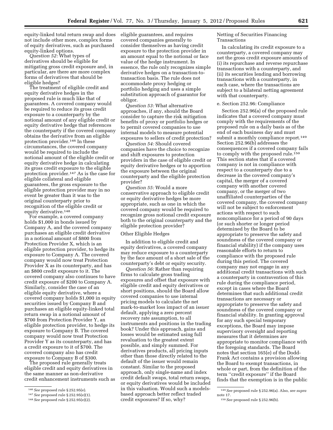equity-linked total return swap and does not include other more, complex forms of equity derivatives, such as purchased equity-linked options.

*Question 52:* What types of derivatives should be eligible for mitigating gross credit exposure and, in particular, are there are more complex forms of derivatives that should be eligible hedges?

The treatment of eligible credit and equity derivative hedges in the proposed rule is much like that of guarantees. A covered company would be required to reduce its gross credit exposure to a counterparty by the notional amount of any eligible credit or equity derivative hedge that references the counterparty if the covered company obtains the derivative from an eligible protection provider.146 In these circumstances, the covered company would be required to include the notional amount of the eligible credit or equity derivative hedge in calculating its gross credit exposure to the eligible protection provider.147 As is the case for eligible collateral and eligible guarantees, the gross exposure to the eligible protection provider may in no event be greater than it was to the original counterparty prior to recognition of the eligible credit or equity derivative.148

For example, a covered company holds \$1,000 in bonds issued by Company A, and the covered company purchases an eligible credit derivative in a notional amount of \$800 from Protection Provider X, which is an eligible protection provider, to hedge its exposure to Company A. The covered company would now treat Protection Provider X as its counterparty, and has an \$800 credit exposure to it. The covered company also continues to have credit exposure of \$200 to Company A. Similarly, consider the case of an eligible equity derivative, where a covered company holds \$1,000 in equity securities issued by Company B and purchases an eligible equity-linked total return swap in a notional amount of \$700 from Protection Provider Y, an eligible protection provider, to hedge its exposure to Company B. The covered company would now treat Protection Provider Y as its counterparty, and has a credit exposure to it of \$700. The covered company also has credit exposure to Company B of \$300.

The proposed rule generally treats eligible credit and equity derivatives in the same manner as non-derivative credit enhancement instruments such as eligible guarantees, and requires covered companies generally to consider themselves as having credit exposure to the protection provider in an amount equal to the notional or face value of the hedge instrument. In essence, the rule only recognizes simple derivative hedges on a transaction-totransaction basis. The rule does not accommodate proxy hedging or portfolio hedging and uses a simple substitution approach of guarantor for obligor.

*Question 53:* What alternative approaches, if any, should the Board consider to capture the risk mitigation benefits of proxy or portfolio hedges or to permit covered companies to use internal models to measure potential exposures to sellers of credit protection?

*Question 54:* Should covered companies have the choice to recognize and shift exposures to protection providers in the case of eligible credit or equity derivative hedges or to apportion the exposure between the original counterparty and the eligible protection provider?

*Question 55:* Would a more conservative approach to eligible credit or equity derivative hedges be more appropriate, such as one in which the covered company would be required to recognize gross notional credit exposure both to the original counterparty and the eligible protection provider?

# Other Eligible Hedges

In addition to eligible credit and equity derivatives, a covered company may reduce exposure to a counterparty by the face amount of a short sale of the counterparty's debt or equity security.

*Question 56:* Rather than requiring firms to calculate gross trading exposures and offset that exposure with eligible credit and equity derivatives or short positions, should the Board allow covered companies to use internal pricing models to calculate the net mark-to-market loss impact of an issuer default, applying a zero percent recovery rate assumption, to all instruments and positions in the trading book? Under this approach, gains and losses would be estimated using full revaluation to the greatest extent possible, and simply summed. For derivatives products, all pricing inputs other than those directly related to the default of the issuer would remain constant. Similar to the proposed approach, only single-name and index credit default swaps, total return swaps, or equity derivatives would be included in this valuation. Would such a modelsbased approach better reflect traded credit exposures? If so, why?

Netting of Securities Financing Transactions

In calculating its credit exposure to a counterparty, a covered company may net the gross credit exposure amounts of (i) its repurchase and reverse repurchase transactions with a counterparty, and (ii) its securities lending and borrowing transactions with a counterparty, in each case, where the transactions are subject to a bilateral netting agreement with that counterparty.

#### e. Section 252.96: Compliance

Section 252.96(a) of the proposed rule indicates that a covered company must comply with the requirements of the proposed rule on a daily basis as of the end of each business day and must submit a monthly compliance report.<sup>149</sup> Section 252.96(b) addresses the consequences if a covered company fails to comply with the proposed rule.<sup>150</sup> This section states that if a covered company is not in compliance with respect to a counterparty due to a decrease in the covered company's capital, the merger of a covered company with another covered company, or the merger of two unaffiliated counterparties of the covered company, the covered company will not be subject to enforcement actions with respect to such noncompliance for a period of 90 days (or such shorter or longer period determined by the Board to be appropriate to preserve the safety and soundness of the covered company or financial stability) if the company uses reasonable efforts to return to compliance with the proposed rule during this period. The covered company may not engage in any additional credit transactions with such a counterparty in contravention of this rule during the compliance period, except in cases where the Board determines that such additional credit transactions are necessary or appropriate to preserve the safety and soundness of the covered company or financial stability. In granting approval for any such special temporary exceptions, the Board may impose supervisory oversight and reporting measures that it determines are appropriate to monitor compliance with the foregoing standards. The Board notes that section 165(e) of the Dodd-Frank Act contains a provision allowing the Board to exempt transactions, in whole or part, from the definition of the term ''credit exposure'' if the Board finds that the exemption is in the public

<sup>146</sup>*See* proposed rule § 252.95(e).

<sup>147</sup>*See* proposed rule § 252.95(e)(1).

<sup>148</sup>*See* proposed rule § 252.95(e)(2).

<sup>149</sup>*See* proposed rule § 252.96(a). Also, *see supra*  note 17.

<sup>150</sup>*See* proposed rule § 252.96(b).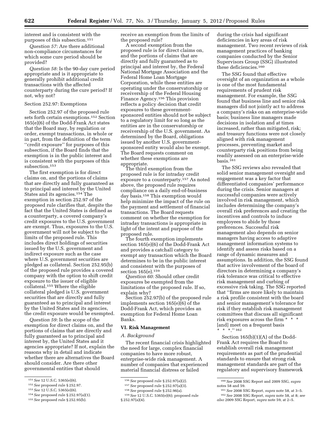interest and is consistent with the purposes of this subsection.151

*Question 57:* Are there additional non-compliance circumstances for which some cure period should be provided?

*Question 58:* Is the 90-day cure period appropriate and is it appropriate to generally prohibit additional credit transactions with the affected counterparty during the cure period? If not, why not?

#### Section 252.97: Exemptions

Section 252.97 of the proposed rule sets forth certain exemptions.152 Section 165(e)(6) of the Dodd-Frank Act states that the Board may, by regulation or order, exempt transactions, in whole or in part, from the definition of the term ''credit exposure'' for purposes of this subsection, if the Board finds that the exemption is in the public interest and is consistent with the purposes of this subsection.153

The first exemption is for direct claims on, and the portions of claims that are directly and fully guaranteed as to principal and interest by the United States and its agencies.154 The exemption in section 252.97 of the proposed rule clarifies that, despite the fact that the United States is defined as a counterparty, a covered company's credit exposures to the U.S. government are exempt. Thus, exposures to the U.S. government will not be subject to the limits of the proposed rule. This includes direct holdings of securities issued by the U.S. government and indirect exposure such as the case where U.S. government securities are pledged as collateral. Section 252.95(b) of the proposed rule provides a covered company with the option to shift credit exposure to the issuer of eligible collateral.155 Where the eligible collateral pledged is U.S. government securities that are directly and fully guaranteed as to principal and interest by the United States and its agencies, the credit exposure would be exempted.

*Question 59:* Is the scope of the exemption for direct claims on, and the portions of claims that are directly and fully guaranteed as to principal and interest by, the United States and it agencies appropriate? If not, explain the reasons why in detail and indicate whether there are alternatives the Board should consider. Are there other governmental entities that should

153*See* 12 U.S.C. 5365(e)(6).

receive an exemption from the limits of the proposed rule?

A second exemption from the proposed rule is for direct claims on, and the portions of claims that are directly and fully guaranteed as to principal and interest by, the Federal National Mortgage Association and the Federal Home Loan Mortgage Corporation, while these entities are operating under the conservatorship or receivership of the Federal Housing Finance Agency.156 This provision reflects a policy decision that credit exposures to these governmentsponsored entities should not be subject to a regulatory limit for so long as the entities are in the conservatorship or receivership of the U.S. government. As determined by the Board, obligations issued by another U.S. governmentsponsored entity would also be exempt. The Board requests comment on whether these exemptions are appropriate.

The third exemption from the proposed rule is for intraday credit exposure to a counterparty.157 As noted above, the proposed rule requires compliance on a daily end-of-business day basis.158 This exemption would help minimize the impact of the rule on the payment and settlement of financial transactions. The Board requests comment on whether the exemption for intraday transactions is appropriate in light of the intent and purpose of the proposed rule.

The fourth exemption implements section 165(e)(6) of the Dodd-Frank Act and provides a catchall category to exempt any transaction which the Board determines to be in the public interest and consistent with the purposes of section 165(e).159

*Question 60:* Should other credit exposures be exempted from the limitations of the proposed rule. If so, explain why?

Section 252.97(b) of the proposed rule implements section 165(e)(6) of the Dodd-Frank Act, which provides an exemption for Federal Home Loan Banks.

# **VI. Risk Management**

#### *A. Background*

The recent financial crisis highlighted the need for large, complex financial companies to have more robust, enterprise-wide risk management. A number of companies that experienced material financial distress or failed

during the crisis had significant deficiencies in key areas of risk management. Two recent reviews of risk management practices of banking companies conducted by the Senior Supervisors Group (SSG) illustrated these deficiencies.160

The SSG found that effective oversight of an organization as a whole is one of the most fundamental requirements of prudent risk management. For example, the SSG found that business line and senior risk managers did not jointly act to address a company's risks on an enterprise-wide basis; business line managers made decisions in isolation and at times increased, rather than mitigated, risk; and treasury functions were not closely aligned with risk management processes, preventing market and counterparty risk positions from being readily assessed on an enterprise-wide  $basis.<sup>161</sup>$ 

The SSG reviews also revealed that solid senior management oversight and engagement was a key factor that differentiated companies' performance during the crisis. Senior managers at successful companies were actively involved in risk management, which includes determining the company's overall risk preferences and creating the incentives and controls to induce employees to abide by those preferences. Successful risk management also depends on senior managers having access to adaptive management information systems to identify and assess risks based on a range of dynamic measures and assumptions. In addition, the SSG found that active involvement of the board of directors in determining a company's risk tolerance was critical to effective risk management and curbing of excessive risk taking. The SSG reported that ''firms are more likely to maintain a risk profile consistent with the board and senior management's tolerance for risk if they establish risk management committees that discuss all significant risk exposures across the firm \* \* \* [and] meet on a frequent basis \* \* \*.'' 162

Section 165(b)(1)(A) of the Dodd-Frank Act requires the Board to establish overall risk management requirements as part of the prudential standards to ensure that strong risk management standards are part of the regulatory and supervisory framework

<sup>151</sup>*See* 12 U.S.C. 5365(e)(6).

<sup>152</sup>*See* proposed rule § 252.97.

<sup>154</sup>*See* proposed rule § 252.97(a)(1).

<sup>155</sup>*See* proposed rule § 252.95(b).

<sup>156</sup>*See* proposed rule § 252.97(a)(2).

<sup>157</sup>*See* proposed rule § 252.97(a)(3).

<sup>158</sup>*See* proposed rule § 252.96(a).

<sup>159</sup>*See* 12 U.S.C. 5365(e)(6); proposed rule § 252.97(a)(4).

<sup>160</sup>*See* 2008 SSG Report and 2009 SSG, *supra*  notes 58 and 59.

<sup>161</sup>*See* 2008 SSG Report, *supra* note 58, at 3–5. 162*See* 2008 SSG Report, *supra* note 58, at 8; *see also* 2009 SSG Report, *supra* note 59, at 2–5.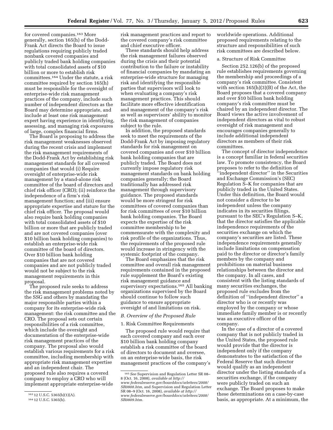for covered companies.163 More generally, section 165(h) of the Dodd-Frank Act directs the Board to issue regulations requiring publicly traded nonbank covered companies and publicly traded bank holding companies with total consolidated assets of \$10 billion or more to establish risk committees.164 Under the statute, a risk committee required by section 165(h) must be responsible for the oversight of enterprise-wide risk management practices of the company, include such number of independent directors as the Board may determine appropriate, and include at least one risk management expert having experience in identifying, assessing, and managing risk exposures of large, complex financial firms.

The Board is proposing to address the risk management weaknesses observed during the recent crisis and implement the risk management requirements of the Dodd-Frank Act by establishing risk management standards for all covered companies that would (i) Require oversight of enterprise-wide risk management by a stand-alone risk committee of the board of directors and chief risk officer (CRO); (ii) reinforce the independence of a firm's risk management function; and (iii) ensure appropriate expertise and stature for the chief risk officer. The proposal would also require bank holding companies with total consolidated assets of \$10 billion or more that are publicly traded and are not covered companies (over \$10 billion bank holding companies) to establish an enterprise-wide risk committee of the board of directors. Over \$10 billion bank holding companies that are not covered companies and are not publicly traded would not be subject to the risk management requirements in this proposal.

The proposed rule seeks to address the risk management problems noted by the SSG and others by mandating the major responsible parties within a company for its enterprise-wide risk management: the risk committee and the CRO. The proposal sets out certain responsibilities of a risk committee, which include the oversight and documentation of the enterprise-wide risk management practices of the company. The proposal also would establish various requirements for a risk committee, including membership with appropriate risk management expertise and an independent chair. The proposed rule also requires a covered company to employ a CRO who will implement appropriate enterprise-wide

risk management practices and report to the covered company's risk committee and chief executive officer.

These standards should help address the risk management failures observed during the crisis and their potential contribution to the failure or instability of financial companies by mandating an enterprise-wide structure for managing risk and identifying the responsible parties that supervisors will look to when evaluating a company's risk management practices. This should facilitate more effective identification and management of the company's risk as well as supervisors' ability to monitor the risk management of companies subject to the rule.

In addition, the proposed standards seek to meet the requirements of the Dodd-Frank Act by imposing regulatory standards for risk management on covered companies and over \$10 billion bank holding companies that are publicly traded. The Board does not currently impose regulatory risk management standards on bank holding companies generally; the Board traditionally has addressed risk management through supervisory guidance. The proposed standards would be more stringent for risk committees of covered companies than for risk committees of over \$10 billion bank holding companies. The Board expects the expertise of the risk committee membership to be commensurate with the complexity and risk profile of the organizations. Thus, the requirements of the proposed rule would increase in stringency with the systemic footprint of the company.

The Board emphasizes that the risk committee and overall risk management requirements contained in the proposed rule supplement the Board's existing risk management guidance and supervisory expectations.165 All banking organizations supervised by the Board should continue to follow such guidance to ensure appropriate oversight of and limitations on risk.

# *B. Overview of the Proposed Rule*

#### 1. Risk Committee Requirements

The proposed rule would require that each covered company and each over \$10 billion bank holding company establish a risk committee of the board of directors to document and oversee, on an enterprise-wide basis, the risk management practices of the company's worldwide operations. Additional proposed requirements relating to the structure and responsibilities of such risk committees are described below.

# a. Structure of Risk Committee

Section 252.126(b) of the proposed rule establishes requirements governing the membership and proceedings of a company's risk committee. Consistent with section 165(h)(3)(B) of the Act, the Board proposes that a covered company and over \$10 billion bank holding company's risk committee must be chaired by an independent director. The Board views the active involvement of independent directors as vital to robust oversight of risk management and encourages companies generally to include additional independent directors as members of their risk committees.

The concept of director independence is a concept familiar in federal securities law. To promote consistency, the Board proposes to refer to the definition of ''independent director'' in the Securities and Exchange Commission's (SEC) Regulation S–K for companies that are publicly traded in the United States. Under this definition, the Board would not consider a director to be independent unless the company indicates in its securities filings, pursuant to the SEC's Regulation S–K, that the director satisfies the applicable independence requirements of the securities exchange on which the company's securities are listed. These independence requirements generally include limitations on compensation paid to the director or director's family members by the company and prohibitions on material business relationships between the director and the company. In all cases, and consistent with the listing standards of many securities exchanges, the proposed rule excludes from the definition of ''independent director'' a director who is or recently was employed by the company or whose immediate family member is or recently was an executive officer of the company.

In the case of a director of a covered company that is not publicly traded in the United States, the proposed rule would provide that the director is independent only if the company demonstrates to the satisfaction of the Federal Reserve that such director would qualify as an independent director under the listing standards of a securities exchange, if the company were publicly traded on such an exchange. The Board proposes to make these determinations on a case-by-case basis, as appropriate. At a minimum, the

 $\overline{163}$  12 U.S.C. 5365(b)(1)(A).

<sup>164</sup> 12 U.S.C. 5365(h).

<sup>165</sup>*See* Supervision and Regulation Letter SR 08– 8 (Oct. 16, 2008), *available at [http://](http://www.federalreserve.gov/boarddocs/srletters/2008/SR0808.htm)  [www.federalreserve.gov/boarddocs/srletters/2008/](http://www.federalreserve.gov/boarddocs/srletters/2008/SR0808.htm)* 

*[SR0808.htm,](http://www.federalreserve.gov/boarddocs/srletters/2008/SR0808.htm)* and Supervision and Regulation Letter SR 08–9 (Oct. 16, 2008), *available at [http://](http://www.federalreserve.gov/boarddocs/srletters/2008/SR0809.htm) [www.federalreserve.gov/boarddocs/srletters/2008/](http://www.federalreserve.gov/boarddocs/srletters/2008/SR0809.htm) [SR0809.htm.](http://www.federalreserve.gov/boarddocs/srletters/2008/SR0809.htm)*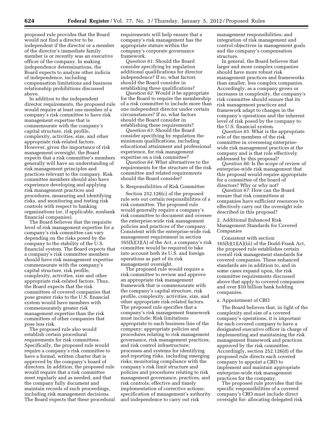proposed rule provides that the Board would not find a director to be independent if the director or a member of the director's immediate family member is or recently was an executive officer of the company. In making independence determinations, the Board expects to analyze other indicia of independence, including compensation limitations and business relationship prohibitions discussed above.

In addition to the independent director requirements, the proposed rule would require at least one member of a company's risk committee to have risk management expertise that is commensurate with the company's capital structure, risk profile, complexity, activities, size, and other appropriate risk-related factors. However, given the importance of risk management oversight, the Board expects that a risk committee's members generally will have an understanding of risk management principles and practices relevant to the company. Risk committee members should also have experience developing and applying risk management practices and procedures, measuring and identifying risks, and monitoring and testing risk controls with respect to banking organizations (or, if applicable, nonbank financial companies).

The Board believes that the requisite level of risk management expertise for a company's risk committee can vary depending on the risks posed by the company to the stability of the U.S. financial system. The Board expects that a company's risk committee members should have risk management expertise commensurate with the company's capital structure, risk profile, complexity, activities, size and other appropriate risk-related factors. Thus, the Board expects that the risk committees of covered companies that pose greater risks to the U.S. financial system would have members with commensurately greater risk management expertise than the risk committees of other companies that pose less risk.

The proposed rule also would establish certain procedural requirements for risk committees. Specifically, the proposed rule would require a company's risk committee to have a formal, written charter that is approved by the company's board of directors. In addition, the proposed rule would require that a risk committee meet regularly and as needed, and that the company fully document and maintain records of such proceedings, including risk management decisions. The Board expects that these procedural requirements will help ensure that a company's risk management has the appropriate stature within the company's corporate governance framework.

*Question 61:* Should the Board consider specifying by regulation additional qualifications for director independence? If so, what factors should the Board consider in establishing these qualifications?

*Question 62:* Would it be appropriate for the Board to require the membership of a risk committee to include more than one independent director under certain circumstances? If so, what factors should the Board consider in establishing these requirements?

*Question 63:* Should the Board consider specifying by regulation the minimum qualifications, including educational attainment and professional experience, for risk management expertise on a risk committee?

*Question 64:* What alternatives to the requirements for the structure of the risk committee and related requirements should the Board consider?

#### b. Responsibilities of Risk Committee

Section 252.126(c) of the proposed rule sets out certain responsibilities of a risk committee. The proposed rule would generally require a company's risk committee to document and oversee the enterprise-wide risk management policies and practices of the company. Consistent with the enterprise-wide risk management requirement in section  $165(h)(3)(A)$  of the Act, a company's risk committee would be required to take into account both its U.S. and foreign operations as part of its risk management oversight.

The proposed rule would require a risk committee to review and approve an appropriate risk management framework that is commensurate with the company's capital structure, risk profile, complexity, activities, size, and other appropriate risk-related factors. The proposed rule specifies that a company's risk management framework must include: Risk limitations appropriate to each business line of the company; appropriate policies and procedures relating to risk management governance, risk management practices, and risk control infrastructure; processes and systems for identifying and reporting risks, including emerging risks; monitoring compliance with the company's risk limit structure and policies and procedures relating to risk management governance, practices, and risk controls; effective and timely implementation of corrective actions; specification of management's authority and independence to carry out risk

management responsibilities; and integration of risk management and control objectives in management goals and the company's compensation structure.

In general, the Board believes that larger and more complex companies should have more robust risk management practices and frameworks than smaller, less complex companies. Accordingly, as a company grows or increases in complexity, the company's risk committee should ensure that its risk management practices and framework adapt to changes in the company's operations and the inherent level of risk posed by the company to the U.S. financial system.

*Question 65:* What is the appropriate role of the members of the risk committee in overseeing enterprisewide risk management practices at the company and is that role effectively addressed by this proposal?

*Question 66:* Is the scope of review of enterprise-wide risk management that this proposal would require appropriate for a committee of the board of directors? Why or why not?

*Question 67:* How can the Board ensure that risk committees at companies have sufficient resources to effectively carry out the oversight role described in this proposal?

# 2. Additional Enhanced Risk Management Standards for Covered Companies

Consistent with section 165(b)(1)(A)(iii) of the Dodd-Frank Act, the proposed rule establishes certain overall risk management standards for covered companies. These enhanced standards are in addition to, and in some cases expand upon, the risk committee requirements discussed above that apply to covered companies and over \$10 billion bank holding companies.

#### a. Appointment of CRO

The Board believes that, in light of the complexity and size of a covered company's operations, it is important for each covered company to have a designated executive officer in charge of implementing and maintaining the risk management framework and practices approved by the risk committee. Accordingly, section 252.126(d) of the proposed rule directs each covered company to appoint a CRO to implement and maintain appropriate enterprise-wide risk management practices for the company.

The proposed rule provides that the specific responsibilities of a covered company's CRO must include direct oversight for: allocating delegated risk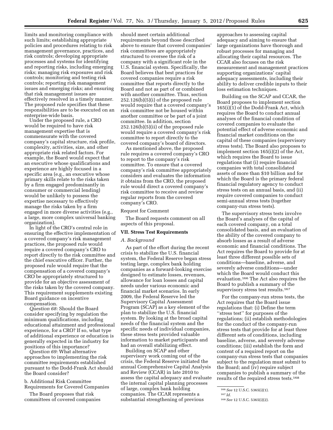limits and monitoring compliance with such limits; establishing appropriate policies and procedures relating to risk management governance, practices, and risk controls; developing appropriate processes and systems for identifying and reporting risks, including emerging risks; managing risk exposures and risk controls; monitoring and testing risk controls; reporting risk management issues and emerging risks; and ensuring that risk management issues are effectively resolved in a timely manner. The proposed rule specifies that these responsibilities are to be executed on an enterprise-wide basis.

Under the proposed rule, a CRO would be required to have risk management expertise that is commensurate with the covered company's capital structure, risk profile, complexity, activities, size, and other appropriate risk related factors. For example, the Board would expect that an executive whose qualifications and experience are highly focused in a specific area (e.g., an executive whose primary skills relate to the risks taken by a firm engaged predominantly in consumer or commercial lending) would be unlikely to possess the expertise necessary to effectively manage the risks taken by a firm engaged in more diverse activities (e.g., a large, more complex universal banking organization).

In light of the CRO's central role in ensuring the effective implementation of a covered company's risk management practices, the proposed rule would require a covered company's CRO to report directly to the risk committee and the chief executive officer. Further, the proposed rule would require that the compensation of a covered company's CRO be appropriately structured to provide for an objective assessment of the risks taken by the covered company. This requirement supplements existing Board guidance on incentive compensation.

*Question 68:* Should the Board consider specifying by regulation the minimum qualifications, including educational attainment and professional experience, for a CRO? If so, what type of additional experience or education is generally expected in the industry for positions of this importance?

*Question 69:* What alternative approaches to implementing the risk committee requirements established pursuant to the Dodd-Frank Act should the Board consider?

b. Additional Risk Committee Requirements for Covered Companies

The Board proposes that risk committees of covered companies

should meet certain additional requirements beyond those described above to ensure that covered companies' risk committees are appropriately structured to oversee the risk of a company with a significant role in the U.S. financial system. Specifically, the Board believes that best practices for covered companies require a risk committee that reports directly to the Board and not as part of or combined with another committee. Thus, section 252.126(b)(5)(i) of the proposed rule would require that a covered company's risk committee not be housed within another committee or be part of a joint committee. In addition, section 252.126(b)(5)(ii) of the proposed rule would require a covered company's risk committee to report directly to the covered company's board of directors.

As mentioned above, the proposed rule requires a covered company's CRO to report to the company's risk committee. To ensure that a covered company's risk committee appropriately considers and evaluates the information it obtains from the CRO, the proposed rule would direct a covered company's risk committee to receive and review regular reports from the covered company's CRO.

#### Request for Comment

The Board requests comment on all aspects of this proposal.

# **VII. Stress Test Requirements**

#### *A. Background*

As part of the effort during the recent crisis to stabilize the U.S. financial system, the Federal Reserve began stress testing large, complex bank holding companies as a forward-looking exercise designed to estimate losses, revenues, allowance for loan losses and capital needs under various economic and financial market scenarios. In early 2009, the Federal Reserve led the Supervisory Capital Assessment Program (SCAP) as a key element of the plan to stabilize the U.S. financial system. By looking at the broad capital needs of the financial system and the specific needs of individual companies, these stress tests provided valuable information to market participants and had an overall stabilizing effect.

Building on SCAP and other supervisory work coming out of the crisis, the Federal Reserve initiated the annual Comprehensive Capital Analysis and Review (CCAR) in late 2010 to assess the capital adequacy and evaluate the internal capital planning processes of large, complex bank holding companies. The CCAR represents a substantial strengthening of previous

approaches to assessing capital adequacy and aiming to ensure that large organizations have thorough and robust processes for managing and allocating their capital resources. The CCAR also focuses on the risk measurement and management practices supporting organizations' capital adequacy assessments, including their ability to deliver credible inputs to their loss estimation techniques.

Building on the SCAP and CCAR, the Board proposes to implement section 165(i)(1) of the Dodd-Frank Act, which requires the Board to conduct annual analyses of the financial condition of covered companies to evaluate the potential effect of adverse economic and financial market conditions on the capital of these companies (supervisory stress tests). The Board also proposes to implement section 165(i)(2) of the Act, which requires the Board to issue regulations that (i) require financial companies with total consolidated assets of more than \$10 billion and for which the Board is the primary federal financial regulatory agency to conduct stress tests on an annual basis, and (ii) require covered companies to conduct semi-annual stress tests (together company-run stress tests).

The supervisory stress tests involve the Board's analyses of the capital of each covered company, on a total consolidated basis, and an evaluation of the ability of the covered company to absorb losses as a result of adverse economic and financial conditions. The Act requires the Board to provide for at least three different possible sets of conditions—baseline, adverse, and severely adverse conditions—under which the Board would conduct this evaluation.166 The Act also requires the Board to publish a summary of the supervisory stress test results.167

For the company-run stress tests, the Act requires that the Board issue regulations that: (i) Define the term ''stress test'' for purposes of the regulations; (ii) establish methodologies for the conduct of the company-run stress tests that provide for at least three different sets of conditions, including baseline, adverse, and severely adverse conditions; (iii) establish the form and content of a required report on the company-run stress tests that companies subject to the regulation must submit to the Board; and (iv) require subject companies to publish a summary of the results of the required stress tests.168

<sup>166</sup>*See* 12 U.S.C. 5365(i)(1).

<sup>167</sup> *Id.* 

<sup>168</sup>*See* 12 U.S.C. 5365(i)(2).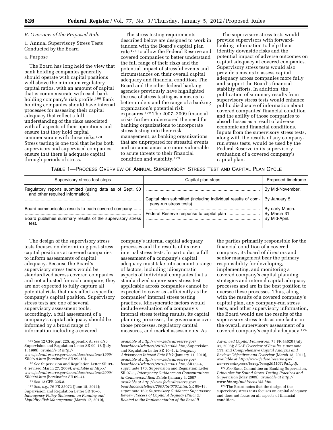# *B. Overview of the Proposed Rule*

# 1. Annual Supervisory Stress Tests Conducted by the Board

#### a. Purpose

The Board has long held the view that bank holding companies generally should operate with capital positions well above the minimum regulatory capital ratios, with an amount of capital that is commensurate with each bank holding company's risk profile.169 Bank holding companies should have internal processes for assessing their capital adequacy that reflect a full understanding of the risks associated with all aspects of their operations and ensure that they hold capital commensurate with those risks.170 Stress testing is one tool that helps both supervisors and supervised companies ensure that there is adequate capital through periods of stress.

The stress testing requirements described below are designed to work in tandem with the Board's capital plan rule 171 to allow the Federal Reserve and covered companies to better understand the full range of their risks and the potential impact of stressful events and circumstances on their overall capital adequacy and financial condition. The Board and the other federal banking agencies previously have highlighted the use of stress testing as a means to better understand the range of a banking organization's potential risk exposures.172 The 2007–2009 financial crisis further underscored the need for banking organizations to incorporate stress testing into their risk management, as banking organizations that are unprepared for stressful events and circumstances are more vulnerable to acute threats to their financial condition and viability.173

The supervisory stress tests would provide supervisors with forwardlooking information to help them identify downside risks and the potential impact of adverse outcomes on capital adequacy at covered companies. Supervisory stress tests would also provide a means to assess capital adequacy across companies more fully and support the Board's financial stability efforts. In addition, the publication of summary results from supervisory stress tests would enhance public disclosure of information about covered companies' financial condition and the ability of those companies to absorb losses as a result of adverse economic and financial conditions. Inputs from the supervisory stress tests, along with the results of any companyrun stress tests, would be used by the Federal Reserve in its supervisory evaluation of a covered company's capital plan.

TABLE 1—PROCESS OVERVIEW OF ANNUAL SUPERVISORY STRESS TEST AND CAPITAL PLAN CYCLE

| Supervisory stress test steps                                                               | Capital plan steps                                                                      | Proposed timeframe              |
|---------------------------------------------------------------------------------------------|-----------------------------------------------------------------------------------------|---------------------------------|
| Regulatory reports submitted (using data as of Sept. 30<br>and other required information). |                                                                                         | By Mid-November.                |
|                                                                                             | Capital plan submitted (including individual results of com-<br>pany-run stress tests). | By January 5.                   |
| Board communicates results to each covered company                                          |                                                                                         | By early March.<br>By March 31. |
| Board publishes summary results of the supervisory stress<br>test.                          |                                                                                         | By Mid-April.                   |

The design of the supervisory stress tests focuses on determining post-stress capital positions at covered companies to inform assessments of capital adequacy. Because the Board's supervisory stress tests would be standardized across covered companies and not adjusted for each company, they are not expected to fully capture all potential risks that may affect a specific company's capital position. Supervisory stress tests are one of several supervisory assessment tools, accordingly, a full assessment of a company's capital adequacy should be informed by a broad range of information including a covered

company's internal capital adequacy processes and the results of its own internal stress tests. In particular, a full assessment of a company's capital adequacy must take into account a range of factors, including idiosyncratic aspects of individual companies that a standardized supervisory stress test applicable across companies cannot be expected to cover as sufficiently as the companies' internal stress testing practices. Idiosyncratic factors would include evaluation of a company's internal stress testing results, its capital planning processes, the governance over those processes, regulatory capital measures, and market assessments. As

the parties primarily responsible for the financial condition of a covered company, its board of directors and senior management bear the primary responsibility for developing, implementing, and monitoring a covered company's capital planning strategies and internal capital adequacy processes and are in the best position to oversee these processes. Thus, along with the results of a covered company's capital plan, any company-run stress tests, and other supervisory information, the Board would use the results of the supervisory stress tests as one factor in the overall supervisory assessment of a covered company's capital adequacy.174

173*See* Basel Committee on Banking Supervision, *Principles for Sound Stress Testing Practices and Supervision* (May 2009), *available at [http://](http://www.bis.org/publ/bcbs155.htm) [www.bis.org/publ/bcbs155.htm.](http://www.bis.org/publ/bcbs155.htm)* 

<sup>169</sup>*See* 12 CFR part 225, appendix A; *see also*  Supervision and Regulation Letter SR 99–18 (July 1, 1999), *available at [http://](http://www.federalreserve.gov/boarddocs/srletters/1999/SR9918.htm)* 

*[www.federalreserve.gov/boarddocs/srletters/1999/](http://www.federalreserve.gov/boarddocs/srletters/1999/SR9918.htm) [SR9918.htm](http://www.federalreserve.gov/boarddocs/srletters/1999/SR9918.htm)* (hereinafter SR 99–18).

<sup>170</sup>*See* Supervision and Regulation Letter SR 09– 4 (revised March 27, 2009), *available at [http://](http://www.federalreserve.gov/boarddocs/srletters/2009/SR0904.htm) [www.federalreserve.gov/boarddocs/srletters/2009/](http://www.federalreserve.gov/boarddocs/srletters/2009/SR0904.htm) [SR0904.htm](http://www.federalreserve.gov/boarddocs/srletters/2009/SR0904.htm)* (hereinafter SR 09–4).

<sup>171</sup>*See* 12 CFR 225.8.

<sup>172</sup>*See, e.g.,* 76 FR 35072 (June 15, 2011); Supervision and Regulation Letter SR 10–6, *Interagency Policy Statement on Funding and Liquidity Risk Management* (March 17, 2010),

*available at [http://www.federalreserve.gov/](http://www.federalreserve.gov/boarddocs/srletters/2010/sr1006.htm)  [boarddocs/srletters/2010/sr1006.htm;](http://www.federalreserve.gov/boarddocs/srletters/2010/sr1006.htm)* Supervision and Regulation Letter SR 10–1, *Interagency Advisory on Interest Rate Risk* (January 11, 2010), *available at [http://www.federalreserve.gov/](http://www.federalreserve.gov/boarddocs/srletters/2010/sr1001.htm)  [boarddocs/srletters/2010/sr1001.htm;](http://www.federalreserve.gov/boarddocs/srletters/2010/sr1001.htm)* SR 09–4, *supra* note 170; Supervision and Regulation Letter SR 07–1, *Interagency Guidance on Concentrations in Commercial Real Estate* (January 4, 2007), *available at [http://www.federalreserve.gov/](http://www.federalreserve.gov/boarddocs/srletters/2007/SR0701.htm)  [boarddocs/srletters/2007/SR0701.htm;](http://www.federalreserve.gov/boarddocs/srletters/2007/SR0701.htm)* SR 99–18, *supra* note 169; *Supervisory Guidance: Supervisory Review Process of Capital Adequacy (Pillar 2) Related to the Implementation of the Basel II* 

*Advanced Capital Framework,* 73 FR 44620 (July 31, 2008); *SCAP Overview of Results, supra* note 111; and *Comprehensive Capital Analysis and Review: Objectives and Overview* (March 18, 2011), *available at [http://www.federalreserve.gov/](http://www.federalreserve.gov/newsevents/press/bcreg/bcreg20110318a1.pdf)  [newsevents/press/bcreg/bcreg20110318a1.pdf.](http://www.federalreserve.gov/newsevents/press/bcreg/bcreg20110318a1.pdf)* 

<sup>174</sup>The Board notes that the design of the supervisory stress tests focuses on capital adequacy and does not focus on all aspects of financial condition.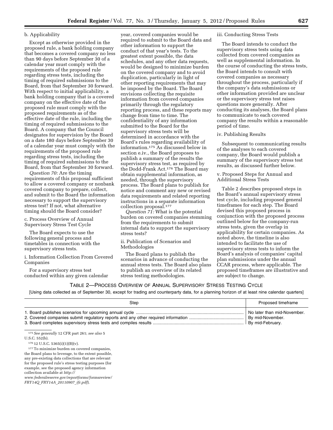# b. Applicability

Except as otherwise provided in the proposed rule, a bank holding company that becomes a covered company no less than 90 days before September 30 of a calendar year must comply with the requirements of the proposed rule regarding stress tests, including the timing of required submissions to the Board, from that September 30 forward. With respect to initial applicability, a bank holding company that is a covered company on the effective date of the proposed rule must comply with the proposed requirements as of the effective date of the rule, including the timing of required submissions to the Board. A company that the Council designates for supervision by the Board on a date 180 days before September 30 of a calendar year must comply with the requirements of the proposed rule regarding stress tests, including the timing of required submissions to the Board, from that September 30 forward.

*Question 70:* Are the timing requirements of this proposal sufficient to allow a covered company or nonbank covered company to prepare, collect, and submit to the Board the information necessary to support the supervisory stress test? If not, what alternative timing should the Board consider?

c. Process Overview of Annual Supervisory Stress Test Cycle

The Board expects to use the following general process and timetables in connection with the supervisory stress tests.

i. Information Collection From Covered Companies

For a supervisory stress test conducted within any given calendar

year, covered companies would be required to submit to the Board data and other information to support the conduct of that year's tests. To the greatest extent possible, the data schedules, and any other data requests, would be designed to minimize burden on the covered company and to avoid duplication, particularly in light of other reporting requirements that may be imposed by the Board. The Board envisions collecting the requisite information from covered companies primarily through the regulatory reporting process, and these reports may change from time to time. The confidentiality of any information submitted to the Board for the supervisory stress tests will be determined in accordance with the Board's rules regarding availability of information.175 As discussed below in section e.iv., the Board proposes to publish a summary of the results the supervisory stress test, as required by the Dodd-Frank Act.176 The Board may obtain supplemental information, as needed, through the supervisory process. The Board plans to publish for notice and comment any new or revised data requirements and related reporting instructions in a separate information collection proposal.177

*Question 71:* What is the potential burden on covered companies stemming from the requirements to submit internal data to support the supervisory stress tests?

ii. Publication of Scenarios and Methodologies

The Board plans to publish the scenarios in advance of conducting the annual stress tests. The Board also plans to publish an overview of its related stress testing methodologies.

#### iii. Conducting Stress Tests

The Board intends to conduct the supervisory stress tests using data collected from covered companies as well as supplemental information. In the course of conducting the stress tests, the Board intends to consult with covered companies as necessary throughout the process, particularly if the company's data submissions or other information provided are unclear or the supervisory stress test raises questions more generally. After conducting its analyses, the Board plans to communicate to each covered company the results within a reasonable period of time.

# iv. Publishing Results

Subsequent to communicating results of the analyses to each covered company, the Board would publish a summary of the supervisory stress test results, as discussed further below.

v. Proposed Steps for Annual and Additional Stress Tests

Table 2 describes proposed steps in the Board's annual supervisory stress test cycle, including proposed general timeframes for each step. The Board devised this proposed process in conjunction with the proposed process outlined below for the company-run stress tests, given the overlap in applicability for certain companies. As noted above, the timeline is also intended to facilitate the use of supervisory stress tests to inform the Board's analysis of companies' capital plan submissions under the annual CCAR process, where applicable. The proposed timeframes are illustrative and are subject to change.

# TABLE 2—PROCESS OVERVIEW OF ANNUAL SUPERVISORY STRESS TESTING CYCLE

[Using data collected as of September 30, except for trading and counterparty data, for a planning horizon of at least nine calendar quarters]

| Step | Proposed timeframe                                                  |
|------|---------------------------------------------------------------------|
|      | No later than mid-November.<br>By mid-November.<br>By mid-February. |

175*See generally* 12 CFR part 261; *see also* 5

177To minimize burden on covered companies, the Board plans to leverage, to the extent possible, any pre-existing data collections that are relevant for the proposed rule's stress testing purposes (for example, see the proposed agency information collection available at *[http://](http://www.federalreserve.gov/reportforms/formsreview/FRY14Q_FRY14A_20110907_ifr.pdf)* 

*[www.federalreserve.gov/reportforms/formsreview/](http://www.federalreserve.gov/reportforms/formsreview/FRY14Q_FRY14A_20110907_ifr.pdf) FRY14Q*\_*FRY14A*\_*[20110907](http://www.federalreserve.gov/reportforms/formsreview/FRY14Q_FRY14A_20110907_ifr.pdf)*\_*ifr.pdf*).

U.S.C. 552(b).

<sup>176</sup> 12 U.S.C. 5365(i)(1)(B)(v).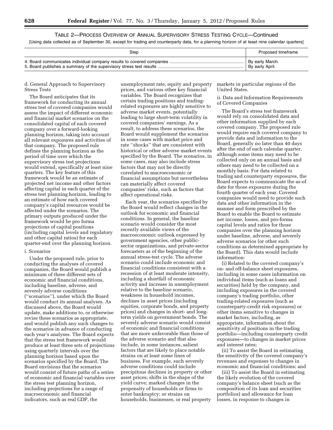TABLE 2—PROCESS OVERVIEW OF ANNUAL SUPERVISORY STRESS TESTING CYCLE—Continued [Using data collected as of September 30, except for trading and counterparty data, for a planning horizon of at least nine calendar quarters]

| Step | Proposed timeframe |
|------|--------------------|
|      | By early March.    |
|      | By early April.    |

### d. General Approach to Supervisory Stress Tests

The Board anticipates that its framework for conducting its annual stress test of covered companies would assess the impact of different economic and financial market scenarios on the consolidated capital of each covered company over a forward-looking planning horizon, taking into account all relevant exposures and activities of that company. The proposed rule defines the planning horizon as the period of time over which the supervisory stress test projections would extend, specifically at least nine quarters. The key feature of this framework would be an estimate of projected net income and other factors affecting capital in each quarter of the stress test planning horizon, leading to an estimate of how each covered company's capital resources would be affected under the scenarios. The primary outputs produced under the framework would be pro forma projections of capital positions (including capital levels and regulatory and other capital ratios) for each quarter-end over the planning horizon.

# i. Scenarios

Under the proposed rule, prior to conducting the analyses of covered companies, the Board would publish a minimum of three different sets of economic and financial conditions, including baseline, adverse, and severely adverse conditions (''scenarios''), under which the Board would conduct its annual analyses. As discussed above, the Board would update, make additions to, or otherwise revise these scenarios as appropriate, and would publish any such changes to the scenarios in advance of conducting each year's analyses. The Board expects that the stress test framework would produce at least three sets of projections using quarterly intervals over the planning horizon based upon the scenarios specified by the Board. The Board envisions that the scenarios would consist of future paths of a series of economic and financial variables over the stress test planning horizon, including projections for a range of macroeconomic and financial indicators, such as real GDP, the

unemployment rate, equity and property prices, and various other key financial variables. The Board recognizes that certain trading positions and tradingrelated exposures are highly sensitive to adverse market events, potentially leading to large short-term volatility in covered companies' earnings. As a result, to address these scenarios, the Board would supplement the scenarios in some cases with market price and rate ''shocks'' that are consistent with historical or other adverse market events specified by the Board. The scenarios, in some cases, may also include stress factors that may not be directly correlated to macroeconomic or financial assumptions but nevertheless can materially affect covered companies' risks, such as factors that affect operational risks.

Each year, the scenarios specified by the Board would reflect changes in the outlook for economic and financial conditions. In general, the baseline scenario would consider the most recently available views of the macroeconomic outlook expressed by government agencies, other publicsector organizations, and private-sector forecasters as of the beginning of the annual stress-test cycle. The adverse scenario could include economic and financial conditions consistent with a recession of at least moderate intensity, including a shortfall of economic activity and increase in unemployment relative to the baseline scenario, weakness in household incomes, declines in asset prices (including equities, corporate bonds, and property prices) and changes in short- and longterm yields on government bonds. The severely adverse scenario would consist of economic and financial conditions that are more unfavorable than those of the adverse scenario and that also include, in some instances, salient factors that are likely to place notable strains on at least some lines of business. For example, such severely adverse conditions could include precipitous declines in property or other asset prices; shifts in the shape of the yield curve; marked changes in the propensity of households or firms to enter bankruptcy; or strains on households, businesses, or real property

markets in particular regions of the United States.

# ii. Data and Information Requirements of Covered Companies

The Board's stress test framework would rely on consolidated data and other information supplied by each covered company. The proposed rule would require each covered company to provide data and information to the Board, generally no later than 40 days after the end of each calendar quarter, although some items may need to be collected only on an annual basis and others may need to be collected on a monthly basis. For data related to trading and counterparty exposures, the Board expects to communicate the as-of date for those exposures during the fourth quarter of each year. Covered companies would need to provide such data and other information in the manner and form prescribed by the Board to enable the Board to estimate net income, losses, and pro-forma capital levels and ratios for those companies over the planning horizon under baseline, adverse, and severely adverse scenarios (or other such conditions as determined appropriate by the Board). This data would include information:

(i) Related to the covered company's on- and off-balance sheet exposures, including in some cases information on individual items (such as loans and securities) held by the company, and including exposures in the covered company's trading portfolio, other trading-related exposures (such as counterparty-credit risk exposures) or other items sensitive to changes in market factors, including, as appropriate, information about the sensitivity of positions in the trading portfolio—including counterparty credit exposures—to changes in market prices and interest rates;

(ii) To assist the Board in estimating the sensitivity of the covered company's revenues and expenses to changes in economic and financial conditions; and

(iii) To assist the Board in estimating the likely evolution of the covered company's balance sheet (such as the composition of its loan and securities portfolios) and allowance for loan losses, in response to changes in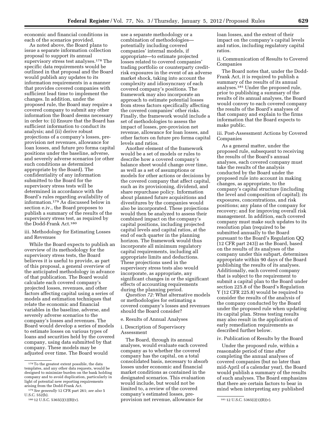economic and financial conditions in each of the scenarios provided.

As noted above, the Board plans to issue a separate information collection proposal to support its annual supervisory stress test analyses.178 The specific data requirements would be outlined in that proposal and the Board would publish any updates to its information requirements in a manner that provides covered companies with sufficient lead time to implement the changes. In addition, under the proposed rule, the Board may require a covered company to submit any other information the Board deems necessary in order to: (i) Ensure that the Board has sufficient information to conduct its analysis; and (ii) derive robust projections of a company's losses, preprovision net revenues, allowance for loan losses, and future pro forma capital positions under the baseline, adverse, and severely adverse scenarios (or other such conditions as determined appropriate by the Board). The confidentiality of any information submitted to the Board for the supervisory stress tests will be determined in accordance with the Board's rules regarding availability of information.179 As discussed below in section e.iv., the Board proposes to publish a summary of the results of the supervisory stress test, as required by the Dodd-Frank Act.180

# iii. Methodology for Estimating Losses and Revenues

While the Board expects to publish an overview of its methodology for the supervisory stress tests, the Board believes it is useful to provide, as part of this proposal, a general overview of the anticipated methodology in advance of that publication. The Board would calculate each covered company's projected losses, revenues, and other factors affecting capital using a series of models and estimation techniques that relate the economic and financial variables in the baseline, adverse, and severely adverse scenarios to the company's losses and revenues. The Board would develop a series of models to estimate losses on various types of loans and securities held by the covered company, using data submitted by that company. These models may be adjusted over time. The Board would

use a separate methodology or a combination of methodologies potentially including covered companies' internal models, if appropriate—to estimate projected losses related to covered companies' trading portfolio or counterparty creditrisk exposures in the event of an adverse market shock, taking into account the complexity and idiosyncrasy of each covered company's positions. The framework may also incorporate an approach to estimate potential losses from stress factors specifically affecting the covered companies' other risks. Finally, the framework would include a set of methodologies to assess the impact of losses, pre-provision net revenue, allowance for loan losses, and other factors on future pro forma capital levels and ratios.

Another element of the framework would be a set of models or rules to describe how a covered company's balance sheet would change over time, as well as a set of assumptions or models for other actions or decisions by the covered company that affect capital, such as its provisioning, dividend, and share repurchase policy. Information about planned future acquisitions and divestitures by the companies would also be incorporated. These projections would then be analyzed to assess their combined impact on the company's capital positions, including projected capital levels and capital ratios, at the end of each quarter in the planning horizon. The framework would thus incorporate all minimum regulatory capital requirements, including all appropriate limits and deductions. These projections used in the supervisory stress tests also would incorporate, as appropriate, any significant changes in or the significant effects of accounting requirements during the planning period.

*Question 72:* What alternative models or methodologies for estimating a covered company's losses and revenues should the Board consider?

e. Results of Annual Analyses

i. Description of Supervisory Assessment

<sup>180</sup> 12 U.S.C. 5365(i)(1)(B)(v). **180 provision net revenue, allowance for** <sup>181</sup> 12 U.S.C. 5365(i)(1)(B)(v). The Board, through its annual analyses, would evaluate each covered company as to whether the covered company has the capital, on a total consolidated basis, necessary to absorb losses under economic and financial market conditions as contained in the designated scenarios. This evaluation would include, but would not be limited to, a review of the covered company's estimated losses, pre-

loan losses, and the extent of their impact on the company's capital levels and ratios, including regulatory capital ratios.

ii. Communication of Results to Covered Companies

The Board notes that, under the Dodd-Frank Act, it is required to publish a summary of the results of its annual analyses.181 Under the proposed rule, prior to publishing a summary of the results of its annual analyses, the Board would convey to each covered company the results of the Board's analyses of that company and explain to the firms information that the Board expects to make public.

iii. Post-Assessment Actions by Covered Companies

As a general matter, under the proposed rule, subsequent to receiving the results of the Board's annual analyses, each covered company must take the results of the analysis conducted by the Board under the proposed rule into account in making changes, as appropriate, to the company's capital structure (including the level and composition of capital); its exposures, concentrations, and risk positions; any plans of the company for recovery; and for improving overall risk management. In addition, each covered company must make such updates to its resolution plan (required to be submitted annually to the Board pursuant to the Board's Regulation QQ (12 CFR part 243)) as the Board, based on the results of its analyses of the company under this subpart, determines appropriate within 90 days of the Board publishing the results of its analyses. Additionally, each covered company that is subject to the requirement to submit a capital plan to the Board under section 225.8 of the Board's Regulation Y (12 CFR 225.8) would be required to consider the results of the analysis of the company conducted by the Board under the proposed rule when updating its capital plan. Stress testing results may also result in the application of early remediation requirements as described further below.

# iv. Publication of Results by the Board

Under the proposed rule, within a reasonable period of time after completing the annual analyses of covered companies (but no later than mid-April of a calendar year), the Board would publish a summary of the results of such analyses. The Board emphasizes that there are certain factors to bear in mind when interpreting any published

<sup>178</sup> To the greatest extent possible, the data templates, and any other data requests, would be designed to minimize burden on the bank holding company and to avoid duplication, particularly in light of potential new reporting requirements arising from the Dodd-Frank Act.

<sup>179</sup>*See generally* 12 CFR part 261; *see also* 5 U.S.C. 552(b).<br> $18012$  U.S.C. 5365(i)(1)(B)(v).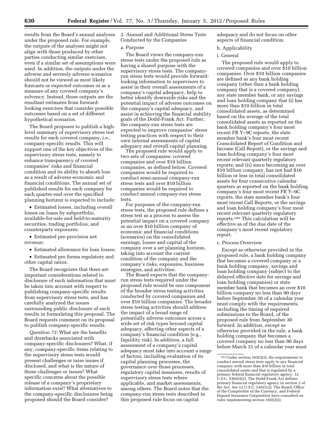results from the Board's annual analyses under the proposed rule. For example, the outputs of the analyses might not align with those produced by other parties conducting similar exercises, even if a similar set of assumptions were used. In addition, the outputs under the adverse and severely adverse scenarios should not be viewed as most likely forecasts or expected outcomes or as a measure of any covered company's solvency. Instead, those outputs are the resultant estimates from forwardlooking exercises that consider possible outcomes based on a set of different hypothetical scenarios.

The Board proposes to publish a highlevel summary of supervisory stress test results for each covered company, i.e., company-specific results. This will support one of the key objectives of the supervisory stress tests, namely to enhance transparency of covered companies' risks and financial condition and its ability to absorb loss as a result of adverse economic and financial conditions. The annual set of published results for each company for each quarter-end over the specified planning horizon is expected to include:

• Estimated losses, including overall losses on loans by subportfolio, available-for-sale and held-to-maturity securities, trading portfolios, and counterparty exposures;

• Estimated pre-provision net revenue;

• Estimated allowance for loan losses;

• Estimated pro forma regulatory and other capital ratios.

The Board recognizes that there are important considerations related to disclosure of such information that must be taken into account with respect to publishing company-specific results from supervisory stress tests, and has carefully analyzed the issues surrounding public disclosure of such results in formulating this proposal. The Board requests comment on its proposal to publish company-specific results.

*Question 73:* What are the benefits and drawbacks associated with company-specific disclosures? What, if any, company-specific items relating to the supervisory stress tests would present challenges or raise issues if disclosed, and what is the nature of those challenges or issues? What specific concerns about the possible release of a company's proprietary information exist? What alternatives to the company-specific disclosures being proposed should the Board consider?

2. Annual and Additional Stress Tests Conducted by the Companies

# a. Purpose

The Board views the company-run stress tests under the proposed rule as having a shared purpose with the supervisory stress tests. The companyrun stress tests would provide forwardlooking information to supervisors to assist in their overall assessments of a company's capital adequacy, help to better identify downside risks and the potential impact of adverse outcomes on the company's capital adequacy, and assist in achieving the financial stability goals of the Dodd-Frank Act. Further, the company-run stress tests are expected to improve companies' stress testing practices with respect to their own internal assessments of capital adequacy and overall capital planning.

The proposed rule would apply to two sets of companies: covered companies and over \$10 billion companies, as defined below. Covered companies would be required to conduct semi-annual company-run stress tests and over \$10 billion companies would be required to conduct annual company-run stress tests.

For purposes of the company-run stress tests, the proposed rule defines a stress test as a process to assess the potential impact on a covered company or an over \$10 billion company of economic and financial conditions (scenarios) on the consolidated earnings, losses and capital of the company over a set planning horizon, taking into account the current condition of the company and the company's risks, exposures, business strategies, and activities.

The Board expects that the companyrun stress tests required under the proposed rule would be one component of the broader stress testing activities conducted by covered companies and over \$10 billion companies. The broader stress testing activities should address the impact of a broad range of potentially adverse outcomes across a wide set of risk types beyond capital adequacy, affecting other aspects of a company's financial condition (e.g., liquidity risk). In addition, a full assessment of a company's capital adequacy must take into account a range of factors, including evaluation of its capital planning processes, the governance over those processes, regulatory capital measures, results of supervisory stress tests where applicable, and market assessments, among others. The Board notes that the company-run stress tests described in this proposed rule focus on capital

adequacy and do not focus on other aspects of financial condition.

# b. Applicability

#### i. General

The proposed rule would apply to covered companies and over \$10 billion companies. Over \$10 billion companies are defined as any bank holding company (other than a bank holding company that is a covered company), any state member bank, or any savings and loan holding company that (i) has more than \$10 billion in total consolidated assets, as determined based on the average of the total consolidated assets as reported on the bank holding company's four most recent FR Y–9C reports, the state member bank's four most recent Consolidated Report of Condition and Income (Call Report), or the savings and loan holding company's four most recent relevant quarterly regulatory reports; and (ii) since becoming an over \$10 billion company, has not had \$10 billion or less in total consolidated assets for four consecutive calendar quarters as reported on the bank holding company's four most recent FR Y–9C reports, the state member bank's four most recent Call Reports, or the savings and loan holding company's four most recent relevant quarterly regulatory reports.182 This calculation will be effective as of the due date of the company's most recent regulatory report.

# c. Process Overview

Except as otherwise provided in the proposed rule, a bank holding company that becomes a covered company or a bank holding company, savings and loan holding company (subject to the delayed effective date for savings and loan holding companies) or state member bank that becomes an over \$10 billion company no less than 90 days before September 30 of a calendar year must comply with the requirements, including the timing of required submissions to the Board, of the proposed rule from September 30 forward. In addition, except as otherwise provided in the rule, a bank holding company that becomes a covered company no less than 90 days before March 31 of a calendar year must

<sup>182</sup>Under section 165(i)(2), the requirements to conduct annual stress tests apply to any financial company with more than \$10 billion in total consolidated assets and that is regulated by a primary federal financial regulatory agency. 12 U.S.C. 5365(i)(2). The Dodd-Frank Act defines primary financial regulatory agency in section 2 of the Act. *See* 12 U.S.C. 5301(12). The Board, Office of the Comptroller of the Currency, and Federal Deposit Insurance Corporation have consulted on rules implementing section 165(i)(2).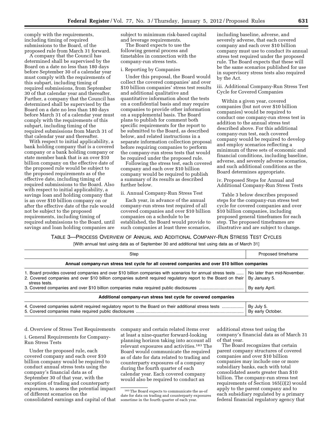comply with the requirements, including timing of required submissions to the Board, of the proposed rule from March 31 forward.

A company that the Council has determined shall be supervised by the Board on a date no less than 180 days before September 30 of a calendar year must comply with the requirements of this subpart, including timing of required submissions, from September 30 of that calendar year and thereafter. Further, a company that the Council has determined shall be supervised by the Board on a date no less than 180 days before March 31 of a calendar year must comply with the requirements of this subpart, including timing of the required submissions from March 31 of that calendar year and thereafter.

With respect to initial applicability, a bank holding company that is a covered company or a bank holding company or state member bank that is an over \$10 billion company on the effective date of the proposed rule would be subject to the proposed requirements as of the effective date, including timing of required submissions to the Board. Also with respect to initial applicability, a savings loan and holding company that is an over \$10 billion company on or after the effective date of the rule would not be subject to the proposed requirements, including timing of required submissions to the Board, until savings and loan holding companies are

subject to minimum risk-based capital and leverage requirements.

The Board expects to use the following general process and timetables in connection with the company-run stress tests.

#### i. Reporting by Companies

Under this proposal, the Board would collect the covered companies' and over \$10 billion companies' stress test results and additional qualitative and quantitative information about the tests on a confidential basis and may require companies to provide other information on a supplemental basis. The Board plans to publish for comment both specific requirements for the report to be submitted to the Board, as described below, and related instructions in a separate information collection proposal before requiring companies to perform the company-run stress tests that would be required under the proposed rule.

Following the stress test, each covered company and each over \$10 billion company would be required to publish a summary of its results as described further below.

#### ii. Annual Company-Run Stress Test

Each year, in advance of the annual company-run stress test required of all covered companies and over \$10 billion companies on a schedule to be established, the Board would provide to such companies at least three scenarios,

including baseline, adverse, and severely adverse, that each covered company and each over \$10 billion company must use to conduct its annual stress test required under the proposed rule. The Board expects that these will be the same scenarios published for use in supervisory stress tests also required by the Act.

iii. Additional Company-Run Stress Test Cycle for Covered Companies

Within a given year, covered companies (but not over \$10 billion companies) would be required to conduct one company-run stress test in addition to the annual stress test described above. For this additional company-run test, each covered company would be required to develop and employ scenarios reflecting a minimum of three sets of economic and financial conditions, including baseline, adverse, and severely adverse scenarios, and such additional conditions as the Board determines appropriate.

iv. Proposed Steps for Annual and Additional Company-Run Stress Tests

Table 3 below describes proposed steps for the company-run stress test cycle for covered companies and over \$10 billion companies, including proposed general timeframes for each step. The proposed timeframes are illustrative and are subject to change.

TABLE 3—PROCESS OVERVIEW OF ANNUAL AND ADDITIONAL COMPANY-RUN STRESS TEST CYCLES

[With annual test using data as of September 30 and additional test using data as of March 31]

| Step                                                                                                                                                                                                                                        | Proposed timeframe                                              |  |  |  |  |  |
|---------------------------------------------------------------------------------------------------------------------------------------------------------------------------------------------------------------------------------------------|-----------------------------------------------------------------|--|--|--|--|--|
| Annual company-run stress test cycle for all covered companies and over \$10 billion companies                                                                                                                                              |                                                                 |  |  |  |  |  |
| 1. Board provides covered companies and over \$10 billion companies with scenarios for annual stress tests<br>2. Covered companies and over \$10 billion companies submit required regulatory report to the Board on their<br>stress tests. | No later than mid-November.<br>By January 5.<br>By early April. |  |  |  |  |  |
| Additional company-run stress test cycle for covered companies                                                                                                                                                                              |                                                                 |  |  |  |  |  |
| 4. Covered companies submit required regulatory report to the Board on their additional stress tests                                                                                                                                        | By July 5.<br>By early October.                                 |  |  |  |  |  |

d. Overview of Stress Test Requirements

i. General Requirements for Company-Run Stress Tests

Under the proposed rule, each covered company and each over \$10 billion company would be required to conduct annual stress tests using the company's financial data as of September 30 of that year, with the exception of trading and counterparty exposures, to assess the potential impact of different scenarios on the consolidated earnings and capital of that company and certain related items over at least a nine-quarter forward-looking planning horizon taking into account all relevant exposures and activities.183 The Board would communicate the required as of date for data related to trading and counterparty exposures of a company during the fourth quarter of each calendar year. Each covered company would also be required to conduct an

additional stress test using the company's financial data as of March 31 of that year.

The Board recognizes that certain parent company structures of covered companies and over \$10 billion companies may include one or more subsidiary banks, each with total consolidated assets greater than \$10 billion. The company-run stress test requirements of Section 165(i)(2) would apply to the parent company and to each subsidiary regulated by a primary federal financial regulatory agency that

<sup>183</sup>The Board expects to communicate the as-of date for data on trading and counterparty exposures sometime in the fourth quarter of each year.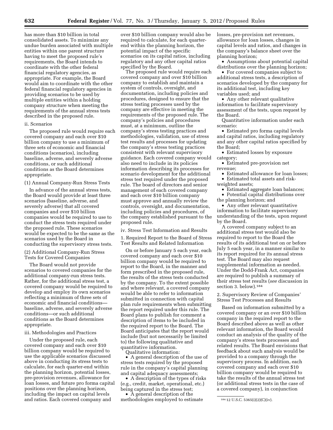has more than \$10 billion in total consolidated assets. To minimize any undue burden associated with multiple entities within one parent structure having to meet the proposed rule's requirements, the Board intends to coordinate with the other federal financial regulatory agencies, as appropriate. For example, the Board would aim to coordinate with the other federal financial regulatory agencies in providing scenarios to be used by multiple entities within a holding company structure when meeting the requirements of the annual stress tests described in the proposed rule.

# ii. Scenarios

The proposed rule would require each covered company and each over \$10 billion company to use a minimum of three sets of economic and financial conditions (scenarios), including baseline, adverse, and severely adverse conditions, or such additional conditions as the Board determines appropriate.

(1) Annual Company-Run Stress Tests

In advance of the annual stress tests, the Board would provide at least three scenarios (baseline, adverse, and severely adverse) that all covered companies and over \$10 billion companies would be required to use to conduct the stress tests required under the proposed rule. These scenarios would be expected to be the same as the scenarios used by the Board in conducting the supervisory stress tests.

(2) Additional Company-Run Stress Tests for Covered Companies

The Board would not provide scenarios to covered companies for the additional company-run stress tests. Rather, for the additional stress test, a covered company would be required to develop and employ its own scenarios reflecting a minimum of three sets of economic and financial conditions baseline, adverse, and severely adverse conditions—or such additional conditions as the Board determines appropriate.

#### iii. Methodologies and Practices

Under the proposed rule, each covered company and each over \$10 billion company would be required to use the applicable scenarios discussed above in conducting its stress tests to calculate, for each quarter-end within the planning horizon, potential losses, pre-provision revenues, allowance for loan losses, and future pro forma capital positions over the planning horizon, including the impact on capital levels and ratios. Each covered company and

over \$10 billion company would also be required to calculate, for each quarterend within the planning horizon, the potential impact of the specific scenarios on its capital ratios, including regulatory and any other capital ratios specified by the Board.

The proposed rule would require each covered company and over \$10 billion company to establish and maintain a system of controls, oversight, and documentation, including policies and procedures, designed to ensure that the stress testing processes used by the company are effective in meeting the requirements of the proposed rule. The company's policies and procedures must, at a minimum, outline the company's stress testing practices and methodologies, validation, use of stress test results and processes for updating the company's stress testing practices consistent with relevant supervisory guidance. Each covered company would also need to include in its policies information describing its processes for scenario development for the additional stress test required under the proposed rule. The board of directors and senior management of each covered company and each over \$10 billion company must approve and annually review the controls, oversight, and documentation, including policies and procedures, of the company established pursuant to the proposed rule.

iv. Stress Test Information and Results

1. Required Report to the Board of Stress Test Results and Related Information

On or before January 5 each year, each covered company and each over \$10 billion company would be required to report to the Board, in the manner and form prescribed in the proposed rule, the results of the stress tests conducted by the company. To the extent possible and where relevant, a covered company would be able to refer to information submitted in connection with capital plan rule requirements when submitting the report required under this rule. The Board plans to publish for comment a description of items to be included in the required report to the Board. The Board anticipates that the report would include (but not necessarily be limited to) the following qualitative and quantitative information. Qualitative information:

• A general description of the use of stress tests required by the proposed rule in the company's capital planning and capital adequacy assessments;

• A description of the types of risks (e.g., credit, market, operational, etc.) being captured in the stress test;

• A general description of the methodologies employed to estimate losses, pre-provision net revenues, allowance for loan losses, changes in capital levels and ratios, and changes in the company's balance sheet over the planning horizon;

• Assumptions about potential capital distributions over the planning horizon;

• For covered companies subject to additional stress tests, a description of scenarios developed by the company for its additional test, including key variables used; and

• Any other relevant qualitative information to facilitate supervisory assessment of the tests, upon request by the Board.

Quantitative information under each scenario:

• Estimated pro forma capital levels and capital ratios, including regulatory and any other capital ratios specified by the Board;

• Estimated losses by exposure category;

• Estimated pre-provision net revenue;

• Estimated allowance for loan losses; • Estimated total assets and risk-

weighted assets;

• Estimated aggregate loan balances; • Potential capital distributions over

the planning horizon; and • Any other relevant quantitative

information to facilitate supervisory understanding of the tests, upon request by the Board.

A covered company subject to an additional stress test would also be required to report to the Board the results of its additional test on or before July 5 each year, in a manner similar to its report required for its annual stress test. The Board may also request supplemental information as needed. Under the Dodd-Frank Act, companies are required to publish a summary of their stress test results (*see* discussion in section 3. below).184

2. Supervisory Review of Companies' Stress Test Processes and Results

Based on information submitted by a covered company or an over \$10 billion company in the required report to the Board described above as well as other relevant information, the Board would conduct an analysis of the quality of the company's stress tests processes and related results. The Board envisions that feedback about such analysis would be provided to a company through the supervisory process. In addition, each covered company and each over \$10 billion company would be required to take the results of the annual stress test (or additional stress tests in the case of a covered company), in conjunction

<sup>184</sup> 12 U.S.C. 5365(i)(2)(C)(iv).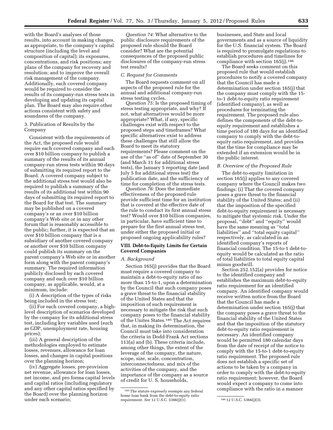with the Board's analyses of those results, into account in making changes, as appropriate, to the company's capital structure (including the level and composition of capital); its exposures, concentrations, and risk positions; any plans of the company for recovery and resolution; and to improve the overall risk management of the company. Additionally, each covered company would be required to consider the results of its company-run stress tests in developing and updating its capital plan. The Board may also require other actions consistent with safety and soundness of the company.

3. Publication of Results by the Company

Consistent with the requirements of the Act, the proposed rule would require each covered company and each over \$10 billion company to publish a summary of the results of its annual company-run stress tests within 90 days of submitting its required report to the Board. A covered company subject to the additional stress test would also be required to publish a summary of the results of its additional test within 90 days of submitting its required report to the Board for that test. The summary may be published on a covered company's or an over \$10 billion company's Web site or in any other forum that is reasonably accessible to the public; further, it is expected that an over \$10 billion company that is a subsidiary of another covered company or another over \$10 billion company could publish its summary on the parent company's Web site or in another form along with the parent company's summary. The required information publicly disclosed by each covered company and each over \$10 billion company, as applicable, would, at a minimum, include:

(i) A description of the types of risks being included in the stress test;

(ii) For each covered company, a highlevel description of scenarios developed by the company for its additional stress test, including key variables used (such as GDP, unemployment rate, housing prices);

(iii) A general description of the methodologies employed to estimate losses, revenues, allowance for loan losses, and changes in capital positions over the planning horizon;

(iv) Aggregate losses, pre-provision net revenue, allowance for loan losses, net income, and pro forma capital levels and capital ratios (including regulatory and any other capital ratios specified by the Board) over the planning horizon under each scenario;

*Question 74:* What alternative to the public disclosure requirements of the proposed rule should the Board consider? What are the potential consequences of the proposed public disclosures of the company-run stress test results?

# *C. Request for Comments*

The Board requests comment on all aspects of the proposed rule for the annual and additional company-run stress testing cycles.

*Question 75:* Is the proposed timing of stress testing appropriate, and why? If not, what alternatives would be more appropriate? What, if any, specific challenges exist with respect to the proposed steps and timeframes? What specific alternatives exist to address these challenges that still allow the Board to meet its statutory requirements? Please comment on the use of the ''as of'' date of September 30 (and March 31 for additional stress tests), the January 5 reporting date (and July 5 for additional stress test) the publication date, and the sufficiency of time for completion of the stress tests.

*Question 76:* Does the immediate effectiveness of the proposed rule provide sufficient time for an institution that is covered at the effective date of the rule to conduct its first annual stress test? Would over \$10 billion companies, in particular, have sufficient time to prepare for the first annual stress test, under either the proposed initial or proposed ongoing applicability rules?

# **VIII. Debt-to-Equity Limits for Certain Covered Companies**

#### *A. Background*

Section 165(j) provides that the Board must require a covered company to maintain a debt-to-equity ratio of no more than 15-to-1, upon a determination by the Council that such company poses a grave threat to the financial stability of the United States and that the imposition of such requirement is necessary to mitigate the risk that such company poses to the financial stability of the Unites States.185 The Act requires that, in making its determination, the Council must take into consideration the criteria in Dodd-Frank Act sections 113(a) and (b). These criteria include, among other things, the extent of the leverage of the company, the nature, scope, size, scale, concentration, interconnectedness, and mix of the activities of the company, and the importance of the company as a source of credit for U. S. households,

businesses, and State and local governments and as a source of liquidity for the U.S. financial system. The Board is required to promulgate regulations to establish procedures and timelines for compliance with section  $165(i).^{186}$ 

The Board seeks comment on this proposed rule that would establish procedures to notify a covered company that the Council has made a determination under section 165(j) that the company must comply with the 15 to-1 debt-to-equity ratio requirement (identified company), as well as procedures for terminating the requirement. The proposed rule also defines the components of the debt-toequity requirement and establishes a time period of 180 days for an identified company to comply with the debt-toequity ratio requirement, and provides that the time for compliance may be extended if an extension would be in the public interest.

### *B. Overview of the Proposed Rule*

The debt-to-equity limitation in section 165(j) applies to any covered company where the Council makes two findings: (i) That the covered company poses a grave threat to the financial stability of the United States; and (ii) that the imposition of the specified debt-to-equity requirement is necessary to mitigate that systemic risk. Under the proposal, ''debt'' and ''equity'' would have the same meaning as ''total liabilities'' and ''total equity capital'' respectively, as calculated in an identified company's reports of financial condition. The 15-to-1 debt-toequity would be calculated as the ratio of total liabilities to total equity capital minus goodwill.

Section 252.152(a) provides for notice to the identified company and establishes the maximum debt-to-equity ratio requirement for an identified company. An identified company would receive written notice from the Board that the Council has made a determination under section 165(j) that the company poses a grave threat to the financial stability of the United States and that the imposition of the statutory debt-to-equity ratio requirement is necessary. An identified company would be permitted 180 calendar days from the date of receipt of the notice to comply with the 15-to-1 debt-to-equity ratio requirement. The proposed rule does not establish a specific set of actions to be taken by a company in order to comply with the debt-to-equity ratio requirement; however, the Board would expect a company to come into compliance with the ratio in a manner

<sup>185</sup>The statute expressly exempts any federal home loan bank from the debt-to-equity ratio requirement. *See* 12 U.S.C. 5366(j)(1). <sup>186</sup> 12 U.S.C. 5366(j)(3).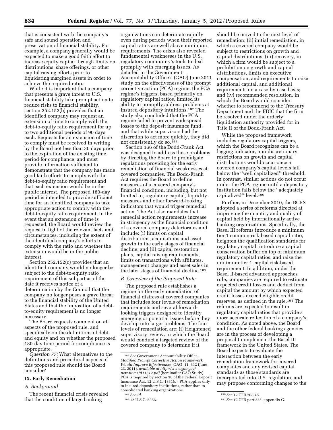that is consistent with the company's safe and sound operation and preservation of financial stability. For example, a company generally would be expected to make a good faith effort to increase equity capital through limits on distributions, share offerings, or other capital raising efforts prior to liquidating margined assets in order to achieve the required ratio.

While it is important that a company that presents a grave threat to U.S. financial stability take prompt action to reduce risks to financial stability, section 252.152(b) provides that an identified company may request an extension of time to comply with the debt-to-equity ratio requirement for up to two additional periods of 90 days each. Requests for an extension of time to comply must be received in writing by the Board not less than 30 days prior to the expiration of the existing time period for compliance, and must provide information sufficient to demonstrate that the company has made good faith efforts to comply with the debt-to-equity ratio requirement and that each extension would be in the public interest. The proposed 180-day period is intended to provide sufficient time for an identified company to take appropriate action to comply with the debt-to-equity ratio requirement. In the event that an extension of time is requested, the Board would review the request in light of the relevant facts and circumstances, including the extent of the identified company's efforts to comply with the ratio and whether the extension would be in the public interest.

Section 252.152(c) provides that an identified company would no longer be subject to the debt-to-equity ratio requirement of this subpart as of the date it receives notice of a determination by the Council that the company no longer poses a grave threat to the financial stability of the United States and that the imposition of a debtto-equity requirement is no longer necessary.

The Board requests comment on all aspects of the proposed rule, and specifically on the definitions of debt and equity and on whether the proposed 180-day time period for compliance is appropriate.

*Question 77:* What alternatives to the definitions and procedural aspects of this proposed rule should the Board consider?

# **IX. Early Remediation**

# *A. Background*

The recent financial crisis revealed that the condition of large banking

organizations can deteriorate rapidly even during periods when their reported capital ratios are well above minimum requirements. The crisis also revealed fundamental weaknesses in the U.S. regulatory community's tools to deal promptly with emerging issues. As detailed in the Government Accountability Office's (GAO) June 2011 study on the effectiveness of the prompt corrective action (PCA) regime, the PCA regime's triggers, based primarily on regulatory capital ratios, limited its ability to promptly address problems at insured depository intuitions.187 The study also concluded that the PCA regime failed to prevent widespread losses to the deposit insurance fund, and that while supervisors had the discretion to act more quickly, they did not consistently do so.188

Section 166 of the Dodd-Frank Act was designed to address these problems by directing the Board to promulgate regulations providing for the early remediation of financial weaknesses at covered companies. The Dodd-Frank Act requires the Board to define measures of a covered company's financial condition, including, but not limited to, regulatory capital, liquidity measures and other forward-looking indicators that would trigger remedial action. The Act also mandates that remedial action requirements increase in stringency as the financial condition of a covered company deteriorates and include: (i) limits on capital distributions, acquisitions and asset growth in the early stages of financial decline; and (ii) capital restoration plans, capital raising requirements, limits on transactions with affiliates, management changes and asset sales in the later stages of financial decline.189

# *B. Overview of the Proposed Rule*

The proposed rule establishes a regime for the early remediation of financial distress at covered companies that includes four levels of remediation requirements and several forwardlooking triggers designed to identify emerging or potential issues before they develop into larger problems. The four levels of remediation are: (i) Heightened supervisory review, in which the Board would conduct a targeted review of the covered company to determine if it

should be moved to the next level of remediation; (ii) initial remediation, in which a covered company would be subject to restrictions on growth and capital distributions; (iii) recovery, in which a firm would be subject to a prohibition on growth and capital distributions, limits on executive compensation, and requirements to raise additional capital, and additional requirements on a case-by-case basis; and (iv) recommended resolution, in which the Board would consider whether to recommend to the Treasury Department and the FDIC that the firm be resolved under the orderly liquidation authority provided for in Title II of the Dodd-Frank Act.

While the proposed framework includes regulatory capital triggers, which the Board recognizes can be a lagging indicator, non-discretionary restrictions on growth and capital distributions would occur once a covered company's capital levels fall below the ''well capitalized'' threshold. In contrast, similar actions do not occur under the PCA regime until a depository institution falls below the ''adequately capitalized'' level.190

Further, in December 2010, the BCBS adopted a series of reforms directed at improving the quantity and quality of capital held by internationally active banking organizations. Specifically, the Basel III reforms introduce a minimum tier 1 common risk-based capital ratio, heighten the qualification standards for regulatory capital, introduce a capital conservation buffer on top of minimum regulatory capital ratios, and raise the minimum tier 1 capital risk-based requirement. In addition, under the Basel II-based advanced approaches rule, companies are required to estimate expected credit losses and deduct from capital the amount by which expected credit losses exceed eligible credit reserves, as defined in the rule.191 The reforms are expected to result in regulatory capital ratios that provide a more accurate reflection of a company's condition. As noted above, the Board and the other federal banking agencies are in the process of developing a proposal to implement the Basel III framework in the United States. The Board expects to evaluate the interaction between the early remediation framework for covered companies and any revised capital standards as those standards are incorporated into U.S. regulation, and may propose conforming changes to the

<sup>187</sup>*See* Government Accountability Office, *Modified Prompt Corrective Action Framework Would Improve Effectiveness,* GAO–11–612 (June 23, 2011), *available at [http://www.gao.gov/](http://www.gao.gov/new.items/d11612.pdf) [new.items/d11612.pdf](http://www.gao.gov/new.items/d11612.pdf)* (hereinafter GAO Study). PCA is required by section 38 of the Federal Deposit Insurance Act. 12 U.S.C. 1831(*o*). PCA applies only to insured depository institutions, rather than to consolidated banking organizations.

<sup>188</sup>*See id.* 

<sup>189</sup> 12 U.S.C. 5366.

<sup>190</sup>*See* 12 CFR 208.45.

<sup>191</sup>*See* 12 CFR part 225, appendix G.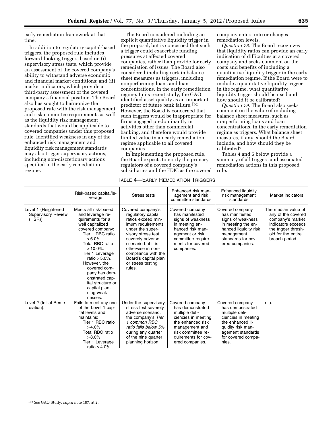early remediation framework at that time.

In addition to regulatory capital-based triggers, the proposed rule includes forward-looking triggers based on (i) supervisory stress tests, which provide an assessment of the covered company's ability to withstand adverse economic and financial market conditions; and (ii) market indicators, which provide a third-party assessment of the covered company's financial position. The Board also has sought to harmonize the proposed rule with the risk management and risk committee requirements as well as the liquidity risk management standards that would be applicable to covered companies under this proposed rule. Identified weakness in any of the enhanced risk management and liquidity risk management standards may also trigger supervisory actions, including non-discretionary actions specified in the early remediation regime.

The Board considered including an explicit quantitative liquidity trigger in the proposal, but is concerned that such a trigger could exacerbate funding pressures at affected covered companies, rather than provide for early remediation of issues. The Board also considered including certain balance sheet measures as triggers, including nonperforming loans and loan concentrations, in the early remediation regime. In its recent study, the GAO identified asset quality as an important predictor of future bank failure.192 However, the Board is concerned that such triggers would be inappropriate for firms engaged predominantly in activities other than commercial banking, and therefore would provide limited value in an early remediation regime applicable to all covered companies.

In implementing the proposed rule, the Board expects to notify the primary regulators of a covered company's subsidiaries and the FDIC as the covered company enters into or changes remediation levels.

*Question 78:* The Board recognizes that liquidity ratios can provide an early indication of difficulties at a covered company and seeks comment on the costs and benefits of including a quantitative liquidity trigger in the early remediation regime. If the Board were to include a quantitative liquidity trigger in the regime, what quantitative liquidity trigger should be used and how should it be calibrated?

*Question 79:* The Board also seeks comment on the value of including balance sheet measures, such as nonperforming loans and loan concentrations, in the early remediation regime as triggers. What balance sheet measures, if any, should the Board include, and how should they be calibrated?

Tables 4 and 5 below provide a summary of all triggers and associated remediation actions in this proposed rule.

|                                                             | Risk-based capital/le-<br>verage                                                                                                                                                                                                                                                                                                                   | Stress tests                                                                                                                                                                                                                                                              | Enhanced risk man-<br>agement and risk<br>committee standards                                                                                                                       | Enhanced liquidity<br>risk management<br>standards                                                                                                                        | Market indicators                                                                                                                                  |
|-------------------------------------------------------------|----------------------------------------------------------------------------------------------------------------------------------------------------------------------------------------------------------------------------------------------------------------------------------------------------------------------------------------------------|---------------------------------------------------------------------------------------------------------------------------------------------------------------------------------------------------------------------------------------------------------------------------|-------------------------------------------------------------------------------------------------------------------------------------------------------------------------------------|---------------------------------------------------------------------------------------------------------------------------------------------------------------------------|----------------------------------------------------------------------------------------------------------------------------------------------------|
| Level 1 (Heightened<br><b>Supervisory Review</b><br>(HSR)). | Meets all risk-based<br>and leverage re-<br>quirements for a<br>well capitalized<br>covered company:<br>Tier 1 RBC ratio<br>$>6.0\%$ .<br>Total RBC ratio<br>$>10.0\%$ .<br>Tier 1 Leverage<br>ratio $> 5.0\%$ .<br>However, the<br>covered com-<br>pany has dem-<br>onstrated cap-<br>ital structure or<br>capital plan-<br>ning weak-<br>nesses. | Covered company's<br>regulatory capital<br>ratios exceed min-<br>imum requirements<br>under the super-<br>visory stress test<br>severely adverse<br>scenario but it is<br>otherwise in non-<br>compliance with the<br>Board's capital plan<br>or stress testing<br>rules. | Covered company<br>has manifested<br>signs of weakness<br>in meeting en-<br>hanced risk man-<br>agement or risk<br>committee require-<br>ments for covered<br>companies.            | Covered company<br>has manifested<br>signs of weakness<br>in meeting the en-<br>hanced liquidity risk<br>management<br>standards for cov-<br>ered companies.              | The median value of<br>any of the covered<br>company's market<br>indicators exceeds<br>the trigger thresh-<br>old for the entire<br>breach period. |
| Level 2 (Initial Reme-<br>diation).                         | Fails to meet any one<br>of the Level 1 cap-<br>ital levels and<br>maintains:<br>Tier 1 RBC ratio<br>$>4.0\%$<br>Total RBC ratio<br>$>8.0\%$<br>Tier 1 Leverage<br>ratio $> 4.0\%$                                                                                                                                                                 | Under the supervisory<br>stress test severely<br>adverse scenario,<br>the company's Tier<br>1 common RBC<br>ratio falls below 5%<br>during any quarter<br>of the nine quarter<br>planning horizon.                                                                        | Covered company<br>has demonstrated<br>multiple defi-<br>ciencies in meeting<br>the enhanced risk<br>management and<br>risk committee re-<br>quirements for cov-<br>ered companies. | Covered company<br>has demonstrated<br>multiple defi-<br>ciencies in meeting<br>the enhanced li-<br>quidity risk man-<br>agement standards<br>for covered compa-<br>nies. | n.a.                                                                                                                                               |

# TABLE 4—EARLY REMEDIATION TRIGGERS

<sup>192</sup>*See* GAO Study, *supra* note 187, at 2.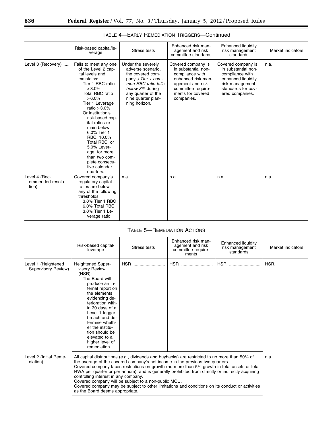|                                             | Risk-based capital/le-<br>verage                                                                                                                                                                                                                                                                                                                                                             | Stress tests                                                                                                                                                                             | Enhanced risk man-<br>agement and risk<br>committee standards                                                                                                   | <b>Enhanced liquidity</b><br>risk management<br>standards                                                                                      | Market indicators |
|---------------------------------------------|----------------------------------------------------------------------------------------------------------------------------------------------------------------------------------------------------------------------------------------------------------------------------------------------------------------------------------------------------------------------------------------------|------------------------------------------------------------------------------------------------------------------------------------------------------------------------------------------|-----------------------------------------------------------------------------------------------------------------------------------------------------------------|------------------------------------------------------------------------------------------------------------------------------------------------|-------------------|
| Level 3 (Recovery)                          | Fails to meet any one<br>of the Level 2 cap-<br>ital levels and<br>maintains:<br>Tier 1 RBC ratio<br>$>3.0\%$<br>Total RBC ratio<br>$> 6.0\%$<br>Tier 1 Leverage<br>ratio $>3.0\%$<br>Or institution's<br>risk-based cap-<br>ital ratios re-<br>main below<br>6.0% Tier 1<br>RBC, 10.0%<br>Total RBC, or<br>5.0% Lever-<br>age, for more<br>than two com-<br>plete consecu-<br>tive calendar | Under the severely<br>adverse scenario,<br>the covered com-<br>pany's Tier 1 com-<br>mon RBC ratio falls<br>below 3% during<br>any quarter of the<br>nine quarter plan-<br>ning horizon. | Covered company is<br>in substantial non-<br>compliance with<br>enhanced risk man-<br>agement and risk<br>committee require-<br>ments for covered<br>companies. | Covered company is<br>in substantial non-<br>compliance with<br>enhanced liquidity<br>risk management<br>standards for cov-<br>ered companies. | n.a.              |
| Level 4 (Rec-<br>ommended resolu-<br>tion). | quarters.<br>Covered company's<br>regulatory capital<br>ratios are below<br>any of the following<br>thresholds:<br>3.0% Tier 1 RBC<br>6.0% Total RBC<br>3.0% Tier 1 Le-<br>verage ratio                                                                                                                                                                                                      | n.a                                                                                                                                                                                      | n.a                                                                                                                                                             | n.a                                                                                                                                            | n.a.              |

| TABLE 4—EARLY REMEDIATION TRIGGERS—Continued |
|----------------------------------------------|
|----------------------------------------------|

# TABLE 5—REMEDIATION ACTIONS

|                                             | Risk-based capital/<br>leverage                                                                                                                                                                                                                                                                                                                                                                                                                                                                                                                                                                                            | Stress tests | Enhanced risk man-<br>agement and risk<br>committee require-<br>ments | Enhanced liquidity<br>risk management<br>standards | Market indicators |
|---------------------------------------------|----------------------------------------------------------------------------------------------------------------------------------------------------------------------------------------------------------------------------------------------------------------------------------------------------------------------------------------------------------------------------------------------------------------------------------------------------------------------------------------------------------------------------------------------------------------------------------------------------------------------------|--------------|-----------------------------------------------------------------------|----------------------------------------------------|-------------------|
| Level 1 (Heightened<br>Supervisory Review). | <b>Heightened Super-</b><br>visory Review<br>(HSR):<br>The Board will<br>produce an in-<br>ternal report on<br>the elements<br>evidencing de-<br>terioration with-<br>in 30 days of a<br>Level 1 trigger<br>breach and de-<br>termine wheth-<br>er the institu-<br>tion should be<br>elevated to a<br>higher level of<br>remediation.                                                                                                                                                                                                                                                                                      | <b>HSR</b>   | <b>HSR</b>                                                            | HSR                                                | HSR.              |
| Level 2 (Initial Reme-<br>diation).         | All capital distributions (e.g., dividends and buybacks) are restricted to no more than 50% of<br>the average of the covered company's net income in the previous two quarters.<br>Covered company faces restrictions on growth (no more than 5% growth in total assets or total<br>RWA per quarter or per annum), and is generally prohibited from directly or indirectly acquiring<br>controlling interest in any company.<br>Covered company will be subject to a non-public MOU.<br>Covered company may be subject to other limitations and conditions on its conduct or activities<br>as the Board deems appropriate. | n.a.         |                                                                       |                                                    |                   |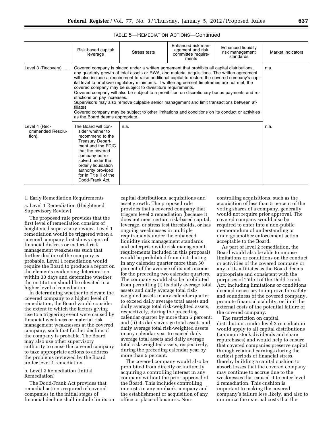|                                             | Risk-based capital/<br>leverage                                                                                                                                                                                                                                                                                                                                                                                                                                                                                                                                                                                                                                                                                                                                                                                                                     | Stress tests | Enhanced risk man-<br>agement and risk<br>committee require-<br>ments | Enhanced liquidity<br>risk management<br>standards | Market indicators |
|---------------------------------------------|-----------------------------------------------------------------------------------------------------------------------------------------------------------------------------------------------------------------------------------------------------------------------------------------------------------------------------------------------------------------------------------------------------------------------------------------------------------------------------------------------------------------------------------------------------------------------------------------------------------------------------------------------------------------------------------------------------------------------------------------------------------------------------------------------------------------------------------------------------|--------------|-----------------------------------------------------------------------|----------------------------------------------------|-------------------|
| Level 3 (Recovery)                          | Covered company is placed under a written agreement that prohibits all capital distributions,<br>any quarterly growth of total assets or RWA, and material acquisitions. The written agreement<br>will also include a requirement to raise additional capital to restore the covered company's cap-<br>ital level to or above regulatory minimums. If written agreement timeframes are not met, the<br>covered company may be subject to divestiture requirements.<br>Covered company will also be subject to a prohibition on discretionary bonus payments and re-<br>strictions on pay increases.<br>Supervisors may also remove culpable senior management and limit transactions between af-<br>filiates.<br>Covered company may be subject to other limitations and conditions on its conduct or activities<br>as the Board deems appropriate. | n.a.         |                                                                       |                                                    |                   |
| Level 4 (Rec-<br>ommended Resolu-<br>tion). | The Board will con-<br>sider whether to<br>recommend to the<br>Treasury Depart-<br>ment and the FDIC<br>that the covered<br>company be re-<br>solved under the<br>orderly liquidation<br>authority provided<br>for in Title II of the<br>Dodd-Frank Act.                                                                                                                                                                                                                                                                                                                                                                                                                                                                                                                                                                                            | n.a.         |                                                                       |                                                    | n.a.              |

# TABLE 5—REMEDIATION ACTIONS—Continued

# 1. Early Remediation Requirements

a. Level 1 Remediation (Heightened Supervisory Review)

The proposed rule provides that the first level of remediation consists of heightened supervisory review. Level 1 remediation would be triggered when a covered company first shows signs of financial distress or material risk management weaknesses such that further decline of the company is probable. Level 1 remediation would require the Board to produce a report on the elements evidencing deterioration within 30 days and determine whether the institution should be elevated to a higher level of remediation.

In determining whether to elevate the covered company to a higher level of remediation, the Board would consider the extent to which the factors giving rise to a triggering event were caused by financial weakness or material risk management weaknesses at the covered company, such that further decline of the company is probable. The Board may also use other supervisory authority to cause the covered company to take appropriate actions to address the problems reviewed by the Board under level 1 remediation.

b. Level 2 Remediation (Initial Remediation)

The Dodd-Frank Act provides that remedial actions required of covered companies in the initial stages of financial decline shall include limits on

capital distributions, acquisitions and asset growth. The proposed rule provides that a covered company that triggers level 2 remediation (because it does not meet certain risk-based capital, leverage, or stress test thresholds, or has ongoing weaknesses in multiple requirements under the enhanced liquidity risk management standards and enterprise-wide risk management requirements included in this proposal) would be prohibited from distributing in any calendar quarter more than 50 percent of the average of its net income for the preceding two calendar quarters. The company would also be prohibited from permitting (i) its daily average total assets and daily average total riskweighted assets in any calendar quarter to exceed daily average total assets and daily average total risk-weighted assets, respectively, during the preceding calendar quarter by more than 5 percent; and (ii) its daily average total assets and daily average total risk-weighted assets in any calendar year to exceed daily average total assets and daily average total risk-weighted assets, respectively, during the preceding calendar year by more than 5 percent.

The covered company would also be prohibited from directly or indirectly acquiring a controlling interest in any company without the prior approval of the Board. This includes controlling interests in any nonbank company and the establishment or acquisition of any office or place of business. Non-

controlling acquisitions, such as the acquisition of less than 5 percent of the voting shares of a company, generally would not require prior approval. The covered company would also be required to enter into a non-public memorandum of understanding or undergo another enforcement action acceptable to the Board.

As part of level 2 remediation, the Board would also be able to impose limitations or conditions on the conduct or activities of the covered company or any of its affiliates as the Board deems appropriate and consistent with the purposes of Title I of the Dodd-Frank Act, including limitations or conditions deemed necessary to improve the safety and soundness of the covered company, promote financial stability, or limit the external costs of the potential failure of the covered company.

The restriction on capital distributions under level 2 remediation would apply to all capital distributions (common stock dividends and share repurchases) and would help to ensure that covered companies preserve capital through retained earnings during the earliest periods of financial stress, thereby building a capital cushion to absorb losses that the covered company may continue to accrue due to the weaknesses that caused it to enter level 2 remediation. This cushion is important to making the covered company's failure less likely, and also to minimize the external costs that the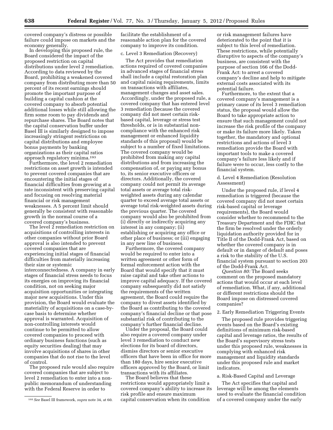covered company's distress or possible failure could impose on markets and the economy generally.

In developing this proposed rule, the Board considered the impact of the proposed restriction on capital distributions under level 2 remediation. According to data reviewed by the Board, prohibiting a weakened covered company from distributing more than 50 percent of its recent earnings should promote the important purpose of building a capital cushion at the covered company to absorb potential additional losses while still allowing the firm some room to pay dividends and repurchase shares. The Board notes that the capital conservation buffer under Basel III is similarly designed to impose increasingly stringent restrictions on capital distributions and employee bonus payments by banking organizations as their capital ratios approach regulatory minima.193

Furthermore, the level 2 remediation restrictions on asset growth is intended to prevent covered companies that are encountering the initial stages of financial difficulties from growing at a rate inconsistent with preserving capital and focusing on resolving material financial or risk management weaknesses. A 5 percent limit should generally be consistent with reasonable growth in the normal course of a covered company's business.

The level 2 remediation restriction on acquisitions of controlling interests in other companies without prior Board approval is also intended to prevent covered companies that are experiencing initial stages of financial difficulties from materially increasing their size or systemic interconnectedness. A company in early stages of financial stress needs to focus its energies on improving its financial condition, not on seeking major acquisition opportunities or integrating major new acquisitions. Under this provision, the Board would evaluate the materiality of acquisitions on a case-bycase basis to determine whether approval is warranted. Acquisition of non-controlling interests would continue to be permitted to allow covered companies to proceed with ordinary business functions (such as equity securities dealing) that may involve acquisitions of shares in other companies that do not rise to the level of control.

The proposed rule would also require covered companies that are subject to level 2 remediation to enter into a nonpublic memorandum of understanding with the Federal Reserve in order to

facilitate the establishment of a reasonable action plan for the covered company to improve its condition.

#### c. Level 3 Remediation (Recovery)

The Act provides that remediation actions required of covered companies in advanced stages of financial stress shall include a capital restoration plan and capital raising requirements, limits on transactions with affiliates, management changes and asset sales. Accordingly, under the proposed rule, a covered company that has entered level 3 remediation (because the covered company did not meet certain riskbased capital, leverage or stress test thresholds, or is in substantial noncompliance with the enhanced risk management or enhanced liquidity standards of this proposal) would be subject to a number of fixed limitations. The covered company would be prohibited from making any capital distributions and from increasing the compensation of, or paying any bonus to, its senior executive officers or directors. Additionally, the covered company could not permit its average total assets or average total riskweighted assets during any calendar quarter to exceed average total assets or average total risk-weighted assets during the previous quarter. The covered company would also be prohibited from (i) directly or indirectly acquiring any interest in any company; (ii) establishing or acquiring any office or other place of business; or (iii) engaging in any new line of business.

Furthermore, the covered company would be required to enter into a written agreement or other form of formal enforcement action with the Board that would specify that it must raise capital and take other actions to improve capital adequacy. If the covered company subsequently did not satisfy the requirements of the written agreement, the Board could require the company to divest assets identified by the Board as contributing to the covered company's financial decline or that pose substantial risk of contributing to the company's further financial decline.

Under the proposal, the Board could also require a covered company under level 3 remediation to conduct new elections for its board of directors, dismiss directors or senior executive officers that have been in office for more than 180 days, hire senior executive officers approved by the Board, or limit transactions with its affiliates.

The Board believes that these restrictions would appropriately limit a covered company's ability to increase its risk profile and ensure maximum capital conservation when its condition

or risk management failures have deteriorated to the point that it is subject to this level of remediation. These restrictions, while potentially disruptive to aspects of the company's business, are consistent with the purpose of section 166 of the Dodd-Frank Act: to arrest a covered company's decline and help to mitigate external costs associated with its potential failure.

Furthermore, to the extent that a covered company's management is a primary cause of its level 3 remediation status, the proposal would allow the Board to take appropriate action to ensure that such management could not increase the risk profile of the company or make its failure more likely. Taken together, the mandatory and optional restrictions and actions of level 3 remediation provide the Board with important tools to make a covered company's failure less likely and if failure were to occur, less costly to the financial system.

# d. Level 4 Remediation (Resolution Assessment)

Under the proposed rule, if level 4 remediation is triggered (because the covered company did not meet certain risk-based capital or leverage requirements), the Board would consider whether to recommend to the Treasury Department and the FDIC that the firm be resolved under the orderly liquidation authority provided for in Title II of the Dodd-Frank Act, based on whether the covered company is in default or in danger of default and poses a risk to the stability of the U.S. financial system pursuant to section 203 of the Dodd-Frank Act.

*Question 80:* The Board seeks comment on the proposed mandatory actions that would occur at each level of remediation. What, if any, additional or different restrictions should the Board impose on distressed covered companies?

#### 2. Early Remediation Triggering Events

The proposed rule provides triggering events based on the Board's existing definitions of minimum risk-based capital and leverage ratios, the results of the Board's supervisory stress tests under this proposed rule, weaknesses in complying with enhanced risk management and liquidity standards under this proposed rule and market indicators.

#### a. Risk-Based Capital and Leverage

The Act specifies that capital and leverage will be among the elements used to evaluate the financial condition of a covered company under the early

<sup>193</sup>*See* Basel III framework, *supra* note 34, at 60.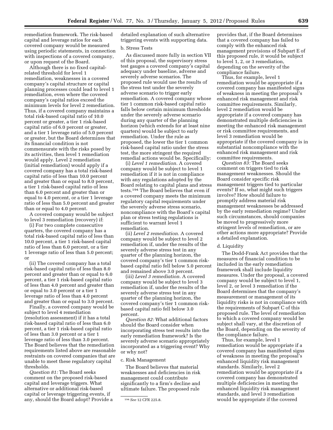remediation framework. The risk-based capital and leverage ratios for each covered company would be measured using periodic statements, in connection with inspections of a covered company, or upon request of the Board.

Although there is no fixed capitalrelated threshold for level 1 remediation, weaknesses in a covered company's capital structure or capital planning processes could lead to level 1 remediation, even where the covered company's capital ratios exceed the minimum levels for level 2 remediation. Thus, if a covered company maintains a total risk-based capital ratio of 10.0 percent or greater, a tier 1 risk-based capital ratio of 6.0 percent or greater, and a tier 1 leverage ratio of 5.0 percent or greater, but the Board determines that its financial condition is not commensurate with the risks posed by its activities, then level 1 remediation would apply. Level 2 remediation (initial remediation) would apply if a covered company has a total risk-based capital ratio of less than 10.0 percent and greater than or equal to 8.0 percent, a tier 1 risk-based capital ratio of less than 6.0 percent and greater than or equal to 4.0 percent, or a tier 1 leverage ratio of less than 5.0 percent and greater than or equal to 4.0 percent.

A covered company would be subject to level 3 remediation (recovery) if:

(i) For two complete consecutive quarters, the covered company has a total risk-based capital ratio of less than 10.0 percent, a tier 1 risk-based capital ratio of less than 6.0 percent, or a tier 1 leverage ratio of less than 5.0 percent; or

(ii) The covered company has a total risk-based capital ratio of less than 8.0 percent and greater than or equal to 6.0 percent, a tier 1 risk-based capital ratio of less than 4.0 percent and greater than or equal to 3.0 percent or a tier 1 leverage ratio of less than 4.0 percent and greater than or equal to 3.0 percent.

Finally, a covered company would be subject to level 4 remediation (resolution assessment) if it has a total risk-based capital ratio of less than 6.0 percent, a tier 1 risk-based capital ratio of less than 3.0 percent or a tier 1 leverage ratio of less than 3.0 percent. The Board believes that the remediation requirements listed above are reasonable restraints on covered companies that are unable to meet these regulatory capital thresholds.

*Question 81:* The Board seeks comment on the proposed risk-based capital and leverage triggers. What alternative or additional risk-based capital or leverage triggering events, if any, should the Board adopt? Provide a detailed explanation of such alternative triggering events with supporting data.

#### b. Stress Tests

As discussed more fully in section VII of this proposal, the supervisory stress test gauges a covered company's capital adequacy under baseline, adverse and severely adverse scenarios. The proposed rule would use the results of the stress test under the severely adverse scenario to trigger early remediation. A covered company whose tier 1 common risk-based capital ratio falls below certain minimum thresholds under the severely adverse scenario during any quarter of the planning horizon (which extends for at least nine quarters) would be subject to early remediation. Under the rule as proposed, the lower the tier 1 common risk-based capital ratio under the stress test, the more stringent the required remedial actions would be. Specifically:

(i) *Level 1 remediation.* A covered company would be subject to level 1 remediation if it is not in compliance with any regulations adopted by the Board relating to capital plans and stress tests.194 The Board believes that even if a covered company meets the minimum regulatory capital requirements under the severely adverse stress scenario, noncompliance with the Board's capital plan or stress testing regulations is sufficient to warrant level 1 remediation.

(ii) *Level 2 remediation.* A covered company would be subject to level 2 remediation if, under the results of the severely adverse stress test in any quarter of the planning horizon, the covered company's tier 1 common riskbased capital ratio fell below 5.0 percent and remained above 3.0 percent.

(iii) *Level 3 remediation.* A covered company would be subject to level 3 remediation if, under the results of the severely adverse stress test in any quarter of the planning horizon, the covered company's tier 1 common riskbased capital ratio fell below 3.0 percent.

*Question 82:* What additional factors should the Board consider when incorporating stress test results into the early remediation framework? Is the severely adverse scenario appropriately incorporated as a triggering event? Why or why not?

# c. Risk Management

The Board believes that material weaknesses and deficiencies in risk management could contribute significantly to a firm's decline and ultimate failure. The proposed rule

provides that, if the Board determines that a covered company has failed to comply with the enhanced risk management provisions of Subpart E of this proposed rule, it would be subject to level 1, 2, or 3 remediation, depending on the severity of the compliance failure.

Thus, for example, level 1 remediation would be appropriate if a covered company has manifested signs of weakness in meeting the proposal's enhanced risk management and risk committee requirements. Similarly, level 2 remediation would be appropriate if a covered company has demonstrated multiple deficiencies in meeting the enhanced risk management or risk committee requirements, and level 3 remediation would be appropriate if the covered company is in substantial noncompliance with the enhanced risk management and risk committee requirements.

*Question 83:* The Board seeks comment on triggers tied to risk management weaknesses. Should the Board consider specific risk management triggers tied to particular events? If so, what might such triggers involve? How should failure to promptly address material risk management weaknesses be addressed by the early remediation regime? Under such circumstances, should companies be moved to progressively more stringent levels of remediation, or are other actions more appropriate? Provide a detailed explanation.

#### d. Liquidity

The Dodd-Frank Act provides that the measures of financial condition to be included in the early remediation framework shall include liquidity measures. Under the proposal, a covered company would be subject to level 1, level 2, or level 3 remediation if the Board determines that the company's measurement or management of its liquidity risks is not in compliance with the requirements of Subpart C of this proposed rule. The level of remediation to which a covered company would be subject shall vary, at the discretion of the Board, depending on the severity of the compliance failure.

Thus, for example, level 1 remediation would be appropriate if a covered company has manifested signs of weakness in meeting the proposal's enhanced liquidity risk management standards. Similarly, level 2 remediation would be appropriate if a covered company has demonstrated multiple deficiencies in meeting the enhanced liquidity risk management standards, and level 3 remediation would be appropriate if the covered

<sup>194</sup>*See* 12 CFR 225.8.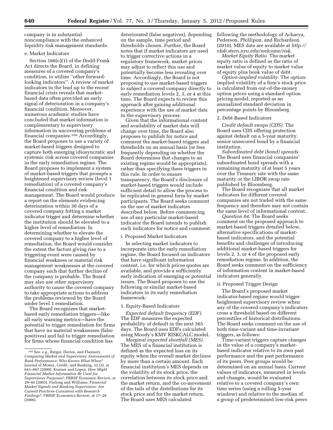company is in substantial noncompliance with the enhanced liquidity risk management standards.

# e. Market Indicators

Section 166(c)(1) of the Dodd-Frank Act directs the Board, in defining measures of a covered company's condition, to utilize ''other forwardlooking indicators''. A review of market indicators in the lead up to the recent financial crisis reveals that marketbased data often provided an early signal of deterioration in a company's financial condition. Moreover, numerous academic studies have concluded that market information is complementary to supervisory information in uncovering problems at financial companies.195 Accordingly, the Board proposes to use a variety of market-based triggers designed to capture both emerging idiosyncratic and systemic risk across covered companies in the early remediation regime. The Board proposes to implement a system of market-based triggers that prompts a heightened supervisory review (level 1 remediation) of a covered company's financial condition and risk management. The Board would produce a report on the elements evidencing deterioration within 30 days of a covered company hitting a market indicator trigger and determine whether the institution should be elevated to a higher level of remediation. In determining whether to elevate the covered company to a higher level of remediation, the Board would consider the extent the factors giving rise to a triggering event were caused by financial weakness or material risk management weaknesses at the covered company such that further decline of the company is probable. The Board may also use other supervisory authority to cause the covered company to take appropriate actions to address the problems reviewed by the Board under level 1 remediation.

The Board recognizes that marketbased early remediation triggers—like all early warning metrics—have the potential to trigger remediation for firms that have no material weaknesses (false positives) and fail to trigger remediation for firms whose financial condition has

deteriorated (false negatives), depending on the sample, time period and thresholds chosen. Further, the Board notes that if market indicators are used to trigger corrective actions in a regulatory framework, market prices may adjust to reflect this use and potentially become less revealing over time. Accordingly, the Board is not proposing to use market-based triggers to subject a covered company directly to early remediation levels 2, 3, or 4 at this time. The Board expects to review this approach after gaining additional experience with the use of market data in the supervisory process.

Given that the informational content and availability of market data will change over time, the Board also proposes to publish for notice and comment the market-based triggers and thresholds on an annual basis (or less frequently depending on whether the Board determines that changes to an existing regime would be appropriate), rather than specifying these triggers in this rule. In order to ensure transparency, the Board's disclosure of market-based triggers would include sufficient detail to allow the process to be replicated in general form by market participants. The Board seeks comment on the use of market indicators described below. Before commencing use of any particular market-based indicator the Board intends to publish such indicators for notice and comment.

# i. Proposed Market Indicators

In selecting market indicators to incorporate into the early remediation regime, the Board focused on indicators that have significant information content, i.e. for which prices quotes are available, and provide a sufficiently early indication of emerging or potential issues. The Board proposes to use the following or similar market-based indicators in its early remediation framework:

# 1. Equity-Based Indicators

*Expected default frequency (EDF).*  The EDF measures the expected probability of default in the next 365 days. The Board uses EDFs calculated using Moody's KMV RISKCALC model.

*Marginal expected shortfall (MES).*  The MES of a financial institution is defined as the expected loss on its equity when the overall market declines by more than a certain amount. Each financial institution's MES depends on the volatility of its stock price, the correlation between its stock price and the market return, and the co-movement of the tails of the distributions for its stock price and for the market return. The Board uses MES calculated

following the methodology of Acharya, Pederson, Phillipon, and Richardson [\(2010\). MES data are available at](http://www.vlab.stern.nyu.edu/welcome/risk) *http:// vlab.stern.nyu.edu/welcome/risk*.

*Market Equity Ratio.* The market equity ratio is defined as the ratio of market value of equity to market value of equity plus book value of debt.

*Option-implied volatility.* The optionimplied volatility of a firm's stock price is calculated from out-of-the-money option prices using a standard option pricing model, reported as an annualized standard deviation in percentage points by Bloomberg.

#### 2. Debt-Based Indicators

*Credit default swaps (CDS).* The Board uses CDS offering protection against default on a 5-year maturity, senior unsecured bond by a financial institution.

*Subordinated debt (bond) spreads.*  The Board uses financial companies' subordinated bond spreads with a remaining maturity of at least 5 years over the Treasury rate with the same maturity or the LIBOR swap rate published by Bloomberg.

The Board recognizes that all market indicators for different covered companies are not traded with the same frequency and therefore may not contain the same level of informational content.

*Question 84:* The Board seeks comment on the proposed approach to market-based triggers detailed below, alternative specifications of marketbased indicators, and the potential benefits and challenges of introducing additional market-based triggers for levels 2, 3, or 4 of the proposed early remediation regime. In addition, the Board seeks comment on the sufficiency of information content in market-based indicators generally.

#### ii. Proposed Trigger Design

The Board's proposed market indicator-based regime would trigger heightened supervisory review when any of the covered company's indicators cross a threshold based on different percentiles of historical distributions. The Board seeks comment on the use of both time-variant and time-invariant triggers, as follows:

Time-variant triggers capture changes in the value of a company's marketbased indicator relative to its own past performance and the past performance of its peers. Peer groups would be determined on an annual basis. Current values of indicators, measured in levels and changes, would be evaluated relative to a covered company's own time series (using a rolling 5-year window) and relative to the median of a group of predetermined low-risk peers

<sup>195</sup>*See, e.g.,* Berger, Davies, and Flannery, *Comparing Market and Supervisory Assessments of Bank Performance: Who Knows What When?*  Journal of Money, Credit, and Banking, 32 (3), at 641–667 (2000). Krainer and Lopez, *How Might Financial Market Information Be Used for Supervisory Purposes?,* FRBSF Economic Review, at 29–45 (2003). Furlong and Williams, *Financial Market Signals and Banking Supervision: Are Current Practices Consistent with Research Findings?,* FRBSF Economics Review, at 17–29 (2006).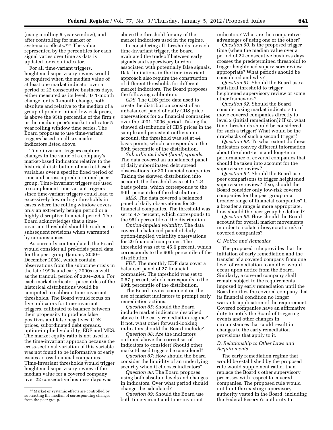(using a rolling 5-year window), and after controlling for market or systematic effects.196 The value represented by the percentiles for each signal varies over time as data is updated for each indicator.

For all time-variant triggers, heightened supervisory review would be required when the median value of at least one market indicator over a period of 22 consecutive business days, either measured as its level, its 1-month change, or its 3-month change, both absolute and relative to the median of a group of predetermined low-risk peers, is above the 95th percentile of the firm's or the median peer's market indicator 5 year rolling window time series. The Board proposes to use time-variant triggers based on all six market indicators listed above.

Time-invariant triggers capture changes in the value of a company's market-based indicators relative to the historical distribution of market-based variables over a specific fixed period of time and across a predetermined peer group. Time-invariant triggers are used to complement time-variant triggers since time-variant triggers could lead to excessively low or high thresholds in cases where the rolling window covers only an extremely benign period or a highly disruptive financial period. The Board acknowledges that a timeinvariant threshold should be subject to subsequent revisions when warranted by circumstances.

As currently contemplated, the Board would consider all pre-crisis panel data for the peer group (January 2000– December 2006), which contain observations from the subprime crisis in the late 1990s and early 2000s as well as the tranquil period of 2004–2006. For each market indicator, percentiles of the historical distributions would be computed to calibrate time-invariant thresholds. The Board would focus on five indicators for time-invariant triggers, calibrated to balance between their propensity to produce false positives and false negatives: CDS prices, subordinated debt spreads, option-implied volatility, EDF and MES. The market equity ratio is not used in the time-invariant approach because the cross-sectional variation of this variable was not found to be informative of early issues across financial companies. Time-invariant thresholds would trigger heightened supervisory review if the median value for a covered company over 22 consecutive business days was

above the threshold for any of the market indicators used in the regime.

In considering all thresholds for each time-invariant trigger, the Board evaluated the tradeoff between early signals and supervisory burden associated with potentially false signals. Data limitations in the time-invariant approach also require the construction of different thresholds for different market indicators. The Board proposes the following calibration:

*CDS.* The CDS price data used to create the distribution consist of an unbalanced panel of daily CDS price observations for 25 financial companies over the 2001- 2006 period. Taking the skewed distribution of CDS prices in the sample and persistent outliers into account, the threshold was set at 44 basis points, which corresponds to the 80th percentile of the distribution.

*Subordinated debt (bond) spreads.*  The data covered an unbalanced panel of daily subordinated debt spread observations for 30 financial companies. Taking the skewed distribution into account, the threshold was set to 124 basis points, which corresponds to the 90th percentile of the distribution.

*MES.* The data covered a balanced panel of daily observations for 29 financial companies. The threshold was set to 4.7 percent, which corresponds to the 95th percentile of the distribution.

*Option-implied volatility.* The data covered a balanced panel of daily option-implied volatility observations for 29 financial companies. The threshold was set to 45.6 percent, which corresponds to the 90th percentile of the distribution.

*EDF.* The monthly EDF data cover a balanced panel of 27 financial companies. The threshold was set to 0.57 percent, which corresponds to the 90th percentile of the distribution.

The Board invites comment on the use of market indicators to prompt early remediation actions.

*Question 85:* Should the Board include market indicators described above in the early remediation regime? If not, what other forward-looking indicators should the Board include?

*Question 86:* Are the indicators outlined above the correct set of indicators to consider? Should other market-based triggers be considered?

*Question 87:* How should the Board consider the liquidity of an underlying security when it chooses indicators?

*Question 88:* The Board proposes using both absolute levels and changes in indicators. Over what period should changes be calculated?

*Question 89:* Should the Board use both time-variant and time-invariant

indicators? What are the comparative advantages of using one or the other?

*Question 90:* Is the proposed trigger time (when the median value over a period of 22 consecutive business days crosses the predetermined threshold) to trigger heightened supervisory review appropriate? What periods should be considered and why?

*Question 91:* Should the Board use a statistical threshold to trigger heightened supervisory review or some other framework?

*Question 92:* Should the Board consider using market indicators to move covered companies directly to level 2 (initial remediation)? If so, what time thresholds should be considered for such a trigger? What would be the drawbacks of such a second trigger?

*Question 93:* To what extent do these indicators convey different information about the short-term and long-term performance of covered companies that should be taken into account for the supervisory review?

*Question 94:* Should the Board use peer comparisons to trigger heightened supervisory review? If so, should the Board consider only low-risk covered companies for the peer group or a broader range of financial companies? If a broader a range is more appropriate, how should the peer group be defined?

*Question 95:* How should the Board account for overall market movements in order to isolate idiosyncratic risk of covered companies?

#### *C. Notice and Remedies*

The proposed rule provides that the initiation of early remediation and the transfer of a covered company from one level of remediation to another would occur upon notice from the Board. Similarly, a covered company shall remain subject to the requirements imposed by early remediation until the Board notifies the covered company that its financial condition no longer warrants application of the requirement. Covered companies have an affirmative duty to notify the Board of triggering events and other changes in circumstances that could result in changes to the early remediation provisions that apply to it.

# *D. Relationship to Other Laws and Requirements*

The early remediation regime that would be established by the proposed rule would supplement rather than replace the Board's other supervisory processes with respect to covered companies. The proposed rule would not limit the existing supervisory authority vested in the Board, including the Federal Reserve's authority to

<sup>196</sup>Market or systemic effects are controlled by subtracting the median of corresponding changes from the peer group.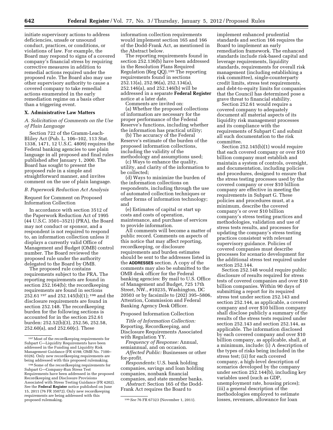initiate supervisory actions to address deficiencies, unsafe or unsound conduct, practices, or conditions, or violations of law. For example, the Board may respond to signs of a covered company's financial stress by requiring corrective measures in addition to remedial actions required under the proposed rule. The Board also may use other supervisory authority to cause a covered company to take remedial actions enumerated in the early remediation regime on a basis other than a triggering event.

# **X. Administrative Law Matters**

*A. Solicitation of Comments on the Use of Plain Language* 

Section 722 of the Gramm-Leach-Bliley Act (Pub. L. 106–102, 113 Stat. 1338, 1471, 12 U.S.C. 4809) requires the Federal banking agencies to use plain language in all proposed and final rules published after January 1, 2000. The Board has sought to present the proposed rule in a simple and straightforward manner, and invites comment on the use of plain language.

#### *B. Paperwork Reduction Act Analysis*

Request for Comment on Proposed Information Collection

In accordance with section 3512 of the Paperwork Reduction Act of 1995 (44 U.S.C. 3501–3521) (PRA), the Board may not conduct or sponsor, and a respondent is not required to respond to, an information collection unless it displays a currently valid Office of Management and Budget (OMB) control number. The Board reviewed the proposed rule under the authority delegated to the Board by OMB.

The proposed rule contains requirements subject to the PRA. The reporting requirements are found in section 252.164(b); the recordkeeping requirements are found in sections 252.61 197 and 252.145(b)(1); 198 and the disclosure requirements are found in section 252.148. The recordkeeping burden for the following sections is accounted for in the section 252.61 burden: 252.52(b)(3), 252.56, 252.58, 252.60(a), and 252.60(c). These

information collection requirements would implement section 165 and 166 of the Dodd-Frank Act, as mentioned in the Abstract below.

The reporting requirements found in section 252.136(b) have been addressed in the Resolution Plans Required Regulation (Reg QQ).199 The reporting requirements found in sections 252.13(a), 252.96(a), 252.134(a), 252.146(a), and 252.146(b) will be addressed in a separate **Federal Register**  notice at a later date.

Comments are invited on:

(a) Whether the proposed collections of information are necessary for the proper performance of the Federal Reserve's functions, including whether the information has practical utility;

(b) The accuracy of the Federal Reserve's estimate of the burden of the proposed information collections, including the validity of the methodology and assumptions used;

(c) Ways to enhance the quality, utility, and clarity of the information to be collected;

(d) Ways to minimize the burden of the information collections on respondents, including through the use of automated collection techniques or other forms of information technology; and

(e) Estimates of capital or start up costs and costs of operation, maintenance, and purchase of services to provide information.

All comments will become a matter of public record. Comments on aspects of this notice that may affect reporting, recordkeeping, or disclosure requirements and burden estimates should be sent to the addresses listed in the **ADDRESSES** section. A copy of the comments may also be submitted to the OMB desk officer for the Federal banking agencies: By mail to U.S. Office of Management and Budget, 725 17th Street, NW., #10235, Washington, DC 20503 or by facsimile to (202) 395–5806, Attention, Commission and Federal Banking Agency Desk Officer.

# Proposed Information Collection

*Title of Information Collection:*  Reporting, Recordkeeping, and Disclosure Requirements Associated with Regulation YY.

*Frequency of Response:* Annual, semiannual, and on occasion.

*Affected Public:* Businesses or other for-profit.

*Respondents:* U.S. bank holding companies, savings and loan holding companies, nonbank financial companies, and state member banks.

*Abstract:* Section 165 of the Dodd-Frank Act requires the Board to

implement enhanced prudential standards and section 166 requires the Board to implement an early remediation framework. The enhanced standards include risk-based capital and leverage requirements, liquidity standards, requirements for overall risk management (including establishing a risk committee), single-counterparty credit limits, stress test requirements, and debt-to-equity limits for companies that the Council has determined pose a grave threat to financial stability.

Section 252.61 would require a covered company to adequately document all material aspects of its liquidity risk management processes and its compliance with the requirements of Subpart C and submit all such documentation to the risk committee.

Section 252.145(b)(1) would require that each covered company or over \$10 billion company must establish and maintain a system of controls, oversight, and documentation, including policies and procedures, designed to ensure that the stress testing processes used by the covered company or over \$10 billion company are effective in meeting the requirements in Subpart G. These policies and procedures must, at a minimum, describe the covered company's or over \$10 billion company's stress testing practices and methodologies, validation and use of stress tests results, and processes for updating the company's stress testing practices consistent with relevant supervisory guidance. Policies of covered companies must describe processes for scenario development for the additional stress test required under section 252.144.

Section 252.148 would require public disclosure of results required for stress tests of covered companies and over \$10 billion companies. Within 90 days of submitting a report for its required stress test under section 252.143 and section 252.144, as applicable, a covered company and over \$10 billion company shall disclose publicly a summary of the results of the stress tests required under section 252.143 and section 252.144, as applicable. The information disclosed by each covered company and over \$10 billion company, as applicable, shall, at a minimum, include: (i) A description of the types of risks being included in the stress test; (ii) for each covered company, a high-level description of scenarios developed by the company under section 252.144(b), including key variables used (such as GDP, unemployment rate, housing prices); (iii) a general description of the methodologies employed to estimate losses, revenues, allowance for loan

<sup>197</sup>Most of the recordkeeping requirements for Subpart C—Liquidity Requirements have been addressed in the Funding and Liquidity Risk Management Guidance (FR 4198; OMB No. 7100– 0326). Only new recordkeeping requirements are being addressed with this proposed rulemaking.

<sup>198</sup>Some of the recordkeeping requirements for Subpart G—Company-Run Stress Test Requirements have been addressed in the proposed Recordkeeping and Disclosure Provisions Associated with Stress Testing Guidance (FR 4202). See the **Federal Register** notice published on June 15, 2011 (76 FR 35072). Only new recordkeeping requirements are being addressed with this

proposed rulemaking. 199*See* 76 FR 67323 (November 1, 2011).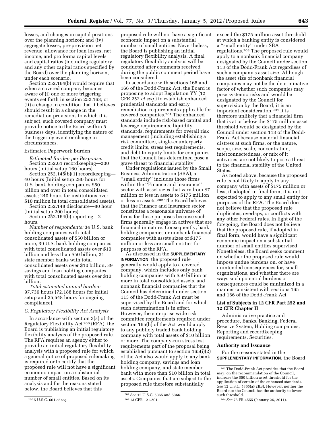losses, and changes in capital positions over the planning horizon; and (iv) aggregate losses, pre-provision net revenue, allowance for loan losses, net income, and pro forma capital levels and capital ratios (including regulatory and any other capital ratios specified by the Board) over the planning horizon, under each scenario.

Section 252.164(b) would require that when a covered company becomes aware of (i) one or more triggering events set forth in section 252.163; or (ii) a change in condition that it believes should result in a change in the remediation provisions to which it is subject, such covered company must provide notice to the Board within 5 business days, identifying the nature of the triggering event or change in circumstances.

# Estimated Paperwork Burden

*Estimated Burden per Response:*  Section 252.61 recordkeeping—200 hours (Initial setup 160 hours).

Section 252.145(b)(1) recordkeeping— 40 hours (Initial setup 280 hours for U.S. bank holding companies \$50 billion and over in total consolidated assets; 240 hours for institutions over \$10 million in total consolidated assets).

Section 252.148 disclosure—80 hour (Initial setup 200 hours).

Section 252.164(b) reporting—2 hours.

*Number of respondents:* 34 U.S. bank holding companies with total consolidated assets of \$50 billion or more, 39 U.S. bank holding companies with total consolidated assets over \$10 billion and less than \$50 billion, 21 state member banks with total consolidated assets over \$10 billion, 39 savings and loan holding companies with total consolidated assets over \$10 billion.

*Total estimated annual burden:*  97,736 hours (72,188 hours for initial setup and 25,548 hours for ongoing compliance).

#### *C. Regulatory Flexibility Act Analysis*

In accordance with section 3(a) of the Regulatory Flexibility Act 200 (RFA), the Board is publishing an initial regulatory flexibility analysis of the proposed rule. The RFA requires an agency either to provide an initial regulatory flexibility analysis with a proposed rule for which a general notice of proposed rulemaking is required or to certify that the proposed rule will not have a significant economic impact on a substantial number of small entities. Based on its analysis and for the reasons stated below, the Board believes that this

proposed rule will not have a significant economic impact on a substantial number of small entities. Nevertheless, the Board is publishing an initial regulatory flexibility analysis. A final regulatory flexibility analysis will be conducted after comments received during the public comment period have been considered.

In accordance with sections 165 and 166 of the Dodd-Frank Act, the Board is proposing to adopt Regulation YY (12 CFR 252 *et seq.*) to establish enhanced prudential standards and early remediation requirements applicable for covered companies.201 The enhanced standards include risk-based capital and leverage requirements, liquidity standards, requirements for overall risk management (including establishing a risk committee), single-counterparty credit limits, stress test requirements, and debt-to-equity limits for companies that the Council has determined pose a grave threat to financial stability.

Under regulations issued by the Small Business Administration (SBA), a ''small entity'' includes those firms within the ''Finance and Insurance'' sector with asset sizes that vary from \$7 million or less in assets to \$175 million or less in assets.202 The Board believes that the Finance and Insurance sector constitutes a reasonable universe of firms for these purposes because such firms generally engage in actives that are financial in nature. Consequently, bank holding companies or nonbank financial companies with assets sizes of \$175 million or less are small entities for purposes of the RFA.

As discussed in the **SUPPLEMENTARY INFORMATION**, the proposed rule generally would apply to a covered company, which includes only bank holding companies with \$50 billion or more in total consolidated assets, and nonbank financial companies that the Council has determined under section 113 of the Dodd-Frank Act must be supervised by the Board and for which such determination is in effect. However, the enterprise wide risk committee requirements required under section 165(h) of the Act would apply to any publicly traded bank holding company with total assets of \$10 billion or more. The company-run stress test requirements part of the proposal being established pursuant to section 165(i)(2) of the Act also would apply to any bank holding company, savings and loan holding company, and state member bank with more than \$10 billion in total assets. Companies that are subject to the proposed rule therefore substantially

at which a banking entity is considered a ''small entity'' under SBA regulations.203 The proposed rule would apply to a nonbank financial company designated by the Council under section 113 of the Dodd-Frank Act regardless of such a company's asset size. Although the asset size of nonbank financial companies may not be the determinative factor of whether such companies may pose systemic risks and would be designated by the Council for supervision by the Board, it is an important consideration.204 It is therefore unlikely that a financial firm that is at or below the \$175 million asset threshold would be designated by the Council under section 113 of the Dodd-Frank Act because material financial distress at such firms, or the nature, scope, size, scale, concentration, interconnectedness, or mix of it activities, are not likely to pose a threat to the financial stability of the United States.

exceed the \$175 million asset threshold

As noted above, because the proposed rule is not likely to apply to any company with assets of \$175 million or less, if adopted in final form, it is not expected to apply to any small entity for purposes of the RFA. The Board does not believe that the proposed rule duplicates, overlaps, or conflicts with any other Federal rules. In light of the foregoing, the Board does not believe that the proposed rule, if adopted in final form, would have a significant economic impact on a substantial number of small entities supervised. Nonetheless, the Board seeks comment on whether the proposed rule would impose undue burdens on, or have unintended consequences for, small organizations, and whether there are ways such potential burdens or consequences could be minimized in a manner consistent with sections 165 and 166 of the Dodd-Frank Act.

# **List of Subjects in 12 CFR Part 252 and 12 CFR Chapter II**

Administrative practice and procedure, Banks, Banking, Federal Reserve System, Holding companies, Reporting and recordkeeping requirements, Securities.

# **Authority and Issuance**

For the reasons stated in the **SUPPLEMENTARY INFORMATION**, the Board

<sup>200</sup> 5 U.S.C. 601 *et seq.* 

<sup>201</sup>*See* 12 U.S.C. 5365 and 5366. 202 13 CFR 121.201.

<sup>203</sup>The Dodd-Frank Act provides that the Board may, on the recommendation of the Council, increase the \$50 billion asset threshold for the application of certain of the enhanced standards. *See* 12 U.S.C. 5365(a)(2)(B). However, neither the Board nor the Council has the authority to lower such threshold.

<sup>204</sup>*See* 76 FR 4555 (January 26, 2011).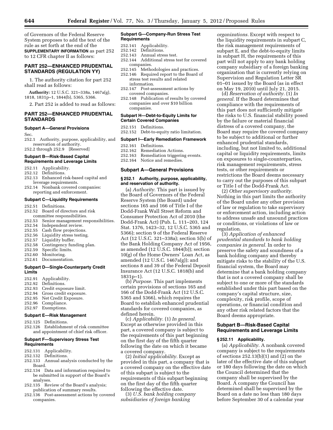of Governors of the Federal Reserve System proposes to add the text of the rule as set forth at the end of the **SUPPLEMENTARY INFORMATION** as part 252 to 12 CFR chapter II as follows:

# **PART 252—ENHANCED PRUDENTIAL STANDARDS (REGULATION YY)**

1. The authority citation for part 252 shall read as follows:

**Authority:** 12 U.S.C. 321–338a, 1467a(g), 1818, 1831p–1, 1844(b), 5365, 5366.

2. Part 252 is added to read as follows:

# **PART 252—ENHANCED PRUDENTIAL STANDARDS**

#### **Subpart A—General Provisions**

Sec.

252.1 Authority, purpose, applicability, and reservation of authority. 252.2 through 252.9 [Reserved]

# **Subpart B—Risk-Based Capital**

**Requirements and Leverage Limits** 

- 252.11 Applicability.
- 252.12 Definitions.
- 252.13 Enhanced risk-based capital and leverage requirements.
- 252.14 Nonbank covered companies: reporting and enforcement.

#### **Subpart C—Liquidity Requirements**

- 252.51 Definitions.
- 252.52 Board of directors and risk
- committee responsibilities.<br>252.53 Senior management rea
- Senior management responsibilities.
- 252.54 Independent review.<br>252.55 Cash flow projections
- 252.55 Cash flow projections.<br>252.56 Liquidity stress testing
- Liquidity stress testing.
- 252.57 Liquidity buffer.
- 252.58 Contingency funding plan.
- 252.59 Specific limits.
- 252.60 Monitoring.
- 252.61 Documentation.

#### **Subpart D—Single-Counterparty Credit Limits**

- 252.91 Applicability.
- 252.92 Definitions.
- 252.93 Credit exposure limit.
- 252.94 Gross credit exposure.
- Net Credit Exposure.
- 252.96 Compliance.
- 252.97 Exemptions.

# **Subpart E—Risk Management**

- 252.125 Definitions.
- 252.126 Establishment of risk committee and appointment of chief risk officer.

# **Subpart F—Supervisory Stress Test Requirements**

- 252.131 Applicability.
- 252.132 Definitions.
- 252.133 Annual analysis conducted by the Board.
- 252.134 Data and information required to be submitted in support of the Board's analyses.
- 252.135 Review of the Board's analysis; publication of summary results.
- 252.136 Post-assessment actions by covered companies.

#### **Subpart G—Company-Run Stress Test Requirements**

- 252.141 Applicability.
- 252.142 Definitions.
- 252.143 Annual stress test.
- 252.144 Additional stress test for covered companies.<br>252 145 - Metho
- Methodologies and practices.
- 252.146 Required report to the Board of stress test results and related information.
- 252.147 Post-assessment actions by covered companies.
- 252.148 Publication of results by covered companies and over \$10 billion companies.

#### **Subpart H—Debt-to-Equity Limits for Certain Covered Companies**

- 252.152 Debt-to-equity ratio limitation.
- **Subpart I—Early Remediation Framework** 
	- 252.161 Definitions.
	- 252.162 Remediation Actions.
	-
	- 252.163 Remediation triggering events.<br>252.164 Notice and remedies. Notice and remedies.

#### **Subpart A—General Provisions**

## **§ 252.1 Authority, purpose, applicability, and reservation of authority.**

(a) *Authority.* This part is issued by the Board of Governors of the Federal Reserve System (the Board) under sections 165 and 166 of Title I of the Dodd-Frank Wall Street Reform and Consumer Protection Act of 2010 (the Dodd-Frank Act) (Pub. L. 111–203, 124 Stat. 1376, 1423–32, 12 U.S.C. 5365 and 5366); section 9 of the Federal Reserve Act (12 U.S.C. 321–338a); section 5(b) of the Bank Holding Company Act of 1956, as amended (12 U.S.C. 1844(b)); section 10(g) of the Home Owners' Loan Act, as amended (12 U.S.C. 1467a(g)); and sections 8 and 39 of the Federal Deposit Insurance Act (12 U.S.C. 1818(b) and 1831p–1).

(b) *Purpose.* This part implements certain provisions of sections 165 and 166 of the Dodd-Frank Act (12 U.S.C. 5365 and 5366), which requires the Board to establish enhanced prudential standards for covered companies, as defined herein.

(c) *Applicability.* (1) *In general.*  Except as otherwise provided in this part, a covered company is subject to the requirements of this part beginning on the first day of the fifth quarter following the date on which it became a covered company.

(2) *Initial applicability.* Except as provided in this part, a company that is a covered company on the effective date of this subpart is subject to the requirements of this subpart beginning on the first day of the fifth quarter following the effective date.

(3) *U.S. bank holding company subsidiaries of foreign banking* 

*organizations.* Except with respect to the liquidity requirements in subpart C, the risk management requirements of subpart E, and the debt-to-equity limits in subpart H, the requirements of this part will not apply to any bank holding company subsidiary of a foreign banking organization that is currently relying on Supervision and Regulation Letter SR 01–01 issued by the Board (as in effect on May 19, 2010) until July 21, 2015.

(d) *Reservation of authority.* (1) *In general.* If the Board determines that compliance with the requirements of this part does not sufficiently mitigate the risks to U.S. financial stability posed by the failure or material financial distress of a covered company, the Board may require the covered company to be subject to additional or further enhanced prudential standards, including, but not limited to, additional capital or liquidity requirements, limits on exposures to single-counterparties, risk management requirements, stress tests, or other requirements or restrictions the Board deems necessary to carry out the purposes of this subpart or Title I of the Dodd-Frank Act.

(2) *Other supervisory authority.*  Nothing in this part limits the authority of the Board under any other provision of law or regulation to take supervisory or enforcement action, including action to address unsafe and unsound practices or conditions, or violations of law or regulation.

(3) *Application of enhanced prudential standards to bank holding companies in general.* In order to preserve the safety and soundness of a bank holding company and thereby mitigate risks to the stability of the U.S. financial system, the Board may determine that a bank holding company that is not a covered company shall be subject to one or more of the standards established under this part based on the company's capital structure, size, complexity, risk profile, scope of operations, or financial condition and any other risk related factors that the Board deems appropriate.

# **Subpart B—Risk-Based Capital Requirements and Leverage Limits**

# **§ 252.11 Applicability.**

(a) *Applicability.* A nonbank covered company is subject to the requirements of sections 252.13(b)(1) and (2) on the later of the effective date of this subpart or 180 days following the date on which the Council determined that the company shall be supervised by the Board. A company the Council has determined shall be supervised by the Board on a date no less than 180 days before September 30 of a calendar year

- 252.151 Definitions.
- 
-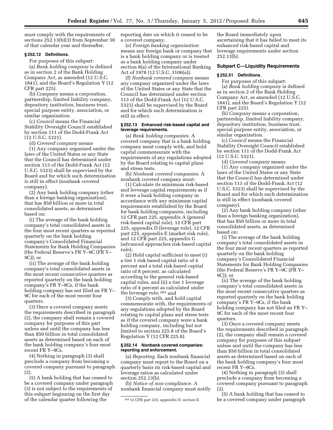must comply with the requirements of sections 252.13(b)(3) from September 30 of that calendar year and thereafter.

# **§ 252.12 Definitions.**

For purposes of this subpart: (a) *Bank holding company* is defined as in section 2 of the Bank Holding Company Act, as amended (12 U.S.C. 1841), and the Board's Regulation Y (12 CFR part 225).

(b) *Company* means a corporation, partnership, limited liability company, depository institution, business trust, special purpose entity, association, or similar organization.

(c) *Council* means the Financial Stability Oversight Council established by section 111 of the Dodd-Frank Act (12 U.S.C. 5321).

(d) *Covered company* means

(1) Any company organized under the laws of the United States or any State that the Council has determined under section 113 of the Dodd-Frank Act (12 U.S.C. 5323) shall be supervised by the Board and for which such determination is still in effect (nonbank covered company).

(2) Any bank holding company (other than a foreign banking organization), that has \$50 billion or more in total consolidated assets, as determined based on:

(i) The average of the bank holding company's total consolidated assets in the four most recent quarters as reported quarterly on the bank holding company's Consolidated Financial Statements for Bank Holding Companies (the Federal Reserve's FR Y–9C (FR Y– 9C)); or

(ii) The average of the bank holding company's total consolidated assets in the most recent consecutive quarters as reported quarterly on the bank holding company's FR Y–9Cs, if the bank holding company has not filed an FR Y– 9C for each of the most recent four quarters.

(3) Once a covered company meets the requirements described in paragraph (2), the company shall remain a covered company for purposes of this part unless and until the company has less than \$50 billion in total consolidated assets as determined based on each of the bank holding company's four most recent FR Y–9Cs.

(4) Nothing in paragraph (3) shall preclude a company from becoming a covered company pursuant to paragraph  $(2)$ 

(5) A bank holding that has ceased to be a covered company under paragraph (3) is not subject to the requirements of this subpart beginning on the first day of the calendar quarter following the

reporting date on which it ceased to be a covered company.

(e) *Foreign banking organization*  means any foreign bank or company that is a bank holding company or is treated as a bank holding company under section 8(a) of the International Banking Act of 1978 (12 U.S.C. 3106(a)).

(f) *Nonbank covered company* means any company organized under the laws of the United States or any State that the Council has determined under section 113 of the Dodd-Frank Act (12 U.S.C. 5323) shall be supervised by the Board and for which such determination is still in effect.

### **§ 252.13 Enhanced risk-based capital and leverage requirements.**

(a) *Bank holding companies.* A covered company that is a bank holding company must comply with, and hold capital commensurate with the requirements of any regulations adopted by the Board relating to capital plans and stress tests.

(b) *Nonbank covered companies.* A nonbank covered company must:

(1) Calculate its minimum risk-based and leverage capital requirements as if it were a bank holding company in accordance with any minimum capital requirements established by the Board for bank holding companies, including 12 CFR part 225, appendix A (general risk-based capital rule), 12 CFR part 225, appendix D (leverage rule), 12 CFR part 225, appendix E (market risk rule), and 12 CFR part 225, appendix G (advanced approaches risk-based capital rule);

(2) Hold capital sufficient to meet (i) a tier 1 risk based capital ratio of 4 percent and a total risk-based capital ratio of 8 percent, as calculated according to the general risk-based capital rules, and (ii) a tier 1 leverage ratio of 4 percent as calculated under the leverage rule; 205 and

(3) Comply with, and hold capital commensurate with, the requirements of any regulations adopted by the Board relating to capital plans and stress tests as if the covered company were a bank holding company, including but not limited to section 225.8 of the Board's Regulation Y (12 CFR 225.8).

# **§ 252.14 Nonbank covered companies: reporting and enforcement.**

(a) *Reporting.* Each nonbank financial company must report to the Board on a quarterly basis its risk-based capital and leverage ratios as calculated under section 252.13(b).

(b) *Notice of non-compliance.* A nonbank financial company must notify

the Board immediately upon ascertaining that it has failed to meet its enhanced risk-based capital and leverage requirements under section 252.13(b).

# **Subpart C—Liquidity Requirements**

#### **§ 252.51 Definitions.**

For purposes of this subpart: (a) *Bank holding company* is defined as in section 2 of the Bank Holding Company Act, as amended (12 U.S.C. 1841), and the Board's Regulation Y (12 CFR part 225).

(b) *Company* means a corporation, partnership, limited liability company, depository institution, business trust, special purpose entity, association, or similar organization.

(c) *Council* means the Financial Stability Oversight Council established by section 111 of the Dodd-Frank Act (12 U.S.C. 5321).

(d) *Covered company* means

(1) Any company organized under the laws of the United States or any State that the Council has determined under section 113 of the Dodd-Frank Act (12 U.S.C. 5323) shall be supervised by the Board and for which such determination is still in effect (nonbank covered company).

(2) Any bank holding company (other than a foreign banking organization), that has \$50 billion or more in total consolidated assets, as determined based on:

(i) The average of the bank holding company's total consolidated assets in the four most recent quarters as reported quarterly on the bank holding company's Consolidated Financial Statements for Bank Holding Companies (the Federal Reserve's FR Y–9C (FR Y– 9C)); or

(ii) The average of the bank holding company's total consolidated assets in the most recent consecutive quarters as reported quarterly on the bank holding company's FR Y–9Cs, if the bank holding company has not filed an FR Y– 9C for each of the most recent four quarters.

(3) Once a covered company meets the requirements described in paragraph (2), the company shall remain a covered company for purposes of this subpart unless and until the company has less than \$50 billion in total consolidated assets as determined based on each of the bank holding company's four most recent FR Y–9Cs.

(4) Nothing in paragraph (3) shall preclude a company from becoming a covered company pursuant to paragraph (2).

(5) A bank holding that has ceased to be a covered company under paragraph

<sup>205</sup> 12 CFR part 225, appendix D, section II.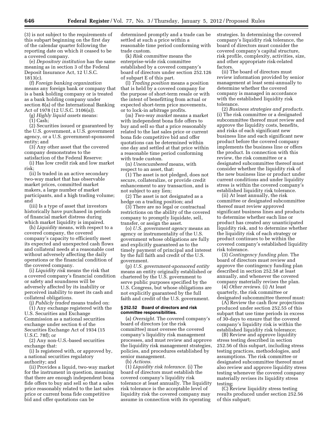(3) is not subject to the requirements of this subpart beginning on the first day of the calendar quarter following the reporting date on which it ceased to be a covered company.

(e) *Depository institution* has the same meaning as in section 3 of the Federal Deposit Insurance Act, 12 U.S.C. 1813(c).

(f) *Foreign banking organization*  means any foreign bank or company that is a bank holding company or is treated as a bank holding company under section 8(a) of the International Banking Act of 1978 (12 U.S.C. 3106(a)).

(g) *Highly liquid assets* means:

(1) Cash;

(2) Securities issued or guaranteed by the U.S. government, a U.S. government agency, or a U.S. government-sponsored entity; and

(3) Any other asset that the covered company demonstrates to the satisfaction of the Federal Reserve:

(i) Has low credit risk and low market risk;

(ii) Is traded in an active secondary two-way market that has observable market prices, committed market makers, a large number of market participants, and a high trading volume; and

(iii) Is a type of asset that investors historically have purchased in periods of financial market distress during which market liquidity is impaired.

(h) *Liquidity* means, with respect to a covered company, the covered company's capacity to efficiently meet its expected and unexpected cash flows and collateral needs at a reasonable cost without adversely affecting the daily operations or the financial condition of the covered company.

(i) *Liquidity risk* means the risk that a covered company's financial condition or safety and soundness will be adversely affected by its inability or perceived inability to meet its cash and collateral obligations.

(j) *Publicly traded* means traded on:

(1) Any exchange registered with the U.S. Securities and Exchange Commission as a national securities exchange under section 6 of the Securities Exchange Act of 1934 (15 U.S.C. 78f); or

(2) Any non-U.S.-based securities exchange that:

(i) Is registered with, or approved by, a national securities regulatory authority; and

(ii) Provides a liquid, two-way market for the instrument in question, meaning that there are enough independent bona fide offers to buy and sell so that a sales price reasonably related to the last sales price or current bona fide competitive bid and offer quotations can be

determined promptly and a trade can be settled at such a price within a reasonable time period conforming with trade custom.

(k) *Risk committee* means the enterprise-wide risk committee established by a covered company's board of directors under section 252.126 of subpart E of this part.

(l) *Trading position* means a position that is held by a covered company for the purpose of short-term resale or with the intent of benefitting from actual or expected short-term price movements, or to lock-in arbitrage profits.

(m) *Two-way market* means a market with independent bona fide offers to buy and sell so that a price reasonably related to the last sales price or current bona fide competitive bid and offer quotations can be determined within one day and settled at that price within a reasonable time period conforming with trade custom.

(n) *Unencumbered* means, with respect to an asset, that:

(1) The asset is not pledged, does not secure, collateralize, or provide credit enhancement to any transaction, and is not subject to any lien;

(2) The asset is not designated as a hedge on a trading position; and

(3) There are no legal or contractual restrictions on the ability of the covered company to promptly liquidate, sell, transfer, or assign the asset.

(o) *U.S. government agency* means an agency or instrumentality of the U.S. government whose obligations are fully and explicitly guaranteed as to the timely payment of principal and interest by the full faith and credit of the U.S. government.

(p) *U.S. government-sponsored entity*  means an entity originally established or chartered by the U.S. government to serve public purposes specified by the U.S. Congress, but whose obligations are not explicitly guaranteed by the full faith and credit of the U.S. government.

# **§ 252.52 Board of directors and risk committee responsibilities.**

(a) *Oversight.* The covered company's board of directors (or the risk committee) must oversee the covered company's liquidity risk management processes, and must review and approve the liquidity risk management strategies, policies, and procedures established by senior management.

(b) *Actions.* 

(1) *Liquidity risk tolerance.* (i) The board of directors must establish the covered company's liquidity risk tolerance at least annually. The liquidity risk tolerance is the acceptable level of liquidity risk the covered company may assume in connection with its operating

strategies. In determining the covered company's liquidity risk tolerance, the board of directors must consider the covered company's capital structure, risk profile, complexity, activities, size, and other appropriate risk-related factors.

(ii) The board of directors must review information provided by senior management at least semi-annually to determine whether the covered company is managed in accordance with the established liquidity risk tolerance.

(2) *Business strategies and products.*  (i) The risk committee or a designated subcommittee thereof must review and approve the liquidity costs, benefits, and risks of each significant new business line and each significant new product before the covered company implements the business line or offers the product. In connection with this review, the risk committee or a designated subcommittee thereof must consider whether the liquidity risk of the new business line or product under current conditions and under liquidity stress is within the covered company's established liquidity risk tolerance.

(ii) At least annually, the risk committee or designated subcommittee thereof must review approved significant business lines and products to determine whether each line or product has created any unanticipated liquidity risk, and to determine whether the liquidity risk of each strategy or product continues to be within the covered company's established liquidity risk tolerance.

(3) *Contingency funding plan.* The board of directors must review and approve the contingency funding plan described in section 252.58 at least annually, and whenever the covered company materially revises the plan.

(4) *Other reviews.* (i) At least quarterly, the risk committee or designated subcommittee thereof must:

(A) Review the cash flow projections produced under section 252.55 of this subpart that use time periods in excess of 30-days to ensure that the covered company's liquidity risk is within the established liquidity risk tolerance;

(B) Review and approve liquidity stress testing described in section 252.56 of this subpart, including stress testing practices, methodologies, and assumptions. The risk committee or designated subcommittee thereof must also review and approve liquidity stress testing whenever the covered company materially revises its liquidity stress testing;

(C) Review liquidity stress testing results produced under section 252.56 of this subpart;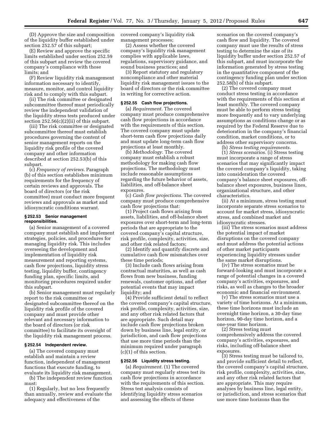(D) Approve the size and composition of the liquidity buffer established under section 252.57 of this subpart;

(E) Review and approve the specific limits established under section 252.59 of this subpart and review the covered company's compliance with those limits; and

(F) Review liquidity risk management information necessary to identify, measure, monitor, and control liquidity risk and to comply with this subpart.

(ii) The risk committee or designated subcommittee thereof must periodically review the independent validation of the liquidity stress tests produced under section  $252.56(c)(2)(ii)$  of this subpart.

(iii) The risk committee or designated subcommittee thereof must establish procedures governing the content of senior management reports on the liquidity risk profile of the covered company and other information described at section 252.53(b) of this subpart.

(c) *Frequency of reviews.* Paragraph (b) of this section establishes minimum requirements for the frequency of certain reviews and approvals. The board of directors (or the risk committee) must conduct more frequent reviews and approvals as market and idiosyncratic conditions warrant.

#### **§ 252.53 Senior management responsibilities.**

(a) Senior management of a covered company must establish and implement strategies, policies, and procedures for managing liquidity risk. This includes overseeing the development and implementation of liquidity risk measurement and reporting systems, cash flow projections, liquidity stress testing, liquidity buffer, contingency funding plan, specific limits, and monitoring procedures required under this subpart.

(b) Senior management must regularly report to the risk committee or designated subcommittee thereof on the liquidity risk profile of the covered company and must provide other relevant and necessary information to the board of directors (or risk committee) to facilitate its oversight of the liquidity risk management process.

#### **§ 252.54 Independent review.**

(a) The covered company must establish and maintain a review function, independent of management functions that execute funding, to evaluate its liquidity risk management.

(b) The independent review function must:

(1) Regularly, but no less frequently than annually, review and evaluate the adequacy and effectiveness of the

covered company's liquidity risk management processes;

(2) Assess whether the covered company's liquidity risk management complies with applicable laws, regulations, supervisory guidance, and sound business practices; and

(3) Report statutory and regulatory noncompliance and other material liquidity risk management issues to the board of directors or the risk committee in writing for corrective action.

#### **§ 252.55 Cash flow projections.**

(a) *Requirement.* The covered company must produce comprehensive cash flow projections in accordance with the requirements of this section. The covered company must update short-term cash flow projections daily and must update long-term cash flow projections at least monthly.

(b) *Methodology.* The covered company must establish a robust methodology for making cash flow projections. The methodology must include reasonable assumptions regarding the future behavior of assets, liabilities, and off-balance sheet exposures.

(c) *Cash flow projections.* The covered company must produce comprehensive cash flow projections that:

(1) Project cash flows arising from assets, liabilities, and off-balance sheet exposures over short-term and long-term periods that are appropriate to the covered company's capital structure, risk profile, complexity, activities, size, and other risk related factors;

(2) Identify and quantify discrete and cumulative cash flow mismatches over these time periods;

(3) Include cash flows arising from contractual maturities, as well as cash flows from new business, funding renewals, customer options, and other potential events that may impact liquidity; and

(4) Provide sufficient detail to reflect the covered company's capital structure, risk profile, complexity, activities, size, and any other risk related factors that are appropriate. Such detail may include cash flow projections broken down by business line, legal entity, or jurisdiction, and cash flow projections that use more time periods than the minimum required under paragraph (c)(1) of this section.

#### **§ 252.56 Liquidity stress testing.**

(a) *Requirement.* (1) The covered company must regularly stress test its cash flow projections in accordance with the requirements of this section. Stress test analysis consists of identifying liquidity stress scenarios and assessing the effects of these

scenarios on the covered company's cash flow and liquidity. The covered company must use the results of stress testing to determine the size of its liquidity buffer under section 252.57 of this subpart, and must incorporate the information generated by stress testing in the quantitative component of the contingency funding plan under section 252.58(b) of this subpart.

(2) The covered company must conduct stress testing in accordance with the requirements of this section at least monthly. The covered company must be able to perform stress testing more frequently and to vary underlying assumptions as conditions change or as required by the Federal Reserve due to deterioration in the company's financial condition, market conditions, or to address other supervisory concerns.

(b) *Stress testing requirements.* 

(1) *Stress scenarios.* (i) Stress testing must incorporate a range of stress scenarios that may significantly impact the covered company's liquidity, taking into consideration the covered company's balance sheet exposures, offbalance sheet exposures, business lines, organizational structure, and other characteristics.

(ii) At a minimum, stress testing must incorporate separate stress scenarios to account for market stress, idiosyncratic stress, and combined market and idiosyncratic stresses.

(iii) The stress scenarios must address the potential impact of market disruptions on the covered company and must address the potential actions of other market participants experiencing liquidity stresses under the same market disruptions.

(iv) The stress scenarios must be forward-looking and must incorporate a range of potential changes in a covered company's activities, exposures, and risks, as well as changes to the broader economic and financial environment.

(v) The stress scenarios must use a variety of time horizons. At a minimum, these time horizons must include an overnight time horizon, a 30-day time horizon, 90-day time horizon, and a one-year time horizon.

(2) Stress testing must comprehensively address the covered company's activities, exposures, and risks, including off-balance sheet exposures.

(3) Stress testing must be tailored to, and provide sufficient detail to reflect, the covered company's capital structure, risk profile, complexity, activities, size, and any other risk related factors that are appropriate. This may require analyses by business line, legal entity, or jurisdiction, and stress scenarios that use more time horizons than the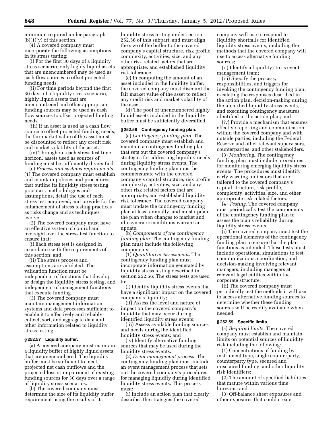minimum required under paragraph  $(b)(1)(v)$  of this section.

(4) A covered company must incorporate the following assumptions in its stress testing:

(i) For the first 30 days of a liquidity stress scenario, only highly liquid assets that are unencumbered may be used as cash flow sources to offset projected funding needs.

(ii) For time periods beyond the first 30 days of a liquidity stress scenario, highly liquid assets that are unencumbered and other appropriate funding sources may be used as cash flow sources to offset projected funding needs.

(iii) If an asset is used as a cash flow source to offset projected funding needs, the fair market value of the asset must be discounted to reflect any credit risk and market volatility of the asset.

(iv) Throughout each stress test time horizon, assets used as sources of funding must be sufficiently diversified.

(c) *Process and systems requirements.*  (1) The covered company must establish and maintain policies and procedures that outline its liquidity stress testing practices, methodologies and assumptions, detail the use of each stress test employed, and provide for the enhancement of stress testing practices as risks change and as techniques evolve.

(2) The covered company must have an effective system of control and oversight over the stress test function to ensure that:

(i) Each stress test is designed in accordance with the requirements of this section; and

(ii) The stress process and assumptions are validated. The validation function must be independent of functions that develop or design the liquidity stress testing, and independent of management functions that execute funding.

(3) The covered company must maintain management information systems and data processes sufficient to enable it to effectively and reliably collect, sort, and aggregate data and other information related to liquidity stress testing.

# **§ 252.57 Liquidity buffer.**

(a) A covered company must maintain a liquidity buffer of highly liquid assets that are unencumbered. The liquidity buffer must be sufficient to meet projected net cash outflows and the projected loss or impairment of existing funding sources for 30 days over a range of liquidity stress scenarios.

(b) The covered company must determine the size of its liquidity buffer requirement using the results of its

liquidity stress testing under section 252.56 of this subpart, and must align the size of the buffer to the covered company's capital structure, risk profile, complexity, activities, size, and any other risk related factors that are appropriate, and established liquidity risk tolerance.

(c) In computing the amount of an asset included in the liquidity buffer, the covered company must discount the fair market value of the asset to reflect any credit risk and market volatility of the asset.

(d) The pool of unencumbered highly liquid assets included in the liquidity buffer must be sufficiently diversified.

#### **§ 252.58 Contingency funding plan.**

(a) *Contingency funding plan.* The covered company must establish and maintain a contingency funding plan that sets out the covered company's strategies for addressing liquidity needs during liquidity stress events. The contingency funding plan must be commensurate with the covered company's capital structure, risk profile, complexity, activities, size, and any other risk related factors that are appropriate, and established liquidity risk tolerance. The covered company must update the contingency funding plan at least annually, and must update the plan when changes to market and idiosyncratic conditions warrant an update.

(b) *Components of the contingency funding plan.* The contingency funding plan must include the following components:

(1) *Quantitative Assessment.* The contingency funding plan must incorporate information generated by liquidity stress testing described in section 252.56. The stress tests are used to:

(i) Identify liquidity stress events that have a significant impact on the covered company's liquidity;

(ii) Assess the level and nature of impact on the covered company's liquidity that may occur during identified liquidity stress events;

(iii) Assess available funding sources and needs during the identified liquidity stress events; and

(iv) Identify alternative funding sources that may be used during the liquidity stress events.

(2) *Event management process.* The contingency funding plan must include an event management process that sets out the covered company's procedures for managing liquidity during identified liquidity stress events. This process must:

(i) Include an action plan that clearly describes the strategies the covered

company will use to respond to liquidity shortfalls for identified liquidity stress events, including the methods that the covered company will use to access alternative funding sources;

(ii) Identify a liquidity stress event management team;

(iii) Specify the process, responsibilities, and triggers for invoking the contingency funding plan, escalating the responses described in the action plan, decision-making during the identified liquidity stress events, and executing contingency measures identified in the action plan; and

(iv) Provide a mechanism that ensures effective reporting and communication within the covered company and with outside parties, including the Federal Reserve and other relevant supervisors, counterparties, and other stakeholders.

(3) *Monitoring.* The contingency funding plan must include procedures for monitoring emerging liquidity stress events. The procedures must identify early warning indicators that are tailored to the covered company's capital structure, risk profile, complexity, activities, size, and other appropriate risk related factors.

(4) *Testing.* The covered company must periodically test the components of the contingency funding plan to assess the plan's reliability during liquidity stress events.

(i) The covered company must test the operational elements of the contingency funding plan to ensure that the plan functions as intended. These tests must include operational simulations to test communications, coordination, and decision-making involving relevant managers, including managers at relevant legal entities within the corporate structure.

(ii) The covered company must periodically test the methods it will use to access alternative funding sources to determine whether these funding sources will be readily available when needed.

#### **§ 252.59 Specific limits.**

(a) *Required limits.* The covered company must establish and maintain limits on potential sources of liquidity risk including the following:

(1) Concentrations of funding by instrument type, single counterparty, counterparty type, secured and unsecured funding, and other liquidity risk identifiers;

(2) The amount of specified liabilities that mature within various time horizons; and

(3) Off-balance sheet exposures and other exposures that could create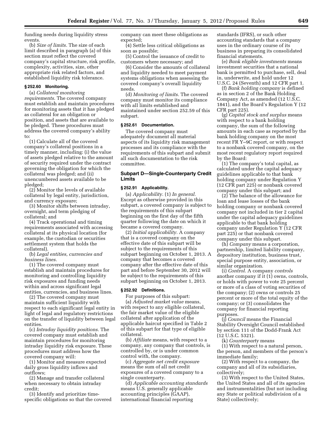funding needs during liquidity stress events.

(b) *Size of limits.* The size of each limit described in paragraph (a) of this section must reflect the covered company's capital structure, risk profile, complexity, activities, size, other appropriate risk related factors, and established liquidity risk tolerance.

# **§ 252.60 Monitoring.**

(a) *Collateral monitoring requirements.* The covered company must establish and maintain procedures for monitoring assets that it has pledged as collateral for an obligation or position, and assets that are available to be pledged. These procedures must address the covered company's ability to:

(1) Calculate all of the covered company's collateral positions in a timely manner, including: (i) the value of assets pledged relative to the amount of security required under the contract governing the obligation for which the collateral was pledged; and (ii) unencumbered assets available to be pledged;

(2) Monitor the levels of available collateral by legal entity, jurisdiction, and currency exposure;

(3) Monitor shifts between intraday, overnight, and term pledging of collateral; and

(4) Track operational and timing requirements associated with accessing collateral at its physical location (for example, the custodian or securities settlement system that holds the collateral).

(b) *Legal entities, currencies and business lines.* 

(1) The covered company must establish and maintain procedures for monitoring and controlling liquidity risk exposures and funding needs within and across significant legal entities, currencies, and business lines.

(2) The covered company must maintain sufficient liquidity with respect to each significant legal entity in light of legal and regulatory restrictions on the transfer of liquidity between legal entities.

(c) *Intraday liquidity positions.* The covered company must establish and maintain procedures for monitoring intraday liquidity risk exposure. These procedures must address how the covered company will:

(1) Monitor and measure expected daily gross liquidity inflows and outflows;

(2) Manage and transfer collateral when necessary to obtain intraday credit;

(3) Identify and prioritize timespecific obligations so that the covered company can meet these obligations as expected;

(4) Settle less critical obligations as soon as possible;

(5) Control the issuance of credit to customers where necessary; and

(6) Consider the amounts of collateral and liquidity needed to meet payment systems obligations when assessing the covered company's overall liquidity needs.

(d) *Monitoring of limits.* The covered company must monitor its compliance with all limits established and maintained under section 252.59 of this subpart.

# **§ 252.61 Documentation.**

The covered company must adequately document all material aspects of its liquidity risk management processes and its compliance with the requirements of this subpart and submit all such documentation to the risk committee.

# **Subpart D—Single-Counterparty Credit Limits**

# **§ 252.91 Applicability.**

(a) *Applicability.* (1) *In general.*  Except as otherwise provided in this subpart, a covered company is subject to the requirements of this subpart beginning on the first day of the fifth quarter following the date on which it became a covered company.

(2) *Initial applicability.* A company that is a covered company on the effective date of this subpart will be subject to the requirements of this subpart beginning on October 1, 2013. A company that becomes a covered company after the effective date of this part and before September 30, 2012 will be subject to the requirements of this subpart beginning on October 1, 2013.

# **§ 252.92 Definitions.**

For purposes of this subpart: (a) *Adjusted market value* means, with respect to any eligible collateral, the fair market value of the eligible collateral after application of the applicable haircut specified in Table 2 of this subpart for that type of eligible collateral.

(b) *Affiliate* means, with respect to a company, any company that controls, is controlled by, or is under common control with, the company.

(c) *Aggregate net credit exposure*  means the sum of all net credit exposures of a covered company to a single counterparty.

(d) *Applicable accounting standards*  means U.S. generally applicable accounting principles (GAAP), international financial reporting

standards (IFRS), or such other accounting standards that a company uses in the ordinary course of its business in preparing its consolidated financial statements.

(e) *Bank eligible investments* means investment securities that a national bank is permitted to purchase, sell, deal in, underwrite, and hold under 12 U.S.C. 24 (Seventh) and 12 CFR part 1.

(f) *Bank holding company* is defined as in section 2 of the Bank Holding Company Act, as amended (12 U.S.C. 1841), and the Board's Regulation Y (12 CFR part 225).

(g) *Capital stock and surplus* means with respect to a bank holding company, the sum of the following amounts in each case as reported by the bank holding company on the most recent FR Y–9C report, or with respect to a nonbank covered company, on the most recent regulatory report required by the Board:

(1) The company's total capital, as calculated under the capital adequacy guidelines applicable to that bank holding company under Regulation Y (12 CFR part 225) or nonbank covered company under this subpart; and

(2) The balance of the allowance for loan and lease losses of the bank holding company or nonbank covered company not included in tier 2 capital under the capital adequacy guidelines applicable to that bank holding company under Regulation Y (12 CFR part 225) or that nonbank covered company under this subpart.

(h) *Company* means a corporation, partnership, limited liability company, depository institution, business trust, special purpose entity, association, or similar organization.

(i) *Control.* A company *controls*  another company if it (1) owns, controls, or holds with power to vote 25 percent or more of a class of voting securities of the company; (2) owns or controls 25 percent or more of the total equity of the company; or (3) consolidates the company for financial reporting purposes.

(j) *Council* means the Financial Stability Oversight Council established by section 111 of the Dodd-Frank Act (12 U.S.C. 5321).

(k) *Counterparty* means

(1) With respect to a natural person, the person, and members of the person's immediate family;

(2) With respect to a company, the company and all of its subsidiaries, collectively;

(3) With respect to the United States, the United States and all of its agencies and instrumentalities (but not including any State or political subdivision of a State) collectively;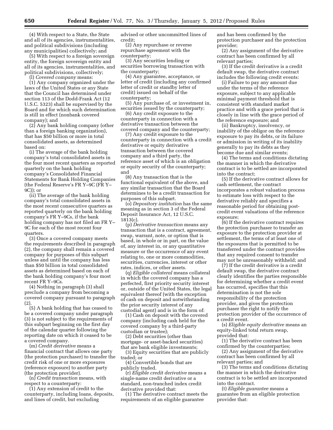(4) With respect to a State, the State and all of its agencies, instrumentalities, and political subdivisions (including any municipalities) collectively; and

(5) With respect to a foreign sovereign entity, the foreign sovereign entity and all of its agencies, instrumentalities, and political subdivisions, collectively; (l) *Covered company* means:

(1) Any company organized under the laws of the United States or any State that the Council has determined under section 113 of the Dodd-Frank Act (12 U.S.C. 5323) shall be supervised by the Board and for which such determination is still in effect (nonbank covered company); and

(2) Any bank holding company (other than a foreign banking organization), that has \$50 billion or more in total consolidated assets, as determined based on:

(i) The average of the bank holding company's total consolidated assets in the four most recent quarters as reported quarterly on the bank holding company's Consolidated Financial Statements for Bank Holding Companies (the Federal Reserve's FR Y–9C (FR Y– 9C)); or

(ii) The average of the bank holding company's total consolidated assets in the most recent consecutive quarters as reported quarterly on the bank holding company's FR Y–9Cs, if the bank holding company has not filed an FR Y– 9C for each of the most recent four quarters.

(3) Once a covered company meets the requirements described in paragraph (2), the company shall remain a covered company for purposes of this subpart unless and until the company has less than \$50 billion in total consolidated assets as determined based on each of the bank holding company's four most recent FR Y–9Cs.

(4) Nothing in paragraph (3) shall preclude a company from becoming a covered company pursuant to paragraph (2).

(5) A bank holding that has ceased to be a covered company under paragraph (3) is not subject to the requirements of this subpart beginning on the first day of the calendar quarter following the reporting date on which it ceased to be a covered company.

(m) *Credit derivative* means a financial contract that allows one party (the protection purchaser) to transfer the credit risk of one or more exposures (reference exposure) to another party (the protection provider).

(n) *Credit transaction* means, with respect to a counterparty:

(1) Any extension of credit to the counterparty, including loans, deposits, and lines of credit, but excluding

advised or other uncommitted lines of credit;

(2) Any repurchase or reverse repurchase agreement with the counterparty;

(3) Any securities lending or securities borrowing transaction with the counterparty;

(4) Any guarantee, acceptance, or letter of credit (including any confirmed letter of credit or standby letter of credit) issued on behalf of the counterparty;

(5) Any purchase of, or investment in, securities issued by the counterparty;

(6) Any credit exposure to the counterparty in connection with a derivative transaction between the covered company and the counterparty;

(7) Any credit exposure to the counterparty in connection with a credit derivative or equity derivative transaction between the covered company and a third party, the reference asset of which is an obligation or equity security of the counterparty; and

(8) Any transaction that is the functional equivalent of the above, and any similar transaction that the Board determines to be a credit transaction for purposes of this subpart.

(o) *Depository institution* has the same meaning as in section 3 of the Federal Deposit Insurance Act, 12 U.S.C. 1813(c).

(p) *Derivative transaction* means any transaction that is a contract, agreement, swap, warrant, note, or option that is based, in whole or in part, on the value of, any interest in, or any quantitative measure or the occurrence of any event relating to, one or more commodities, securities, currencies, interest or other rates, indices, or other assets.

(q) *Eligible collateral* means collateral in which the covered company has a perfected, first priority security interest or, outside of the United States, the legal equivalent thereof (with the exception of cash on deposit and notwithstanding the prior security interest of any custodial agent) and is in the form of:

(1) Cash on deposit with the covered company (including cash held for the covered company by a third-party custodian or trustee);

(2) Debt securities (other than mortgage- or asset-backed securities) that are bank eligible investments;

(3) Equity securities that are publicly traded; or

(4) Convertible bonds that are publicly traded.

(r) *Eligible credit derivative* means a single-name credit derivative or a standard, non-tranched index credit derivative provided that:

(1) The derivative contract meets the requirements of an eligible guarantee

and has been confirmed by the protection purchaser and the protection provider;

(2) Any assignment of the derivative contract has been confirmed by all relevant parties;

(3) If the credit derivative is a credit default swap, the derivative contract includes the following credit events:

(i) Failure to pay any amount due under the terms of the reference exposure, subject to any applicable minimal payment threshold that is consistent with standard market practice and with a grace period that is closely in line with the grace period of the reference exposure; and

(ii) Bankruptcy, insolvency, or inability of the obligor on the reference exposure to pay its debts, or its failure or admission in writing of its inability generally to pay its debts as they become due and similar events;

(4) The terms and conditions dictating the manner in which the derivative contract is to be settled are incorporated into the contract;

(5) If the derivative contract allows for cash settlement, the contract incorporates a robust valuation process to estimate loss with respect to the derivative reliably and specifies a reasonable period for obtaining postcredit event valuations of the reference exposure;

(6) If the derivative contract requires the protection purchaser to transfer an exposure to the protection provider at settlement, the terms of at least one of the exposures that is permitted to be transferred under the contract provides that any required consent to transfer may not be unreasonably withheld; and

(7) If the credit derivative is a credit default swap, the derivative contract clearly identifies the parties responsible for determining whether a credit event has occurred, specifies that this determination is not the sole responsibility of the protection provider, and gives the protection purchaser the right to notify the protection provider of the occurrence of a credit event.

(s) *Eligible equity derivative* means an equity-linked total return swap, provided that:

(1) The derivative contract has been confirmed by the counterparties;

(2) Any assignment of the derivative contract has been confirmed by all relevant parties; and

(3) The terms and conditions dictating the manner in which the derivative contract is to be settled are incorporated into the contract.

(t) *Eligible guarantee* means a guarantee from an eligible protection provider that: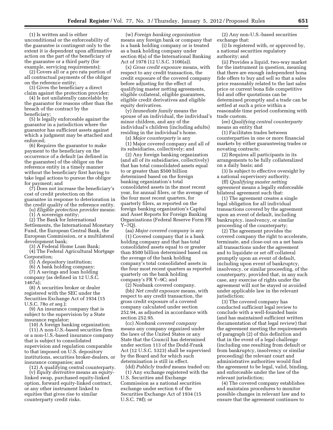(1) Is written and is either unconditional or the enforceability of the guarantee is contingent only to the extent it is dependent upon affirmative action on the part of the beneficiary of the guarantee or a third party (for example, servicing requirements);

(2) Covers all or a pro rata portion of all contractual payments of the obligor on the reference entity;

(3) Gives the beneficiary a direct claim against the protection provider;

(4) Is not unilaterally cancelable by the guarantor for reasons other than the breach of the contract by the beneficiary;

(5) Is legally enforceable against the guarantor in a jurisdiction where the guarantor has sufficient assets against which a judgment may be attached and enforced;

(6) Requires the guarantor to make payment to the beneficiary on the occurrence of a default (as defined in the guarantee) of the obligor on the reference entity in a timely manner without the beneficiary first having to take legal actions to pursue the obligor for payment; and

(7) Does not increase the beneficiary's cost of credit protection on the guarantee in response to deterioration in the credit quality of the reference entity.

(u) *Eligible protection provider* means:

(1) A sovereign entity;

(2) The Bank for International Settlements, the International Monetary Fund, the European Central Bank, the European Commission, or a multilateral development bank;

(3) A Federal Home Loan Bank;

(4) The Federal Agricultural Mortgage Corporation;

(5) A depository institution;

(6) A bank holding company;

(7) A savings and loan holding company (as defined in 12 U.S.C.  $1467a$ 

(8) A securities broker or dealer registered with the SEC under the Securities Exchange Act of 1934 (15 U.S.C. 78o *et seq.*);

(9) An insurance company that is subject to the supervision by a State insurance regulator;

(10) A foreign banking organization;

(11) A non-U.S.-based securities firm or a non-U.S.-based insurance company that is subject to consolidated supervision and regulation comparable to that imposed on U.S. depository institutions, securities broker-dealers, or insurance companies; and

(12) A qualifying central counterparty. (v) *Equity derivative* means an equitylinked swap, purchased equity-linked option, forward equity-linked contract, or any other instrument linked to equities that gives rise to similar counterparty credit risks*.* 

(w) *Foreign banking organization*  means any foreign bank or company that is a bank holding company or is treated as a bank holding company under section 8(a) of the International Banking Act of 1978 (12 U.S.C. 3106(a)).

(x) *Gross credit exposure* means, with respect to any credit transaction, the credit exposure of the covered company before adjusting for the effect of qualifying master netting agreements, eligible collateral, eligible guarantees, eligible credit derivatives and eligible equity derivatives.

(y) *Immediate family* means the spouse of an individual, the individual's minor children, and any of the individual's children (including adults) residing in the individual's home.

(z) *Major counterparty* is any

(1) Major covered company and all of its subsidiaries, collectively; and

(2) Any foreign banking organization (and all of its subsidiaries, collectively) that has total consolidated assets equal to or greater than \$500 billion determined based on the foreign banking organization's total consolidated assets in the most recent year, for annual filers, or the average of the four most recent quarters, for quarterly filers, as reported on the foreign banking organization's Capital and Asset Reports for Foreign Banking Organizations (Federal Reserve Form FR  $Y-7O$ ).

(aa) *Major covered company* is any (1) Covered company that is a bank holding company and that has total consolidated assets equal to or greater than \$500 billion determined based on the average of the bank holding company's total consolidated assets in the four most recent quarters as reported quarterly on the bank holding company's FR Y–9C; and

(2) Nonbank covered company.

(bb) *Net credit exposure* means, with respect to any credit transaction, the gross credit exposure of a covered company calculated under section 252.94, as adjusted in accordance with section 252.95.

(cc) *Nonbank covered company*  means any company organized under the laws of the United States or any State that the Council has determined under section 113 of the Dodd-Frank Act (12 U.S.C. 5323) shall be supervised by the Board and for which such determination is still in effect.

(dd) *Publicly traded* means traded on:

(1) Any exchange registered with the U.S. Securities and Exchange Commission as a national securities exchange under section 6 of the Securities Exchange Act of 1934 (15 U.S.C. 78f); or

(2) Any non-U.S.-based securities exchange that:

(i) Is registered with, or approved by, a national securities regulatory authority; and

(ii) Provides a liquid, two-way market for the instrument in question, meaning that there are enough independent bona fide offers to buy and sell so that a sales price reasonably related to the last sales price or current bona fide competitive bid and offer quotations can be determined promptly and a trade can be settled at such a price within a reasonable time period conforming with trade custom.

(ee) *Qualifying central counterparty*  means an entity that

(1) Facilitates trades between counterparties in one or more financial markets by either guaranteeing trades or novating contracts;

(2) Requires all participants in its arrangements to be fully collateralized on a daily basis; and

(3) Is subject to effective oversight by a national supervisory authority.

(ff) *Qualifying master netting agreement* means a legally enforceable bilateral agreement such that:

(1) The agreement creates a single legal obligation for all individual transactions covered by the agreement upon an event of default, including bankruptcy, insolvency, or similar proceeding of the counterparty;

(2) The agreement provides the covered company the right to accelerate, terminate, and close-out on a net basis all transactions under the agreement and to liquidate or set off collateral promptly upon an event of default, including upon event of bankruptcy, insolvency, or similar proceeding, of the counterparty, provided that, in any such case, any exercise of rights under the agreement will not be stayed or avoided under applicable law in the relevant jurisdiction;

(3) The covered company has conducted sufficient legal review to conclude with a well-founded basis (and has maintained sufficient written documentation of that legal review) that the agreement meeting the requirements of paragraph (2) of this definition and that in the event of a legal challenge (including one resulting from default or from bankruptcy, insolvency or similar proceeding) the relevant court and administrative authorities would find the agreement to be legal, valid, binding, and enforceable under the law of the relevant jurisdiction;

(4) The covered company establishes and maintains procedures to monitor possible changes in relevant law and to ensure that the agreement continues to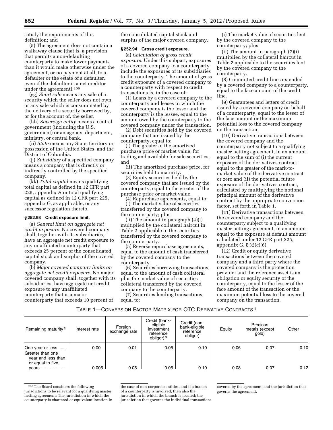satisfy the requirements of this definition; and

(5) The agreement does not contain a walkaway clause (that is, a provision that permits a non-defaulting counterparty to make lower payments than it would make otherwise under the agreement, or no payment at all, to a defaulter or the estate of a defaulter, even if the defaulter is a net creditor under the agreement).206

(gg) *Short sale* means any sale of a security which the seller does not own or any sale which is consummated by the delivery of a security borrowed by, or for the account of, the seller.

(hh) *Sovereign entity* means a central government (including the U.S. government) or an agency, department, ministry, or central bank.

(ii) *State* means any State, territory or possession of the United States, and the District of Columbia.

(jj) *Subsidiary* of a specified company means a company that is directly or indirectly controlled by the specified company.

(kk) *Total capital* means qualifying total capital as defined in 12 CFR part 225, appendix A or total qualifying capital as defined in 12 CFR part 225, appendix G, as applicable, or any successor regulation thereto.

# **§ 252.93 Credit exposure limit.**

(a) *General limit on aggregate net credit exposure.* No covered company shall, together with its subsidiaries, have an aggregate net credit exposure to any unaffiliated counterparty that exceeds 25 percent of the consolidated capital stock and surplus of the covered company.

(b) *Major covered company limits on aggregate net credit exposure.* No major covered company shall, together with its subsidiaries, have aggregate net credit exposure to any unaffiliated counterparty that is a major counterparty that exceeds 10 percent of

the consolidated capital stock and surplus of the major covered company.

# **§ 252.94 Gross credit exposure.**

(a) *Calculation of gross credit exposure.* Under this subpart, exposures of a covered company to a counterparty include the exposures of its subsidiaries to the counterparty. The amount of gross credit exposure of a covered company to a counterparty with respect to credit transactions is, in the case of:

(1) Loans by a covered company to the counterparty and leases in which the covered company is the lessor and the counterparty is the lessee, equal to the amount owed by the counterparty to the covered company under the transaction.

(2) Debt securities held by the covered company that are issued by the counterparty, equal to:

(i) The greater of the amortized purchase price or market value, for trading and available for sale securities, and

(ii) The amortized purchase price, for securities held to maturity.

(3) Equity securities held by the covered company that are issued by the counterparty, equal to the greater of the purchase price or market value.

(4) Repurchase agreements, equal to: (i) The market value of securities transferred by the covered company to the counterparty; plus

(ii) The amount in paragraph (4)(i) multiplied by the collateral haircut in Table 2 applicable to the securities transferred by the covered company to the counterparty.

(5) Reverse repurchase agreements, equal to the amount of cash transferred by the covered company to the counterparty.

(6) Securities borrowing transactions, equal to the amount of cash collateral plus the market value of securities collateral transferred by the covered company to the counterparty.

(7) Securities lending transactions, equal to:

(i) The market value of securities lent by the covered company to the counterparty; plus

(ii) The amount in paragraph (7)(i) multiplied by the collateral haircut in Table 2 applicable to the securities lent by the covered company to the counterparty.

(8) Committed credit lines extended by a covered company to a counterparty, equal to the face amount of the credit line.

(9) Guarantees and letters of credit issued by a covered company on behalf of a counterparty, equal to the lesser of the face amount or the maximum potential loss to the covered company on the transaction.

(10) Derivative transactions between the covered company and the counterparty not subject to a qualifying master netting agreement, in an amount equal to the sum of (i) the current exposure of the derivatives contract equal to the greater of the mark-tomarket value of the derivative contract or zero and (ii) the potential future exposure of the derivatives contract, calculated by multiplying the notional principal amount of the derivative contract by the appropriate conversion factor, set forth in Table 1.

(11) Derivative transactions between the covered company and the counterparty subject to a qualifying master netting agreement, in an amount equal to the exposure at default amount calculated under 12 CFR part 225, appendix G, § 32(c)(6).

(12) Credit or equity derivative transactions between the covered company and a third party where the covered company is the protection provider and the reference asset is an obligation or equity security of the counterparty, equal to the lesser of the face amount of the transaction or the maximum potential loss to the covered company on the transaction.

TABLE 1—CONVERSION FACTOR MATRIX FOR OTC DERIVATIVE CONTRACTS 1

| Remaining maturity <sup>2</sup>                                                | Interest rate | Foreign<br>exchange rate | Credit (bank-<br>eligible<br>investment<br>reference<br>obligor) 3 | Credit (non-<br>bank-eligible<br>reference<br>obligor) | Equity | Precious<br>metals (except<br>gold) | Other |
|--------------------------------------------------------------------------------|---------------|--------------------------|--------------------------------------------------------------------|--------------------------------------------------------|--------|-------------------------------------|-------|
| One year or less<br>Greater than one<br>year and less than<br>or equal to five | 0.00          | 0.01                     | 0.05                                                               | 0.10                                                   | 0.06   | 0.07                                | 0.10  |
| vears                                                                          | 0.005         | 0.05                     | 0.05                                                               | 0.10                                                   | 0.08   | 0.07                                | 0.12  |

206The Board considers the following jurisdictions to be relevant for a qualifying master netting agreement: The jurisdiction in which the counterparty is chartered or equivalent location in the case of non-corporate entities, and if a branch of a counterparty is involved, then also the jurisdiction in which the branch is located; the jurisdiction that governs the individual transactions covered by the agreement; and the jurisdiction that governs the agreement.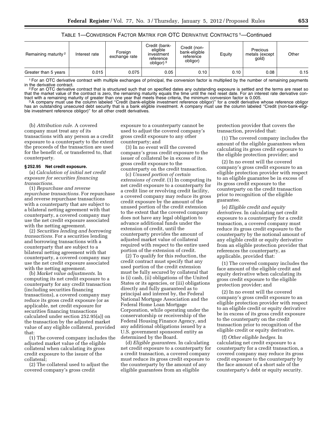TABLE 1—CONVERSION FACTOR MATRIX FOR OTC DERIVATIVE CONTRACTS 1—Continued

| Remaining maturity <sup>2</sup> | Interest rate | Foreign<br>exchange rate | Credit (bank-<br>eligible<br>investment<br>reference<br>obligor) <sup>3</sup> | Credit (non-<br>bank-eligible<br>reference<br>obligor) | Equity | Precious<br>metals (except<br>gold) | Other |
|---------------------------------|---------------|--------------------------|-------------------------------------------------------------------------------|--------------------------------------------------------|--------|-------------------------------------|-------|
| Greater than 5 years            | 0.015         | 0.075                    | 0.05                                                                          | 0.10                                                   | 0.10   | 0.08                                | 0.15  |

<sup>1</sup> For an OTC derivative contract with multiple exchanges of principal, the conversion factor is multiplied by the number of remaining payments in the derivative contract. in the derivative contract.<br><sup>2</sup>For an OTC derivative contract that is structured such that on specified dates any outstanding exposure is settled and the terms are reset so

that the market value of the contract is zero, the remaining maturity equals the time until the next reset date. For an interest rate derivative conand with a remaining maturity of greater than one year that meets these criteria, the minimum conversion factor is 0.005.<br><sup>3</sup>A company must use the column labeled "Credit (bank-eligible investment reference obligor)" for a

has an outstanding unsecured debt security that is a bank eligible investment. A company must use the column labeled ''Credit (non-bank-eligible investment reference obligor)" for all other credit derivatives.

(b) *Attribution rule.* A covered company must treat any of its transactions with any person as a credit exposure to a counterparty to the extent the proceeds of the transaction are used for the benefit of, or transferred to, that counterparty.

# **§ 252.95 Net credit exposure.**

(a) *Calculation of initial net credit exposure for securities financing transactions.* 

(1) *Repurchase and reverse repurchase transactions.* For repurchase and reverse repurchase transactions with a counterparty that are subject to a bilateral netting agreement with that counterparty, a covered company may use the net credit exposure associated with the netting agreement.

(2) *Securities lending and borrowing transactions.* For a securities lending and borrowing transactions with a counterparty that are subject to a bilateral netting agreement with that counterparty, a covered company may use the net credit exposure associated with the netting agreement.

(b) *Market value adjustments.* In computing its net credit exposure to a counterparty for any credit transaction (including securities financing transactions), a covered company may reduce its gross credit exposure (or as applicable, net credit exposure for securities financing transactions calculated under section 252.95(a)) on the transaction by the adjusted market value of any eligible collateral, provided that:

(1) The covered company includes the adjusted market value of the eligible collateral when calculating its gross credit exposure to the issuer of the collateral;

(2) The collateral used to adjust the covered company's gross credit

exposure to a counterparty cannot be used to adjust the covered company's gross credit exposure to any other counterparty; and

(3) In no event will the covered company's gross credit exposure to the issuer of collateral be in excess of its gross credit exposure to the counterparty on the credit transaction.

(c) *Unused portion of certain extensions of credit.* (1) In computing its net credit exposure to a counterparty for a credit line or revolving credit facility, a covered company may reduce its gross credit exposure by the amount of the unused portion of the credit extension to the extent that the covered company does not have any legal obligation to advance additional funds under the extension of credit, until the counterparty provides the amount of adjusted market value of collateral required with respect to the entire used portion of the extension of credit.

(2) To qualify for this reduction, the credit contract must specify that any used portion of the credit extension must be fully secured by collateral that is (i) cash, (ii) obligations of the United States or its agencies, or (iii) obligations directly and fully guaranteed as to principal and interest by, the Federal National Mortgage Association and the Federal Home Loan Mortgage Corporation, while operating under the conservatorship or receivership of the Federal Housing Finance Agency, and any additional obligations issued by a U.S. government sponsored entity as determined by the Board.

(d) *Eligible guarantees.* In calculating net credit exposure to a counterparty for a credit transaction, a covered company must reduce its gross credit exposure to the counterparty by the amount of any eligible guarantees from an eligible

protection provider that covers the transaction, provided that:

(1) The covered company includes the amount of the eligible guarantees when calculating its gross credit exposure to the eligible protection provider; and

(2) In no event will the covered company's gross credit exposure to an eligible protection provider with respect to an eligible guarantee be in excess of its gross credit exposure to the counterparty on the credit transaction prior to recognition of the eligible guarantee.

(e) *Eligible credit and equity derivatives.* In calculating net credit exposure to a counterparty for a credit transaction, a covered company must reduce its gross credit exposure to the counterparty by the notional amount of any eligible credit or equity derivative from an eligible protection provider that references the counterparty, as applicable, provided that:

(1) The covered company includes the face amount of the eligible credit and equity derivative when calculating its gross credit exposure to the eligible protection provider; and

(2) In no event will the covered company's gross credit exposure to an eligible protection provider with respect to an eligible credit or equity derivative be in excess of its gross credit exposure to the counterparty on the credit transaction prior to recognition of the eligible credit or equity derivative.

(f) *Other eligible hedges.* In calculating net credit exposure to a counterparty for a credit transaction, a covered company may reduce its gross credit exposure to the counterparty by the face amount of a short sale of the counterparty's debt or equity security.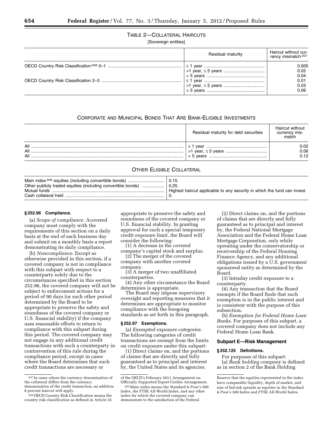TABLE 2—COLLATERAL HAIRCUTS

[Sovereign entities]

| Residual maturity | Haircut without cur-<br>rency mismatch <sup>207</sup> |
|-------------------|-------------------------------------------------------|
|                   | 0.005<br>0.02<br>0.04                                 |
|                   | 0.01<br>0.03<br>0.06                                  |

# CORPORATE AND MUNICIPAL BONDS THAT ARE BANK-ELIGIBLE INVESTMENTS

|                   | Residual maturity for debt securities | Haircut without<br>currency mis- |
|-------------------|---------------------------------------|----------------------------------|
| All<br>All<br>All | vear<br>> 5 vears                     | 0.02<br>0.06<br>0.12             |

# OTHER ELIGIBLE COLLATERAL

| Other publicly traded equities (including convertible bonds) | 0.25.<br>Highest haircut applicable to any security in which the fund can invest. |
|--------------------------------------------------------------|-----------------------------------------------------------------------------------|
|--------------------------------------------------------------|-----------------------------------------------------------------------------------|

#### **§ 252.96 Compliance.**

(a) *Scope of compliance.* Acovered company must comply with the requirements of this section on a daily basis at the end of each business day and submit on a monthly basis a report demonstrating its daily compliance.

(b) *Noncompliance.* Except as otherwise provided in this section, if a covered company is not in compliance with this subpart with respect to a counterparty solely due to the circumstances specified in this section 252.96, the covered company will not be subject to enforcement actions for a period of 90 days (or such other period determined by the Board to be appropriate to preserve the safety and soundness of the covered company or U.S. financial stability) if the company uses reasonable efforts to return to compliance with this subpart during this period. The covered company may not engage in any additional credit transactions with such a counterparty in contravention of this rule during the compliance period, except in cases where the Board determines that such credit transactions are necessary or

appropriate to preserve the safety and soundness of the covered company or U.S. financial stability. In granting approval for such a special temporary credit exposure limit, the Board will consider the following:

(1) A decrease in the covered company's capital stock and surplus.

(2) The merger of the covered company with another covered company.

(3) A merger of two unaffiliated counterparties.

(4) Any other circumstance the Board determines is appropriate.

The Board may impose supervisory oversight and reporting measures that it determines are appropriate to monitor compliance with the foregoing standards as set forth in this paragraph.

#### **§ 252.97 Exemptions.**

(a) *Exempted exposure categories.*  The following categories of credit transactions are exempt from the limits on credit exposure under this subpart:

(1) Direct claims on, and the portions of claims that are directly and fully guaranteed as to principal and interest by, the United States and its agencies.

(2) Direct claims on, and the portions of claims that are directly and fully guaranteed as to principal and interest by, the Federal National Mortgage Association and the Federal Home Loan Mortgage Corporation, only while operating under the conservatorship or receivership of the Federal Housing Finance Agency, and any additional obligations issued by a U.S. government sponsored entity as determined by the Board.

(3) Intraday credit exposure to a counterparty.

(4) Any transaction that the Board exempts if the Board finds that such exemption is in the public interest and is consistent with the purpose of this subsection.

(b) *Exemption for Federal Home Loan Banks.* For purposes of this subpart, a covered company does not include any Federal Home Loan Bank.

#### **Subpart E—Risk Management**

#### **§ 252.125 Definitions.**

For purposes of this subpart: (a) *Bank holding company* is defined as in section 2 of the Bank Holding

<sup>207</sup> In cases where the currency denomination of the collateral differs from the currency denomination of the credit transaction, an addition 8 percent haircut will apply.

<sup>208</sup>OECD Country Risk Classification means the country risk classification as defined in Article 25

of the OECD's February 2011 Arrangement on Officially Supported Export Credits Arrangement.

<sup>209</sup>Main index means the Standard & Poor's 500 Index, the FTSE All-World Index, and any other index for which the covered company can demonstrate to the satisfaction of the Federal

Reserve that the equities represented in the index have comparable liquidity, depth of market, and size of bid-ask spreads as equities in the Standard & Poor's 500 Index and FTSE All-World Index.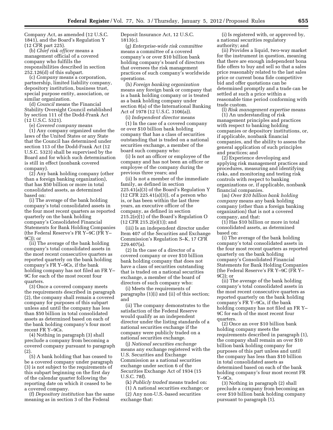Company Act, as amended (12 U.S.C. 1841), and the Board's Regulation Y (12 CFR part 225).

(b) *Chief risk officer* means a management official of a covered company who fulfills the responsibilities described in section 252.126(d) of this subpart.

(c) *Company* means a corporation, partnership, limited liability company, depository institution, business trust, special purpose entity, association, or similar organization.

(d) *Council* means the Financial Stability Oversight Council established by section 111 of the Dodd-Frank Act (12 U.S.C. 5321).

(e) *Covered company* means

(1) Any company organized under the laws of the United States or any State that the Council has determined under section 113 of the Dodd-Frank Act (12 U.S.C. 5323) shall be supervised by the Board and for which such determination is still in effect (nonbank covered company).

(2) Any bank holding company (other than a foreign banking organization), that has \$50 billion or more in total consolidated assets, as determined based on:

(i) The average of the bank holding company's total consolidated assets in the four most recent quarters as reported quarterly on the bank holding company's Consolidated Financial Statements for Bank Holding Companies (the Federal Reserve's FR Y–9C (FR Y– 9C)); or

(ii) The average of the bank holding company's total consolidated assets in the most recent consecutive quarters as reported quarterly on the bank holding company's FR Y–9Cs, if the bank holding company has not filed an FR Y– 9C for each of the most recent four quarters.

(3) Once a covered company meets the requirements described in paragraph (2), the company shall remain a covered company for purposes of this subpart unless and until the company has less than \$50 billion in total consolidated assets as determined based on each of the bank holding company's four most recent FR Y–9Cs.

(4) Nothing in paragraph (3) shall preclude a company from becoming a covered company pursuant to paragraph (2).

(5) A bank holding that has ceased to be a covered company under paragraph (3) is not subject to the requirements of this subpart beginning on the first day of the calendar quarter following the reporting date on which it ceased to be a covered company.

(f) *Depository institution* has the same meaning as in section 3 of the Federal

Deposit Insurance Act, 12 U.S.C. 1813(c).

(g) *Enterprise-wide risk committee*  means a committee of a covered company's or over \$10 billion bank holding company's board of directors that oversees the risk management practices of such company's worldwide operations.

(h) *Foreign banking organization*  means any foreign bank or company that is a bank holding company or is treated as a bank holding company under section 8(a) of the International Banking Act of 1978 (12 U.S.C. 3106(a)).

(i) *Independent director* means

(1) In the case of a covered company or over \$10 billion bank holding company that has a class of securities outstanding that is traded on a national securities exchange, a member of the board such company who:

(i) Is not an officer or employee of the company and has not been an officer or employee of the company during the previous three years; and

(ii) Is not a member of the immediate family, as defined in section 225.41(a)(3) of the Board's Regulation Y (12 CFR 225.41(a)(3)), of a person who is, or has been within the last three years, an executive officer of the company, as defined in section 215.2(e)(1) of the Board's Regulation O (12 CFR 215.2(e)(1)); and

(iii) Is an independent director under Item 407 of the Securities and Exchange Commission's Regulation S–K, 17 CFR 229.407(a).

(2) In the case of a director of a covered company or over \$10 billion bank holding company that does not have a class of securities outstanding that is traded on a national securities exchange, a member of the board of directors of such company who:

(i) Meets the requirements of paragraphs (1)(i) and (ii) of this section; and

(ii) The company demonstrates to the satisfaction of the Federal Reserve would qualify as an independent director under the listing standards of a national securities exchange if the company were publicly traded on a national securities exchange.

(j) *National securities exchange*  means any exchange registered with the U.S. Securities and Exchange Commission as a national securities exchange under section 6 of the Securities Exchange Act of 1934 (15 U.S.C. 78f).

(k) *Publicly traded* means traded on:

(1) A national securities exchange; or (2) Any non-U.S.-based securities exchange that:

(i) Is registered with, or approved by, a national securities regulatory authority; and

(ii) Provides a liquid, two-way market for the instrument in question, meaning that there are enough independent bona fide offers to buy and sell so that a sales price reasonably related to the last sales price or current bona fide competitive bid and offer quotations can be determined promptly and a trade can be settled at such a price within a reasonable time period conforming with trade custom.

(l) *Risk management expertise* means (1) An understanding of risk management principles and practices with respect to banking holding companies or depository institutions, or, if applicable, nonbank financial companies, and the ability to assess the general application of such principles and practices; and

(2) Experience developing and applying risk management practices and procedures, measuring and identifying risks, and monitoring and testing risk controls with respect to banking organizations or, if applicable, nonbank financial companies.

(m) *Over \$10 billion bank holding company* means any bank holding company (other than a foreign banking organization) that is not a covered company, and that:

(1) Has \$10 billion or more in total consolidated assets, as determined based on:

(i) The average of the bank holding company's total consolidated assets in the four most recent quarters as reported quarterly on the bank holding company's Consolidated Financial Statements for Bank Holding Companies (the Federal Reserve's FR Y–9C (FR Y– 9C)); or

(ii) The average of the bank holding company's total consolidated assets in the most recent consecutive quarters as reported quarterly on the bank holding company's FR Y–9Cs, if the bank holding company has not filed an FR Y– 9C for each of the most recent four quarters.

(2) Once an over \$10 billion bank holding company meets the requirements described in paragraph (1), the company shall remain an over \$10 billion bank holding company for purposes of this part unless and until the company has less than \$10 billion in total consolidated assets as determined based on each of the bank holding company's four most recent FR Y–9Cs.

(3) Nothing in paragraph (2) shall preclude a company from becoming an over \$10 billion bank holding company pursuant to paragraph (1).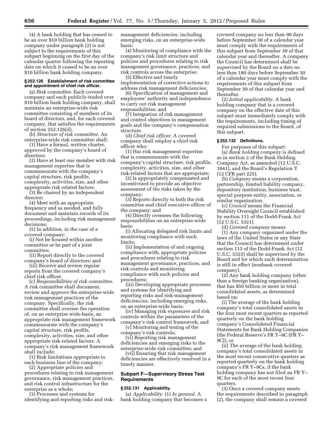(4) A bank holding that has ceased to be an over \$10 billion bank holding company under paragraph (2) is not subject to the requirements of this subpart beginning on the first day of the calendar quarter following the reporting date on which it ceased to be an over \$10 billion bank holding company.

# **§ 252.126 Establishment of risk committee and appointment of chief risk officer.**

(a) *Risk committee.* Each covered company and each publicly-traded over \$10 billion bank holding company, shall maintain an enterprise-wide risk committee consisting of members of its board of directors, and, for each covered company, that satisfies the requirements of section 252.126(d).

(b) *Structure of risk committee.* An enterprise-wide risk committee shall:

(1) Have a formal, written charter, approved by the company's board of directors;

(2) Have at least one member with risk management expertise that is commensurate with the company's capital structure, risk profile, complexity, activities, size, and other appropriate risk related factors;

(3) Be chaired by an independent director;

(4) Meet with an appropriate frequency and as needed, and fully document and maintain records of its proceedings, including risk management decisions;

(5) In addition, in the case of a covered company:

(i) Not be housed within another committee or be part of a joint committee;

(ii) Report directly to the covered company's board of directors; and

(iii) Receive and review regular reports from the covered company's chief risk officer.

(c) *Responsibilities of risk committee.*  A risk committee shall document, review and approve the enterprise-wide risk management practices of the company. Specifically, the risk committee shall oversee the operation of, on an enterprise wide-basis, an appropriate risk management framework commensurate with the company's capital structure, risk profile, complexity, activities, size, and other appropriate risk-related factors. A company's risk management framework shall include:

(1) Risk limitations appropriate to each business line of the company;

(2) Appropriate policies and procedures relating to risk management governance, risk management practices, and risk control infrastructure for the enterprise as a whole;

(3) Processes and systems for identifying and reporting risks and riskmanagement deficiencies, including emerging risks, on an enterprise-wide basis;

(4) Monitoring of compliance with the company's risk limit structure and policies and procedures relating to risk management governance, practices, and risk controls across the enterprise;

(5) Effective and timely implementation of corrective actions to address risk management deficiencies;

(6) Specification of management and employees' authority and independence to carry out risk management responsibilities; and

(7) Integration of risk management and control objectives in management goals and the company's compensation structure.

(d) *Chief risk officer.* A covered company shall employ a chief risk officer who:

(1) Has risk management expertise that is commensurate with the company's capital structure, risk profile, complexity, activities, size, and other risk-related factors that are appropriate;

(2) Is appropriately compensated and incentivized to provide an objective assessment of the risks taken by the company;

(3) Reports directly to both the risk committee and chief executive officer of the company; and

(4) Directly oversees the following responsibilities on an enterprise-wide basis:

(i) Allocating delegated risk limits and monitoring compliance with such limits;

(ii) Implementation of and ongoing compliance with, appropriate policies and procedures relating to risk management governance, practices, and risk controls and monitoring compliance with such policies and procedures;

(iii) Developing appropriate processes and systems for identifying and reporting risks and risk-management deficiencies, including emerging risks, on an enterprise-wide basis;

(iv) Managing risk exposures and risk controls within the parameters of the company's risk control framework; and

(v) Monitoring and testing of the company's risk controls;

(vi) Reporting risk management deficiencies and emerging risks to the enterprise-wide risk committee; and

(vii) Ensuring that risk management deficiencies are effectively resolved in a timely manner.

# **Subpart F—Supervisory Stress Test Requirements**

# **§ 252.131 Applicability.**

(a) *Applicability.* (1) *In general.* A bank holding company that becomes a

covered company no less than 90 days before September 30 of a calendar year must comply with the requirements of this subpart from September 30 of that calendar year and thereafter. A company the Council has determined shall be supervised by the Board on a date no less than 180 days before September 30 of a calendar year must comply with the requirements of this subpart from September 30 of that calendar year and thereafter.

(2) *Initial applicability.* A bank holding company that is a covered company on the effective date of this subpart must immediately comply with the requirements, including timing of required submissions to the Board, of this subpart.

# **§ 252.132 Definitions.**

For purposes of this subpart: (a) *Bank holding company* is defined as in section 2 of the Bank Holding Company Act, as amended (12 U.S.C. 1841), and the Board's Regulation Y (12 CFR part 225).

(b) *Company* means a corporation, partnership, limited liability company, depository institution, business trust, special purpose entity, association, or similar organization.

(c) *Council* means the Financial Stability Oversight Council established by section 111 of the Dodd-Frank Act (12 U.S.C. 5321).

(d) *Covered company* means (1) Any company organized under the laws of the United States or any State that the Council has determined under section 113 of the Dodd-Frank Act (12 U.S.C. 5323) shall be supervised by the Board and for which such determination is still in effect (nonbank covered company).

(2) Any bank holding company (other than a foreign banking organization), that has \$50 billion or more in total consolidated assets, as determined based on:

(i) The average of the bank holding company's total consolidated assets in the four most recent quarters as reported quarterly on the bank holding company's Consolidated Financial Statements for Bank Holding Companies (the Federal Reserve's FR Y–9C (FR Y– 9C)); or

(ii) The average of the bank holding company's total consolidated assets in the most recent consecutive quarters as reported quarterly on the bank holding company's FR Y–9Cs, if the bank holding company has not filed an FR Y– 9C for each of the most recent four quarters.

(3) Once a covered company meets the requirements described in paragraph (2), the company shall remain a covered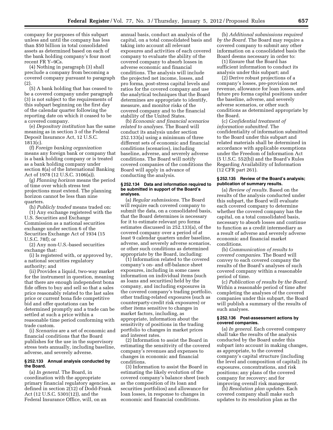company for purposes of this subpart unless and until the company has less than \$50 billion in total consolidated assets as determined based on each of the bank holding company's four most recent FR Y–9Cs.

(4) Nothing in paragraph (3) shall preclude a company from becoming a covered company pursuant to paragraph (2).

(5) A bank holding that has ceased to be a covered company under paragraph (3) is not subject to the requirements of this subpart beginning on the first day of the calendar quarter following the reporting date on which it ceased to be a covered company.

(e) *Depository institution* has the same meaning as in section 3 of the Federal Deposit Insurance Act, 12 U.S.C. 1813(c).

(f) *Foreign banking organization*  means any foreign bank or company that is a bank holding company or is treated as a bank holding company under section 8(a) of the International Banking Act of 1978 (12 U.S.C. 3106(a)).

(g) *Planning horizon* means the period of time over which stress test projections must extend. The planning horizon cannot be less than nine quarters.

(h) *Publicly traded* means traded on: (1) Any exchange registered with the U.S. Securities and Exchange Commission as a national securities exchange under section 6 of the Securities Exchange Act of 1934 (15 U.S.C. 78f); or

(2) Any non-U.S.-based securities exchange that:

(i) Is registered with, or approved by, a national securities regulatory authority; and

(ii) Provides a liquid, two-way market for the instrument in question, meaning that there are enough independent bona fide offers to buy and sell so that a sales price reasonably related to the last sales price or current bona fide competitive bid and offer quotations can be determined promptly and a trade can be settled at such a price within a reasonable time period conforming with trade custom.

(i) *Scenarios* are a set of economic and financial conditions that the Board publishes for the use in the supervisory stress tests annually, including baseline, adverse, and severely adverse.

#### **§ 252.133 Annual analysis conducted by the Board.**

(a) *In general.* The Board, in coordination with the appropriate primary financial regulatory agencies, as defined in section 2(12) of Dodd-Frank Act (12 U.S.C. 5301(12)), and the Federal Insurance Office, will, on an

annual basis, conduct an analysis of the capital, on a total consolidated basis and taking into account all relevant exposures and activities of each covered company to evaluate the ability of the covered company to absorb losses in adverse economic and financial conditions. The analysis will include the projected net income, losses, and pro forma, post-stress capital levels and ratios for the covered company and use the analytical techniques that the Board determines are appropriate to identify, measure, and monitor risks of the covered company and to the financial stability of the United States.

(b) *Economic and financial scenarios related to analyses.* The Board will conduct its analysis under section 252.133(a) using a minimum of three different sets of economic and financial conditions (scenarios), including baseline, adverse, and severely adverse conditions. The Board will notify covered companies of the conditions the Board will apply in advance of conducting the analysis.

### **§ 252.134 Data and information required to be submitted in support of the Board's analyses.**

(a) *Regular submissions.* The Board will require each covered company to submit the data, on a consolidated basis, that the Board determines is necessary for it to estimate relevant pro forma estimates discussed in 252.133(a), of the covered company over a period of at least 9 calendar quarters under baseline, adverse, and severely adverse scenarios, or other such conditions as determined appropriate by the Board, including:

(1) Information related to the covered company's on- and off-balance sheet exposures, including in some cases information on individual items (such as loans and securities) held by the company, and including exposures in the covered company's trading portfolio, other trading-related exposures (such as counterparty-credit risk exposures) or other items sensitive to changes in market factors, including, as appropriate, information about the sensitivity of positions in the trading portfolio to changes in market prices and interest rates.

(2) Information to assist the Board in estimating the sensitivity of the covered company's revenues and expenses to changes in economic and financial conditions.

(3) Information to assist the Board in estimating the likely evolution of the covered company's balance sheet (such as the composition of its loan and securities portfolios) and allowance for loan losses, in response to changes in economic and financial conditions.

(b) *Additional submissions required by the Board.* The Board may require a covered company to submit any other information on a consolidated basis the Board deems necessary in order to:

(1) Ensure that the Board has sufficient information to conduct its analysis under this subpart; and

(2) Derive robust projections of a company's losses, pre-provision net revenue, allowance for loan losses, and future pro forma capital positions under the baseline, adverse, and severely adverse scenarios, or other such conditions as determined appropriate by the Board.

(c) *Confidential treatment of information submitted.* The confidentiality of information submitted to the Board under this subpart and related materials shall be determined in accordance with applicable exemptions under the Freedom of Information Act (5 U.S.C. 552(b)) and the Board's Rules Regarding Availability of Information (12 CFR part 261).

#### **§ 252.135 Review of the Board's analysis; publication of summary results.**

(a) *Review of results.* Based on the results of the analysis conducted under this subpart, the Board will evaluate each covered company to determine whether the covered company has the capital, on a total consolidated basis, necessary to absorb losses and continue to function as a credit intermediary as a result of adverse and severely adverse economic and financial market conditions.

(b) *Communication of results to covered companies.* The Board will convey to each covered company the results of the Board's analyses of such covered company within a reasonable period of time.

(c) *Publication of results by the Board.*  Within a reasonable period of time after completing the analyses of the covered companies under this subpart, the Board will publish a summary of the results of such analyses.

# **§ 252.136 Post-assessment actions by covered companies.**

(a) *In general.* Each covered company shall take the results of the analysis conducted by the Board under this subpart into account in making changes, as appropriate, to the covered company's capital structure (including the level and composition of capital); its exposures, concentrations, and risk positions; any plans of the covered company for recovery; and for improving overall risk management.

(b) *Resolution plan updates.* Each covered company shall make such updates to its resolution plan as the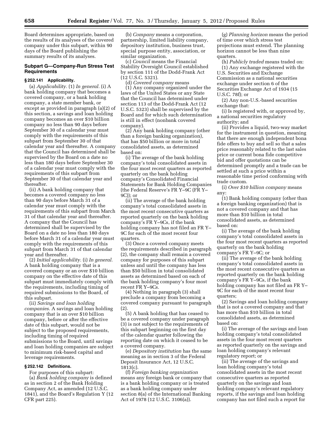Board determines appropriate, based on the results of its analyses of the covered company under this subpart, within 90 days of the Board publishing the summary results of its analyses.

# **Subpart G—Company-Run Stress Test Requirements**

# **§ 252.141 Applicability.**

(a) *Applicability.* (1) *In general.* (i) A bank holding company that becomes a covered company, or a bank holding company, a state member bank, or except as provided in paragraph (a)(2) of this section, a savings and loan holding company becomes an over \$10 billion company no less than 90 days before September 30 of a calendar year must comply with the requirements of this subpart from September 30 of that calendar year and thereafter. A company that the Council has determined shall be supervised by the Board on a date no less than 180 days before September 30 of a calendar year must comply with the requirements of this subpart from September 30 of that calendar year and thereafter.

(ii) A bank holding company that becomes a covered company no less than 90 days before March 31 of a calendar year must comply with the requirements of this subpart from March 31 of that calendar year and thereafter. A company that the Council has determined shall be supervised by the Board on a date no less than 180 days before March 31 of a calendar year must comply with the requirements of this subpart from March 31 of that calendar year and thereafter.

(2) *Initial applicability.* (i) *In general.*  A bank holding company that is a covered company or an over \$10 billion company on the effective date of this subpart must immediately comply with the requirements, including timing of required submissions to the Board, of this subpart.

(ii) *Savings and loan holding companies.* A savings and loan holding company that is an over \$10 billion company, before or after the effective date of this subpart, would not be subject to the proposed requirements, including timing of required submissions to the Board, until savings and loan holding companies are subject to minimum risk-based capital and leverage requirements.

# **§ 252.142 Definitions.**

For purposes of this subpart:

(a) *Bank holding company* is defined as in section 2 of the Bank Holding Company Act, as amended (12 U.S.C. 1841), and the Board's Regulation Y (12 CFR part 225).

(b) *Company* means a corporation, partnership, limited liability company, depository institution, business trust, special purpose entity, association, or similar organization.

(c) *Council* means the Financial Stability Oversight Council established by section 111 of the Dodd-Frank Act (12 U.S.C. 5321).

(d) *Covered company* means (1) Any company organized under the laws of the United States or any State that the Council has determined under section 113 of the Dodd-Frank Act (12 U.S.C. 5323) shall be supervised by the Board and for which such determination is still in effect (nonbank covered company).

(2) Any bank holding company (other than a foreign banking organization), that has \$50 billion or more in total consolidated assets, as determined based on:

(i) The average of the bank holding company's total consolidated assets in the four most recent quarters as reported quarterly on the bank holding company's Consolidated Financial Statements for Bank Holding Companies (the Federal Reserve's FR Y–9C (FR Y– 9C)); or

(ii) The average of the bank holding company's total consolidated assets in the most recent consecutive quarters as reported quarterly on the bank holding company's FR Y–9Cs, if the bank holding company has not filed an FR Y– 9C for each of the most recent four quarters.

(3) Once a covered company meets the requirements described in paragraph (2), the company shall remain a covered company for purposes of this subpart unless and until the company has less than \$50 billion in total consolidated assets as determined based on each of the bank holding company's four most recent FR Y–9Cs.

(4) Nothing in paragraph (3) shall preclude a company from becoming a covered company pursuant to paragraph (2).

(5) A bank holding that has ceased to be a covered company under paragraph (3) is not subject to the requirements of this subpart beginning on the first day of the calendar quarter following the reporting date on which it ceased to be a covered company.

(e) *Depository institution* has the same meaning as in section 3 of the Federal Deposit Insurance Act, 12 U.S.C. 1813(c).

(f) *Foreign banking organization*  means any foreign bank or company that is a bank holding company or is treated as a bank holding company under section 8(a) of the International Banking Act of 1978 (12 U.S.C. 3106(a)).

(g) *Planning horizon* means the period of time over which stress test projections must extend. The planning horizon cannot be less than nine quarters.

(h) *Publicly traded* means traded on: (1) Any exchange registered with the U.S. Securities and Exchange Commission as a national securities exchange under section 6 of the Securities Exchange Act of 1934 (15 U.S.C. 78f); or

(2) Any non-U.S.-based securities exchange that:

(i) Is registered with, or approved by, a national securities regulatory authority; and

(ii) Provides a liquid, two-way market for the instrument in question, meaning that there are enough independent bona fide offers to buy and sell so that a sales price reasonably related to the last sales price or current bona fide competitive bid and offer quotations can be determined promptly and a trade can be settled at such a price within a reasonable time period conforming with trade custom.

(i) *Over \$10 billion company* means any:

(1) Bank holding company (other than a foreign banking organization) that is not a covered company and that has more than \$10 billion in total consolidated assets, as determined based on:

(i) The average of the bank holding company's total consolidated assets in the four most recent quarters as reported quarterly on the bank holding company's FR Y–9C; or

(ii) The average of the bank holding company's total consolidated assets in the most recent consecutive quarters as reported quarterly on the bank holding company's FR Y–9Cs, if the bank holding company has not filed an FR Y– 9C for each of the most recent four quarters;

(2) Savings and loan holding company that is not a covered company and that has more than \$10 billion in total consolidated assets, as determined based on:

(i) The average of the savings and loan holding company's total consolidated assets in the four most recent quarters as reported quarterly on the savings and loan holding company's relevant regulatory report; or

(ii) The average of the savings and loan holding company's total consolidated assets in the most recent consecutive quarters as reported quarterly on the savings and loan holding company's relevant regulatory reports, if the savings and loan holding company has not filed such a report for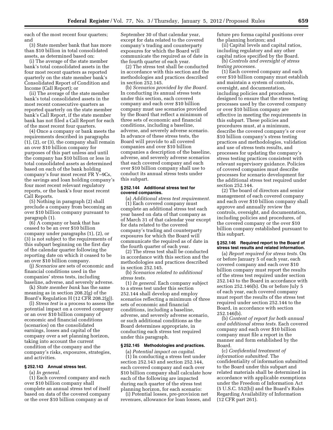each of the most recent four quarters; and

(3) State member bank that has more than \$10 billion in total consolidated assets, as determined based on:

(i) The average of the state member bank's total consolidated assets in the four most recent quarters as reported quarterly on the state member bank's Consolidated Report of Condition and Income (Call Report); or

(ii) The average of the state member bank's total consolidated assets in the most recent consecutive quarters as reported quarterly on the state member bank's Call Report, if the state member bank has not filed a Call Report for each of the most recent four quarters.

(4) Once a company or bank meets the requirements described in paragraphs (1), (2), or (3), the company shall remain an over \$10 billion company for purposes of this part unless and until the company has \$10 billion or less in total consolidated assets as determined based on each of the bank holding company's four most recent FR Y–9Cs, the savings and loan holding company's four most recent relevant regulatory reports, or the bank's four most recent Call Reports.

(5) Nothing in paragraph (2) shall preclude a company from becoming an over \$10 billion company pursuant to paragraph (1).

(6) A company or bank that has ceased to be an over \$10 billion company under paragraphs (1), (2), or (3) is not subject to the requirements of this subpart beginning on the first day of the calendar quarter following the reporting date on which it ceased to be an over \$10 billion company.

(j) *Scenarios* are sets of economic and financial conditions used in the companies' stress tests, including baseline, adverse, and severely adverse.

(k) *State member bank* has the same meaning as in section 208.2(g) of the Board's Regulation H (12 CFR 208.2(g)).

(l) *Stress test* is a process to assess the potential impact on a covered company or an over \$10 billion company of economic and financial conditions (scenarios) on the consolidated earnings, losses and capital of the company over a set planning horizon, taking into account the current condition of the company and the company's risks, exposures, strategies, and activities.

# **§ 252.143 Annual stress test.**

(a) *In general.* 

(1) Each covered company and each over \$10 billion company shall complete an annual stress test of itself based on data of the covered company or the over \$10 billion company as of

September 30 of that calendar year, except for data related to the covered company's trading and counterparty exposures for which the Board will communicate the required as of date in the fourth quarter of each year.

(2) The stress test shall be conducted in accordance with this section and the methodologies and practices described in section 252.145.

(b) *Scenarios provided by the Board.*  In conducting its annual stress tests under this section, each covered company and each over \$10 billion company must use scenarios provided by the Board that reflect a minimum of three sets of economic and financial conditions, including a baseline, adverse, and severely adverse scenario. In advance of these stress tests, the Board will provide to all covered companies and over \$10 billion companies a description of the baseline, adverse, and severely adverse scenarios that each covered company and each over \$10 billion company shall use to conduct its annual stress tests under this subpart.

#### **§ 252.144 Additional stress test for covered companies.**

(a) *Additional stress test requirement.*  (1) Each covered company must complete an additional stress test each year based on data of that company as of March 31 of that calendar year except for data related to the covered company's trading and counterparty exposures for which the Board will communicate the required as of date in the fourth quarter of each year.

(2) The stress test shall be conducted in accordance with this section and the methodologies and practices described in section 252.145.

(b) *Scenarios related to additional stress tests.* 

(1) *In general.* Each company subject to a stress test under this section 252.144 shall develop and employ scenarios reflecting a minimum of three sets of economic and financial conditions, including a baseline, adverse, and severely adverse scenario, or such additional conditions as the Board determines appropriate, in conducting each stress test required under this paragraph.

# **§ 252.145 Methodologies and practices.**

(a) *Potential impact on capital.*  (1) In conducting a stress test under section 252.143 and section 252.144, each covered company and each over \$10 billion company shall calculate how each of the following are impacted during each quarter of the stress test planning horizon, for each scenario:

(i) Potential losses, pre-provision net revenues, allowance for loan losses, and future pro forma capital positions over the planning horizon; and

(ii) Capital levels and capital ratios, including regulatory and any other capital ratios specified by the Board.

(b) *Controls and oversight of stress testing processes.* 

(1) Each covered company and each over \$10 billion company must establish and maintain a system of controls, oversight, and documentation, including policies and procedures, designed to ensure that the stress testing processes used by the covered company or over \$10 billion company are effective in meeting the requirements in this subpart. These policies and procedures must, at a minimum, describe the covered company's or over \$10 billion company's stress testing practices and methodologies, validation and use of stress tests results, and processes for updating the company's stress testing practices consistent with relevant supervisory guidance. Policies of covered companies must describe processes for scenario development for the additional stress test required under section 252.144.

(2) The board of directors and senior management of each covered company and each over \$10 billion company shall approve and annually review the controls, oversight, and documentation, including policies and procedures, of the covered company or the over \$10 billion company established pursuant to this subpart.

# **§ 252.146 Required report to the Board of stress test results and related information.**

(a) *Report required for stress tests.* On or before January 5 of each year, each covered company and each over \$10 billion company must report the results of the stress test required under section 252.143 to the Board in accordance with section 252.146(b). On or before July 5 of each year, each covered company must report the results of the stress test required under section 252.144 to the Board, in accordance with section 252.146(b).

(b) *Content of report for both annual and additional stress tests.* Each covered company and each over \$10 billion company must file a report in the manner and form established by the Board.

(c) *Confidential treatment of information submitted.* The confidentiality of information submitted to the Board under this subpart and related materials shall be determined in accordance with applicable exemptions under the Freedom of Information Act (5 U.S.C. 552(b)) and the Board's Rules Regarding Availability of Information (12 CFR part 261).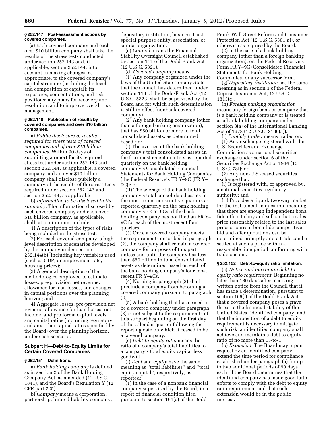#### **§ 252.147 Post-assessment actions by covered companies.**

(a) Each covered company and each over \$10 billion company shall take the results of the stress tests conducted under section 252.143 and, if applicable, section 252.144, into account in making changes, as appropriate, to the covered company's capital structure (including the level and composition of capital); its exposures, concentrations, and risk positions; any plans for recovery and resolution; and to improve overall risk management.

#### **§ 252.148 Publication of results by covered companies and over \$10 billion companies.**

(a) *Public disclosure of results required for stress tests of covered companies and of over \$10 billion companies.* Within 90 days of submitting a report for its required stress test under section 252.143 and section 252.144, as applicable, a covered company and an over \$10 billion company shall disclose publicly a summary of the results of the stress tests required under section 252.143 and section 252.144, as applicable.

(b) *Information to be disclosed in the summary.* The information disclosed by each covered company and each over \$10 billion company, as applicable, shall, at a minimum, include—

(1) A description of the types of risks being included in the stress test;

(2) For each covered company, a highlevel description of scenarios developed by the company under section 252.144(b), including key variables used (such as GDP, unemployment rate, housing prices);

(3) A general description of the methodologies employed to estimate losses, pre-provision net revenue, allowance for loan losses, and changes in capital positions over the planning horizon; and

(4) Aggregate losses, pre-provision net revenue, allowance for loan losses, net income, and pro forma capital levels and capital ratios (including regulatory and any other capital ratios specified by the Board) over the planning horizon, under each scenario.

# **Subpart H—Debt-to-Equity Limits for Certain Covered Companies**

# **§ 252.151 Definitions.**

(a) *Bank holding company* is defined as in section 2 of the Bank Holding Company Act, as amended (12 U.S.C. 1841), and the Board's Regulation Y (12 CFR part 225).

(b) *Company* means a corporation, partnership, limited liability company, depository institution, business trust, special purpose entity, association, or similar organization.

(c) *Council* means the Financial Stability Oversight Council established by section 111 of the Dodd-Frank Act (12 U.S.C. 5321).

(d) *Covered company* means (1) Any company organized under the laws of the United States or any State that the Council has determined under section 113 of the Dodd-Frank Act (12 U.S.C. 5323) shall be supervised by the Board and for which such determination is still in effect (nonbank covered company).

(2) Any bank holding company (other than a foreign banking organization), that has \$50 billion or more in total consolidated assets, as determined based on:

(i) The average of the bank holding company's total consolidated assets in the four most recent quarters as reported quarterly on the bank holding company's Consolidated Financial Statements for Bank Holding Companies (the Federal Reserve's FR Y–9C (FR Y– 9C)); or

(ii) The average of the bank holding company's total consolidated assets in the most recent consecutive quarters as reported quarterly on the bank holding company's FR Y–9Cs, if the bank holding company has not filed an FR Y– 9C for each of the most recent four quarters.

(3) Once a covered company meets the requirements described in paragraph (2), the company shall remain a covered company for purposes of this part unless and until the company has less than \$50 billion in total consolidated assets as determined based on each of the bank holding company's four most recent FR Y–9Cs.

(4) Nothing in paragraph (3) shall preclude a company from becoming a covered company pursuant to paragraph (2).

(5) A bank holding that has ceased to be a covered company under paragraph (3) is not subject to the requirements of this subpart beginning on the first day of the calendar quarter following the reporting date on which it ceased to be a covered company.

(e) *Debt-to-equity ratio* means the ratio of a company's total liabilities to a company's total equity capital less goodwill.

(f) *Debt* and *equity* have the same meaning as ''total liabilities'' and ''total equity capital'', respectively, as reported:

(1) In the case of a nonbank financial company supervised by the Board, in a report of financial condition filed pursuant to section 161(a) of the DoddFrank Wall Street Reform and Consumer Protection Act (12 U.S.C. 5361(a)), or otherwise as required by the Board.

(2) In the case of a bank holding company (other than a foreign banking organization), on the Federal Reserve's Form FR Y–9C (Consolidated Financial Statements for Bank Holding Companies) or any successor form.

(g) *Depository institution* has the same meaning as in section 3 of the Federal Deposit Insurance Act, 12 U.S.C. 1813(c).

(h) *Foreign banking organization*  means any foreign bank or company that is a bank holding company or is treated as a bank holding company under section 8(a) of the International Banking Act of 1978 (12 U.S.C. 3106(a)).

(i) *Publicly traded* means traded on: (1) Any exchange registered with the U.S. Securities and Exchange Commission as a national securities exchange under section 6 of the Securities Exchange Act of 1934 (15 U.S.C. 78f); or

(2) Any non-U.S.-based securities exchange that:

(i) Is registered with, or approved by, a national securities regulatory authority; and

(ii) Provides a liquid, two-way market for the instrument in question, meaning that there are enough independent bona fide offers to buy and sell so that a sales price reasonably related to the last sales price or current bona fide competitive bid and offer quotations can be determined promptly and a trade can be settled at such a price within a reasonable time period conforming with trade custom.

# **§ 252.152 Debt-to-equity ratio limitation.**

(a) *Notice and maximum debt-toequity ratio requirement.* Beginning no later than 180 days after receiving written notice from the Council that it has made a determination, pursuant to section 165(j) of the Dodd-Frank Act that a covered company poses a grave threat to the financial stability of the United States (identified company) and that the imposition of a debt to equity requirement is necessary to mitigate such risk, an identified company shall achieve and maintain a debt to equity ratio of no more than 15-to-1.

(b) *Extension.* The Board may, upon request by an identified company, extend the time period for compliance established under paragraph (a) for up to two additional periods of 90 days each, if the Board determines that the identified company has made good faith efforts to comply with the debt to equity ratio requirement and that each extension would be in the public interest.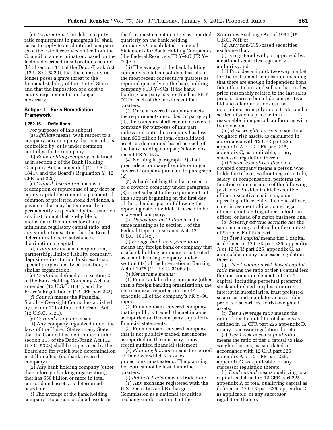(c) *Termination.* The debt to equity ratio requirement in paragraph (a) shall cease to apply to an identified company as of the date it receives notice from the Council of a determination, based on the factors described in subsections (a) and (b) of section 113 of the Dodd-Frank Act (12 U.S.C. 5323), that the company no longer poses a grave threat to the financial stability of the United States and that the imposition of a debt to equity requirement is no longer necessary.

# **Subpart I—Early Remediation Framework**

# **§ 252.161 Definitions.**

For purposes of this subpart:

(a) *Affiliate* means, with respect to a company, any company that controls, is controlled by, or is under common control with, the company.

(b) *Bank holding company* is defined as in section 2 of the Bank Holding Company Act, as amended (12 U.S.C. 1841), and the Board's Regulation Y (12 CFR part 225).

(c) *Capital distribution* means a redemption or repurchase of any debt or equity capital instrument, a payment of common or preferred stock dividends, a payment that may be temporarily or permanently suspended by the issuer on any instrument that is eligible for inclusion in the numerator of any minimum regulatory capital ratio, and any similar transaction that the Board determines to be in substance a distribution of capital.

(d) *Company* means a corporation, partnership, limited liability company, depository institution, business trust, special purpose entity, association, or similar organization.

(e) *Control* is defined as in section 2 of the Bank Holding Company Act, as amended (12 U.S.C. 1841), and the Board's Regulation Y (12 CFR part 225).

(f) *Council* means the Financial Stability Oversight Council established by section 111 of the Dodd-Frank Act (12 U.S.C. 5321).

(g) *Covered company* means

(1) Any company organized under the laws of the United States or any State that the Council has determined under section 113 of the Dodd-Frank Act (12 U.S.C. 5323) shall be supervised by the Board and for which such determination is still in effect (nonbank covered company).

(2) Any bank holding company (other than a foreign banking organization), that has \$50 billion or more in total consolidated assets, as determined based on:

(i) The average of the bank holding company's total consolidated assets in

the four most recent quarters as reported quarterly on the bank holding company's Consolidated Financial Statements for Bank Holding Companies (the Federal Reserve's FR Y–9C (FR Y– 9C)); or

(ii) The average of the bank holding company's total consolidated assets in the most recent consecutive quarters as reported quarterly on the bank holding company's FR Y–9Cs, if the bank holding company has not filed an FR Y– 9C for each of the most recent four quarters.

(3) Once a covered company meets the requirements described in paragraph (2), the company shall remain a covered company for purposes of this part unless and until the company has less than \$50 billion in total consolidated assets as determined based on each of the bank holding company's four most recent FR Y–9Cs.

(4) Nothing in paragraph (3) shall preclude a company from becoming a covered company pursuant to paragraph (2).

(5) A bank holding that has ceased to be a covered company under paragraph (3) is not subject to the requirements of this subpart beginning on the first day of the calendar quarter following the reporting date on which it ceased to be a covered company.

(h) *Depository institution* has the same meaning as in section 3 of the Federal Deposit Insurance Act, 12 U.S.C. 1813(c).

(i) *Foreign banking organization*  means any foreign bank or company that is a bank holding company or is treated as a bank holding company under section 8(a) of the International Banking Act of 1978 (12 U.S.C. 3106(a)).

(j) *Net income means:* 

(1) For a bank holding company (other than a foreign banking organization), the net income as reported on line 14 schedule HI of the company's FR Y–9C report.

(2) For a nonbank covered company that is publicly traded, the net income as reported on the company's quarterly financial statements.

(3) For a nonbank covered company that is not publicly traded, net income as reported on the company's most recent audited financial statement.

(k) *Planning horizon* means the period of time over which stress test projections must extend. The planning horizon cannot be less than nine quarters.

(l) *Publicly traded* means traded on: (1) Any exchange registered with the U.S. Securities and Exchange Commission as a national securities exchange under section 6 of the

Securities Exchange Act of 1934 (15 U.S.C. 78f); or

(2) Any non-U.S.-based securities exchange that:

(i) Is registered with, or approved by, a national securities regulatory authority; and

(ii) Provides a liquid, two-way market for the instrument in question, meaning that there are enough independent bona fide offers to buy and sell so that a sales price reasonably related to the last sales price or current bona fide competitive bid and offer quotations can be determined promptly and a trade can be settled at such a price within a reasonable time period conforming with trade custom.

(m) *Risk-weighted assets* means total weighted risk assets, as calculated in accordance with 12 CFR part 225, appendix A or 12 CFR part 225, appendix G, as applicable, or any successor regulation thereto.

(n) *Senior executive officer* of a covered company means a person who holds the title or, without regard to title, salary, or compensation, performs the function of one or more of the following positions: President, chief executive officer, executive chairman, chief operating officer, chief financial officer, chief investment officer, chief legal officer, chief lending officer, chief risk officer, or head of a major business line.

(o) *Severely adverse scenario* has the same meaning as defined in the context of Subpart F of this part.

(p) *Tier 1 capital* means tier 1 capital as defined in 12 CFR part 225, appendix A or 12 CFR part 225, appendix G, as applicable, or any successor regulation thereto.

(q) *Tier 1 common risk-based capital ratio* means the ratio of tier 1 capital less the non-common elements of tier 1 capital, including perpetual preferred stock and related surplus, minority interest in subsidiaries, trust preferred securities and mandatory convertible preferred securities, to risk-weighted assets.

(r) *Tier 1 leverage ratio* means the ratio of tier 1 capital to total assets as defined in 12 CFR part 225 appendix D, or any successor regulation thereto.

(s) *Tier 1 risk-based capital ratio*  means the ratio of tier 1 capital to riskweighted assets, as calculated in accordance with 12 CFR part 225, appendix A or 12 CFR part 225, appendix G, as applicable, or any successor regulation thereto.

(t) *Total capital* means qualifying total capital as defined in 12 CFR part 225, appendix A or total qualifying capital as defined in 12 CFR part 225, appendix G, as applicable, or any successor regulation thereto.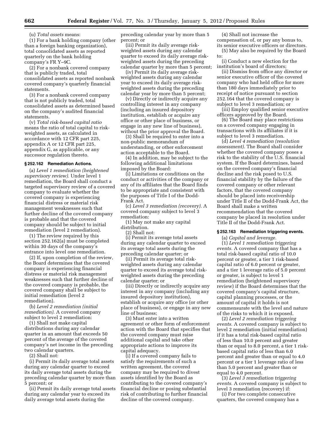(u) *Total assets* means:

(1) For a bank holding company (other than a foreign banking organization), total consolidated assets as reported quarterly on the bank holding company's FR Y–9C.

(2) For a nonbank covered company that is publicly traded, total consolidated assets as reported nonbank covered company's quarterly financial statements.

(3) For a nonbank covered company that is not publicly traded, total consolidated assets as determined based on the company's audited financial statements.

(v) *Total risk-based capital ratio*  means the ratio of total capital to riskweighted assets, as calculated in accordance with 12 CFR part 225, appendix A or 12 CFR part 225, appendix G, as applicable, or any successor regulation thereto.

#### **§ 252.162 Remediation Actions.**

(a) *Level 1 remediation (heightened supervisory review).* Under level 1 remediation, the Board shall conduct a targeted supervisory review of a covered company to evaluate whether the covered company is experiencing financial distress or material risk management weaknesses such that further decline of the covered company is probable and that the covered company should be subject to initial remediation (level 2 remediation).

(1) The review required by this section 252.162(a) must be completed within 30 days of the company's entrance into level one remediation.

(2) If, upon completion of the review, the Board determines that the covered company is experiencing financial distress or material risk management weaknesses such that further decline of the covered company is probable, the covered company shall be subject to initial remediation (level 2 remediation).

(b) *Level 2 remediation (initial remediation).* A covered company subject to level 2 remediation:

(1) Shall not make capital distributions during any calendar quarter in an amount that exceeds 50 percent of the average of the covered company's net income in the preceding two calendar quarters.

(2) Shall not:

(i) Permit its daily average total assets during any calendar quarter to exceed its daily average total assets during the preceding calendar quarter by more than 5 percent; or

(ii) Permit its daily average total assets during any calendar year to exceed its daily average total assets during the

preceding calendar year by more than 5 percent; or

(iii) Permit its daily average riskweighted assets during any calendar quarter to exceed its daily average riskweighted assets during the preceding calendar quarter by more than 5 percent;

(iv) Permit its daily average riskweighted assets during any calendar year to exceed its daily average riskweighted assets during the preceding calendar year by more than 5 percent;

(v) Directly or indirectly acquire any controlling interest in any company (including an insured depository institution, establish or acquire any office or other place of business, or engage in any new line of business), without the prior approval the Board.

(3) Shall be required to enter into a non-public memorandum of understanding, or other enforcement action acceptable to the Board.

(4) In addition, may be subject to the following additional limitations imposed by the Board:

(i) Limitations or conditions on the conduct or activities of the company or any of its affiliates that the Board finds to be appropriate and consistent with the purposes of Title I of the Dodd-Frank Act.

(c) *Level 3 remediation (recovery).* A covered company subject to level 3 remediation:

(1) May not make any capital distribution.

(2) Shall not:

(i) Permit its average total assets during any calendar quarter to exceed its average total assets during the preceding calendar quarter; or

(ii) Permit its average total riskweighted assets during any calendar quarter to exceed its average total riskweighted assets during the preceding calendar quarter; or

(iii) Directly or indirectly acquire any interest in any company (including any insured depository institution), establish or acquire any office (or other place of business), or engage in any new line of business;

(3) Must enter into a written agreement or other form of enforcement action with the Board that specifies that the covered company must raise additional capital and take other appropriate actions to improve its capital adequacy.

(i) If a covered company fails to satisfy the requirements of such a written agreement, the covered company may be required to divest assets identified by the Board as contributing to the covered company's financial decline or posing substantial risk of contributing to further financial decline of the covered company.

(4) Shall not increase the compensation of, or pay any bonus to, its senior executive officers or directors.

(5) May also be required by the Board to:

(i) Conduct a new election for the institution's board of directors;

(ii) Dismiss from office any director or senior executive officer of the covered company who had held office for more than 180 days immediately prior to receipt of notice pursuant to section 252.164 that the covered company is subject to level 3 remediation; or

(iii) Employ qualified senior executive officers approved by the Board.

(6) The Board may place restrictions on a covered company engaging in transactions with its affiliates if it is subject to level 3 remediation.

(d) *Level 4 remediation (resolution assessment).* The Board shall consider whether the covered company poses a risk to the stability of the U.S. financial system. If the Board determines, based on the covered company's financial decline and the risk posed to U.S. financial stability by the failure of the covered company or other relevant factors, that the covered company should be placed into receivership under Title II of the Dodd-Frank Act, the Board shall make a written recommendation that the covered company be placed in resolution under Title II of the Dodd-Frank Act.

# **§ 252.163 Remediation triggering events.**

(a) *Capital and leverage.* 

(1) *Level 1 remediation triggering events.* A covered company that has a total risk-based capital ratio of 10.0 percent or greater, a tier 1 risk-based capital ratio of 6.0 percent or greater, and a tier 1 leverage ratio of 5.0 percent or greater, is subject to level 1 remediation (heightened supervisory review) if the Board determines that the covered company's capital structure, capital planning processes, or the amount of capital it holds is not commensurate with the level and nature of the risks to which it is exposed.

(2) *Level 2 remediation triggering events.* A covered company is subject to level 2 remediation (initial remediation) if it has a total risk-based capital ratio of less than 10.0 percent and greater than or equal to 8.0 percent, a tier 1 riskbased capital ratio of less than 6.0 percent and greater than or equal to 4.0 percent or a tier 1 leverage ratio of less than 5.0 percent and greater than or equal to 4.0 percent.

(3) *Level 3 remediation triggering events.* A covered company is subject to level 3 remediation (recovery) if:

(i) For two complete consecutive quarters, the covered company has a